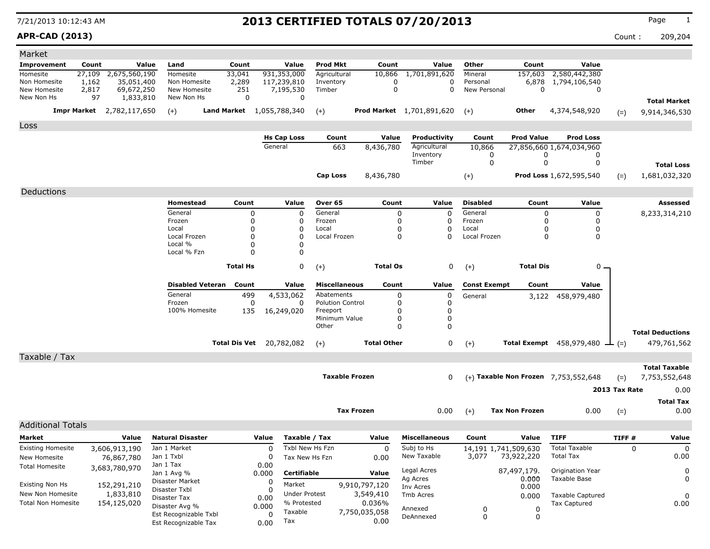## **APR-CAD (2013)** Count : 209,204

| Market                                                 |                                                                                          |                                                        |                                       |                                              |                                       |                    |                                  |                                     |                              |                                        |               |                         |
|--------------------------------------------------------|------------------------------------------------------------------------------------------|--------------------------------------------------------|---------------------------------------|----------------------------------------------|---------------------------------------|--------------------|----------------------------------|-------------------------------------|------------------------------|----------------------------------------|---------------|-------------------------|
| Improvement                                            | Count                                                                                    | Value<br>Land                                          | Count                                 | Value                                        | <b>Prod Mkt</b>                       | Count              | Value                            | Other                               | Count                        | Value                                  |               |                         |
| Homesite<br>Non Homesite<br>New Homesite<br>New Non Hs | 2,675,560,190<br>27,109<br>35,051,400<br>1,162<br>2,817<br>69,672,250<br>97<br>1,833,810 | Homesite<br>Non Homesite<br>New Homesite<br>New Non Hs | 33,041<br>2,289<br>251<br>$\mathbf 0$ | 931,353,000<br>117,239,810<br>7,195,530<br>0 | Agricultural<br>Inventory<br>Timber   | 10,866<br>0<br>0   | 1,701,891,620<br>0<br>0          | Mineral<br>Personal<br>New Personal | 157,603<br>6,878<br>$\Omega$ | 2,580,442,380<br>1,794,106,540<br>0    |               |                         |
|                                                        | <b>Impr Market</b> 2,782,117,650                                                         | $(+)$                                                  |                                       | <b>Land Market</b> 1,055,788,340             | $(+)$                                 |                    | <b>Prod Market</b> 1,701,891,620 | $(+)$                               | Other                        | 4,374,548,920                          |               | <b>Total Market</b>     |
|                                                        |                                                                                          |                                                        |                                       |                                              |                                       |                    |                                  |                                     |                              |                                        | $(=)$         | 9,914,346,530           |
| Loss                                                   |                                                                                          |                                                        |                                       |                                              |                                       |                    |                                  |                                     |                              |                                        |               |                         |
|                                                        |                                                                                          |                                                        |                                       | <b>Hs Cap Loss</b>                           | Count                                 | Value              | Productivity                     | Count                               | <b>Prod Value</b>            | <b>Prod Loss</b>                       |               |                         |
|                                                        |                                                                                          |                                                        |                                       | General                                      | 663                                   | 8,436,780          | Agricultural<br>Inventory        | 10,866<br>0                         | 0                            | 27,856,660 1,674,034,960<br>0          |               |                         |
|                                                        |                                                                                          |                                                        |                                       |                                              |                                       |                    | Timber                           | $\mathbf 0$                         | 0                            | 0                                      |               | <b>Total Loss</b>       |
|                                                        |                                                                                          |                                                        |                                       |                                              | Cap Loss                              | 8,436,780          |                                  | $(+)$                               |                              | Prod Loss 1,672,595,540                | $(=)$         | 1,681,032,320           |
|                                                        |                                                                                          |                                                        |                                       |                                              |                                       |                    |                                  |                                     |                              |                                        |               |                         |
| Deductions                                             |                                                                                          | Homestead                                              | Count                                 | Value                                        | Over 65                               | Count              | Value                            | <b>Disabled</b>                     | Count                        | Value                                  |               | Assessed                |
|                                                        |                                                                                          | General                                                | 0                                     | 0                                            | General                               | 0                  | 0                                | General                             | 0                            | $\mathbf 0$                            |               | 8,233,314,210           |
|                                                        |                                                                                          | Frozen                                                 | 0                                     | 0                                            | Frozen                                | 0                  | 0                                | Frozen                              | 0                            | 0                                      |               |                         |
|                                                        |                                                                                          | Local                                                  | 0                                     | 0                                            | Local                                 | 0                  | 0                                | Local                               | $\Omega$                     | 0                                      |               |                         |
|                                                        |                                                                                          | Local Frozen<br>Local %                                | 0<br>0                                | 0<br>0                                       | Local Frozen                          | 0                  | $\Omega$                         | Local Frozen                        | 0                            | 0                                      |               |                         |
|                                                        |                                                                                          | Local % Fzn                                            | 0                                     | 0                                            |                                       |                    |                                  |                                     |                              |                                        |               |                         |
|                                                        |                                                                                          |                                                        | <b>Total Hs</b>                       | 0                                            | $(+)$                                 | <b>Total Os</b>    | 0                                | $(+)$                               | <b>Total Dis</b>             | $0 -$                                  |               |                         |
|                                                        |                                                                                          |                                                        |                                       |                                              |                                       |                    |                                  |                                     |                              |                                        |               |                         |
|                                                        |                                                                                          | <b>Disabled Veteran</b>                                | Count                                 | Value                                        | <b>Miscellaneous</b>                  | Count              | Value                            | <b>Const Exempt</b>                 | Count                        | Value                                  |               |                         |
|                                                        |                                                                                          | General<br>Frozen                                      | 499<br>0                              | 4,533,062<br>0                               | Abatements<br><b>Polution Control</b> | 0<br>0             | $\pmb{0}$<br>0                   | General                             |                              | 3,122 458,979,480                      |               |                         |
|                                                        |                                                                                          | 100% Homesite                                          | 135                                   | 16,249,020                                   | Freeport                              | 0                  | $\pmb{0}$                        |                                     |                              |                                        |               |                         |
|                                                        |                                                                                          |                                                        |                                       |                                              | Minimum Value                         | 0                  | $\pmb{0}$                        |                                     |                              |                                        |               |                         |
|                                                        |                                                                                          |                                                        |                                       |                                              | Other                                 | $\Omega$           | 0                                |                                     |                              |                                        |               | <b>Total Deductions</b> |
|                                                        |                                                                                          |                                                        |                                       | <b>Total Dis Vet</b> 20,782,082              | $(+)$                                 | <b>Total Other</b> | 0                                | $(+)$                               |                              | Total Exempt $458,979,480 \perp (=)$   |               | 479,761,562             |
|                                                        |                                                                                          |                                                        |                                       |                                              |                                       |                    |                                  |                                     |                              |                                        |               |                         |
| Taxable / Tax                                          |                                                                                          |                                                        |                                       |                                              |                                       |                    |                                  |                                     |                              |                                        |               | <b>Total Taxable</b>    |
|                                                        |                                                                                          |                                                        |                                       |                                              | <b>Taxable Frozen</b>                 |                    | 0                                |                                     |                              | $(+)$ Taxable Non Frozen 7,753,552,648 | $(=)$         | 7,753,552,648           |
|                                                        |                                                                                          |                                                        |                                       |                                              |                                       |                    |                                  |                                     |                              |                                        | 2013 Tax Rate | 0.00                    |
|                                                        |                                                                                          |                                                        |                                       |                                              |                                       |                    |                                  |                                     |                              |                                        |               | <b>Total Tax</b>        |
|                                                        |                                                                                          |                                                        |                                       |                                              |                                       | <b>Tax Frozen</b>  | 0.00                             | $(+)$                               | <b>Tax Non Frozen</b>        | 0.00                                   | $(=)$         | 0.00                    |
| <b>Additional Totals</b>                               |                                                                                          |                                                        |                                       |                                              |                                       |                    |                                  |                                     |                              |                                        |               |                         |
| Market                                                 | Value                                                                                    | <b>Natural Disaster</b>                                |                                       | Taxable / Tax<br>Value                       |                                       | Value              | <b>Miscellaneous</b>             | Count                               | Value                        | <b>TIFF</b>                            | TIFF#         | Value                   |
| <b>Existing Homesite</b>                               | 3,606,913,190                                                                            | Jan 1 Market                                           |                                       | 0                                            | Txbl New Hs Fzn                       | 0                  | Subj to Hs                       | 14,191 1,741,509,630                |                              | <b>Total Taxable</b>                   | 0             | 0                       |
| New Homesite                                           | 76,867,780                                                                               | Jan 1 Txbl                                             |                                       | 0<br>Tax New Hs Fzn                          |                                       | 0.00               | New Taxable                      | 3,077                               | 73,922,220                   | <b>Total Tax</b>                       |               | 0.00                    |
| <b>Total Homesite</b>                                  | 3,683,780,970                                                                            | Jan 1 Tax<br>Jan 1 Avg %                               |                                       | 0.00<br>Certifiable                          |                                       | Value              | Legal Acres                      |                                     | 87,497,179.                  | Origination Year                       |               | 0                       |
|                                                        |                                                                                          | Disaster Market                                        |                                       | 0.000<br>0                                   |                                       |                    | Ag Acres                         |                                     | 0.000                        | Taxable Base                           |               | 0                       |
| Existing Non Hs                                        | 152,291,210                                                                              | Disaster Txbl                                          |                                       | Market<br>0                                  |                                       | 9,910,797,120      | Inv Acres                        |                                     | 0.000                        |                                        |               |                         |
| New Non Homesite                                       | 1,833,810                                                                                | Disaster Tax                                           |                                       | <b>Under Protest</b><br>0.00                 |                                       | 3,549,410          | Tmb Acres                        |                                     | 0.000                        | <b>Taxable Captured</b>                |               | 0                       |
| <b>Total Non Homesite</b>                              | 154,125,020                                                                              | Disaster Avg %                                         |                                       | % Protested<br>0.000                         |                                       | 0.036%             | Annexed                          | 0                                   | 0                            | <b>Tax Captured</b>                    |               | 0.00                    |
|                                                        |                                                                                          | Est Recognizable Txbl                                  |                                       | Taxable<br>0                                 |                                       | 7,750,035,058      | DeAnnexed                        | 0                                   | 0                            |                                        |               |                         |

0.00

Tax 0.00

Est Recognizable Tax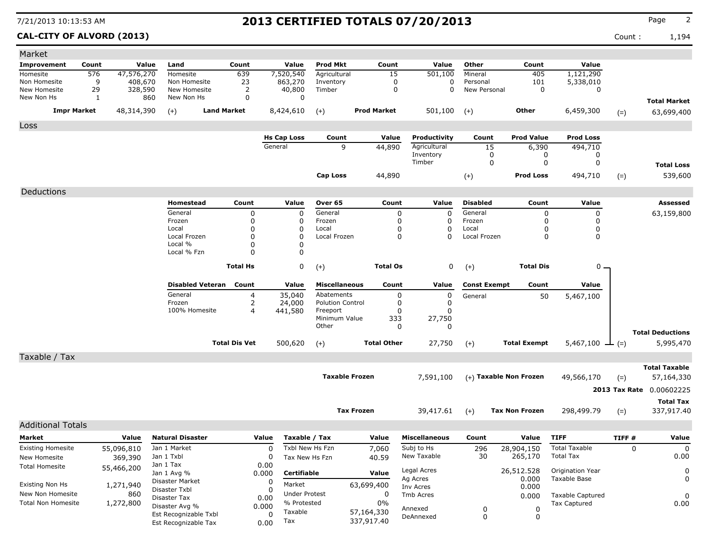### **CAL-CITY OF ALVORD (2013)** Count : 1,194

| Market                                                                                                                                                                              |                                            |
|-------------------------------------------------------------------------------------------------------------------------------------------------------------------------------------|--------------------------------------------|
| <b>Prod Mkt</b><br>Value<br>Improvement<br>Count<br>Value<br>Land<br>Count<br>Value<br>Count<br>Value<br>Other<br>Count                                                             |                                            |
| 47,576,270<br>Homesite<br>7,520,540<br>15<br>Mineral<br>405<br>1,121,290<br>576<br>639<br>Agricultural<br>501,100<br>Homesite                                                       |                                            |
| 9<br>408,670<br>863,270<br>0<br>101<br>Non Homesite<br>Non Homesite<br>23<br>Inventory<br>Personal<br>5,338,010<br>0                                                                |                                            |
| 29<br>328,590<br>$\overline{2}$<br>40,800<br>0<br>$\mathbf 0$<br>New Homesite<br>New Homesite<br>Timber<br>0<br>New Personal<br>0<br>New Non Hs<br>860<br>New Non Hs<br>0<br>1<br>0 |                                            |
| <b>Prod Market</b><br><b>Impr Market</b><br><b>Land Market</b><br>8,424,610<br>501,100<br>Other<br>48,314,390<br>$(+)$<br>$(+)$<br>$(+)$<br>6,459,300                               | <b>Total Market</b><br>$(=)$<br>63,699,400 |
|                                                                                                                                                                                     |                                            |
| Loss                                                                                                                                                                                |                                            |
| <b>Prod Value</b><br><b>Hs Cap Loss</b><br>Count<br>Value<br>Productivity<br>Count<br><b>Prod Loss</b>                                                                              |                                            |
| General<br>9<br>Agricultural<br>15<br>44,890<br>6,390<br>494,710<br>0<br>Inventory<br>0<br>0                                                                                        |                                            |
| 0<br>0<br>Timber<br>0                                                                                                                                                               | <b>Total Loss</b>                          |
| <b>Cap Loss</b><br><b>Prod Loss</b><br>494,710<br>44,890<br>$(+)$                                                                                                                   | 539,600<br>$(=)$                           |
|                                                                                                                                                                                     |                                            |
| Deductions                                                                                                                                                                          |                                            |
| Over 65<br><b>Disabled</b><br>Value<br>Homestead<br>Count<br>Value<br>Count<br>Value<br>Count                                                                                       | <b>Assessed</b>                            |
| $\mathbf 0$<br>0<br>0<br>0<br>$\mathbf 0$<br>General<br>0<br>General<br>General                                                                                                     | 63,159,800                                 |
| Frozen<br>0<br>Frozen<br>0<br>0<br>Frozen<br>0<br>0<br>0<br>Local<br>0<br>Local<br>$\Omega$<br>Local<br>0<br>0<br>0<br>0                                                            |                                            |
| 0<br>0<br>Local Frozen<br>0<br>Local Frozen<br>0<br>0<br>Local Frozen<br>0                                                                                                          |                                            |
| Local %<br>0<br>0                                                                                                                                                                   |                                            |
| Local % Fzn<br>0<br>0                                                                                                                                                               |                                            |
| $\pmb{0}$<br><b>Total Hs</b><br><b>Total Os</b><br><b>Total Dis</b><br>0<br>$(+)$<br>$0 -$<br>$^{(+)}$                                                                              |                                            |
| <b>Disabled Veteran</b><br>Count<br>Value<br><b>Miscellaneous</b><br>Count<br>Value<br><b>Const Exempt</b><br>Count<br>Value                                                        |                                            |
| General<br>4<br>35,040<br>Abatements<br>0<br>0<br>General<br>50<br>5,467,100                                                                                                        |                                            |
| Frozen<br>2<br>24,000<br><b>Polution Control</b><br>0<br>0                                                                                                                          |                                            |
| 4<br>$\Omega$<br>100% Homesite<br>441,580<br>$\Omega$<br>Freeport                                                                                                                   |                                            |
| Minimum Value<br>333<br>27,750<br>Other<br>$\Omega$<br>$\Omega$                                                                                                                     |                                            |
|                                                                                                                                                                                     | <b>Total Deductions</b>                    |
| <b>Total Dis Vet</b><br><b>Total Other</b><br>500,620<br><b>Total Exempt</b><br>$(+)$<br>27,750<br>5,467,100<br>$(+)$<br>$ (=)$                                                     | 5,995,470                                  |
| Taxable / Tax                                                                                                                                                                       |                                            |
|                                                                                                                                                                                     | <b>Total Taxable</b>                       |
| <b>Taxable Frozen</b><br>7,591,100<br>$(+)$ Taxable Non Frozen<br>49,566,170                                                                                                        | 57,164,330<br>$(=)$                        |
|                                                                                                                                                                                     | 2013 Tax Rate 0.00602225                   |
|                                                                                                                                                                                     | <b>Total Tax</b>                           |
| <b>Tax Frozen</b><br>39,417.61<br><b>Tax Non Frozen</b><br>298,499.79<br>$(+)$                                                                                                      | 337,917.40<br>$(=)$                        |
| <b>Additional Totals</b>                                                                                                                                                            |                                            |
| Market<br>Value<br><b>Natural Disaster</b><br>Value<br>Taxable / Tax<br>Value<br><b>Miscellaneous</b><br>Count<br>Value<br><b>TIFF</b>                                              | Value<br>TIFF#                             |
| <b>Existing Homesite</b><br>55,096,810<br>Jan 1 Market<br>0<br>Txbl New Hs Fzn<br>7,060<br>Subj to Hs<br>296<br>28,904,150<br><b>Total Taxable</b>                                  | 0<br>0                                     |
| 30<br>New Taxable<br>265,170<br><b>Total Tax</b><br>Jan 1 Txbl<br>0<br>New Homesite<br>369,390<br>Tax New Hs Fzn<br>40.59                                                           | 0.00                                       |
| Jan 1 Tax<br>0.00<br><b>Total Homesite</b><br>55,466,200<br>Legal Acres<br>26,512.528<br>Origination Year<br>Jan 1 Avg %<br>0.000<br>Certifiable<br>Value                           | 0                                          |
| Taxable Base<br>Ag Acres<br>0.000<br>Disaster Market<br>0                                                                                                                           | $\mathbf 0$                                |
| 1,271,940<br>Market<br>63,699,400<br><b>Existing Non Hs</b><br>0.000<br>Inv Acres<br>Disaster Txbl<br>0                                                                             |                                            |
| <b>Under Protest</b><br>New Non Homesite<br>860<br>0<br>Tmb Acres<br>Taxable Captured<br>0.000<br>Disaster Tax<br>0.00                                                              | 0                                          |
| 1,272,800<br>% Protested<br>Total Non Homesite<br>0%<br><b>Tax Captured</b><br>Disaster Avg %<br>0.000<br>0<br>Annexed<br>0<br>Taxable<br>57,164,330                                | 0.00                                       |
| Est Recognizable Txbl<br>0<br>0<br>DeAnnexed<br>0<br>Tax<br>337,917.40<br>0.00<br>Est Recognizable Tax                                                                              |                                            |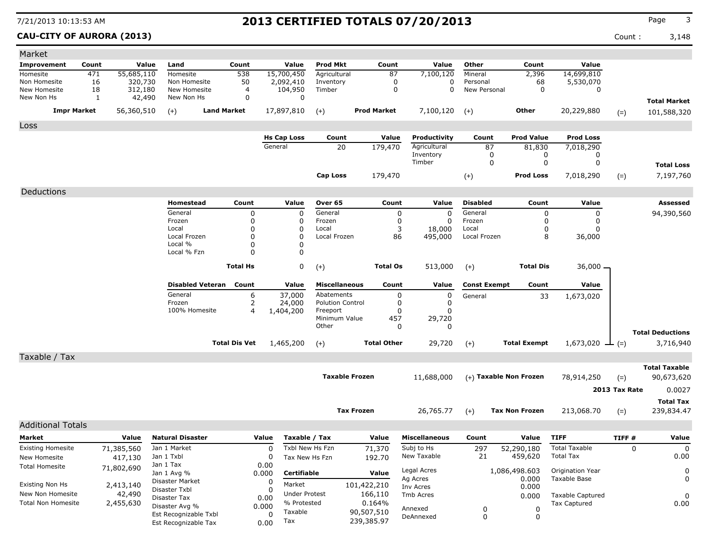### **CAU-CITY OF AURORA (2013)** Count : 3,148

| Market                       |                    |                    |                                         |                      |                              |                         |                    |                        |                          |                          |                                         |               |                                    |
|------------------------------|--------------------|--------------------|-----------------------------------------|----------------------|------------------------------|-------------------------|--------------------|------------------------|--------------------------|--------------------------|-----------------------------------------|---------------|------------------------------------|
| Improvement                  | Count              | Value              | Land                                    | Count                | Value                        | <b>Prod Mkt</b>         | Count              | Value                  | Other                    | Count                    | Value                                   |               |                                    |
| Homesite                     | 471                | 55,685,110         | Homesite                                | 538                  | 15,700,450                   | Agricultural            | 87                 | 7,100,120              | Mineral                  | 2,396                    | 14,699,810                              |               |                                    |
| Non Homesite<br>New Homesite | 16<br>18           | 320,730<br>312,180 | Non Homesite<br>New Homesite            | 50<br>$\overline{4}$ | 2,092,410<br>104,950         | Inventory<br>Timber     | 0<br>0             | $\Omega$<br>0          | Personal<br>New Personal | 68<br>$\mathbf 0$        | 5,530,070<br>0                          |               |                                    |
| New Non Hs                   | 1                  | 42,490             | New Non Hs                              | 0                    | 0                            |                         |                    |                        |                          |                          |                                         |               |                                    |
|                              | <b>Impr Market</b> | 56,360,510         | $(+)$                                   | <b>Land Market</b>   | 17,897,810                   | $(+)$                   | <b>Prod Market</b> | 7,100,120              | $(+)$                    | Other                    | 20,229,880                              | $(=)$         | <b>Total Market</b><br>101,588,320 |
| Loss                         |                    |                    |                                         |                      |                              |                         |                    |                        |                          |                          |                                         |               |                                    |
|                              |                    |                    |                                         |                      | <b>Hs Cap Loss</b>           | Count                   | Value              | Productivity           | Count                    | <b>Prod Value</b>        | <b>Prod Loss</b>                        |               |                                    |
|                              |                    |                    |                                         |                      | General                      | 20                      | 179,470            | Agricultural           | 87                       | 81,830                   | 7,018,290                               |               |                                    |
|                              |                    |                    |                                         |                      |                              |                         |                    | Inventory              | 0                        | 0                        | 0                                       |               |                                    |
|                              |                    |                    |                                         |                      |                              |                         |                    | Timber                 | 0                        | 0                        | 0                                       |               | <b>Total Loss</b>                  |
|                              |                    |                    |                                         |                      |                              | Cap Loss                | 179,470            |                        | $(+)$                    | <b>Prod Loss</b>         | 7,018,290                               | $(=)$         | 7,197,760                          |
| Deductions                   |                    |                    |                                         |                      |                              |                         |                    |                        |                          |                          |                                         |               |                                    |
|                              |                    |                    | Homestead                               | Count                | Value                        | Over 65                 | Count              | Value                  | <b>Disabled</b>          | Count                    | Value                                   |               | <b>Assessed</b>                    |
|                              |                    |                    | General                                 | 0                    | 0                            | General                 | 0                  | 0                      | General                  | 0                        | 0                                       |               | 94,390,560                         |
|                              |                    |                    | Frozen                                  | 0                    | 0                            | Frozen                  | 0                  | 0                      | Frozen                   | 0                        | 0                                       |               |                                    |
|                              |                    |                    | Local<br>Local Frozen                   | 0<br>0               | 0<br>0                       | Local<br>Local Frozen   | 3<br>86            | 18,000                 | Local<br>Local Frozen    | 0<br>8                   | 0                                       |               |                                    |
|                              |                    |                    | Local %                                 | 0                    | 0                            |                         |                    | 495,000                |                          |                          | 36,000                                  |               |                                    |
|                              |                    |                    | Local % Fzn                             | 0                    | 0                            |                         |                    |                        |                          |                          |                                         |               |                                    |
|                              |                    |                    |                                         | <b>Total Hs</b>      | 0                            | $(+)$                   | <b>Total Os</b>    | 513,000                | $(+)$                    | <b>Total Dis</b>         | $36,000 -$                              |               |                                    |
|                              |                    |                    | <b>Disabled Veteran</b>                 | Count                | Value                        | <b>Miscellaneous</b>    | Count              | Value                  | <b>Const Exempt</b>      | Count                    | Value                                   |               |                                    |
|                              |                    |                    | General                                 | 6                    | 37,000                       | Abatements              | 0                  | 0                      | General                  | 33                       | 1,673,020                               |               |                                    |
|                              |                    |                    | Frozen                                  | 2                    | 24,000                       | <b>Polution Control</b> | 0                  | 0                      |                          |                          |                                         |               |                                    |
|                              |                    |                    | 100% Homesite                           | 4                    | 1,404,200                    | Freeport                | 0                  | 0                      |                          |                          |                                         |               |                                    |
|                              |                    |                    |                                         |                      |                              | Minimum Value<br>Other  | 457<br>0           | 29,720<br>0            |                          |                          |                                         |               |                                    |
|                              |                    |                    |                                         |                      |                              |                         |                    |                        |                          |                          |                                         |               | <b>Total Deductions</b>            |
|                              |                    |                    |                                         | <b>Total Dis Vet</b> | 1,465,200                    | $(+)$                   | <b>Total Other</b> | 29,720                 | $(+)$                    | <b>Total Exempt</b>      | 1,673,020                               | $ ($ $=$ $)$  | 3,716,940                          |
| Taxable / Tax                |                    |                    |                                         |                      |                              |                         |                    |                        |                          |                          |                                         |               |                                    |
|                              |                    |                    |                                         |                      |                              |                         |                    |                        |                          |                          |                                         |               | <b>Total Taxable</b>               |
|                              |                    |                    |                                         |                      |                              | <b>Taxable Frozen</b>   |                    | 11,688,000             |                          | $(+)$ Taxable Non Frozen | 78,914,250                              | $(=)$         | 90,673,620                         |
|                              |                    |                    |                                         |                      |                              |                         |                    |                        |                          |                          |                                         | 2013 Tax Rate | 0.0027                             |
|                              |                    |                    |                                         |                      |                              |                         |                    |                        |                          |                          |                                         |               | <b>Total Tax</b>                   |
|                              |                    |                    |                                         |                      |                              |                         | <b>Tax Frozen</b>  | 26,765.77              | $(+)$                    | <b>Tax Non Frozen</b>    | 213,068.70                              | $(=)$         | 239,834.47                         |
| <b>Additional Totals</b>     |                    |                    |                                         |                      |                              |                         |                    |                        |                          |                          |                                         |               |                                    |
| Market                       |                    | Value              | <b>Natural Disaster</b>                 |                      | Value<br>Taxable / Tax       |                         | Value              | <b>Miscellaneous</b>   | Count                    | Value                    | <b>TIFF</b>                             | TIFF#         | Value                              |
| <b>Existing Homesite</b>     |                    | 71,385,560         | Jan 1 Market                            |                      | 0<br>Txbl New Hs Fzn         |                         | 71,370             | Subj to Hs             | 297                      | 52,290,180               | Total Taxable                           | 0             | 0                                  |
| New Homesite                 |                    | 417,130            | Jan 1 Txbl                              |                      | 0<br>Tax New Hs Fzn          |                         | 192.70             | New Taxable            | 21                       | 459,620                  | <b>Total Tax</b>                        |               | 0.00                               |
| <b>Total Homesite</b>        |                    | 71,802,690         | Jan 1 Tax<br>Jan 1 Avg %                |                      | 0.00<br>Certifiable<br>0.000 |                         | Value              | Legal Acres            |                          | 1,086,498.603            | Origination Year                        |               | 0                                  |
| <b>Existing Non Hs</b>       |                    | 2,413,140          | Disaster Market                         |                      | 0<br>Market                  |                         | 101,422,210        | Ag Acres               |                          | 0.000                    | Taxable Base                            |               | 0                                  |
| New Non Homesite             |                    | 42,490             | Disaster Txbl                           |                      | 0<br><b>Under Protest</b>    |                         | 166,110            | Inv Acres<br>Tmb Acres |                          | 0.000                    |                                         |               |                                    |
| <b>Total Non Homesite</b>    |                    | 2,455,630          | Disaster Tax                            |                      | 0.00<br>% Protested          |                         | 0.164%             |                        |                          | 0.000                    | <b>Taxable Captured</b><br>Tax Captured |               | 0<br>0.00                          |
|                              |                    |                    | Disaster Avg %<br>Est Recognizable Txbl | 0.000                | Taxable<br>0                 |                         | 90,507,510         | Annexed                | 0                        | $\mathbf 0$              |                                         |               |                                    |
|                              |                    |                    | Est Recognizable Tax                    |                      | Tax<br>0.00                  |                         | 239,385.97         | DeAnnexed              | 0                        | 0                        |                                         |               |                                    |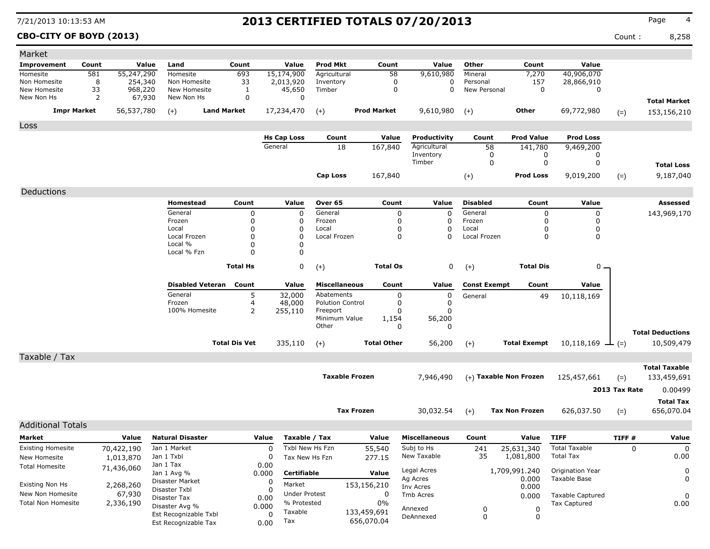### **CBO-CITY OF BOYD (2013)** Count : 8,258

| Market                                                 |                                  |                                            |                                                                 |                      |                                        |                                                                             |                           |                                  |                                       |                                     |                                       |                                                |               |                                       |
|--------------------------------------------------------|----------------------------------|--------------------------------------------|-----------------------------------------------------------------|----------------------|----------------------------------------|-----------------------------------------------------------------------------|---------------------------|----------------------------------|---------------------------------------|-------------------------------------|---------------------------------------|------------------------------------------------|---------------|---------------------------------------|
| Improvement                                            | Count                            | Value                                      | Land                                                            | Count                | Value                                  | <b>Prod Mkt</b>                                                             | Count                     |                                  | Value                                 | Other                               | Count                                 | Value                                          |               |                                       |
| Homesite<br>Non Homesite<br>New Homesite<br>New Non Hs | 581<br>8<br>33<br>$\overline{2}$ | 55,247,290<br>254,340<br>968,220<br>67,930 | Homesite<br>Non Homesite<br>New Homesite<br>New Non Hs          | 693<br>33<br>1<br>0  | 15,174,900<br>2,013,920<br>45,650<br>0 | Agricultural<br>Inventory<br>Timber                                         |                           | 58<br>$\mathbf 0$<br>$\mathbf 0$ | 9,610,980<br>0<br>0                   | Mineral<br>Personal<br>New Personal | 7,270<br>157<br>$\mathbf 0$           | 40,906,070<br>28,866,910<br>0                  |               | <b>Total Market</b>                   |
| <b>Impr Market</b>                                     |                                  | 56,537,780                                 | $(+)$                                                           | <b>Land Market</b>   | 17,234,470                             | $(+)$                                                                       | <b>Prod Market</b>        |                                  | 9,610,980                             | $(+)$                               | <b>Other</b>                          | 69,772,980                                     | $(=)$         | 153,156,210                           |
| Loss                                                   |                                  |                                            |                                                                 |                      |                                        |                                                                             |                           |                                  |                                       |                                     |                                       |                                                |               |                                       |
|                                                        |                                  |                                            |                                                                 |                      | <b>Hs Cap Loss</b>                     | Count                                                                       | Value                     |                                  | Productivity                          | Count                               | <b>Prod Value</b>                     | <b>Prod Loss</b>                               |               |                                       |
|                                                        |                                  |                                            |                                                                 |                      | General                                | 18                                                                          | 167,840                   |                                  | Agricultural<br>Inventory<br>Timber   | 58                                  | 141,780<br>0<br>0<br>$\mathbf 0$<br>0 | 9,469,200<br>0<br>0                            |               | <b>Total Loss</b>                     |
|                                                        |                                  |                                            |                                                                 |                      |                                        | Cap Loss                                                                    | 167,840                   |                                  |                                       | $(+)$                               | <b>Prod Loss</b>                      | 9,019,200                                      | $(=)$         | 9,187,040                             |
| Deductions                                             |                                  |                                            |                                                                 |                      |                                        |                                                                             |                           |                                  |                                       |                                     |                                       |                                                |               |                                       |
|                                                        |                                  |                                            | Homestead                                                       | Count                | Value                                  | Over 65                                                                     | Count                     |                                  | Value                                 | <b>Disabled</b>                     | Count                                 | Value                                          |               | Assessed                              |
|                                                        |                                  |                                            | General                                                         | 0                    | 0                                      | General                                                                     |                           | 0                                | 0                                     | General                             | 0                                     | 0                                              |               | 143,969,170                           |
|                                                        |                                  |                                            | Frozen<br>Local                                                 | 0<br>0               | 0<br>0                                 | Frozen<br>Local                                                             |                           | $\mathbf 0$<br>0                 | 0<br>0                                | Frozen<br>Local                     | 0<br>0                                | 0<br>0                                         |               |                                       |
|                                                        |                                  |                                            | Local Frozen                                                    | 0                    | 0                                      | Local Frozen                                                                |                           | 0                                | $\mathbf 0$                           | Local Frozen                        | 0                                     | 0                                              |               |                                       |
|                                                        |                                  |                                            | Local %                                                         | 0<br>0               | 0<br>0                                 |                                                                             |                           |                                  |                                       |                                     |                                       |                                                |               |                                       |
|                                                        |                                  |                                            | Local % Fzn                                                     | <b>Total Hs</b>      | 0                                      | $(+)$                                                                       | <b>Total Os</b>           |                                  | 0                                     | $(+)$                               | <b>Total Dis</b>                      | 0 -                                            |               |                                       |
|                                                        |                                  |                                            |                                                                 |                      |                                        |                                                                             |                           |                                  |                                       |                                     |                                       |                                                |               |                                       |
|                                                        |                                  |                                            | <b>Disabled Veteran</b>                                         | Count                | Value                                  | <b>Miscellaneous</b>                                                        |                           | Count                            | Value                                 | <b>Const Exempt</b>                 | Count                                 | Value                                          |               |                                       |
|                                                        |                                  |                                            | General<br>Frozen<br>100% Homesite                              | 5<br>4<br>2          | 32,000<br>48,000<br>255,110            | Abatements<br><b>Polution Control</b><br>Freeport<br>Minimum Value<br>Other | 1,154                     | 0<br>0<br>0<br>0                 | 0<br>0<br>$\mathbf{0}$<br>56,200<br>0 | General                             | 49                                    | 10,118,169                                     |               |                                       |
|                                                        |                                  |                                            |                                                                 | <b>Total Dis Vet</b> | 335,110                                | $(+)$                                                                       | <b>Total Other</b>        |                                  | 56,200                                | $(+)$                               | <b>Total Exempt</b>                   | 10,118,169                                     | $ (=)$        | <b>Total Deductions</b><br>10,509,479 |
| Taxable / Tax                                          |                                  |                                            |                                                                 |                      |                                        |                                                                             |                           |                                  |                                       |                                     |                                       |                                                |               |                                       |
|                                                        |                                  |                                            |                                                                 |                      |                                        | <b>Taxable Frozen</b>                                                       |                           |                                  | 7,946,490                             |                                     | $(+)$ Taxable Non Frozen              | 125,457,661                                    | $(=)$         | <b>Total Taxable</b><br>133,459,691   |
|                                                        |                                  |                                            |                                                                 |                      |                                        |                                                                             |                           |                                  |                                       |                                     |                                       |                                                | 2013 Tax Rate | 0.00499                               |
|                                                        |                                  |                                            |                                                                 |                      |                                        |                                                                             |                           |                                  |                                       |                                     |                                       |                                                |               | <b>Total Tax</b>                      |
|                                                        |                                  |                                            |                                                                 |                      |                                        |                                                                             | <b>Tax Frozen</b>         |                                  | 30,032.54                             | $(+)$                               | <b>Tax Non Frozen</b>                 | 626,037.50                                     | $(=)$         | 656,070.04                            |
| <b>Additional Totals</b>                               |                                  |                                            |                                                                 |                      |                                        |                                                                             |                           |                                  |                                       |                                     |                                       |                                                |               |                                       |
| Market                                                 |                                  | Value                                      | <b>Natural Disaster</b>                                         | Value                | Taxable / Tax                          |                                                                             | Value                     |                                  | <b>Miscellaneous</b>                  | Count                               | Value                                 | <b>TIFF</b>                                    | TIFF#         | Value                                 |
| <b>Existing Homesite</b>                               |                                  | 70,422,190                                 | Jan 1 Market                                                    |                      | Txbl New Hs Fzn<br>0                   |                                                                             | 55,540                    |                                  | Subj to Hs                            | 241                                 | 25,631,340                            | <b>Total Taxable</b>                           | 0             | 0                                     |
| New Homesite                                           |                                  | 1,013,870                                  | Jan 1 Txbl                                                      |                      | 0<br>Tax New Hs Fzn                    |                                                                             | 277.15                    |                                  | New Taxable                           | 35                                  | 1,081,800                             | <b>Total Tax</b>                               |               | 0.00                                  |
| <b>Total Homesite</b>                                  |                                  | 71,436,060                                 | Jan 1 Tax<br>Jan 1 Avg %                                        | 0.00<br>0.000        | Certifiable                            |                                                                             | Value                     |                                  | Legal Acres                           |                                     | 1,709,991.240                         | Origination Year                               |               | 0                                     |
| <b>Existing Non Hs</b>                                 |                                  | 2,268,260                                  | Disaster Market                                                 |                      | 0<br>Market                            |                                                                             | 153,156,210               |                                  | Ag Acres                              |                                     | 0.000                                 | Taxable Base                                   |               | 0                                     |
| New Non Homesite                                       |                                  | 67,930                                     | Disaster Txbl                                                   |                      | 0<br><b>Under Protest</b>              |                                                                             | 0                         |                                  | Inv Acres<br>Tmb Acres                |                                     | 0.000                                 |                                                |               |                                       |
| <b>Total Non Homesite</b>                              |                                  | 2,336,190                                  | Disaster Tax                                                    | 0.00                 | % Protested                            |                                                                             | 0%                        |                                  |                                       |                                     | 0.000                                 | <b>Taxable Captured</b><br><b>Tax Captured</b> |               | $\Omega$<br>0.00                      |
|                                                        |                                  |                                            | Disaster Avg %<br>Est Recognizable Txbl<br>Est Recognizable Tax | 0.000<br>0.00        | Taxable<br>0<br>Tax                    |                                                                             | 133,459,691<br>656,070.04 |                                  | Annexed<br>DeAnnexed                  | 0<br>0                              | 0<br>0                                |                                                |               |                                       |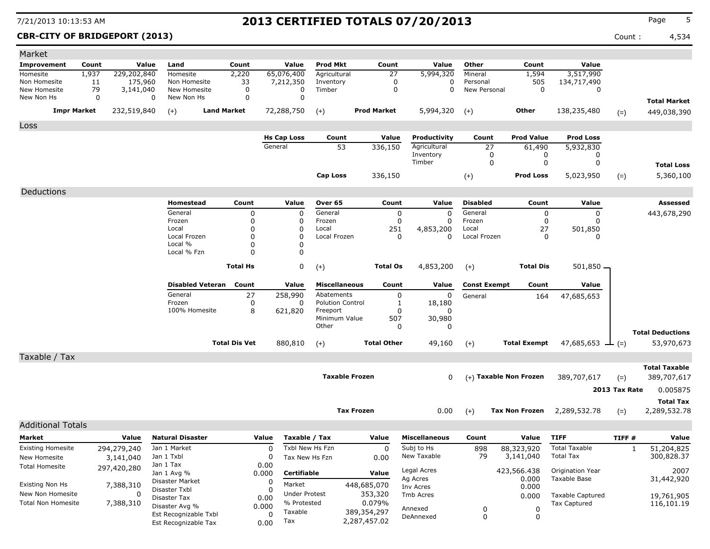### **CBR-CITY OF BRIDGEPORT (2013)** Count : 4,534

| Market                                                                                                                                                                                                             |                                               |                           |
|--------------------------------------------------------------------------------------------------------------------------------------------------------------------------------------------------------------------|-----------------------------------------------|---------------------------|
| Improvement<br>Count<br>Value<br>Land<br>Count<br>Value<br><b>Prod Mkt</b><br>Count<br>Value<br>Other                                                                                                              | Value<br>Count                                |                           |
| 229,202,840<br>1,937<br>Homesite<br>65,076,400<br>Agricultural<br>27<br>5,994,320<br>Mineral<br>Homesite<br>2,220                                                                                                  | 1,594<br>3,517,990                            |                           |
| 175,960<br>0<br>Non Homesite<br>11<br>Non Homesite<br>33<br>7,212,350<br>$\Omega$<br>Personal<br>Inventory<br>79<br>0<br>New Homesite<br>3,141,040<br>New Homesite<br>0<br>0<br>Timber<br>$\Omega$<br>New Personal | 505<br>134,717,490<br>$\mathbf 0$<br>0        |                           |
| New Non Hs<br>0<br>$\mathbf 0$<br>$\mathbf 0$<br>0<br>New Non Hs                                                                                                                                                   |                                               | <b>Total Market</b>       |
| <b>Impr Market</b><br>232,519,840<br><b>Land Market</b><br>72,288,750<br><b>Prod Market</b><br>$(+)$<br>$(+)$<br>5,994,320<br>$(+)$                                                                                | Other<br>138,235,480                          | 449,038,390<br>$(=)$      |
| Loss                                                                                                                                                                                                               |                                               |                           |
| <b>Hs Cap Loss</b><br>Count<br>Value<br>Productivity<br>Count                                                                                                                                                      | <b>Prod Value</b><br><b>Prod Loss</b>         |                           |
| General<br>53<br>Agricultural<br>$\overline{27}$<br>336,150                                                                                                                                                        | 61,490<br>5,932,830                           |                           |
| 0<br>Inventory<br>$\mathbf 0$<br>Timber                                                                                                                                                                            | 0<br>0<br>0<br>0                              |                           |
|                                                                                                                                                                                                                    |                                               | <b>Total Loss</b>         |
| Cap Loss<br>336,150<br>$(+)$                                                                                                                                                                                       | <b>Prod Loss</b><br>5,023,950                 | 5,360,100<br>$(=)$        |
| Deductions                                                                                                                                                                                                         |                                               |                           |
| <b>Disabled</b><br>Homestead<br>Count<br>Value<br>Over 65<br>Count<br>Value                                                                                                                                        | Count<br>Value                                | Assessed                  |
| 0<br>0<br>General<br>0<br>0<br>General<br>General                                                                                                                                                                  | 0<br>0                                        | 443,678,290               |
| Frozen<br>0<br>Frozen<br>0<br>0<br>Frozen<br>0                                                                                                                                                                     | 0<br>0                                        |                           |
| 251<br>4,853,200<br>Local<br>0<br>0<br>Local<br>Local<br>Local Frozen<br>0<br>$\Omega$<br>0<br>Local Frozen<br>Local Frozen<br>$\Omega$                                                                            | 27<br>501,850<br>0<br>0                       |                           |
| Local %<br>0<br>0                                                                                                                                                                                                  |                                               |                           |
| Local % Fzn<br>0<br>$\Omega$                                                                                                                                                                                       |                                               |                           |
| <b>Total Hs</b><br>0<br><b>Total Os</b><br>$(+)$<br>4,853,200<br>$(+)$                                                                                                                                             | <b>Total Dis</b><br>$501,850 -$               |                           |
| <b>Disabled Veteran</b><br>Count<br>Value<br><b>Miscellaneous</b><br>Count<br>Value<br><b>Const Exempt</b>                                                                                                         | Count<br>Value                                |                           |
| General<br>27<br>258,990<br>Abatements<br>0<br>0<br>General                                                                                                                                                        | 164<br>47,685,653                             |                           |
| Frozen<br><b>Polution Control</b><br>0<br>0<br>18,180<br>-1                                                                                                                                                        |                                               |                           |
| 8<br>100% Homesite<br>621,820<br>0<br>0<br>Freeport                                                                                                                                                                |                                               |                           |
| Minimum Value<br>507<br>30,980<br>Other<br>0<br>0                                                                                                                                                                  |                                               |                           |
|                                                                                                                                                                                                                    |                                               | <b>Total Deductions</b>   |
| <b>Total Dis Vet</b><br><b>Total Other</b><br>880,810<br>$(+)$<br>49,160<br>$(+)$                                                                                                                                  | <b>Total Exempt</b><br>47,685,653 $\perp$ (=) | 53,970,673                |
| Taxable / Tax                                                                                                                                                                                                      |                                               |                           |
|                                                                                                                                                                                                                    |                                               | <b>Total Taxable</b>      |
| <b>Taxable Frozen</b><br>0                                                                                                                                                                                         | $(+)$ Taxable Non Frozen<br>389,707,617       | 389,707,617<br>$(=)$      |
|                                                                                                                                                                                                                    |                                               | 2013 Tax Rate<br>0.005875 |
|                                                                                                                                                                                                                    |                                               | <b>Total Tax</b>          |
| <b>Tax Frozen</b><br>0.00<br>$(+)$                                                                                                                                                                                 | <b>Tax Non Frozen</b><br>2,289,532.78         | 2,289,532.78<br>$(=)$     |
| <b>Additional Totals</b>                                                                                                                                                                                           |                                               |                           |
| Market<br>Value<br><b>Natural Disaster</b><br>Value<br>Taxable / Tax<br><b>Miscellaneous</b><br>Value<br>Count                                                                                                     | <b>TIFF</b><br>Value                          | Value<br>TIFF#            |
| 294,279,240<br>Txbl New Hs Fzn<br>Jan 1 Market<br>Subj to Hs<br>898<br>0<br><b>Existing Homesite</b><br>0                                                                                                          | <b>Total Taxable</b><br>88,323,920            | 51,204,825                |
| New Taxable<br>79<br>Jan 1 Txbl<br>0<br>New Homesite<br>Tax New Hs Fzn<br>0.00<br>3,141,040                                                                                                                        | 3,141,040<br><b>Total Tax</b>                 | 300,828.37                |
| Jan 1 Tax<br>0.00<br><b>Total Homesite</b><br>297,420,280<br>Legal Acres                                                                                                                                           | 423,566.438                                   |                           |
| Jan 1 Avg %<br>Certifiable<br>Value<br>0.000<br>Ag Acres                                                                                                                                                           | Origination Year<br>0.000<br>Taxable Base     | 2007<br>31,442,920        |
| Disaster Market<br>0<br>7,388,310<br>448,685,070<br><b>Existing Non Hs</b><br>Market<br>Inv Acres<br>Disaster Txbl<br>0                                                                                            | 0.000                                         |                           |
| New Non Homesite<br><b>Under Protest</b><br>353,320<br>0<br>Tmb Acres<br>Disaster Tax<br>0.00                                                                                                                      | 0.000<br>Taxable Captured                     | 19,761,905                |
| 7,388,310<br>0.079%<br><b>Total Non Homesite</b><br>% Protested<br>Disaster Avg %<br>0.000<br>0<br>Annexed<br>Taxable<br>389,354,297<br>Est Recognizable Txbl                                                      | <b>Tax Captured</b><br>0                      | 116,101.19                |
| 0                                                                                                                                                                                                                  |                                               |                           |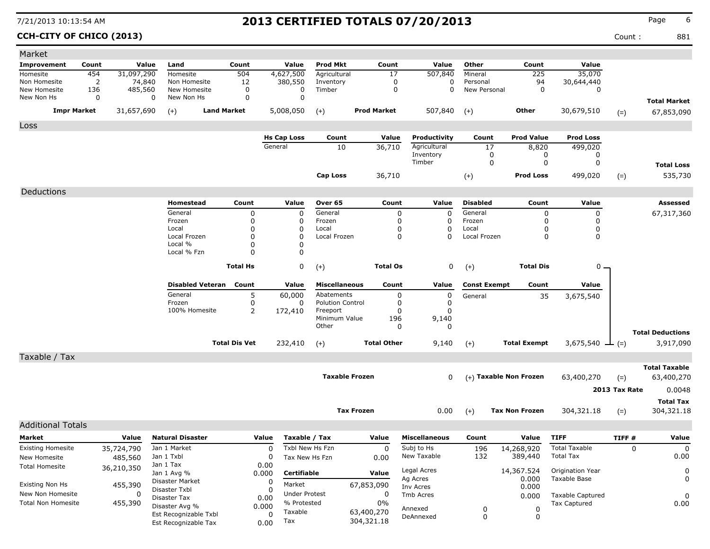### **CCH-CITY OF CHICO (2013)** Count : 881

| Market                                                 |                                   |                                 |                                                                    |                               |                                             |                                     |                                  |                           |                                     |                          |                                          |               |                                    |
|--------------------------------------------------------|-----------------------------------|---------------------------------|--------------------------------------------------------------------|-------------------------------|---------------------------------------------|-------------------------------------|----------------------------------|---------------------------|-------------------------------------|--------------------------|------------------------------------------|---------------|------------------------------------|
| <b>Improvement</b>                                     | Count                             | Value                           | Land                                                               | Count                         | Value                                       | <b>Prod Mkt</b>                     | Count                            | Value                     | Other                               | Count                    | Value                                    |               |                                    |
| Homesite<br>Non Homesite<br>New Homesite<br>New Non Hs | 454<br>$\overline{2}$<br>136<br>0 | 31,097,290<br>74,840<br>485,560 | Homesite<br>Non Homesite<br>New Homesite<br>New Non Hs<br>$\Omega$ | 504<br>12<br>0<br>$\mathbf 0$ | 4,627,500<br>380,550<br>0<br>0              | Agricultural<br>Inventory<br>Timber | 17<br>$\mathbf 0$<br>$\mathbf 0$ | 507,840<br>0<br>0         | Mineral<br>Personal<br>New Personal | 225<br>94<br>0           | 35,070<br>30,644,440<br>0                |               | <b>Total Market</b>                |
|                                                        | <b>Impr Market</b>                | 31,657,690                      | $(+)$                                                              | <b>Land Market</b>            | 5,008,050                                   | $(+)$                               | <b>Prod Market</b>               | 507,840                   | $(+)$                               | Other                    | 30,679,510                               | $(=)$         | 67,853,090                         |
| Loss                                                   |                                   |                                 |                                                                    |                               |                                             |                                     |                                  |                           |                                     |                          |                                          |               |                                    |
|                                                        |                                   |                                 |                                                                    |                               | <b>Hs Cap Loss</b>                          | Count                               | Value                            | Productivity              | Count                               | <b>Prod Value</b>        | <b>Prod Loss</b>                         |               |                                    |
|                                                        |                                   |                                 |                                                                    |                               | General                                     | 10                                  | 36,710                           | Agricultural              |                                     | 17<br>8,820              | 499,020                                  |               |                                    |
|                                                        |                                   |                                 |                                                                    |                               |                                             |                                     |                                  | Inventory                 |                                     | 0<br>0                   | 0                                        |               |                                    |
|                                                        |                                   |                                 |                                                                    |                               |                                             |                                     |                                  | Timber                    |                                     | 0<br>0                   | 0                                        |               | <b>Total Loss</b>                  |
|                                                        |                                   |                                 |                                                                    |                               |                                             | <b>Cap Loss</b>                     | 36,710                           |                           | $(+)$                               | <b>Prod Loss</b>         | 499,020                                  | $(=)$         | 535,730                            |
| Deductions                                             |                                   |                                 |                                                                    |                               |                                             |                                     |                                  |                           |                                     |                          |                                          |               |                                    |
|                                                        |                                   |                                 | Homestead                                                          | Count                         | Value                                       | Over 65                             | Count                            | Value                     | <b>Disabled</b>                     | Count                    | Value                                    |               | Assessed                           |
|                                                        |                                   |                                 | General                                                            | 0                             | 0                                           | General                             | 0                                | 0                         | General                             | 0                        | 0                                        |               | 67,317,360                         |
|                                                        |                                   |                                 | Frozen<br>Local                                                    | 0<br>0                        | 0<br>0                                      | Frozen<br>Local                     | 0<br>0                           | $\Omega$<br>0             | Frozen<br>Local                     | 0<br>0                   | 0<br>0                                   |               |                                    |
|                                                        |                                   |                                 | Local Frozen                                                       | 0                             | 0                                           | Local Frozen                        | 0                                | $\Omega$                  | Local Frozen                        | 0                        | 0                                        |               |                                    |
|                                                        |                                   |                                 | Local %                                                            | 0                             | 0                                           |                                     |                                  |                           |                                     |                          |                                          |               |                                    |
|                                                        |                                   |                                 | Local % Fzn                                                        | 0                             | 0                                           |                                     |                                  |                           |                                     |                          |                                          |               |                                    |
|                                                        |                                   |                                 |                                                                    | <b>Total Hs</b>               | 0                                           | $(+)$                               | <b>Total Os</b>                  | 0                         | $(+)$                               | <b>Total Dis</b>         | 0 -                                      |               |                                    |
|                                                        |                                   |                                 | <b>Disabled Veteran</b>                                            | Count                         | Value                                       | <b>Miscellaneous</b>                | Count                            | Value                     | <b>Const Exempt</b>                 | Count                    | Value                                    |               |                                    |
|                                                        |                                   |                                 | General                                                            | 5                             | 60,000                                      | Abatements                          | 0                                | $\pmb{0}$                 | General                             | 35                       | 3,675,540                                |               |                                    |
|                                                        |                                   |                                 | Frozen                                                             | 0                             | 0                                           | <b>Polution Control</b>             | 0                                | 0                         |                                     |                          |                                          |               |                                    |
|                                                        |                                   |                                 | 100% Homesite                                                      | 2                             | 172,410                                     | Freeport<br>Minimum Value           | 0<br>196                         | $\Omega$<br>9,140         |                                     |                          |                                          |               |                                    |
|                                                        |                                   |                                 |                                                                    |                               |                                             | Other                               | $\Omega$                         | $\Omega$                  |                                     |                          |                                          |               |                                    |
|                                                        |                                   |                                 |                                                                    |                               |                                             |                                     |                                  |                           |                                     |                          |                                          |               | <b>Total Deductions</b>            |
|                                                        |                                   |                                 |                                                                    | <b>Total Dis Vet</b>          | 232,410                                     | $(+)$                               | <b>Total Other</b>               | 9,140                     | $(+)$                               | <b>Total Exempt</b>      | 3,675,540                                | $ (=)$        | 3,917,090                          |
| Taxable / Tax                                          |                                   |                                 |                                                                    |                               |                                             |                                     |                                  |                           |                                     |                          |                                          |               |                                    |
|                                                        |                                   |                                 |                                                                    |                               |                                             | <b>Taxable Frozen</b>               |                                  | 0                         |                                     | $(+)$ Taxable Non Frozen | 63,400,270                               | $(=)$         | <b>Total Taxable</b><br>63,400,270 |
|                                                        |                                   |                                 |                                                                    |                               |                                             |                                     |                                  |                           |                                     |                          |                                          | 2013 Tax Rate |                                    |
|                                                        |                                   |                                 |                                                                    |                               |                                             |                                     |                                  |                           |                                     |                          |                                          |               | 0.0048                             |
|                                                        |                                   |                                 |                                                                    |                               |                                             |                                     | <b>Tax Frozen</b>                | 0.00                      |                                     | <b>Tax Non Frozen</b>    |                                          |               | <b>Total Tax</b>                   |
|                                                        |                                   |                                 |                                                                    |                               |                                             |                                     |                                  |                           | $(+)$                               |                          | 304,321.18                               | $(=)$         | 304,321.18                         |
| <b>Additional Totals</b>                               |                                   |                                 |                                                                    |                               |                                             |                                     |                                  |                           |                                     |                          |                                          |               |                                    |
| Market                                                 |                                   | Value                           | <b>Natural Disaster</b>                                            |                               | Value<br>Taxable / Tax                      |                                     | Value                            | <b>Miscellaneous</b>      | Count                               | Value                    | <b>TIFF</b>                              | TIFF#         | Value                              |
| <b>Existing Homesite</b><br>New Homesite               |                                   | 35,724,790<br>485,560           | Jan 1 Market<br>Jan 1 Txbl                                         |                               | Txbl New Hs Fzn<br>0<br>0<br>Tax New Hs Fzn |                                     | 0<br>0.00                        | Subj to Hs<br>New Taxable | 196<br>132                          | 14,268,920<br>389,440    | <b>Total Taxable</b><br><b>Total Tax</b> | 0             | $\mathbf 0$<br>0.00                |
| <b>Total Homesite</b>                                  |                                   |                                 | Jan 1 Tax                                                          |                               | 0.00                                        |                                     |                                  |                           |                                     |                          |                                          |               |                                    |
|                                                        |                                   | 36,210,350                      | Jan 1 Avg %                                                        | 0.000                         | Certifiable                                 |                                     | Value                            | Legal Acres               |                                     | 14,367.524               | Origination Year                         |               | 0                                  |
| <b>Existing Non Hs</b>                                 |                                   | 455,390                         | Disaster Market                                                    |                               | 0<br>Market                                 |                                     | 67,853,090                       | Ag Acres<br>Inv Acres     |                                     | 0.000<br>0.000           | Taxable Base                             |               | 0                                  |
| New Non Homesite                                       |                                   | 0                               | Disaster Txbl                                                      |                               | 0<br><b>Under Protest</b>                   |                                     | 0                                | Tmb Acres                 |                                     | 0.000                    | <b>Taxable Captured</b>                  |               | 0                                  |
| Total Non Homesite                                     |                                   | 455,390                         | Disaster Tax<br>Disaster Avg %                                     | 0.000                         | 0.00<br>% Protested                         |                                     | 0%                               |                           |                                     |                          | <b>Tax Captured</b>                      |               | 0.00                               |
|                                                        |                                   |                                 | Est Recognizable Txbl                                              |                               | Taxable<br>0                                |                                     | 63,400,270                       | Annexed<br>DeAnnexed      | 0<br>0                              | 0<br>0                   |                                          |               |                                    |
|                                                        |                                   |                                 | Est Recognizable Tax                                               |                               | Tax<br>0.00                                 |                                     | 304,321.18                       |                           |                                     |                          |                                          |               |                                    |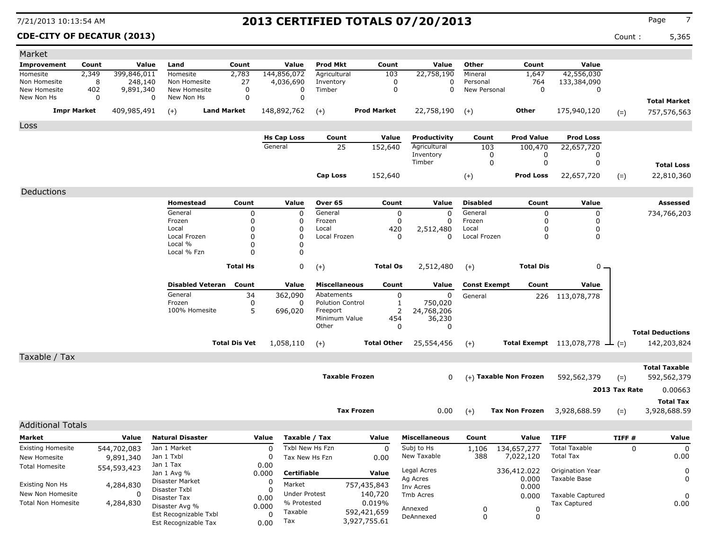### **CDE-CITY OF DECATUR (2013)** Count : 5,365

| Market<br>Value<br>Improvement<br><b>Prod Mkt</b><br>Value<br>Other<br>Count<br>Count<br>Value<br>Land<br>Count<br>Value<br>Count<br>2,349<br>399,846,011<br>Homesite<br>2,783<br>144,856,072<br>Agricultural<br>103<br>22,758,190<br>Mineral<br>1,647<br>42,556,030<br>Homesite<br>0<br>Non Homesite<br>8<br>248,140<br>Non Homesite<br>27<br>4,036,690<br>Personal<br>764<br>133,384,090<br>Inventory<br>0<br>$\pmb{0}$<br>$\mathbf 0$<br>402<br>New Homesite<br>0<br>0<br>0<br>New Personal<br>0<br>New Homesite<br>9,891,340<br>Timber<br>$\mathbf 0$<br>$\mathbf 0$<br>New Non Hs<br>$\Omega$<br>New Non Hs<br>0<br><b>Total Market</b><br><b>Impr Market</b><br><b>Land Market</b><br><b>Prod Market</b><br>22,758,190<br>Other<br>409,985,491<br>148,892,762<br>175,940,120<br>$(+)$<br>$(+)$<br>$(+)$<br>$(=)$<br>757,576,563<br>Loss<br><b>Hs Cap Loss</b><br>Value<br>Productivity<br><b>Prod Value</b><br><b>Prod Loss</b><br>Count<br>Count<br>25<br>General<br>152,640<br>Agricultural<br>103<br>22,657,720<br>100,470<br>0<br>Inventory<br>0<br>0<br>0<br>Timber<br>0<br>0<br><b>Total Loss</b><br><b>Prod Loss</b><br>22,657,720<br>22,810,360<br>Cap Loss<br>152,640<br>$(+)$<br>$(=)$<br>Deductions<br>Homestead<br>Count<br>Value<br>Over 65<br>Count<br>Value<br><b>Disabled</b><br>Count<br>Value<br>Assessed<br>0<br>0<br>$\pmb{0}$<br>0<br>$\mathbf 0$<br>0<br>General<br>General<br>General<br>734,766,203<br>0<br>$\mathbf 0$<br>Frozen<br>0<br>Frozen<br>0<br>0<br>Frozen<br>0<br>Local<br>0<br>Local<br>420<br>Local<br>0<br>0<br>2,512,480<br>0<br>Local Frozen<br>0<br>Local Frozen<br>$\Omega$<br>Local Frozen<br>0<br>0<br>0<br>0<br>Local %<br>0<br>0<br>0<br>Local % Fzn<br>0<br><b>Total Hs</b><br>0<br><b>Total Os</b><br><b>Total Dis</b><br>$(+)$<br>2,512,480<br>$0 -$<br>$(+)$<br><b>Disabled Veteran</b><br>Count<br>Value<br><b>Miscellaneous</b><br>Count<br>Value<br>Count<br>Value<br><b>Const Exempt</b><br>General<br>34<br>362,090<br>Abatements<br>0<br>0<br>General<br>226 113,078,778<br>Frozen<br>0<br><b>Polution Control</b><br>750,020<br>1<br>0<br>5<br>2<br>100% Homesite<br>696,020<br>24,768,206<br>Freeport<br>Minimum Value<br>454<br>36,230<br>Other<br>0<br>0<br><b>Total Deductions</b><br><b>Total Dis Vet</b><br><b>Total Other</b><br>1,058,110<br>25,554,456<br><b>Total Exempt</b> $113,078,778$ $\perp$ (=)<br>$(+)$<br>$(+)$<br>142,203,824<br>Taxable / Tax<br><b>Total Taxable</b><br><b>Taxable Frozen</b><br>0<br>592,562,379<br>$(+)$ Taxable Non Frozen<br>$(=)$<br>592,562,379<br>2013 Tax Rate<br>0.00663 |                           |           |                 |                        |         |           |   |       |                         |                  |
|----------------------------------------------------------------------------------------------------------------------------------------------------------------------------------------------------------------------------------------------------------------------------------------------------------------------------------------------------------------------------------------------------------------------------------------------------------------------------------------------------------------------------------------------------------------------------------------------------------------------------------------------------------------------------------------------------------------------------------------------------------------------------------------------------------------------------------------------------------------------------------------------------------------------------------------------------------------------------------------------------------------------------------------------------------------------------------------------------------------------------------------------------------------------------------------------------------------------------------------------------------------------------------------------------------------------------------------------------------------------------------------------------------------------------------------------------------------------------------------------------------------------------------------------------------------------------------------------------------------------------------------------------------------------------------------------------------------------------------------------------------------------------------------------------------------------------------------------------------------------------------------------------------------------------------------------------------------------------------------------------------------------------------------------------------------------------------------------------------------------------------------------------------------------------------------------------------------------------------------------------------------------------------------------------------------------------------------------------------------------------------------------------------------------------------------------------------------------------------------------------------------------------------------------------------------------------------------|---------------------------|-----------|-----------------|------------------------|---------|-----------|---|-------|-------------------------|------------------|
|                                                                                                                                                                                                                                                                                                                                                                                                                                                                                                                                                                                                                                                                                                                                                                                                                                                                                                                                                                                                                                                                                                                                                                                                                                                                                                                                                                                                                                                                                                                                                                                                                                                                                                                                                                                                                                                                                                                                                                                                                                                                                                                                                                                                                                                                                                                                                                                                                                                                                                                                                                                        |                           |           |                 |                        |         |           |   |       |                         |                  |
|                                                                                                                                                                                                                                                                                                                                                                                                                                                                                                                                                                                                                                                                                                                                                                                                                                                                                                                                                                                                                                                                                                                                                                                                                                                                                                                                                                                                                                                                                                                                                                                                                                                                                                                                                                                                                                                                                                                                                                                                                                                                                                                                                                                                                                                                                                                                                                                                                                                                                                                                                                                        |                           |           |                 |                        |         |           |   |       |                         |                  |
|                                                                                                                                                                                                                                                                                                                                                                                                                                                                                                                                                                                                                                                                                                                                                                                                                                                                                                                                                                                                                                                                                                                                                                                                                                                                                                                                                                                                                                                                                                                                                                                                                                                                                                                                                                                                                                                                                                                                                                                                                                                                                                                                                                                                                                                                                                                                                                                                                                                                                                                                                                                        |                           |           |                 |                        |         |           |   |       |                         |                  |
|                                                                                                                                                                                                                                                                                                                                                                                                                                                                                                                                                                                                                                                                                                                                                                                                                                                                                                                                                                                                                                                                                                                                                                                                                                                                                                                                                                                                                                                                                                                                                                                                                                                                                                                                                                                                                                                                                                                                                                                                                                                                                                                                                                                                                                                                                                                                                                                                                                                                                                                                                                                        |                           |           |                 |                        |         |           |   |       |                         |                  |
|                                                                                                                                                                                                                                                                                                                                                                                                                                                                                                                                                                                                                                                                                                                                                                                                                                                                                                                                                                                                                                                                                                                                                                                                                                                                                                                                                                                                                                                                                                                                                                                                                                                                                                                                                                                                                                                                                                                                                                                                                                                                                                                                                                                                                                                                                                                                                                                                                                                                                                                                                                                        |                           |           |                 |                        |         |           |   |       |                         |                  |
|                                                                                                                                                                                                                                                                                                                                                                                                                                                                                                                                                                                                                                                                                                                                                                                                                                                                                                                                                                                                                                                                                                                                                                                                                                                                                                                                                                                                                                                                                                                                                                                                                                                                                                                                                                                                                                                                                                                                                                                                                                                                                                                                                                                                                                                                                                                                                                                                                                                                                                                                                                                        |                           |           |                 |                        |         |           |   |       |                         |                  |
|                                                                                                                                                                                                                                                                                                                                                                                                                                                                                                                                                                                                                                                                                                                                                                                                                                                                                                                                                                                                                                                                                                                                                                                                                                                                                                                                                                                                                                                                                                                                                                                                                                                                                                                                                                                                                                                                                                                                                                                                                                                                                                                                                                                                                                                                                                                                                                                                                                                                                                                                                                                        |                           |           |                 |                        |         |           |   |       |                         |                  |
|                                                                                                                                                                                                                                                                                                                                                                                                                                                                                                                                                                                                                                                                                                                                                                                                                                                                                                                                                                                                                                                                                                                                                                                                                                                                                                                                                                                                                                                                                                                                                                                                                                                                                                                                                                                                                                                                                                                                                                                                                                                                                                                                                                                                                                                                                                                                                                                                                                                                                                                                                                                        |                           |           |                 |                        |         |           |   |       |                         |                  |
|                                                                                                                                                                                                                                                                                                                                                                                                                                                                                                                                                                                                                                                                                                                                                                                                                                                                                                                                                                                                                                                                                                                                                                                                                                                                                                                                                                                                                                                                                                                                                                                                                                                                                                                                                                                                                                                                                                                                                                                                                                                                                                                                                                                                                                                                                                                                                                                                                                                                                                                                                                                        |                           |           |                 |                        |         |           |   |       |                         |                  |
|                                                                                                                                                                                                                                                                                                                                                                                                                                                                                                                                                                                                                                                                                                                                                                                                                                                                                                                                                                                                                                                                                                                                                                                                                                                                                                                                                                                                                                                                                                                                                                                                                                                                                                                                                                                                                                                                                                                                                                                                                                                                                                                                                                                                                                                                                                                                                                                                                                                                                                                                                                                        |                           |           |                 |                        |         |           |   |       |                         |                  |
|                                                                                                                                                                                                                                                                                                                                                                                                                                                                                                                                                                                                                                                                                                                                                                                                                                                                                                                                                                                                                                                                                                                                                                                                                                                                                                                                                                                                                                                                                                                                                                                                                                                                                                                                                                                                                                                                                                                                                                                                                                                                                                                                                                                                                                                                                                                                                                                                                                                                                                                                                                                        |                           |           |                 |                        |         |           |   |       |                         |                  |
|                                                                                                                                                                                                                                                                                                                                                                                                                                                                                                                                                                                                                                                                                                                                                                                                                                                                                                                                                                                                                                                                                                                                                                                                                                                                                                                                                                                                                                                                                                                                                                                                                                                                                                                                                                                                                                                                                                                                                                                                                                                                                                                                                                                                                                                                                                                                                                                                                                                                                                                                                                                        |                           |           |                 |                        |         |           |   |       |                         |                  |
|                                                                                                                                                                                                                                                                                                                                                                                                                                                                                                                                                                                                                                                                                                                                                                                                                                                                                                                                                                                                                                                                                                                                                                                                                                                                                                                                                                                                                                                                                                                                                                                                                                                                                                                                                                                                                                                                                                                                                                                                                                                                                                                                                                                                                                                                                                                                                                                                                                                                                                                                                                                        |                           |           |                 |                        |         |           |   |       |                         |                  |
|                                                                                                                                                                                                                                                                                                                                                                                                                                                                                                                                                                                                                                                                                                                                                                                                                                                                                                                                                                                                                                                                                                                                                                                                                                                                                                                                                                                                                                                                                                                                                                                                                                                                                                                                                                                                                                                                                                                                                                                                                                                                                                                                                                                                                                                                                                                                                                                                                                                                                                                                                                                        |                           |           |                 |                        |         |           |   |       |                         |                  |
|                                                                                                                                                                                                                                                                                                                                                                                                                                                                                                                                                                                                                                                                                                                                                                                                                                                                                                                                                                                                                                                                                                                                                                                                                                                                                                                                                                                                                                                                                                                                                                                                                                                                                                                                                                                                                                                                                                                                                                                                                                                                                                                                                                                                                                                                                                                                                                                                                                                                                                                                                                                        |                           |           |                 |                        |         |           |   |       |                         |                  |
|                                                                                                                                                                                                                                                                                                                                                                                                                                                                                                                                                                                                                                                                                                                                                                                                                                                                                                                                                                                                                                                                                                                                                                                                                                                                                                                                                                                                                                                                                                                                                                                                                                                                                                                                                                                                                                                                                                                                                                                                                                                                                                                                                                                                                                                                                                                                                                                                                                                                                                                                                                                        |                           |           |                 |                        |         |           |   |       |                         |                  |
|                                                                                                                                                                                                                                                                                                                                                                                                                                                                                                                                                                                                                                                                                                                                                                                                                                                                                                                                                                                                                                                                                                                                                                                                                                                                                                                                                                                                                                                                                                                                                                                                                                                                                                                                                                                                                                                                                                                                                                                                                                                                                                                                                                                                                                                                                                                                                                                                                                                                                                                                                                                        |                           |           |                 |                        |         |           |   |       |                         |                  |
|                                                                                                                                                                                                                                                                                                                                                                                                                                                                                                                                                                                                                                                                                                                                                                                                                                                                                                                                                                                                                                                                                                                                                                                                                                                                                                                                                                                                                                                                                                                                                                                                                                                                                                                                                                                                                                                                                                                                                                                                                                                                                                                                                                                                                                                                                                                                                                                                                                                                                                                                                                                        |                           |           |                 |                        |         |           |   |       |                         |                  |
|                                                                                                                                                                                                                                                                                                                                                                                                                                                                                                                                                                                                                                                                                                                                                                                                                                                                                                                                                                                                                                                                                                                                                                                                                                                                                                                                                                                                                                                                                                                                                                                                                                                                                                                                                                                                                                                                                                                                                                                                                                                                                                                                                                                                                                                                                                                                                                                                                                                                                                                                                                                        |                           |           |                 |                        |         |           |   |       |                         |                  |
|                                                                                                                                                                                                                                                                                                                                                                                                                                                                                                                                                                                                                                                                                                                                                                                                                                                                                                                                                                                                                                                                                                                                                                                                                                                                                                                                                                                                                                                                                                                                                                                                                                                                                                                                                                                                                                                                                                                                                                                                                                                                                                                                                                                                                                                                                                                                                                                                                                                                                                                                                                                        |                           |           |                 |                        |         |           |   |       |                         |                  |
|                                                                                                                                                                                                                                                                                                                                                                                                                                                                                                                                                                                                                                                                                                                                                                                                                                                                                                                                                                                                                                                                                                                                                                                                                                                                                                                                                                                                                                                                                                                                                                                                                                                                                                                                                                                                                                                                                                                                                                                                                                                                                                                                                                                                                                                                                                                                                                                                                                                                                                                                                                                        |                           |           |                 |                        |         |           |   |       |                         |                  |
|                                                                                                                                                                                                                                                                                                                                                                                                                                                                                                                                                                                                                                                                                                                                                                                                                                                                                                                                                                                                                                                                                                                                                                                                                                                                                                                                                                                                                                                                                                                                                                                                                                                                                                                                                                                                                                                                                                                                                                                                                                                                                                                                                                                                                                                                                                                                                                                                                                                                                                                                                                                        |                           |           |                 |                        |         |           |   |       |                         |                  |
|                                                                                                                                                                                                                                                                                                                                                                                                                                                                                                                                                                                                                                                                                                                                                                                                                                                                                                                                                                                                                                                                                                                                                                                                                                                                                                                                                                                                                                                                                                                                                                                                                                                                                                                                                                                                                                                                                                                                                                                                                                                                                                                                                                                                                                                                                                                                                                                                                                                                                                                                                                                        |                           |           |                 |                        |         |           |   |       |                         |                  |
|                                                                                                                                                                                                                                                                                                                                                                                                                                                                                                                                                                                                                                                                                                                                                                                                                                                                                                                                                                                                                                                                                                                                                                                                                                                                                                                                                                                                                                                                                                                                                                                                                                                                                                                                                                                                                                                                                                                                                                                                                                                                                                                                                                                                                                                                                                                                                                                                                                                                                                                                                                                        |                           |           |                 |                        |         |           |   |       |                         |                  |
|                                                                                                                                                                                                                                                                                                                                                                                                                                                                                                                                                                                                                                                                                                                                                                                                                                                                                                                                                                                                                                                                                                                                                                                                                                                                                                                                                                                                                                                                                                                                                                                                                                                                                                                                                                                                                                                                                                                                                                                                                                                                                                                                                                                                                                                                                                                                                                                                                                                                                                                                                                                        |                           |           |                 |                        |         |           |   |       |                         |                  |
|                                                                                                                                                                                                                                                                                                                                                                                                                                                                                                                                                                                                                                                                                                                                                                                                                                                                                                                                                                                                                                                                                                                                                                                                                                                                                                                                                                                                                                                                                                                                                                                                                                                                                                                                                                                                                                                                                                                                                                                                                                                                                                                                                                                                                                                                                                                                                                                                                                                                                                                                                                                        |                           |           |                 |                        |         |           |   |       |                         |                  |
|                                                                                                                                                                                                                                                                                                                                                                                                                                                                                                                                                                                                                                                                                                                                                                                                                                                                                                                                                                                                                                                                                                                                                                                                                                                                                                                                                                                                                                                                                                                                                                                                                                                                                                                                                                                                                                                                                                                                                                                                                                                                                                                                                                                                                                                                                                                                                                                                                                                                                                                                                                                        |                           |           |                 |                        |         |           |   |       |                         |                  |
|                                                                                                                                                                                                                                                                                                                                                                                                                                                                                                                                                                                                                                                                                                                                                                                                                                                                                                                                                                                                                                                                                                                                                                                                                                                                                                                                                                                                                                                                                                                                                                                                                                                                                                                                                                                                                                                                                                                                                                                                                                                                                                                                                                                                                                                                                                                                                                                                                                                                                                                                                                                        |                           |           |                 |                        |         |           |   |       |                         |                  |
|                                                                                                                                                                                                                                                                                                                                                                                                                                                                                                                                                                                                                                                                                                                                                                                                                                                                                                                                                                                                                                                                                                                                                                                                                                                                                                                                                                                                                                                                                                                                                                                                                                                                                                                                                                                                                                                                                                                                                                                                                                                                                                                                                                                                                                                                                                                                                                                                                                                                                                                                                                                        |                           |           |                 |                        |         |           |   |       |                         |                  |
|                                                                                                                                                                                                                                                                                                                                                                                                                                                                                                                                                                                                                                                                                                                                                                                                                                                                                                                                                                                                                                                                                                                                                                                                                                                                                                                                                                                                                                                                                                                                                                                                                                                                                                                                                                                                                                                                                                                                                                                                                                                                                                                                                                                                                                                                                                                                                                                                                                                                                                                                                                                        |                           |           |                 |                        |         |           |   |       |                         |                  |
|                                                                                                                                                                                                                                                                                                                                                                                                                                                                                                                                                                                                                                                                                                                                                                                                                                                                                                                                                                                                                                                                                                                                                                                                                                                                                                                                                                                                                                                                                                                                                                                                                                                                                                                                                                                                                                                                                                                                                                                                                                                                                                                                                                                                                                                                                                                                                                                                                                                                                                                                                                                        |                           |           |                 |                        |         |           |   |       |                         |                  |
|                                                                                                                                                                                                                                                                                                                                                                                                                                                                                                                                                                                                                                                                                                                                                                                                                                                                                                                                                                                                                                                                                                                                                                                                                                                                                                                                                                                                                                                                                                                                                                                                                                                                                                                                                                                                                                                                                                                                                                                                                                                                                                                                                                                                                                                                                                                                                                                                                                                                                                                                                                                        |                           |           |                 |                        |         |           |   |       |                         | <b>Total Tax</b> |
| <b>Tax Frozen</b><br>0.00<br>3,928,688.59<br>$(+)$<br><b>Tax Non Frozen</b><br>3,928,688.59<br>$(=)$                                                                                                                                                                                                                                                                                                                                                                                                                                                                                                                                                                                                                                                                                                                                                                                                                                                                                                                                                                                                                                                                                                                                                                                                                                                                                                                                                                                                                                                                                                                                                                                                                                                                                                                                                                                                                                                                                                                                                                                                                                                                                                                                                                                                                                                                                                                                                                                                                                                                                   |                           |           |                 |                        |         |           |   |       |                         |                  |
| <b>Additional Totals</b>                                                                                                                                                                                                                                                                                                                                                                                                                                                                                                                                                                                                                                                                                                                                                                                                                                                                                                                                                                                                                                                                                                                                                                                                                                                                                                                                                                                                                                                                                                                                                                                                                                                                                                                                                                                                                                                                                                                                                                                                                                                                                                                                                                                                                                                                                                                                                                                                                                                                                                                                                               |                           |           |                 |                        |         |           |   |       |                         |                  |
| <b>TIFF</b><br>Market<br>Value<br><b>Natural Disaster</b><br>Taxable / Tax<br><b>Miscellaneous</b><br>Value<br>Value<br>Value<br>Value<br>Count<br>TIFF#                                                                                                                                                                                                                                                                                                                                                                                                                                                                                                                                                                                                                                                                                                                                                                                                                                                                                                                                                                                                                                                                                                                                                                                                                                                                                                                                                                                                                                                                                                                                                                                                                                                                                                                                                                                                                                                                                                                                                                                                                                                                                                                                                                                                                                                                                                                                                                                                                               |                           |           |                 |                        |         |           |   |       |                         |                  |
| <b>Existing Homesite</b><br>Txbl New Hs Fzn<br>0<br>Subj to Hs<br>134,657,277<br><b>Total Taxable</b><br>0<br>0<br>544,702,083<br>Jan 1 Market<br>0<br>1,106                                                                                                                                                                                                                                                                                                                                                                                                                                                                                                                                                                                                                                                                                                                                                                                                                                                                                                                                                                                                                                                                                                                                                                                                                                                                                                                                                                                                                                                                                                                                                                                                                                                                                                                                                                                                                                                                                                                                                                                                                                                                                                                                                                                                                                                                                                                                                                                                                           |                           |           |                 |                        |         |           |   |       |                         |                  |
| 0.00<br>New Taxable<br>388<br>7,022,120<br><b>Total Tax</b><br>Jan 1 Txbl<br>0<br>Tax New Hs Fzn<br>9,891,340<br>0.00                                                                                                                                                                                                                                                                                                                                                                                                                                                                                                                                                                                                                                                                                                                                                                                                                                                                                                                                                                                                                                                                                                                                                                                                                                                                                                                                                                                                                                                                                                                                                                                                                                                                                                                                                                                                                                                                                                                                                                                                                                                                                                                                                                                                                                                                                                                                                                                                                                                                  |                           |           |                 |                        |         |           |   |       |                         |                  |
| Jan 1 Tax<br>0.00<br>554,593,423<br>Legal Acres<br>336,412.022<br>Origination Year<br>0<br>Value<br>Jan 1 Avg %<br>0.000<br><b>Certifiable</b>                                                                                                                                                                                                                                                                                                                                                                                                                                                                                                                                                                                                                                                                                                                                                                                                                                                                                                                                                                                                                                                                                                                                                                                                                                                                                                                                                                                                                                                                                                                                                                                                                                                                                                                                                                                                                                                                                                                                                                                                                                                                                                                                                                                                                                                                                                                                                                                                                                         | New Homesite              |           |                 |                        |         |           |   |       |                         |                  |
| Taxable Base<br>0<br>Ag Acres<br>0.000                                                                                                                                                                                                                                                                                                                                                                                                                                                                                                                                                                                                                                                                                                                                                                                                                                                                                                                                                                                                                                                                                                                                                                                                                                                                                                                                                                                                                                                                                                                                                                                                                                                                                                                                                                                                                                                                                                                                                                                                                                                                                                                                                                                                                                                                                                                                                                                                                                                                                                                                                 | <b>Total Homesite</b>     |           |                 |                        |         |           |   |       |                         |                  |
| 757,435,843<br>0.000<br>Inv Acres<br>Disaster Txbl<br>0                                                                                                                                                                                                                                                                                                                                                                                                                                                                                                                                                                                                                                                                                                                                                                                                                                                                                                                                                                                                                                                                                                                                                                                                                                                                                                                                                                                                                                                                                                                                                                                                                                                                                                                                                                                                                                                                                                                                                                                                                                                                                                                                                                                                                                                                                                                                                                                                                                                                                                                                |                           |           |                 |                        |         |           |   |       |                         |                  |
| <b>Under Protest</b><br>0<br>Disaster Tax<br>0.00                                                                                                                                                                                                                                                                                                                                                                                                                                                                                                                                                                                                                                                                                                                                                                                                                                                                                                                                                                                                                                                                                                                                                                                                                                                                                                                                                                                                                                                                                                                                                                                                                                                                                                                                                                                                                                                                                                                                                                                                                                                                                                                                                                                                                                                                                                                                                                                                                                                                                                                                      | <b>Existing Non Hs</b>    | 4,284,830 | Disaster Market | 0<br>Market            |         |           |   |       |                         |                  |
| Disaster Avg %<br>0.000<br>0<br>Annexed                                                                                                                                                                                                                                                                                                                                                                                                                                                                                                                                                                                                                                                                                                                                                                                                                                                                                                                                                                                                                                                                                                                                                                                                                                                                                                                                                                                                                                                                                                                                                                                                                                                                                                                                                                                                                                                                                                                                                                                                                                                                                                                                                                                                                                                                                                                                                                                                                                                                                                                                                | New Non Homesite          | 0         |                 |                        | 140,720 | Tmb Acres |   | 0.000 | <b>Taxable Captured</b> |                  |
| 592,421,659<br>Est Recognizable Txbl<br>0<br>0<br>DeAnnexed<br>0<br>3,927,755.61<br>Tax<br>Est Recognizable Tax<br>0.00                                                                                                                                                                                                                                                                                                                                                                                                                                                                                                                                                                                                                                                                                                                                                                                                                                                                                                                                                                                                                                                                                                                                                                                                                                                                                                                                                                                                                                                                                                                                                                                                                                                                                                                                                                                                                                                                                                                                                                                                                                                                                                                                                                                                                                                                                                                                                                                                                                                                | <b>Total Non Homesite</b> | 4,284,830 |                 | % Protested<br>Taxable | 0.019%  |           | 0 |       | <b>Tax Captured</b>     | 0.00             |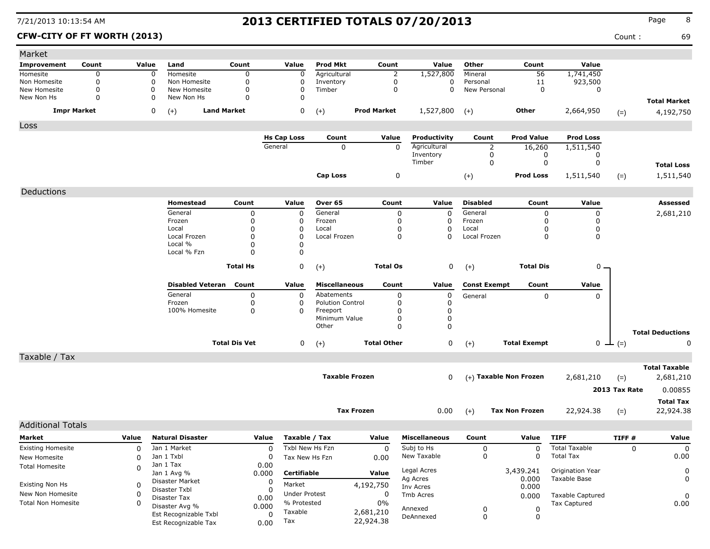### **CFW-CITY OF FT WORTH (2013)** Count : 69

| Market                     |                    |        |                                |                      |                      |                         |                    |                      |                       |                          |                         |               |                         |
|----------------------------|--------------------|--------|--------------------------------|----------------------|----------------------|-------------------------|--------------------|----------------------|-----------------------|--------------------------|-------------------------|---------------|-------------------------|
| Improvement                | Count              | Value  | Land                           | Count                | Value                | <b>Prod Mkt</b>         | Count              | Value                | Other                 | Count                    | Value                   |               |                         |
| Homesite                   | 0                  | 0      | Homesite                       | 0                    | 0                    | Agricultural            | 2                  | 1,527,800            | Mineral               | 56                       | 1,741,450               |               |                         |
| Non Homesite               | 0                  | O      | Non Homesite                   | 0                    | 0                    | Inventory               | 0                  | 0                    | Personal              | 11                       | 923,500                 |               |                         |
| New Homesite<br>New Non Hs | 0<br>$\mathbf 0$   | 0<br>0 | New Homesite<br>New Non Hs     | 0<br>$\Omega$        | 0<br>0               | Timber                  | 0                  | 0                    | New Personal          | $\pmb{0}$                | 0                       |               |                         |
|                            | <b>Impr Market</b> |        |                                | <b>Land Market</b>   | 0                    |                         | <b>Prod Market</b> |                      |                       | Other                    |                         |               | <b>Total Market</b>     |
|                            |                    | 0      | $(+)$                          |                      |                      | $(+)$                   |                    | 1,527,800            | $(+)$                 |                          | 2,664,950               | $(=)$         | 4,192,750               |
| Loss                       |                    |        |                                |                      |                      |                         |                    |                      |                       |                          |                         |               |                         |
|                            |                    |        |                                |                      | <b>Hs Cap Loss</b>   | Count                   | Value              | Productivity         | Count                 | <b>Prod Value</b>        | <b>Prod Loss</b>        |               |                         |
|                            |                    |        |                                |                      | General              | $\mathbf{0}$            | $\Omega$           | Agricultural         | 2                     | 16,260                   | 1,511,540               |               |                         |
|                            |                    |        |                                |                      |                      |                         |                    | Inventory<br>Timber  | 0<br>$\mathbf 0$      | 0<br>0                   | 0<br>0                  |               |                         |
|                            |                    |        |                                |                      |                      |                         |                    |                      |                       |                          |                         |               | <b>Total Loss</b>       |
|                            |                    |        |                                |                      |                      | <b>Cap Loss</b>         | 0                  |                      | $(+)$                 | <b>Prod Loss</b>         | 1,511,540               | $(=)$         | 1,511,540               |
| Deductions                 |                    |        |                                |                      |                      |                         |                    |                      |                       |                          |                         |               |                         |
|                            |                    |        | Homestead                      | Count                | Value                | Over 65                 | Count              | Value                | <b>Disabled</b>       | Count                    | Value                   |               | Assessed                |
|                            |                    |        | General                        | 0                    | 0                    | General                 | 0                  | 0                    | General               | 0                        | 0                       |               | 2,681,210               |
|                            |                    |        | Frozen                         | 0                    | 0                    | Frozen                  | 0                  | 0                    | Frozen                | $\Omega$                 | 0                       |               |                         |
|                            |                    |        | Local<br>Local Frozen          | 0<br>0               | 0<br>0               | Local<br>Local Frozen   | 0<br>0             | 0<br>0               | Local<br>Local Frozen | $\Omega$<br>0            | 0<br>0                  |               |                         |
|                            |                    |        | Local %                        | 0                    | 0                    |                         |                    |                      |                       |                          |                         |               |                         |
|                            |                    |        | Local % Fzn                    | 0                    | 0                    |                         |                    |                      |                       |                          |                         |               |                         |
|                            |                    |        |                                | <b>Total Hs</b>      | 0                    | $(+)$                   | <b>Total Os</b>    | 0                    | $(+)$                 | <b>Total Dis</b>         | $0 -$                   |               |                         |
|                            |                    |        | <b>Disabled Veteran</b> Count  |                      | Value                | <b>Miscellaneous</b>    | Count              | Value                | <b>Const Exempt</b>   | Count                    | Value                   |               |                         |
|                            |                    |        | General                        | 0                    | 0                    | Abatements              | 0                  | $\pmb{0}$            | General               | 0                        | 0                       |               |                         |
|                            |                    |        | Frozen                         | 0                    | 0                    | <b>Polution Control</b> | 0                  | 0                    |                       |                          |                         |               |                         |
|                            |                    |        | 100% Homesite                  | 0                    | 0                    | Freeport                | 0                  | 0                    |                       |                          |                         |               |                         |
|                            |                    |        |                                |                      |                      | Minimum Value<br>Other  | 0                  | 0                    |                       |                          |                         |               |                         |
|                            |                    |        |                                |                      |                      |                         | 0                  | 0                    |                       |                          |                         |               | <b>Total Deductions</b> |
|                            |                    |        |                                | <b>Total Dis Vet</b> | 0                    | $(+)$                   | <b>Total Other</b> | 0                    | $(+)$                 | <b>Total Exempt</b>      |                         | $0 \perp (=)$ | 0                       |
| Taxable / Tax              |                    |        |                                |                      |                      |                         |                    |                      |                       |                          |                         |               |                         |
|                            |                    |        |                                |                      |                      |                         |                    |                      |                       |                          |                         |               | <b>Total Taxable</b>    |
|                            |                    |        |                                |                      |                      | <b>Taxable Frozen</b>   |                    | 0                    |                       | $(+)$ Taxable Non Frozen | 2,681,210               | $(=)$         | 2,681,210               |
|                            |                    |        |                                |                      |                      |                         |                    |                      |                       |                          |                         | 2013 Tax Rate | 0.00855                 |
|                            |                    |        |                                |                      |                      |                         |                    |                      |                       |                          |                         |               | <b>Total Tax</b>        |
|                            |                    |        |                                |                      |                      |                         | <b>Tax Frozen</b>  | 0.00                 | $(+)$                 | <b>Tax Non Frozen</b>    | 22,924.38               | $(=)$         | 22,924.38               |
| <b>Additional Totals</b>   |                    |        |                                |                      |                      |                         |                    |                      |                       |                          |                         |               |                         |
| Market                     |                    | Value  | <b>Natural Disaster</b>        | Value                | Taxable / Tax        |                         | Value              | <b>Miscellaneous</b> | Count                 | Value                    | <b>TIFF</b>             | TIFF#         | Value                   |
| <b>Existing Homesite</b>   |                    | 0      | Jan 1 Market                   | 0                    | Txbl New Hs Fzn      |                         | 0                  | Subj to Hs           | 0                     | 0                        | <b>Total Taxable</b>    | 0             | 0                       |
| New Homesite               |                    | 0      | Jan 1 Txbl                     | 0                    | Tax New Hs Fzn       |                         | 0.00               | New Taxable          | 0                     | 0                        | <b>Total Tax</b>        |               | 0.00                    |
| <b>Total Homesite</b>      |                    | 0      | Jan 1 Tax                      | 0.00                 |                      |                         |                    | Legal Acres          |                       | 3,439.241                | Origination Year        |               | 0                       |
|                            |                    |        | Jan 1 Avg %<br>Disaster Market | 0.000<br>0           | Certifiable          |                         | Value              | Ag Acres             |                       | 0.000                    | Taxable Base            |               | 0                       |
| Existing Non Hs            |                    |        | Disaster Txbl                  | 0                    | Market               |                         | 4,192,750          | Inv Acres            |                       | 0.000                    |                         |               |                         |
| New Non Homesite           |                    |        | Disaster Tax                   | 0.00                 | <b>Under Protest</b> |                         | 0                  | Tmb Acres            |                       | 0.000                    | <b>Taxable Captured</b> |               | 0                       |
| <b>Total Non Homesite</b>  |                    | 0      | Disaster Avg %                 | 0.000                | % Protested          |                         | 0%                 | Annexed              | 0                     | 0                        | <b>Tax Captured</b>     |               | 0.00                    |
|                            |                    |        | Est Recognizable Txbl          | $\Omega$             | Taxable              |                         | 2,681,210          | DeAnnexed            | 0                     | 0                        |                         |               |                         |
|                            |                    |        | Est Recognizable Tax           | 0.00                 | Tax                  |                         | 22,924.38          |                      |                       |                          |                         |               |                         |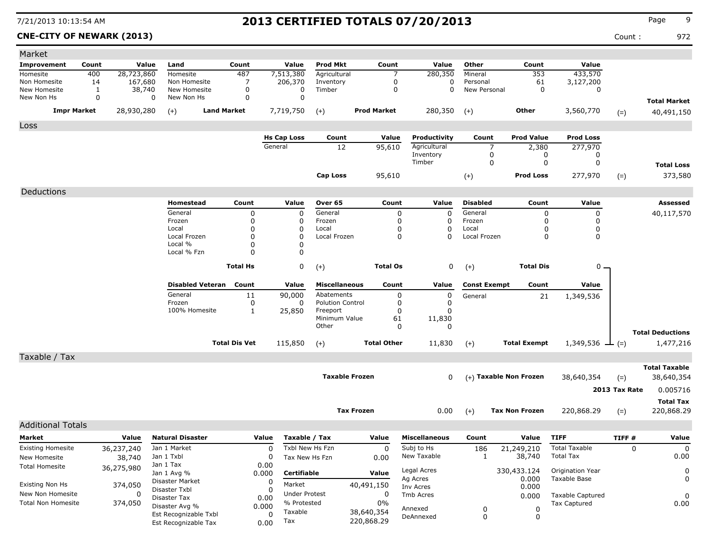### **CNE-CITY OF NEWARK (2013)** Count : 972

| Market                       |                    |                   |                                         |                      |                                  |                           |                    |                            |                          |                          |                                         |               |                         |
|------------------------------|--------------------|-------------------|-----------------------------------------|----------------------|----------------------------------|---------------------------|--------------------|----------------------------|--------------------------|--------------------------|-----------------------------------------|---------------|-------------------------|
| <b>Improvement</b>           | Count              | Value             | Land                                    | Count                | Value                            | <b>Prod Mkt</b>           | Count              | Value                      | Other                    | Count                    | Value                                   |               |                         |
| Homesite                     | 400                | 28,723,860        | Homesite                                | 487                  | 7,513,380                        | Agricultural              | 7                  | 280,350                    | Mineral                  | 353                      | 433,570                                 |               |                         |
| Non Homesite<br>New Homesite | 14<br>$\mathbf{1}$ | 167,680<br>38,740 | Non Homesite<br>New Homesite            | 7<br>0               | 206,370<br>0                     | Inventory<br>Timber       | 0<br>0             | 0<br>0                     | Personal<br>New Personal | 61<br>0                  | 3,127,200<br>0                          |               |                         |
| New Non Hs                   | 0                  |                   | New Non Hs<br>0                         | 0                    | $\mathbf 0$                      |                           |                    |                            |                          |                          |                                         |               | <b>Total Market</b>     |
|                              | <b>Impr Market</b> | 28,930,280        | $(+)$                                   | <b>Land Market</b>   | 7,719,750                        | $(+)$                     | <b>Prod Market</b> | 280,350                    | $(+)$                    | <b>Other</b>             | 3,560,770                               | $(=)$         | 40,491,150              |
| Loss                         |                    |                   |                                         |                      |                                  |                           |                    |                            |                          |                          |                                         |               |                         |
|                              |                    |                   |                                         |                      | <b>Hs Cap Loss</b>               | Count                     | Value              | Productivity               | Count                    | <b>Prod Value</b>        | <b>Prod Loss</b>                        |               |                         |
|                              |                    |                   |                                         |                      | General                          | 12                        | 95,610             | Agricultural               |                          | 7<br>2,380               | 277,970                                 |               |                         |
|                              |                    |                   |                                         |                      |                                  |                           |                    | Inventory                  |                          | 0<br>0                   | 0                                       |               |                         |
|                              |                    |                   |                                         |                      |                                  |                           |                    | Timber                     |                          | 0<br>0                   | 0                                       |               | <b>Total Loss</b>       |
|                              |                    |                   |                                         |                      |                                  | <b>Cap Loss</b>           | 95,610             |                            | $(+)$                    | <b>Prod Loss</b>         | 277,970                                 | $(=)$         | 373,580                 |
| Deductions                   |                    |                   |                                         |                      |                                  |                           |                    |                            |                          |                          |                                         |               |                         |
|                              |                    |                   | Homestead                               | Count                | Value                            | Over 65                   | Count              | Value                      | <b>Disabled</b>          | Count                    | Value                                   |               | Assessed                |
|                              |                    |                   | General                                 | $\mathbf 0$          | 0                                | General                   |                    | 0<br>0                     | General                  | 0                        | 0                                       |               | 40,117,570              |
|                              |                    |                   | Frozen<br>Local                         | 0<br>0               | 0<br>0                           | Frozen<br>Local           |                    | 0<br>0<br>$\mathbf 0$<br>0 | Frozen<br>Local          | 0<br>0                   | 0<br>0                                  |               |                         |
|                              |                    |                   | Local Frozen                            | 0                    | 0                                | Local Frozen              |                    | 0<br>0                     | Local Frozen             | 0                        | 0                                       |               |                         |
|                              |                    |                   | Local %                                 | 0                    | 0                                |                           |                    |                            |                          |                          |                                         |               |                         |
|                              |                    |                   | Local % Fzn                             | 0                    | 0                                |                           |                    |                            |                          |                          |                                         |               |                         |
|                              |                    |                   |                                         | <b>Total Hs</b>      | 0                                | $(+)$                     | <b>Total Os</b>    | 0                          | $(+)$                    | <b>Total Dis</b>         | 0 –                                     |               |                         |
|                              |                    |                   | <b>Disabled Veteran</b>                 | Count                | Value                            | <b>Miscellaneous</b>      | Count              | Value                      | <b>Const Exempt</b>      | Count                    | Value                                   |               |                         |
|                              |                    |                   | General                                 | 11                   | 90,000                           | Abatements                |                    | 0<br>0                     | General                  | 21                       | 1,349,536                               |               |                         |
|                              |                    |                   | Frozen                                  | 0                    | 0                                | <b>Polution Control</b>   |                    | $\boldsymbol{0}$<br>0      |                          |                          |                                         |               |                         |
|                              |                    |                   | 100% Homesite                           | 1                    | 25,850                           | Freeport<br>Minimum Value |                    | 0<br>0<br>61<br>11,830     |                          |                          |                                         |               |                         |
|                              |                    |                   |                                         |                      |                                  | Other                     |                    | $\Omega$<br>0              |                          |                          |                                         |               |                         |
|                              |                    |                   |                                         |                      |                                  |                           |                    |                            |                          |                          |                                         |               | <b>Total Deductions</b> |
|                              |                    |                   |                                         | <b>Total Dis Vet</b> | 115,850                          | $(+)$                     | <b>Total Other</b> | 11,830                     | $(+)$                    | <b>Total Exempt</b>      | 1,349,536                               | $ (=)$        | 1,477,216               |
| Taxable / Tax                |                    |                   |                                         |                      |                                  |                           |                    |                            |                          |                          |                                         |               |                         |
|                              |                    |                   |                                         |                      |                                  | <b>Taxable Frozen</b>     |                    |                            |                          |                          |                                         |               | <b>Total Taxable</b>    |
|                              |                    |                   |                                         |                      |                                  |                           |                    | 0                          |                          | $(+)$ Taxable Non Frozen | 38,640,354                              | $(=)$         | 38,640,354              |
|                              |                    |                   |                                         |                      |                                  |                           |                    |                            |                          |                          |                                         | 2013 Tax Rate | 0.005716                |
|                              |                    |                   |                                         |                      |                                  |                           |                    |                            |                          |                          |                                         |               | <b>Total Tax</b>        |
|                              |                    |                   |                                         |                      |                                  |                           | <b>Tax Frozen</b>  | 0.00                       | $(+)$                    | <b>Tax Non Frozen</b>    | 220,868.29                              | $(=)$         | 220,868.29              |
| <b>Additional Totals</b>     |                    |                   |                                         |                      |                                  |                           |                    |                            |                          |                          |                                         |               |                         |
| Market                       |                    | Value             | <b>Natural Disaster</b>                 |                      | Taxable / Tax<br>Value           |                           | Value              | <b>Miscellaneous</b>       | Count                    | Value                    | <b>TIFF</b>                             | TIFF#         | Value                   |
| <b>Existing Homesite</b>     |                    | 36,237,240        | Jan 1 Market                            |                      | 0                                | Txbl New Hs Fzn           | 0                  | Subj to Hs                 | 186                      | 21,249,210               | <b>Total Taxable</b>                    | 0             | 0                       |
| New Homesite                 |                    | 38,740            | Jan 1 Txbl<br>Jan 1 Tax                 |                      | 0<br>Tax New Hs Fzn<br>0.00      |                           | 0.00               | New Taxable                | 1                        | 38,740                   | <b>Total Tax</b>                        |               | 0.00                    |
| <b>Total Homesite</b>        |                    | 36,275,980        | Jan 1 Avg %                             |                      | Certifiable<br>0.000             |                           | Value              | Legal Acres                |                          | 330,433.124              | Origination Year                        |               | 0                       |
| Existing Non Hs              |                    | 374,050           | Disaster Market                         |                      | 0<br>Market                      |                           | 40,491,150         | Ag Acres                   |                          | 0.000                    | Taxable Base                            |               | $\Omega$                |
| New Non Homesite             |                    | 0                 | Disaster Txbl                           |                      | $\Omega$<br><b>Under Protest</b> |                           | 0                  | Inv Acres                  |                          | 0.000                    |                                         |               |                         |
| <b>Total Non Homesite</b>    |                    | 374,050           | Disaster Tax                            |                      | 0.00<br>% Protested              |                           | $0\%$              | Tmb Acres                  |                          | 0.000                    | Taxable Captured<br><b>Tax Captured</b> |               | 0<br>0.00               |
|                              |                    |                   | Disaster Avg %<br>Est Recognizable Txbl |                      | 0.000<br>Taxable                 |                           | 38,640,354         | Annexed                    | 0                        | 0                        |                                         |               |                         |
|                              |                    |                   | Est Recognizable Tax                    |                      | 0<br>Tax<br>0.00                 |                           | 220,868.29         | DeAnnexed                  | 0                        | 0                        |                                         |               |                         |

Tax 0.00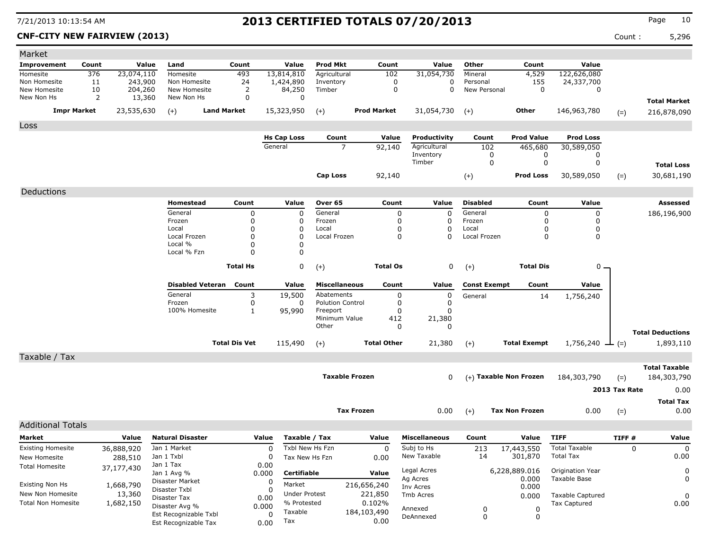### **CNF-CITY NEW FAIRVIEW (2013)** Count : 5,296

| Market                     |                    |                   |                            |                      |                      |                         |                    |                      |                     |                          |                         |               |                                     |
|----------------------------|--------------------|-------------------|----------------------------|----------------------|----------------------|-------------------------|--------------------|----------------------|---------------------|--------------------------|-------------------------|---------------|-------------------------------------|
| Improvement                | Count              | Value             | Land                       | Count                | Value                | <b>Prod Mkt</b>         | Count              | Value                | Other               | Count                    | Value                   |               |                                     |
| Homesite                   | 376                | 23,074,110        | Homesite                   | 493                  | 13,814,810           | Agricultural            | 102                | 31,054,730           | Mineral             | 4,529                    | 122,626,080             |               |                                     |
| Non Homesite               | 11                 | 243,900           | Non Homesite               | 24                   | 1,424,890            | Inventory               | 0                  | $\Omega$<br>$\Omega$ | Personal            | 155                      | 24,337,700              |               |                                     |
| New Homesite<br>New Non Hs | 10<br>2            | 204,260<br>13,360 | New Homesite<br>New Non Hs | 2<br>0               | 84,250<br>0          | Timber                  | 0                  |                      | New Personal        | $\mathbf 0$              | 0                       |               |                                     |
|                            | <b>Impr Market</b> | 23,535,630        | $(+)$                      | <b>Land Market</b>   | 15,323,950           | $(+)$                   | <b>Prod Market</b> | 31,054,730           | $(+)$               | Other                    | 146,963,780             | $(=)$         | <b>Total Market</b><br>216,878,090  |
| Loss                       |                    |                   |                            |                      |                      |                         |                    |                      |                     |                          |                         |               |                                     |
|                            |                    |                   |                            |                      | <b>Hs Cap Loss</b>   | Count                   | Value              | Productivity         | Count               | <b>Prod Value</b>        | <b>Prod Loss</b>        |               |                                     |
|                            |                    |                   |                            |                      | General              | $\overline{7}$          | 92,140             | Agricultural         | 102                 | 465,680                  | 30,589,050              |               |                                     |
|                            |                    |                   |                            |                      |                      |                         |                    | Inventory            | 0                   | 0                        | 0                       |               |                                     |
|                            |                    |                   |                            |                      |                      |                         |                    | Timber               | $\mathbf 0$         | $\mathbf 0$              | 0                       |               | <b>Total Loss</b>                   |
|                            |                    |                   |                            |                      |                      | Cap Loss                | 92,140             |                      | $(+)$               | <b>Prod Loss</b>         | 30,589,050              | $(=)$         | 30,681,190                          |
| Deductions                 |                    |                   |                            |                      |                      |                         |                    |                      |                     |                          |                         |               |                                     |
|                            |                    |                   | Homestead                  | Count                | Value                | Over 65                 | Count              | Value                | <b>Disabled</b>     | Count                    | Value                   |               | Assessed                            |
|                            |                    |                   | General                    | 0                    | 0                    | General                 |                    | 0<br>0               | General             | 0                        | 0                       |               | 186,196,900                         |
|                            |                    |                   | Frozen                     | 0                    | 0                    | Frozen                  |                    | 0<br>0               | Frozen              | 0                        | 0                       |               |                                     |
|                            |                    |                   | Local                      | 0                    | 0                    | Local                   |                    | 0<br>0               | Local               | $\Omega$                 | 0                       |               |                                     |
|                            |                    |                   | Local Frozen<br>Local %    | $\Omega$<br>0        | $\Omega$<br>0        | Local Frozen            |                    | 0<br>0               | Local Frozen        | 0                        | 0                       |               |                                     |
|                            |                    |                   | Local % Fzn                | $\Omega$             | $\Omega$             |                         |                    |                      |                     |                          |                         |               |                                     |
|                            |                    |                   |                            | <b>Total Hs</b>      | 0                    | $(+)$                   | <b>Total Os</b>    | 0                    | $(+)$               | <b>Total Dis</b>         | $0 -$                   |               |                                     |
|                            |                    |                   | <b>Disabled Veteran</b>    | Count                | Value                | <b>Miscellaneous</b>    | Count              | Value                | <b>Const Exempt</b> | Count                    | Value                   |               |                                     |
|                            |                    |                   | General                    | 3                    | 19,500               | Abatements              |                    | 0<br>0               |                     |                          |                         |               |                                     |
|                            |                    |                   | Frozen                     | 0                    | 0                    | <b>Polution Control</b> |                    | 0<br>0               | General             | 14                       | 1,756,240               |               |                                     |
|                            |                    |                   | 100% Homesite              | 1                    | 95,990               | Freeport                |                    | 0<br>0               |                     |                          |                         |               |                                     |
|                            |                    |                   |                            |                      |                      | Minimum Value           | 412                | 21,380               |                     |                          |                         |               |                                     |
|                            |                    |                   |                            |                      |                      | Other                   |                    | 0<br>0               |                     |                          |                         |               | <b>Total Deductions</b>             |
|                            |                    |                   |                            | <b>Total Dis Vet</b> | 115,490              | $(+)$                   | <b>Total Other</b> | 21,380               | $(+)$               | <b>Total Exempt</b>      | 1,756,240 $\perp$ (=)   |               | 1,893,110                           |
|                            |                    |                   |                            |                      |                      |                         |                    |                      |                     |                          |                         |               |                                     |
| Taxable / Tax              |                    |                   |                            |                      |                      |                         |                    |                      |                     |                          |                         |               |                                     |
|                            |                    |                   |                            |                      |                      | <b>Taxable Frozen</b>   |                    | 0                    |                     | $(+)$ Taxable Non Frozen | 184,303,790             |               | <b>Total Taxable</b><br>184,303,790 |
|                            |                    |                   |                            |                      |                      |                         |                    |                      |                     |                          |                         | $(=)$         |                                     |
|                            |                    |                   |                            |                      |                      |                         |                    |                      |                     |                          |                         | 2013 Tax Rate | 0.00                                |
|                            |                    |                   |                            |                      |                      |                         |                    |                      |                     |                          |                         |               | <b>Total Tax</b>                    |
|                            |                    |                   |                            |                      |                      |                         | <b>Tax Frozen</b>  | 0.00                 | $(+)$               | <b>Tax Non Frozen</b>    | 0.00                    | $(=)$         | 0.00                                |
| <b>Additional Totals</b>   |                    |                   |                            |                      |                      |                         |                    |                      |                     |                          |                         |               |                                     |
| Market                     |                    | Value             | <b>Natural Disaster</b>    | Value                | Taxable / Tax        |                         | Value              | <b>Miscellaneous</b> | Count               | Value                    | <b>TIFF</b>             | TIFF#         | Value                               |
| <b>Existing Homesite</b>   |                    | 36,888,920        | Jan 1 Market               |                      | $\mathbf 0$          | Txbl New Hs Fzn         | $\mathbf 0$        | Subj to Hs           | 213                 | 17,443,550               | <b>Total Taxable</b>    | 0             | $\mathbf 0$                         |
| New Homesite               |                    | 288,510           | Jan 1 Txbl                 |                      | 0<br>Tax New Hs Fzn  |                         | 0.00               | New Taxable          | 14                  | 301,870                  | <b>Total Tax</b>        |               | 0.00                                |
| <b>Total Homesite</b>      |                    | 37,177,430        | Jan 1 Tax<br>Jan 1 Avg %   | 0.00<br>0.000        | Certifiable          |                         | Value              | Legal Acres          |                     | 6,228,889.016            | Origination Year        |               | 0                                   |
|                            |                    |                   | Disaster Market            |                      | 0                    |                         |                    | Ag Acres             |                     | 0.000                    | Taxable Base            |               | 0                                   |
| Existing Non Hs            |                    | 1,668,790         | Disaster Txbl              |                      | Market<br>0          |                         | 216,656,240        | Inv Acres            |                     | 0.000                    |                         |               |                                     |
| New Non Homesite           |                    | 13,360            | Disaster Tax               | 0.00                 | <b>Under Protest</b> |                         | 221,850            | Tmb Acres            |                     | 0.000                    | <b>Taxable Captured</b> |               | 0                                   |
| <b>Total Non Homesite</b>  |                    | 1,682,150         | Disaster Avg %             | 0.000                | % Protested          |                         | 0.102%             | Annexed              | 0                   | 0                        | Tax Captured            |               | 0.00                                |
|                            |                    |                   | Est Recognizable Txbl      |                      | Taxable<br>$\Omega$  |                         | 184,103,490        | DeAnnexed            | 0                   | 0                        |                         |               |                                     |
|                            |                    |                   | Est Recognizable Tax       | 0.00                 | Tax                  |                         | 0.00               |                      |                     |                          |                         |               |                                     |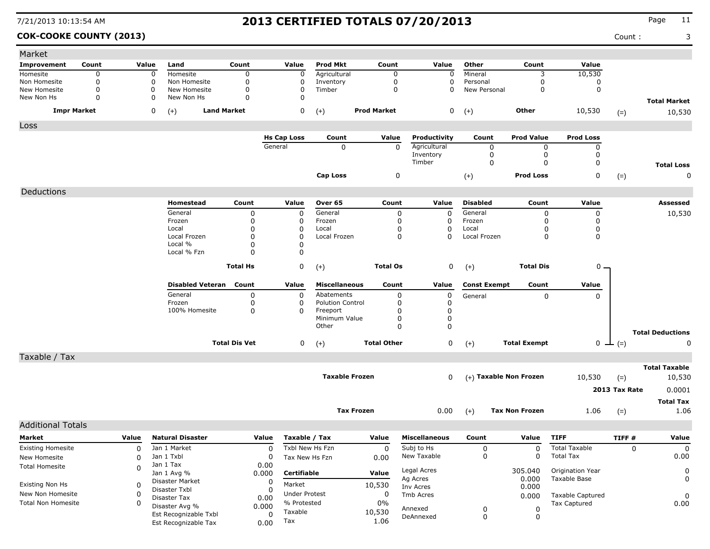### **COK-COOKE COUNTY (2013)** Count : 3

| Market                     |                    |              |                                                |                      |                           |                           |                    |                       |                     |                          |                                  |               |                         |
|----------------------------|--------------------|--------------|------------------------------------------------|----------------------|---------------------------|---------------------------|--------------------|-----------------------|---------------------|--------------------------|----------------------------------|---------------|-------------------------|
| Improvement                | Count              | Value        | Land                                           | Count                | Value                     | <b>Prod Mkt</b>           | Count              | Value                 | Other               | Count                    | Value                            |               |                         |
| Homesite                   | 0                  |              | Homesite<br>0                                  | 0                    | $\mathbf 0$               | Agricultural              | 0                  | $\Omega$              | Mineral             | 3                        | 10,530                           |               |                         |
| Non Homesite               | 0                  |              | $\mathbf 0$<br>Non Homesite                    | 0                    | 0                         | Inventory                 | 0                  | 0                     | Personal            | 0                        | 0                                |               |                         |
| New Homesite<br>New Non Hs | 0<br>0             |              | 0<br>New Homesite<br>$\mathbf 0$<br>New Non Hs | 0<br>0               | 0<br>$\Omega$             | Timber                    | 0                  | $\Omega$              | New Personal        | 0                        | 0                                |               |                         |
|                            |                    |              |                                                |                      |                           |                           |                    |                       |                     |                          |                                  |               | <b>Total Market</b>     |
|                            | <b>Impr Market</b> |              | 0<br>$(+)$                                     | <b>Land Market</b>   | $\mathbf 0$               | $(+)$                     | <b>Prod Market</b> | 0                     | $(+)$               | Other                    | 10,530                           | $(=)$         | 10,530                  |
| Loss                       |                    |              |                                                |                      |                           |                           |                    |                       |                     |                          |                                  |               |                         |
|                            |                    |              |                                                |                      | <b>Hs Cap Loss</b>        | Count                     | Value              | Productivity          | Count               | <b>Prod Value</b>        | <b>Prod Loss</b>                 |               |                         |
|                            |                    |              |                                                |                      | General                   | 0                         | $\Omega$           | Agricultural          | 0                   | 0                        | 0                                |               |                         |
|                            |                    |              |                                                |                      |                           |                           |                    | Inventory             | 0                   | $\boldsymbol{0}$         | 0                                |               |                         |
|                            |                    |              |                                                |                      |                           |                           |                    | Timber                | $\mathbf 0$         | $\mathbf 0$              | $\mathbf{0}$                     |               | <b>Total Loss</b>       |
|                            |                    |              |                                                |                      |                           | Cap Loss                  | 0                  |                       | $(+)$               | <b>Prod Loss</b>         | 0                                | $(=)$         | 0                       |
| Deductions                 |                    |              |                                                |                      |                           |                           |                    |                       |                     |                          |                                  |               |                         |
|                            |                    |              | Homestead                                      | Count                | Value                     | Over 65                   | Count              | Value                 | <b>Disabled</b>     | Count                    | Value                            |               | Assessed                |
|                            |                    |              | General                                        | 0                    | 0                         | General                   | $\pmb{0}$          | 0                     | General             | 0                        | 0                                |               | 10,530                  |
|                            |                    |              | Frozen                                         | 0                    | 0                         | Frozen                    | 0                  | 0                     | Frozen              | 0                        | 0                                |               |                         |
|                            |                    |              | Local                                          | 0                    | 0                         | Local                     | 0                  | 0                     | Local               | 0                        | 0                                |               |                         |
|                            |                    |              | Local Frozen<br>Local %                        | 0<br>0               | 0<br>0                    | Local Frozen              | 0                  | $\Omega$              | Local Frozen        | 0                        | 0                                |               |                         |
|                            |                    |              | Local % Fzn                                    | 0                    | 0                         |                           |                    |                       |                     |                          |                                  |               |                         |
|                            |                    |              |                                                |                      |                           |                           |                    |                       |                     |                          |                                  |               |                         |
|                            |                    |              |                                                | <b>Total Hs</b>      | 0                         | $(+)$                     | <b>Total Os</b>    | 0                     | $(+)$               | <b>Total Dis</b>         | $0 -$                            |               |                         |
|                            |                    |              | <b>Disabled Veteran</b>                        | Count                | Value                     | <b>Miscellaneous</b>      | Count              | Value                 | <b>Const Exempt</b> | Count                    | Value                            |               |                         |
|                            |                    |              | General                                        | 0                    | 0                         | Abatements                | $\pmb{0}$          | $\pmb{0}$             | General             | 0                        | 0                                |               |                         |
|                            |                    |              | Frozen                                         | 0                    | 0                         | <b>Polution Control</b>   | 0                  | 0                     |                     |                          |                                  |               |                         |
|                            |                    |              | 100% Homesite                                  | 0                    | 0                         | Freeport<br>Minimum Value | 0<br>0             | $\pmb{0}$             |                     |                          |                                  |               |                         |
|                            |                    |              |                                                |                      |                           | Other                     | 0                  | $\pmb{0}$<br>0        |                     |                          |                                  |               |                         |
|                            |                    |              |                                                |                      |                           |                           |                    |                       |                     |                          |                                  |               | <b>Total Deductions</b> |
|                            |                    |              |                                                | <b>Total Dis Vet</b> | 0                         | $(+)$                     | <b>Total Other</b> | 0                     | $(+)$               | <b>Total Exempt</b>      |                                  | $0 \perp (=)$ | 0                       |
| Taxable / Tax              |                    |              |                                                |                      |                           |                           |                    |                       |                     |                          |                                  |               |                         |
|                            |                    |              |                                                |                      |                           |                           |                    |                       |                     |                          |                                  |               | <b>Total Taxable</b>    |
|                            |                    |              |                                                |                      |                           | <b>Taxable Frozen</b>     |                    | 0                     |                     | $(+)$ Taxable Non Frozen | 10,530                           | $(=)$         | 10,530                  |
|                            |                    |              |                                                |                      |                           |                           |                    |                       |                     |                          |                                  | 2013 Tax Rate | 0.0001                  |
|                            |                    |              |                                                |                      |                           |                           |                    |                       |                     |                          |                                  |               | <b>Total Tax</b>        |
|                            |                    |              |                                                |                      |                           |                           | <b>Tax Frozen</b>  | 0.00                  | $(+)$               | <b>Tax Non Frozen</b>    | 1.06                             | $(=)$         | 1.06                    |
| <b>Additional Totals</b>   |                    |              |                                                |                      |                           |                           |                    |                       |                     |                          |                                  |               |                         |
| Market                     |                    | Value        | <b>Natural Disaster</b>                        | Value                | Taxable / Tax             |                           | Value              | <b>Miscellaneous</b>  | Count               | Value                    | <b>TIFF</b>                      |               | Value                   |
| <b>Existing Homesite</b>   |                    | 0            | Jan 1 Market                                   |                      | Txbl New Hs Fzn<br>0      |                           | 0                  | Subj to Hs            | 0                   | 0                        | <b>Total Taxable</b>             | TIFF#<br>0    | 0                       |
| New Homesite               |                    | 0            | Jan 1 Txbl                                     |                      | 0<br>Tax New Hs Fzn       |                           | 0.00               | New Taxable           | 0                   | 0                        | <b>Total Tax</b>                 |               | 0.00                    |
| <b>Total Homesite</b>      |                    | $\mathbf{0}$ | Jan 1 Tax                                      | 0.00                 |                           |                           |                    |                       |                     |                          |                                  |               |                         |
|                            |                    |              | Jan 1 Avg %                                    | 0.000                | Certifiable               |                           | Value              | Legal Acres           |                     | 305.040<br>0.000         | Origination Year<br>Taxable Base |               | 0<br>0                  |
| Existing Non Hs            |                    | 0            | Disaster Market                                |                      | 0<br>Market               |                           | 10,530             | Ag Acres<br>Inv Acres |                     | 0.000                    |                                  |               |                         |
| New Non Homesite           |                    | 0            | Disaster Txbl                                  |                      | 0<br><b>Under Protest</b> |                           | 0                  | Tmb Acres             |                     | 0.000                    | <b>Taxable Captured</b>          |               | 0                       |
| <b>Total Non Homesite</b>  |                    | 0            | Disaster Tax<br>Disaster Avg %                 | 0.00<br>0.000        | % Protested               |                           | 0%                 |                       |                     |                          | Tax Captured                     |               | 0.00                    |
|                            |                    |              | Est Recognizable Txbl                          |                      | Taxable<br>0              |                           | 10,530             | Annexed<br>DeAnnexed  | 0<br>0              | 0<br>0                   |                                  |               |                         |

1.06

Tax 0.00

Est Recognizable Tax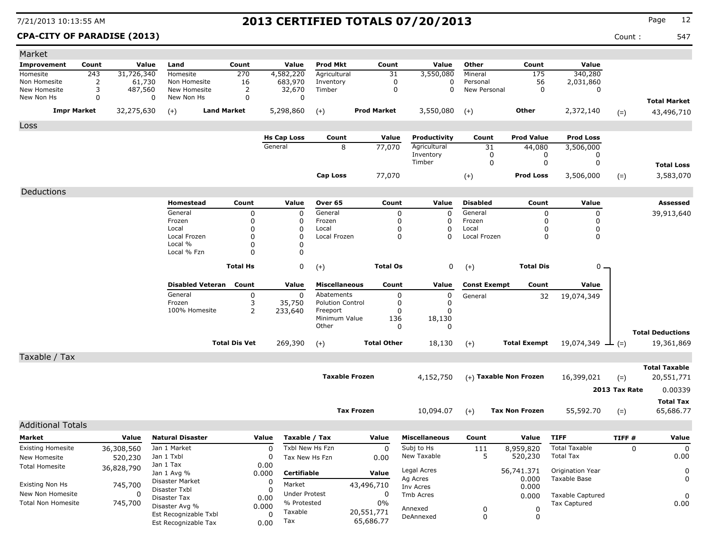## **CPA-CITY OF PARADISE (2013)** Count : 547

| <b>Prod Mkt</b><br><b>Other</b><br>Value<br>Count<br>Value<br>Land<br>Count<br>Value<br>Value<br>Count<br>Improvement<br>Count<br>Homesite<br>Agricultural<br>Mineral<br>175<br>340,280<br>243<br>31,726,340<br>270<br>4,582,220<br>31<br>3,550,080<br>Homesite<br>0<br>56<br>Non Homesite<br>2<br>61,730<br>Non Homesite<br>16<br>683,970<br>Inventory<br>0<br>Personal<br>2,031,860<br>$\mathbf 0$<br>3<br>487,560<br>32,670<br>$\mathbf 0$<br>0<br>New Homesite<br>New Homesite<br>2<br>Timber<br>0<br>New Personal<br>New Non Hs<br>0<br>0<br>New Non Hs<br>0<br>0<br><b>Total Market</b><br><b>Land Market</b><br><b>Impr Market</b><br>32,275,630<br>5,298,860<br><b>Prod Market</b><br>3,550,080<br>Other<br>$(+)$<br>$(+)$<br>$(+)$<br>2,372,140<br>43,496,710<br>$(=)$<br><b>Prod Value</b><br><b>Hs Cap Loss</b><br>Count<br>Value<br>Productivity<br>Count<br><b>Prod Loss</b><br>General<br>8<br>$\overline{31}$<br>77,070<br>Agricultural<br>44,080<br>3,506,000<br>Inventory<br>0<br>0<br>0<br>0<br>Timber<br>0<br>0<br><b>Total Loss</b><br>77,070<br><b>Prod Loss</b><br>3,506,000<br>3,583,070<br>Cap Loss<br>$(+)$<br>$(=)$<br>Deductions<br><b>Disabled</b><br>Value<br>Homestead<br>Count<br>Value<br>Over 65<br>Count<br>Value<br>Count<br>Assessed<br>0<br>0<br>0<br>$\mathbf 0$<br>General<br>0<br>0<br>39,913,640<br>General<br>General<br>0<br>$\mathbf 0$<br>Frozen<br>Frozen<br>0<br>Frozen<br>0<br>0<br>0<br>Local<br>0<br>$\Omega$<br>$\Omega$<br>Local<br>0<br>0<br>Local<br>$\Omega$<br>Local Frozen<br>0<br>Local Frozen<br>0<br>$\Omega$<br>Local Frozen<br>0<br>0<br>$\Omega$<br>Local %<br>0<br>0<br>Local % Fzn<br>0<br>$\mathbf 0$<br><b>Total Hs</b><br>0<br><b>Total Os</b><br><b>Total Dis</b><br>0<br>$(+)$<br>ο.<br>$(+)$<br>Count<br><b>Disabled Veteran</b><br><b>Miscellaneous</b><br>Value<br><b>Const Exempt</b><br>Count<br>Value<br>Value<br>Count<br>0<br>0<br>General<br>0<br>0<br>Abatements<br>General<br>32<br>19,074,349<br>3<br>35,750<br><b>Polution Control</b><br>0<br>0<br>Frozen<br>2<br>0<br>100% Homesite<br>233,640<br>$\Omega$<br>Freeport<br>Minimum Value<br>136<br>18,130<br>Other<br>$\Omega$<br>0<br><b>Total Deductions</b><br><b>Total Dis Vet</b><br><b>Total Other</b><br>269,390<br>18,130<br><b>Total Exempt</b><br>19,074,349<br>$(+)$<br>$(+)$<br>19,361,869<br>$ (=)$<br>Taxable / Tax<br><b>Total Taxable</b><br><b>Taxable Frozen</b><br>20,551,771<br>4,152,750<br>$(+)$ Taxable Non Frozen<br>16,399,021<br>$(=)$<br>2013 Tax Rate<br>0.00339<br><b>Total Tax</b><br><b>Tax Frozen</b><br><b>Tax Non Frozen</b><br>55,592.70<br>10,094.07<br>$(+)$<br>65,686.77<br>$(=)$<br><b>Additional Totals</b><br>Market<br><b>Natural Disaster</b><br>Taxable / Tax<br><b>Miscellaneous</b><br><b>TIFF</b><br>Value<br>Value<br>Value<br>Count<br>Value<br>Value<br>TIFF#<br>Txbl New Hs Fzn<br>8,959,820<br>Existing Homesite<br>36,308,560<br>Jan 1 Market<br>0<br>0<br>Subj to Hs<br>111<br>Total Taxable<br>$\mathbf{0}$<br>0<br>New Taxable<br>5<br>520,230<br>0.00<br><b>Total Tax</b><br>Jan 1 Txbl<br>0<br>New Homesite<br>520,230<br>Tax New Hs Fzn<br>0.00<br>Jan 1 Tax<br>0.00<br><b>Total Homesite</b><br>36,828,790 | Market |  |             |  |       |             |            |                  |   |
|------------------------------------------------------------------------------------------------------------------------------------------------------------------------------------------------------------------------------------------------------------------------------------------------------------------------------------------------------------------------------------------------------------------------------------------------------------------------------------------------------------------------------------------------------------------------------------------------------------------------------------------------------------------------------------------------------------------------------------------------------------------------------------------------------------------------------------------------------------------------------------------------------------------------------------------------------------------------------------------------------------------------------------------------------------------------------------------------------------------------------------------------------------------------------------------------------------------------------------------------------------------------------------------------------------------------------------------------------------------------------------------------------------------------------------------------------------------------------------------------------------------------------------------------------------------------------------------------------------------------------------------------------------------------------------------------------------------------------------------------------------------------------------------------------------------------------------------------------------------------------------------------------------------------------------------------------------------------------------------------------------------------------------------------------------------------------------------------------------------------------------------------------------------------------------------------------------------------------------------------------------------------------------------------------------------------------------------------------------------------------------------------------------------------------------------------------------------------------------------------------------------------------------------------------------------------------------------------------------------------------------------------------------------------------------------------------------------------------------------------------------------------------------------------------------------------------------------------------------------------------------------------------------------------------------------------------------------------------------------------------------------------------------------------------------------------------------------------------------------------------------------------------------------------------------------------------------|--------|--|-------------|--|-------|-------------|------------|------------------|---|
|                                                                                                                                                                                                                                                                                                                                                                                                                                                                                                                                                                                                                                                                                                                                                                                                                                                                                                                                                                                                                                                                                                                                                                                                                                                                                                                                                                                                                                                                                                                                                                                                                                                                                                                                                                                                                                                                                                                                                                                                                                                                                                                                                                                                                                                                                                                                                                                                                                                                                                                                                                                                                                                                                                                                                                                                                                                                                                                                                                                                                                                                                                                                                                                                            |        |  |             |  |       |             |            |                  |   |
|                                                                                                                                                                                                                                                                                                                                                                                                                                                                                                                                                                                                                                                                                                                                                                                                                                                                                                                                                                                                                                                                                                                                                                                                                                                                                                                                                                                                                                                                                                                                                                                                                                                                                                                                                                                                                                                                                                                                                                                                                                                                                                                                                                                                                                                                                                                                                                                                                                                                                                                                                                                                                                                                                                                                                                                                                                                                                                                                                                                                                                                                                                                                                                                                            |        |  |             |  |       |             |            |                  |   |
|                                                                                                                                                                                                                                                                                                                                                                                                                                                                                                                                                                                                                                                                                                                                                                                                                                                                                                                                                                                                                                                                                                                                                                                                                                                                                                                                                                                                                                                                                                                                                                                                                                                                                                                                                                                                                                                                                                                                                                                                                                                                                                                                                                                                                                                                                                                                                                                                                                                                                                                                                                                                                                                                                                                                                                                                                                                                                                                                                                                                                                                                                                                                                                                                            |        |  |             |  |       |             |            |                  |   |
|                                                                                                                                                                                                                                                                                                                                                                                                                                                                                                                                                                                                                                                                                                                                                                                                                                                                                                                                                                                                                                                                                                                                                                                                                                                                                                                                                                                                                                                                                                                                                                                                                                                                                                                                                                                                                                                                                                                                                                                                                                                                                                                                                                                                                                                                                                                                                                                                                                                                                                                                                                                                                                                                                                                                                                                                                                                                                                                                                                                                                                                                                                                                                                                                            |        |  |             |  |       |             |            |                  |   |
|                                                                                                                                                                                                                                                                                                                                                                                                                                                                                                                                                                                                                                                                                                                                                                                                                                                                                                                                                                                                                                                                                                                                                                                                                                                                                                                                                                                                                                                                                                                                                                                                                                                                                                                                                                                                                                                                                                                                                                                                                                                                                                                                                                                                                                                                                                                                                                                                                                                                                                                                                                                                                                                                                                                                                                                                                                                                                                                                                                                                                                                                                                                                                                                                            |        |  |             |  |       |             |            |                  |   |
|                                                                                                                                                                                                                                                                                                                                                                                                                                                                                                                                                                                                                                                                                                                                                                                                                                                                                                                                                                                                                                                                                                                                                                                                                                                                                                                                                                                                                                                                                                                                                                                                                                                                                                                                                                                                                                                                                                                                                                                                                                                                                                                                                                                                                                                                                                                                                                                                                                                                                                                                                                                                                                                                                                                                                                                                                                                                                                                                                                                                                                                                                                                                                                                                            | Loss   |  |             |  |       |             |            |                  |   |
|                                                                                                                                                                                                                                                                                                                                                                                                                                                                                                                                                                                                                                                                                                                                                                                                                                                                                                                                                                                                                                                                                                                                                                                                                                                                                                                                                                                                                                                                                                                                                                                                                                                                                                                                                                                                                                                                                                                                                                                                                                                                                                                                                                                                                                                                                                                                                                                                                                                                                                                                                                                                                                                                                                                                                                                                                                                                                                                                                                                                                                                                                                                                                                                                            |        |  |             |  |       |             |            |                  |   |
|                                                                                                                                                                                                                                                                                                                                                                                                                                                                                                                                                                                                                                                                                                                                                                                                                                                                                                                                                                                                                                                                                                                                                                                                                                                                                                                                                                                                                                                                                                                                                                                                                                                                                                                                                                                                                                                                                                                                                                                                                                                                                                                                                                                                                                                                                                                                                                                                                                                                                                                                                                                                                                                                                                                                                                                                                                                                                                                                                                                                                                                                                                                                                                                                            |        |  |             |  |       |             |            |                  |   |
|                                                                                                                                                                                                                                                                                                                                                                                                                                                                                                                                                                                                                                                                                                                                                                                                                                                                                                                                                                                                                                                                                                                                                                                                                                                                                                                                                                                                                                                                                                                                                                                                                                                                                                                                                                                                                                                                                                                                                                                                                                                                                                                                                                                                                                                                                                                                                                                                                                                                                                                                                                                                                                                                                                                                                                                                                                                                                                                                                                                                                                                                                                                                                                                                            |        |  |             |  |       |             |            |                  |   |
|                                                                                                                                                                                                                                                                                                                                                                                                                                                                                                                                                                                                                                                                                                                                                                                                                                                                                                                                                                                                                                                                                                                                                                                                                                                                                                                                                                                                                                                                                                                                                                                                                                                                                                                                                                                                                                                                                                                                                                                                                                                                                                                                                                                                                                                                                                                                                                                                                                                                                                                                                                                                                                                                                                                                                                                                                                                                                                                                                                                                                                                                                                                                                                                                            |        |  |             |  |       |             |            |                  |   |
|                                                                                                                                                                                                                                                                                                                                                                                                                                                                                                                                                                                                                                                                                                                                                                                                                                                                                                                                                                                                                                                                                                                                                                                                                                                                                                                                                                                                                                                                                                                                                                                                                                                                                                                                                                                                                                                                                                                                                                                                                                                                                                                                                                                                                                                                                                                                                                                                                                                                                                                                                                                                                                                                                                                                                                                                                                                                                                                                                                                                                                                                                                                                                                                                            |        |  |             |  |       |             |            |                  |   |
|                                                                                                                                                                                                                                                                                                                                                                                                                                                                                                                                                                                                                                                                                                                                                                                                                                                                                                                                                                                                                                                                                                                                                                                                                                                                                                                                                                                                                                                                                                                                                                                                                                                                                                                                                                                                                                                                                                                                                                                                                                                                                                                                                                                                                                                                                                                                                                                                                                                                                                                                                                                                                                                                                                                                                                                                                                                                                                                                                                                                                                                                                                                                                                                                            |        |  |             |  |       |             |            |                  |   |
|                                                                                                                                                                                                                                                                                                                                                                                                                                                                                                                                                                                                                                                                                                                                                                                                                                                                                                                                                                                                                                                                                                                                                                                                                                                                                                                                                                                                                                                                                                                                                                                                                                                                                                                                                                                                                                                                                                                                                                                                                                                                                                                                                                                                                                                                                                                                                                                                                                                                                                                                                                                                                                                                                                                                                                                                                                                                                                                                                                                                                                                                                                                                                                                                            |        |  |             |  |       |             |            |                  |   |
|                                                                                                                                                                                                                                                                                                                                                                                                                                                                                                                                                                                                                                                                                                                                                                                                                                                                                                                                                                                                                                                                                                                                                                                                                                                                                                                                                                                                                                                                                                                                                                                                                                                                                                                                                                                                                                                                                                                                                                                                                                                                                                                                                                                                                                                                                                                                                                                                                                                                                                                                                                                                                                                                                                                                                                                                                                                                                                                                                                                                                                                                                                                                                                                                            |        |  |             |  |       |             |            |                  |   |
|                                                                                                                                                                                                                                                                                                                                                                                                                                                                                                                                                                                                                                                                                                                                                                                                                                                                                                                                                                                                                                                                                                                                                                                                                                                                                                                                                                                                                                                                                                                                                                                                                                                                                                                                                                                                                                                                                                                                                                                                                                                                                                                                                                                                                                                                                                                                                                                                                                                                                                                                                                                                                                                                                                                                                                                                                                                                                                                                                                                                                                                                                                                                                                                                            |        |  |             |  |       |             |            |                  |   |
|                                                                                                                                                                                                                                                                                                                                                                                                                                                                                                                                                                                                                                                                                                                                                                                                                                                                                                                                                                                                                                                                                                                                                                                                                                                                                                                                                                                                                                                                                                                                                                                                                                                                                                                                                                                                                                                                                                                                                                                                                                                                                                                                                                                                                                                                                                                                                                                                                                                                                                                                                                                                                                                                                                                                                                                                                                                                                                                                                                                                                                                                                                                                                                                                            |        |  |             |  |       |             |            |                  |   |
|                                                                                                                                                                                                                                                                                                                                                                                                                                                                                                                                                                                                                                                                                                                                                                                                                                                                                                                                                                                                                                                                                                                                                                                                                                                                                                                                                                                                                                                                                                                                                                                                                                                                                                                                                                                                                                                                                                                                                                                                                                                                                                                                                                                                                                                                                                                                                                                                                                                                                                                                                                                                                                                                                                                                                                                                                                                                                                                                                                                                                                                                                                                                                                                                            |        |  |             |  |       |             |            |                  |   |
|                                                                                                                                                                                                                                                                                                                                                                                                                                                                                                                                                                                                                                                                                                                                                                                                                                                                                                                                                                                                                                                                                                                                                                                                                                                                                                                                                                                                                                                                                                                                                                                                                                                                                                                                                                                                                                                                                                                                                                                                                                                                                                                                                                                                                                                                                                                                                                                                                                                                                                                                                                                                                                                                                                                                                                                                                                                                                                                                                                                                                                                                                                                                                                                                            |        |  |             |  |       |             |            |                  |   |
|                                                                                                                                                                                                                                                                                                                                                                                                                                                                                                                                                                                                                                                                                                                                                                                                                                                                                                                                                                                                                                                                                                                                                                                                                                                                                                                                                                                                                                                                                                                                                                                                                                                                                                                                                                                                                                                                                                                                                                                                                                                                                                                                                                                                                                                                                                                                                                                                                                                                                                                                                                                                                                                                                                                                                                                                                                                                                                                                                                                                                                                                                                                                                                                                            |        |  |             |  |       |             |            |                  |   |
|                                                                                                                                                                                                                                                                                                                                                                                                                                                                                                                                                                                                                                                                                                                                                                                                                                                                                                                                                                                                                                                                                                                                                                                                                                                                                                                                                                                                                                                                                                                                                                                                                                                                                                                                                                                                                                                                                                                                                                                                                                                                                                                                                                                                                                                                                                                                                                                                                                                                                                                                                                                                                                                                                                                                                                                                                                                                                                                                                                                                                                                                                                                                                                                                            |        |  |             |  |       |             |            |                  |   |
|                                                                                                                                                                                                                                                                                                                                                                                                                                                                                                                                                                                                                                                                                                                                                                                                                                                                                                                                                                                                                                                                                                                                                                                                                                                                                                                                                                                                                                                                                                                                                                                                                                                                                                                                                                                                                                                                                                                                                                                                                                                                                                                                                                                                                                                                                                                                                                                                                                                                                                                                                                                                                                                                                                                                                                                                                                                                                                                                                                                                                                                                                                                                                                                                            |        |  |             |  |       |             |            |                  |   |
|                                                                                                                                                                                                                                                                                                                                                                                                                                                                                                                                                                                                                                                                                                                                                                                                                                                                                                                                                                                                                                                                                                                                                                                                                                                                                                                                                                                                                                                                                                                                                                                                                                                                                                                                                                                                                                                                                                                                                                                                                                                                                                                                                                                                                                                                                                                                                                                                                                                                                                                                                                                                                                                                                                                                                                                                                                                                                                                                                                                                                                                                                                                                                                                                            |        |  |             |  |       |             |            |                  |   |
|                                                                                                                                                                                                                                                                                                                                                                                                                                                                                                                                                                                                                                                                                                                                                                                                                                                                                                                                                                                                                                                                                                                                                                                                                                                                                                                                                                                                                                                                                                                                                                                                                                                                                                                                                                                                                                                                                                                                                                                                                                                                                                                                                                                                                                                                                                                                                                                                                                                                                                                                                                                                                                                                                                                                                                                                                                                                                                                                                                                                                                                                                                                                                                                                            |        |  |             |  |       |             |            |                  |   |
|                                                                                                                                                                                                                                                                                                                                                                                                                                                                                                                                                                                                                                                                                                                                                                                                                                                                                                                                                                                                                                                                                                                                                                                                                                                                                                                                                                                                                                                                                                                                                                                                                                                                                                                                                                                                                                                                                                                                                                                                                                                                                                                                                                                                                                                                                                                                                                                                                                                                                                                                                                                                                                                                                                                                                                                                                                                                                                                                                                                                                                                                                                                                                                                                            |        |  |             |  |       |             |            |                  |   |
|                                                                                                                                                                                                                                                                                                                                                                                                                                                                                                                                                                                                                                                                                                                                                                                                                                                                                                                                                                                                                                                                                                                                                                                                                                                                                                                                                                                                                                                                                                                                                                                                                                                                                                                                                                                                                                                                                                                                                                                                                                                                                                                                                                                                                                                                                                                                                                                                                                                                                                                                                                                                                                                                                                                                                                                                                                                                                                                                                                                                                                                                                                                                                                                                            |        |  |             |  |       |             |            |                  |   |
|                                                                                                                                                                                                                                                                                                                                                                                                                                                                                                                                                                                                                                                                                                                                                                                                                                                                                                                                                                                                                                                                                                                                                                                                                                                                                                                                                                                                                                                                                                                                                                                                                                                                                                                                                                                                                                                                                                                                                                                                                                                                                                                                                                                                                                                                                                                                                                                                                                                                                                                                                                                                                                                                                                                                                                                                                                                                                                                                                                                                                                                                                                                                                                                                            |        |  |             |  |       |             |            |                  |   |
|                                                                                                                                                                                                                                                                                                                                                                                                                                                                                                                                                                                                                                                                                                                                                                                                                                                                                                                                                                                                                                                                                                                                                                                                                                                                                                                                                                                                                                                                                                                                                                                                                                                                                                                                                                                                                                                                                                                                                                                                                                                                                                                                                                                                                                                                                                                                                                                                                                                                                                                                                                                                                                                                                                                                                                                                                                                                                                                                                                                                                                                                                                                                                                                                            |        |  |             |  |       |             |            |                  |   |
|                                                                                                                                                                                                                                                                                                                                                                                                                                                                                                                                                                                                                                                                                                                                                                                                                                                                                                                                                                                                                                                                                                                                                                                                                                                                                                                                                                                                                                                                                                                                                                                                                                                                                                                                                                                                                                                                                                                                                                                                                                                                                                                                                                                                                                                                                                                                                                                                                                                                                                                                                                                                                                                                                                                                                                                                                                                                                                                                                                                                                                                                                                                                                                                                            |        |  |             |  |       |             |            |                  |   |
|                                                                                                                                                                                                                                                                                                                                                                                                                                                                                                                                                                                                                                                                                                                                                                                                                                                                                                                                                                                                                                                                                                                                                                                                                                                                                                                                                                                                                                                                                                                                                                                                                                                                                                                                                                                                                                                                                                                                                                                                                                                                                                                                                                                                                                                                                                                                                                                                                                                                                                                                                                                                                                                                                                                                                                                                                                                                                                                                                                                                                                                                                                                                                                                                            |        |  |             |  |       |             |            |                  |   |
|                                                                                                                                                                                                                                                                                                                                                                                                                                                                                                                                                                                                                                                                                                                                                                                                                                                                                                                                                                                                                                                                                                                                                                                                                                                                                                                                                                                                                                                                                                                                                                                                                                                                                                                                                                                                                                                                                                                                                                                                                                                                                                                                                                                                                                                                                                                                                                                                                                                                                                                                                                                                                                                                                                                                                                                                                                                                                                                                                                                                                                                                                                                                                                                                            |        |  |             |  |       |             |            |                  |   |
|                                                                                                                                                                                                                                                                                                                                                                                                                                                                                                                                                                                                                                                                                                                                                                                                                                                                                                                                                                                                                                                                                                                                                                                                                                                                                                                                                                                                                                                                                                                                                                                                                                                                                                                                                                                                                                                                                                                                                                                                                                                                                                                                                                                                                                                                                                                                                                                                                                                                                                                                                                                                                                                                                                                                                                                                                                                                                                                                                                                                                                                                                                                                                                                                            |        |  |             |  |       |             |            |                  |   |
|                                                                                                                                                                                                                                                                                                                                                                                                                                                                                                                                                                                                                                                                                                                                                                                                                                                                                                                                                                                                                                                                                                                                                                                                                                                                                                                                                                                                                                                                                                                                                                                                                                                                                                                                                                                                                                                                                                                                                                                                                                                                                                                                                                                                                                                                                                                                                                                                                                                                                                                                                                                                                                                                                                                                                                                                                                                                                                                                                                                                                                                                                                                                                                                                            |        |  |             |  |       |             |            |                  |   |
|                                                                                                                                                                                                                                                                                                                                                                                                                                                                                                                                                                                                                                                                                                                                                                                                                                                                                                                                                                                                                                                                                                                                                                                                                                                                                                                                                                                                                                                                                                                                                                                                                                                                                                                                                                                                                                                                                                                                                                                                                                                                                                                                                                                                                                                                                                                                                                                                                                                                                                                                                                                                                                                                                                                                                                                                                                                                                                                                                                                                                                                                                                                                                                                                            |        |  |             |  |       |             |            |                  |   |
|                                                                                                                                                                                                                                                                                                                                                                                                                                                                                                                                                                                                                                                                                                                                                                                                                                                                                                                                                                                                                                                                                                                                                                                                                                                                                                                                                                                                                                                                                                                                                                                                                                                                                                                                                                                                                                                                                                                                                                                                                                                                                                                                                                                                                                                                                                                                                                                                                                                                                                                                                                                                                                                                                                                                                                                                                                                                                                                                                                                                                                                                                                                                                                                                            |        |  |             |  |       |             |            |                  |   |
|                                                                                                                                                                                                                                                                                                                                                                                                                                                                                                                                                                                                                                                                                                                                                                                                                                                                                                                                                                                                                                                                                                                                                                                                                                                                                                                                                                                                                                                                                                                                                                                                                                                                                                                                                                                                                                                                                                                                                                                                                                                                                                                                                                                                                                                                                                                                                                                                                                                                                                                                                                                                                                                                                                                                                                                                                                                                                                                                                                                                                                                                                                                                                                                                            |        |  |             |  |       |             |            |                  |   |
|                                                                                                                                                                                                                                                                                                                                                                                                                                                                                                                                                                                                                                                                                                                                                                                                                                                                                                                                                                                                                                                                                                                                                                                                                                                                                                                                                                                                                                                                                                                                                                                                                                                                                                                                                                                                                                                                                                                                                                                                                                                                                                                                                                                                                                                                                                                                                                                                                                                                                                                                                                                                                                                                                                                                                                                                                                                                                                                                                                                                                                                                                                                                                                                                            |        |  |             |  |       |             |            |                  |   |
| 0.000<br>Certifiable                                                                                                                                                                                                                                                                                                                                                                                                                                                                                                                                                                                                                                                                                                                                                                                                                                                                                                                                                                                                                                                                                                                                                                                                                                                                                                                                                                                                                                                                                                                                                                                                                                                                                                                                                                                                                                                                                                                                                                                                                                                                                                                                                                                                                                                                                                                                                                                                                                                                                                                                                                                                                                                                                                                                                                                                                                                                                                                                                                                                                                                                                                                                                                                       |        |  | Jan 1 Avg % |  | Value | Legal Acres | 56,741.371 | Origination Year | 0 |
| 0<br>Ag Acres<br>0.000<br>Taxable Base<br>Disaster Market<br>0                                                                                                                                                                                                                                                                                                                                                                                                                                                                                                                                                                                                                                                                                                                                                                                                                                                                                                                                                                                                                                                                                                                                                                                                                                                                                                                                                                                                                                                                                                                                                                                                                                                                                                                                                                                                                                                                                                                                                                                                                                                                                                                                                                                                                                                                                                                                                                                                                                                                                                                                                                                                                                                                                                                                                                                                                                                                                                                                                                                                                                                                                                                                             |        |  |             |  |       |             |            |                  |   |
| 745,700<br>43,496,710<br><b>Existing Non Hs</b><br>Market<br>Inv Acres<br>0.000<br>Disaster Txbl<br>0<br><b>Under Protest</b>                                                                                                                                                                                                                                                                                                                                                                                                                                                                                                                                                                                                                                                                                                                                                                                                                                                                                                                                                                                                                                                                                                                                                                                                                                                                                                                                                                                                                                                                                                                                                                                                                                                                                                                                                                                                                                                                                                                                                                                                                                                                                                                                                                                                                                                                                                                                                                                                                                                                                                                                                                                                                                                                                                                                                                                                                                                                                                                                                                                                                                                                              |        |  |             |  |       |             |            |                  |   |
| New Non Homesite<br>0<br>0<br>Tmb Acres<br>0.000<br>Taxable Captured<br>$\mathbf 0$<br>Disaster Tax<br>0.00<br>745,700<br>% Protested<br><b>Total Non Homesite</b><br>0%<br>0.00                                                                                                                                                                                                                                                                                                                                                                                                                                                                                                                                                                                                                                                                                                                                                                                                                                                                                                                                                                                                                                                                                                                                                                                                                                                                                                                                                                                                                                                                                                                                                                                                                                                                                                                                                                                                                                                                                                                                                                                                                                                                                                                                                                                                                                                                                                                                                                                                                                                                                                                                                                                                                                                                                                                                                                                                                                                                                                                                                                                                                           |        |  |             |  |       |             |            |                  |   |
| <b>Tax Captured</b><br>Disaster Avg %<br>0.000<br>0<br>0<br>Annexed<br>Taxable<br>20,551,771                                                                                                                                                                                                                                                                                                                                                                                                                                                                                                                                                                                                                                                                                                                                                                                                                                                                                                                                                                                                                                                                                                                                                                                                                                                                                                                                                                                                                                                                                                                                                                                                                                                                                                                                                                                                                                                                                                                                                                                                                                                                                                                                                                                                                                                                                                                                                                                                                                                                                                                                                                                                                                                                                                                                                                                                                                                                                                                                                                                                                                                                                                               |        |  |             |  |       |             |            |                  |   |
| Est Recognizable Txbl<br>0<br>0<br>DeAnnexed<br>0<br>65,686.77<br>Tax<br>Est Recognizable Tax<br>0.00                                                                                                                                                                                                                                                                                                                                                                                                                                                                                                                                                                                                                                                                                                                                                                                                                                                                                                                                                                                                                                                                                                                                                                                                                                                                                                                                                                                                                                                                                                                                                                                                                                                                                                                                                                                                                                                                                                                                                                                                                                                                                                                                                                                                                                                                                                                                                                                                                                                                                                                                                                                                                                                                                                                                                                                                                                                                                                                                                                                                                                                                                                      |        |  |             |  |       |             |            |                  |   |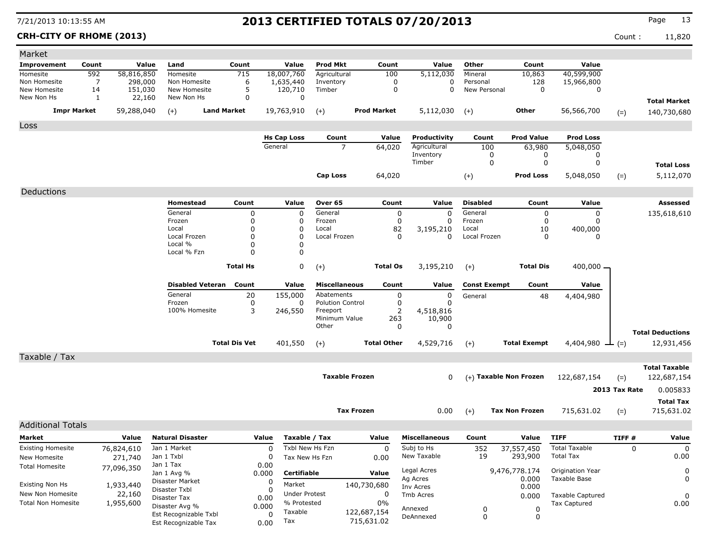### **CRH-CITY OF RHOME (2013)** Count : 11,820

| Market                              |                    |                     |                                               |                      |                                     |                         |                    |                      |                          |                          |                                  |               |                                     |
|-------------------------------------|--------------------|---------------------|-----------------------------------------------|----------------------|-------------------------------------|-------------------------|--------------------|----------------------|--------------------------|--------------------------|----------------------------------|---------------|-------------------------------------|
| Improvement                         | Count              | Value               | Land                                          | Count                | Value                               | <b>Prod Mkt</b>         | Count              | Value                | Other                    | Count                    | Value                            |               |                                     |
| Homesite                            | 592                | 58,816,850          | Homesite                                      | 715                  | 18,007,760                          | Agricultural            | 100                | 5,112,030            | Mineral                  | 10,863                   | 40,599,900                       |               |                                     |
| Non Homesite<br>New Homesite        | 7<br>14            | 298,000<br>151,030  | Non Homesite<br>New Homesite                  | 6<br>5               | 1,635,440<br>120,710                | Inventory<br>Timber     | 0<br>0             | 0<br>0               | Personal<br>New Personal | 128<br>$\mathbf 0$       | 15,966,800<br>0                  |               |                                     |
| New Non Hs                          | 1                  | 22,160              | New Non Hs                                    | $\mathbf 0$          | 0                                   |                         |                    |                      |                          |                          |                                  |               |                                     |
|                                     | <b>Impr Market</b> | 59,288,040          | $(+)$                                         | <b>Land Market</b>   | 19,763,910                          | $(+)$                   | <b>Prod Market</b> | 5,112,030            | $(+)$                    | Other                    | 56,566,700                       | $(=)$         | <b>Total Market</b><br>140,730,680  |
| Loss                                |                    |                     |                                               |                      |                                     |                         |                    |                      |                          |                          |                                  |               |                                     |
|                                     |                    |                     |                                               |                      | <b>Hs Cap Loss</b>                  | Count                   | Value              | Productivity         | Count                    | <b>Prod Value</b>        | <b>Prod Loss</b>                 |               |                                     |
|                                     |                    |                     |                                               |                      | General                             | $\overline{7}$          | 64,020             | Agricultural         | 100                      | 63,980                   | 5,048,050                        |               |                                     |
|                                     |                    |                     |                                               |                      |                                     |                         |                    | Inventory            | 0                        | 0                        | 0                                |               |                                     |
|                                     |                    |                     |                                               |                      |                                     |                         |                    | Timber               | 0                        | 0                        | 0                                |               | <b>Total Loss</b>                   |
|                                     |                    |                     |                                               |                      |                                     | Cap Loss                | 64,020             |                      | $(+)$                    | <b>Prod Loss</b>         | 5,048,050                        | $(=)$         | 5,112,070                           |
| Deductions                          |                    |                     |                                               |                      |                                     |                         |                    |                      |                          |                          |                                  |               |                                     |
|                                     |                    |                     | Homestead                                     | Count                | Value                               | Over 65                 | Count              | Value                | <b>Disabled</b>          | Count                    | Value                            |               | Assessed                            |
|                                     |                    |                     | General                                       | 0                    | 0                                   | General                 |                    | 0<br>0               | General                  | 0                        | 0                                |               | 135,618,610                         |
|                                     |                    |                     | Frozen<br>Local                               | 0<br>0               | 0                                   | Frozen<br>Local         |                    | 0<br>0               | Frozen                   | 0                        | 0                                |               |                                     |
|                                     |                    |                     | Local Frozen                                  | 0                    | 0<br>0                              | Local Frozen            | 82<br>0            | 3,195,210<br>0       | Local<br>Local Frozen    | 10<br>0                  | 400,000<br>0                     |               |                                     |
|                                     |                    |                     | Local %                                       | 0                    | 0                                   |                         |                    |                      |                          |                          |                                  |               |                                     |
|                                     |                    |                     | Local % Fzn                                   | 0                    | 0                                   |                         |                    |                      |                          |                          |                                  |               |                                     |
|                                     |                    |                     |                                               | <b>Total Hs</b>      | 0                                   | $(+)$                   | <b>Total Os</b>    | 3,195,210            | $(+)$                    | <b>Total Dis</b>         | $400,000 -$                      |               |                                     |
|                                     |                    |                     | <b>Disabled Veteran</b>                       | Count                | Value                               | <b>Miscellaneous</b>    | Count              | Value                | <b>Const Exempt</b>      | Count                    | Value                            |               |                                     |
|                                     |                    |                     | General                                       | 20                   | 155,000                             | Abatements              |                    | 0<br>0               | General                  | 48                       | 4,404,980                        |               |                                     |
|                                     |                    |                     | Frozen                                        | 0                    | 0                                   | <b>Polution Control</b> |                    | 0<br>0               |                          |                          |                                  |               |                                     |
|                                     |                    |                     | 100% Homesite                                 | 3                    | 246,550                             | Freeport                |                    | 2<br>4,518,816       |                          |                          |                                  |               |                                     |
|                                     |                    |                     |                                               |                      |                                     | Minimum Value<br>Other  | 263                | 10,900<br>0<br>0     |                          |                          |                                  |               |                                     |
|                                     |                    |                     |                                               |                      |                                     |                         |                    |                      |                          |                          |                                  |               | <b>Total Deductions</b>             |
|                                     |                    |                     |                                               | <b>Total Dis Vet</b> | 401,550                             | $(+)$                   | <b>Total Other</b> | 4,529,716            | $(+)$                    | <b>Total Exempt</b>      | 4,404,980 $\perp$ (=)            |               | 12,931,456                          |
| Taxable / Tax                       |                    |                     |                                               |                      |                                     |                         |                    |                      |                          |                          |                                  |               |                                     |
|                                     |                    |                     |                                               |                      |                                     | <b>Taxable Frozen</b>   |                    | 0                    |                          | $(+)$ Taxable Non Frozen | 122,687,154                      |               | <b>Total Taxable</b><br>122,687,154 |
|                                     |                    |                     |                                               |                      |                                     |                         |                    |                      |                          |                          |                                  | $(=)$         |                                     |
|                                     |                    |                     |                                               |                      |                                     |                         |                    |                      |                          |                          |                                  | 2013 Tax Rate | 0.005833                            |
|                                     |                    |                     |                                               |                      |                                     |                         |                    |                      |                          |                          |                                  |               | <b>Total Tax</b>                    |
|                                     |                    |                     |                                               |                      |                                     |                         | <b>Tax Frozen</b>  | 0.00                 | $(+)$                    | <b>Tax Non Frozen</b>    | 715,631.02                       | $(=)$         | 715,631.02                          |
| <b>Additional Totals</b>            |                    |                     |                                               |                      |                                     |                         |                    |                      |                          |                          |                                  |               |                                     |
| Market                              |                    | Value               | <b>Natural Disaster</b>                       |                      | Value<br>Taxable / Tax              |                         | Value              | <b>Miscellaneous</b> | Count                    | Value                    | <b>TIFF</b>                      | TIFF#         | Value                               |
| <b>Existing Homesite</b>            |                    | 76,824,610          | Jan 1 Market                                  |                      | 0                                   | Txbl New Hs Fzn         | 0                  | Subj to Hs           | 352                      | 37,557,450               | <b>Total Taxable</b>             | 0             | 0                                   |
| New Homesite                        |                    | 271,740             | Jan 1 Txbl                                    |                      | 0<br>Tax New Hs Fzn                 |                         | 0.00               | New Taxable          | 19                       | 293,900                  | <b>Total Tax</b>                 |               | 0.00                                |
| <b>Total Homesite</b>               |                    | 77,096,350          | Jan 1 Tax<br>Jan 1 Avg %                      |                      | 0.00<br>Certifiable<br>0.000        |                         | Value              | Legal Acres          |                          | 9,476,778.174            | Origination Year                 |               | 0                                   |
|                                     |                    |                     | Disaster Market                               |                      | 0                                   |                         |                    | Ag Acres             |                          | 0.000                    | Taxable Base                     |               | 0                                   |
| Existing Non Hs<br>New Non Homesite |                    | 1,933,440<br>22,160 | Disaster Txbl                                 |                      | Market<br>0<br><b>Under Protest</b> |                         | 140,730,680<br>0   | Inv Acres            |                          | 0.000                    |                                  |               |                                     |
| <b>Total Non Homesite</b>           |                    | 1,955,600           | Disaster Tax                                  |                      | 0.00<br>% Protested                 |                         | 0%                 | Tmb Acres            |                          | 0.000                    | Taxable Captured<br>Tax Captured |               | 0<br>0.00                           |
|                                     |                    |                     | Disaster Avg %                                |                      | 0.000<br>Taxable                    |                         | 122,687,154        | Annexed              | 0                        | 0                        |                                  |               |                                     |
|                                     |                    |                     | Est Recognizable Txbl<br>Est Recognizable Tax |                      | 0<br>Tax<br>0.00                    |                         | 715,631.02         | DeAnnexed            | 0                        | 0                        |                                  |               |                                     |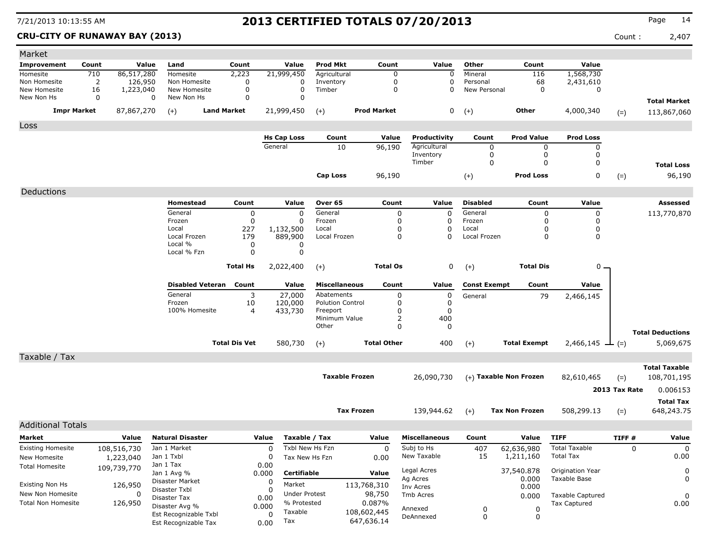### **CRU-CITY OF RUNAWAY BAY (2013)** Count : 2,407

| Market                       |                      |                      |                                |                      |                              |                         |                    |                      |                          |                          |                         |               |                         |
|------------------------------|----------------------|----------------------|--------------------------------|----------------------|------------------------------|-------------------------|--------------------|----------------------|--------------------------|--------------------------|-------------------------|---------------|-------------------------|
| Improvement                  | Count                | Value                | Land                           | Count                | Value                        | <b>Prod Mkt</b>         | Count              | Value                | Other                    | Count                    | Value                   |               |                         |
| Homesite                     | 710                  | 86,517,280           | Homesite                       | 2,223                | 21,999,450                   | Agricultural            | 0                  | $\mathbf 0$          | Mineral                  | 116                      | 1,568,730               |               |                         |
| Non Homesite<br>New Homesite | $\overline{2}$<br>16 | 126,950<br>1,223,040 | Non Homesite<br>New Homesite   | 0<br>0               | 0<br>0                       | Inventory<br>Timber     | 0<br>0             | 0<br>$\Omega$        | Personal<br>New Personal | 68<br>$\mathbf 0$        | 2,431,610<br>0          |               |                         |
| New Non Hs                   | 0                    |                      | $\mathbf 0$<br>New Non Hs      | 0                    | 0                            |                         |                    |                      |                          |                          |                         |               | <b>Total Market</b>     |
|                              | <b>Impr Market</b>   | 87,867,270           | $(+)$                          | <b>Land Market</b>   | 21,999,450                   | $(+)$                   | <b>Prod Market</b> | 0                    | $(+)$                    | Other                    | 4,000,340               | $(=)$         | 113,867,060             |
| Loss                         |                      |                      |                                |                      |                              |                         |                    |                      |                          |                          |                         |               |                         |
|                              |                      |                      |                                |                      | <b>Hs Cap Loss</b>           | Count                   | Value              | Productivity         | Count                    | <b>Prod Value</b>        | <b>Prod Loss</b>        |               |                         |
|                              |                      |                      |                                |                      | General                      | 10                      | 96,190             | Agricultural         | 0                        | 0                        | 0                       |               |                         |
|                              |                      |                      |                                |                      |                              |                         |                    | Inventory            | 0                        | 0                        | 0                       |               |                         |
|                              |                      |                      |                                |                      |                              |                         |                    | Timber               | 0                        | $\Omega$                 | $\Omega$                |               | <b>Total Loss</b>       |
|                              |                      |                      |                                |                      |                              | Cap Loss                | 96,190             |                      | $(+)$                    | <b>Prod Loss</b>         | 0                       | $(=)$         | 96,190                  |
| Deductions                   |                      |                      |                                |                      |                              |                         |                    |                      |                          |                          |                         |               |                         |
|                              |                      |                      | Homestead                      | Count                | Value                        | Over 65                 | Count              | Value                | <b>Disabled</b>          | Count                    | Value                   |               | <b>Assessed</b>         |
|                              |                      |                      | General                        | 0                    | $\mathsf 0$                  | General                 | 0                  | 0                    | General                  | 0                        | $\pmb{0}$               |               | 113,770,870             |
|                              |                      |                      | Frozen                         | $\mathbf 0$          | 0                            | Frozen                  | 0                  | 0                    | Frozen                   | 0                        | 0                       |               |                         |
|                              |                      |                      | Local<br>Local Frozen          | 227<br>179           | 1,132,500                    | Local<br>Local Frozen   | 0<br>0             | 0<br>$\mathbf 0$     | Local<br>Local Frozen    | 0<br>0                   | 0<br>0                  |               |                         |
|                              |                      |                      | Local %                        | 0                    | 889,900<br>0                 |                         |                    |                      |                          |                          |                         |               |                         |
|                              |                      |                      | Local % Fzn                    | 0                    | 0                            |                         |                    |                      |                          |                          |                         |               |                         |
|                              |                      |                      |                                | <b>Total Hs</b>      | 2,022,400                    | $(+)$                   | <b>Total Os</b>    | 0                    | $(+)$                    | <b>Total Dis</b>         | $0 -$                   |               |                         |
|                              |                      |                      | <b>Disabled Veteran</b>        | Count                | Value                        | <b>Miscellaneous</b>    | Count              | Value                | <b>Const Exempt</b>      | Count                    | Value                   |               |                         |
|                              |                      |                      | General                        | 3                    | 27,000                       | Abatements              | 0                  | 0                    | General                  | 79                       | 2,466,145               |               |                         |
|                              |                      |                      | Frozen                         | 10                   | 120,000                      | <b>Polution Control</b> | 0                  | 0                    |                          |                          |                         |               |                         |
|                              |                      |                      | 100% Homesite                  | 4                    | 433,730                      | Freeport                | 0                  | 0                    |                          |                          |                         |               |                         |
|                              |                      |                      |                                |                      |                              | Minimum Value<br>Other  | 2<br>$\Omega$      | 400<br>0             |                          |                          |                         |               |                         |
|                              |                      |                      |                                |                      |                              |                         |                    |                      |                          |                          |                         |               | <b>Total Deductions</b> |
|                              |                      |                      |                                | <b>Total Dis Vet</b> | 580,730                      | $(+)$                   | <b>Total Other</b> | 400                  | $(+)$                    | <b>Total Exempt</b>      | $2,466,145$ $\perp$ (=) |               | 5,069,675               |
| Taxable / Tax                |                      |                      |                                |                      |                              |                         |                    |                      |                          |                          |                         |               |                         |
|                              |                      |                      |                                |                      |                              |                         |                    |                      |                          |                          |                         |               | <b>Total Taxable</b>    |
|                              |                      |                      |                                |                      |                              | <b>Taxable Frozen</b>   |                    | 26,090,730           |                          | $(+)$ Taxable Non Frozen | 82,610,465              | $(=)$         | 108,701,195             |
|                              |                      |                      |                                |                      |                              |                         |                    |                      |                          |                          |                         | 2013 Tax Rate | 0.006153                |
|                              |                      |                      |                                |                      |                              |                         |                    |                      |                          |                          |                         |               | <b>Total Tax</b>        |
|                              |                      |                      |                                |                      |                              |                         | <b>Tax Frozen</b>  | 139,944.62           | $(+)$                    | <b>Tax Non Frozen</b>    | 508,299.13              | $(=)$         | 648,243.75              |
| <b>Additional Totals</b>     |                      |                      |                                |                      |                              |                         |                    |                      |                          |                          |                         |               |                         |
| Market                       |                      | Value                | <b>Natural Disaster</b>        |                      | Value<br>Taxable / Tax       |                         | Value              | <b>Miscellaneous</b> | Count                    | Value                    | <b>TIFF</b>             | TIFF#         | Value                   |
| <b>Existing Homesite</b>     |                      | 108,516,730          | Jan 1 Market                   |                      | 0<br>Txbl New Hs Fzn         |                         | 0                  | Subj to Hs           | 407                      | 62,636,980               | Total Taxable           | 0             | 0                       |
| New Homesite                 |                      | 1,223,040            | Jan 1 Txbl                     |                      | 0<br>Tax New Hs Fzn          |                         | 0.00               | New Taxable          | 15                       | 1,211,160                | <b>Total Tax</b>        |               | 0.00                    |
| <b>Total Homesite</b>        |                      | 109,739,770          | Jan 1 Tax                      |                      | 0.00                         |                         |                    | Legal Acres          |                          | 37,540.878               | <b>Origination Year</b> |               | 0                       |
|                              |                      |                      | Jan 1 Avg %<br>Disaster Market |                      | Certifiable<br>0.000<br>0    |                         | Value              | Ag Acres             |                          | 0.000                    | Taxable Base            |               | 0                       |
| <b>Existing Non Hs</b>       |                      | 126,950              | Disaster Txbl                  |                      | Market<br>0                  |                         | 113,768,310        | Inv Acres            |                          | 0.000                    |                         |               |                         |
| New Non Homesite             |                      | 0                    | Disaster Tax                   |                      | <b>Under Protest</b><br>0.00 |                         | 98,750             | Tmb Acres            |                          | 0.000                    | <b>Taxable Captured</b> |               | 0                       |
| <b>Total Non Homesite</b>    |                      | 126,950              | Disaster Avg %                 |                      | % Protested<br>0.000         |                         | 0.087%             | Annexed              | 0                        | 0                        | <b>Tax Captured</b>     |               | 0.00                    |
|                              |                      |                      | Est Recognizable Txbl          |                      | Taxable<br>0                 |                         | 108,602,445        | DeAnnexed            | 0                        | 0                        |                         |               |                         |
|                              |                      |                      | Est Recognizable Tax           |                      | Tax<br>0.00                  |                         | 647,636.14         |                      |                          |                          |                         |               |                         |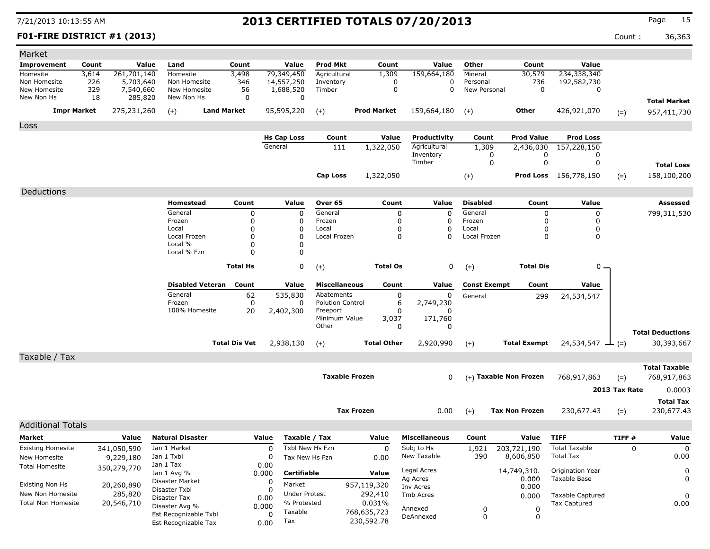### **F01-FIRE DISTRICT #1 (2013)** Count : 36,363

| Market                       |                    |                        |                               |                      |                                   |                         |                    |                              |                          |                                |                                         |               |                                    |
|------------------------------|--------------------|------------------------|-------------------------------|----------------------|-----------------------------------|-------------------------|--------------------|------------------------------|--------------------------|--------------------------------|-----------------------------------------|---------------|------------------------------------|
| <b>Improvement</b>           | Count              | Value                  | Land                          | Count                | Value                             | <b>Prod Mkt</b>         | Count              | Value                        | Other                    | Count                          | Value                                   |               |                                    |
| Homesite                     | 3,614              | 261,701,140            | Homesite                      | 3,498                | 79,349,450                        | Agricultural            | 1,309              | 159,664,180                  | Mineral                  | 30,579                         | 234,338,340                             |               |                                    |
| Non Homesite<br>New Homesite | 226<br>329         | 5,703,640<br>7,540,660 | Non Homesite<br>New Homesite  | 346<br>56            | 14,557,250<br>1,688,520           | Inventory<br>Timber     | 0<br>$\mathbf 0$   | $\Omega$<br>$\Omega$         | Personal<br>New Personal | 736<br>$\mathbf 0$             | 192,582,730<br>$\mathbf 0$              |               |                                    |
| New Non Hs                   | 18                 | 285,820                | New Non Hs                    | 0                    | 0                                 |                         |                    |                              |                          |                                |                                         |               |                                    |
|                              | <b>Impr Market</b> | 275,231,260            | $(+)$                         | <b>Land Market</b>   | 95,595,220                        | $(+)$                   | <b>Prod Market</b> | 159,664,180                  | $(+)$                    | Other                          | 426,921,070                             | $(=)$         | <b>Total Market</b><br>957,411,730 |
| Loss                         |                    |                        |                               |                      |                                   |                         |                    |                              |                          |                                |                                         |               |                                    |
|                              |                    |                        |                               |                      |                                   |                         |                    |                              |                          |                                | <b>Prod Loss</b>                        |               |                                    |
|                              |                    |                        |                               |                      | <b>Hs Cap Loss</b><br>General     | Count<br>111            | Value<br>1,322,050 | Productivity<br>Agricultural | Count<br>1,309           | <b>Prod Value</b><br>2,436,030 | 157,228,150                             |               |                                    |
|                              |                    |                        |                               |                      |                                   |                         |                    | Inventory                    | 0                        | 0                              | 0                                       |               |                                    |
|                              |                    |                        |                               |                      |                                   |                         |                    | Timber                       | 0                        | 0                              | 0                                       |               | <b>Total Loss</b>                  |
|                              |                    |                        |                               |                      |                                   | <b>Cap Loss</b>         | 1,322,050          |                              | $(+)$                    | Prod Loss                      | 156,778,150                             | $(=)$         | 158,100,200                        |
|                              |                    |                        |                               |                      |                                   |                         |                    |                              |                          |                                |                                         |               |                                    |
| Deductions                   |                    |                        | Homestead                     | Count                | Value                             | Over 65                 | Count              | Value                        | <b>Disabled</b>          | Count                          | Value                                   |               | Assessed                           |
|                              |                    |                        | General                       | 0                    | 0                                 | General                 |                    | 0<br>0                       | General                  | 0                              | 0                                       |               | 799,311,530                        |
|                              |                    |                        | Frozen                        | 0                    | 0                                 | Frozen                  | $\mathbf 0$        | 0                            | Frozen                   | 0                              | 0                                       |               |                                    |
|                              |                    |                        | Local                         | 0                    | 0                                 | Local                   | 0                  | $\mathbf 0$                  | Local                    | n                              | 0                                       |               |                                    |
|                              |                    |                        | Local Frozen                  | 0                    | $\Omega$                          | Local Frozen            |                    | $\Omega$<br>0                | Local Frozen             | 0                              | 0                                       |               |                                    |
|                              |                    |                        | Local %<br>Local % Fzn        | 0<br>0               | 0<br>$\Omega$                     |                         |                    |                              |                          |                                |                                         |               |                                    |
|                              |                    |                        |                               |                      |                                   |                         |                    |                              |                          |                                |                                         |               |                                    |
|                              |                    |                        |                               | <b>Total Hs</b>      | $\pmb{0}$                         | $(+)$                   | <b>Total Os</b>    | 0                            | $(+)$                    | <b>Total Dis</b>               | $0 -$                                   |               |                                    |
|                              |                    |                        | <b>Disabled Veteran</b>       | Count                | Value                             | <b>Miscellaneous</b>    | Count              | Value                        | <b>Const Exempt</b>      | Count                          | Value                                   |               |                                    |
|                              |                    |                        | General                       | 62                   | 535,830                           | Abatements              |                    | 0<br>0                       | General                  | 299                            | 24,534,547                              |               |                                    |
|                              |                    |                        | Frozen                        | 0                    | 0                                 | <b>Polution Control</b> |                    | 6<br>2,749,230               |                          |                                |                                         |               |                                    |
|                              |                    |                        | 100% Homesite                 | 20                   | 2,402,300                         | Freeport                | <sup>0</sup>       | 0                            |                          |                                |                                         |               |                                    |
|                              |                    |                        |                               |                      |                                   | Minimum Value<br>Other  | 3,037<br>$\Omega$  | 171,760<br>$\Omega$          |                          |                                |                                         |               |                                    |
|                              |                    |                        |                               |                      |                                   |                         |                    |                              |                          |                                |                                         |               | <b>Total Deductions</b>            |
|                              |                    |                        |                               | <b>Total Dis Vet</b> | 2,938,130                         | $(+)$                   | <b>Total Other</b> | 2,920,990                    | $(+)$                    | <b>Total Exempt</b>            | 24,534,547 $\perp$ (=)                  |               | 30,393,667                         |
| Taxable / Tax                |                    |                        |                               |                      |                                   |                         |                    |                              |                          |                                |                                         |               |                                    |
|                              |                    |                        |                               |                      |                                   |                         |                    |                              |                          |                                |                                         |               | <b>Total Taxable</b>               |
|                              |                    |                        |                               |                      |                                   | <b>Taxable Frozen</b>   |                    | 0                            |                          | $(+)$ Taxable Non Frozen       | 768,917,863                             | $(=)$         | 768,917,863                        |
|                              |                    |                        |                               |                      |                                   |                         |                    |                              |                          |                                |                                         | 2013 Tax Rate | 0.0003                             |
|                              |                    |                        |                               |                      |                                   |                         |                    |                              |                          |                                |                                         |               | <b>Total Tax</b>                   |
|                              |                    |                        |                               |                      |                                   |                         | <b>Tax Frozen</b>  | 0.00                         | $(+)$                    | <b>Tax Non Frozen</b>          | 230,677.43                              | $(=)$         | 230,677.43                         |
| <b>Additional Totals</b>     |                    |                        |                               |                      |                                   |                         |                    |                              |                          |                                |                                         |               |                                    |
| Market                       |                    | Value                  | <b>Natural Disaster</b>       |                      | Taxable / Tax<br>Value            |                         | Value              | <b>Miscellaneous</b>         | Count                    | Value                          | <b>TIFF</b>                             | TIFF#         | Value                              |
| <b>Existing Homesite</b>     |                    | 341,050,590            | Jan 1 Market                  |                      | Txbl New Hs Fzn<br>0              |                         | 0                  | Subj to Hs                   | 1,921                    | 203,721,190                    | <b>Total Taxable</b>                    | $\cup$        | $\mathbf 0$                        |
| New Homesite                 |                    | 9,229,180              | Jan 1 Txbl                    |                      | 0<br>Tax New Hs Fzn               |                         | 0.00               | New Taxable                  | 390                      | 8,606,850                      | <b>Total Tax</b>                        |               | 0.00                               |
| <b>Total Homesite</b>        |                    | 350,279,770            | Jan 1 Tax                     |                      | 0.00                              |                         |                    |                              |                          |                                |                                         |               |                                    |
|                              |                    |                        | Jan 1 Avg %                   |                      | <b>Certifiable</b><br>0.000       |                         | Value              | Legal Acres<br>Ag Acres      |                          | 14,749,310.<br>0.000           | <b>Origination Year</b><br>Taxable Base |               | 0<br>0                             |
| <b>Existing Non Hs</b>       |                    | 20,260,890             | Disaster Market               |                      | 0<br>Market                       |                         | 957,119,320        | Inv Acres                    |                          | 0.000                          |                                         |               |                                    |
| New Non Homesite             |                    | 285,820                | Disaster Txbl<br>Disaster Tax |                      | 0<br><b>Under Protest</b><br>0.00 |                         | 292,410            | Tmb Acres                    |                          | 0.000                          | <b>Taxable Captured</b>                 |               | 0                                  |
| <b>Total Non Homesite</b>    |                    | 20,546,710             | Disaster Avg %                |                      | % Protested<br>0.000              |                         | 0.031%             |                              |                          |                                | Tax Captured                            |               | 0.00                               |
|                              |                    |                        | Est Recognizable Txbl         |                      | Taxable<br>0                      |                         | 768,635,723        | Annexed<br>DeAnnexed         | 0<br>0                   | 0<br>0                         |                                         |               |                                    |
|                              |                    |                        | Est Recognizable Tax          |                      | Tax<br>0.00                       |                         | 230,592.78         |                              |                          |                                |                                         |               |                                    |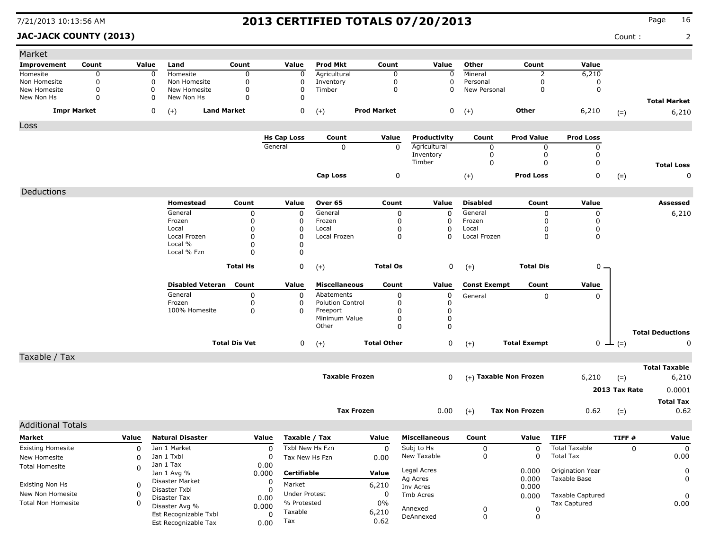**JAC-JACK COUNTY (2013)** Count : 2

| Market                    |                    |          |                                  |                      |                      |                                    |                    |                      |                     |                          |                      |               |                         |
|---------------------------|--------------------|----------|----------------------------------|----------------------|----------------------|------------------------------------|--------------------|----------------------|---------------------|--------------------------|----------------------|---------------|-------------------------|
| Improvement               | Count              | Value    | Land                             | Count                | Value                | <b>Prod Mkt</b>                    | Count              | Value                | Other               | Count                    | Value                |               |                         |
| Homesite                  | 0                  |          | 0<br>Homesite                    | 0                    | 0                    | Agricultural                       | 0                  | $\mathbf 0$          | Mineral             | 2                        | 6,210                |               |                         |
| Non Homesite              | $\mathbf 0$        |          | 0<br>Non Homesite                | 0                    | 0                    | Inventory                          | 0                  | $\mathbf 0$          | Personal            | $\mathbf 0$              | 0                    |               |                         |
| New Homesite              | 0                  | 0        | New Homesite                     | 0                    | 0                    | Timber                             | 0                  | $\mathbf 0$          | New Personal        | 0                        | $\mathbf 0$          |               |                         |
| New Non Hs                | $\Omega$           |          | New Non Hs<br>0                  | 0                    | $\Omega$             |                                    |                    |                      |                     |                          |                      |               | <b>Total Market</b>     |
|                           | <b>Impr Market</b> |          | 0<br><b>Land Market</b><br>$(+)$ |                      | 0                    | $(+)$                              | <b>Prod Market</b> | 0                    | $(+)$               | Other                    | 6,210                | $(=)$         | 6,210                   |
| Loss                      |                    |          |                                  |                      |                      |                                    |                    |                      |                     |                          |                      |               |                         |
|                           |                    |          |                                  |                      | <b>Hs Cap Loss</b>   | Count                              | Value              | Productivity         | Count               | <b>Prod Value</b>        | <b>Prod Loss</b>     |               |                         |
|                           |                    |          |                                  |                      | General              | $\mathbf 0$                        | 0                  | Agricultural         | $\pmb{0}$           | 0                        | 0                    |               |                         |
|                           |                    |          |                                  |                      |                      |                                    |                    | Inventory            | 0                   | 0                        | 0                    |               |                         |
|                           |                    |          |                                  |                      |                      |                                    |                    | Timber               | 0                   | 0                        | 0                    |               | <b>Total Loss</b>       |
|                           |                    |          |                                  |                      |                      |                                    |                    |                      |                     |                          |                      |               |                         |
|                           |                    |          |                                  |                      |                      | Cap Loss                           | 0                  |                      | $(+)$               | <b>Prod Loss</b>         | 0                    | $(=)$         | 0                       |
| Deductions                |                    |          |                                  |                      |                      |                                    |                    |                      |                     |                          |                      |               |                         |
|                           |                    |          | Homestead                        | Count                | Value                | Over 65                            | Count              | Value                | <b>Disabled</b>     | Count                    | Value                |               | Assessed                |
|                           |                    |          | General                          | 0                    | $\mathbf 0$          | General                            | 0                  | 0                    | General             | $\pmb{0}$                | 0                    |               | 6,210                   |
|                           |                    |          | Frozen                           | $\Omega$             | $\mathbf 0$          | Frozen                             | 0                  | 0                    | Frozen              | 0                        | 0                    |               |                         |
|                           |                    |          | Local                            | $\Omega$             | $\mathbf 0$          | Local                              | 0                  | 0                    | Local               | 0                        | 0                    |               |                         |
|                           |                    |          | Local Frozen                     | $\Omega$             | $\Omega$             | Local Frozen                       | 0                  | $\mathbf 0$          | Local Frozen        | 0                        | 0                    |               |                         |
|                           |                    |          | Local %<br>Local % Fzn           | 0<br>$\Omega$        | $\mathbf 0$<br>0     |                                    |                    |                      |                     |                          |                      |               |                         |
|                           |                    |          |                                  |                      |                      |                                    |                    |                      |                     |                          |                      |               |                         |
|                           |                    |          |                                  | <b>Total Hs</b>      | 0                    | $(+)$                              | <b>Total Os</b>    | 0                    | $(+)$               | <b>Total Dis</b>         | 0 -                  |               |                         |
|                           |                    |          |                                  |                      |                      |                                    |                    |                      |                     |                          |                      |               |                         |
|                           |                    |          | <b>Disabled Veteran</b>          | Count                | Value                | <b>Miscellaneous</b><br>Abatements | Count              | Value                | <b>Const Exempt</b> | Count                    | Value                |               |                         |
|                           |                    |          | General<br>Frozen                | 0<br>0               | 0<br>0               | <b>Polution Control</b>            | 0<br>0             | 0<br>0               | General             | $\pmb{0}$                | 0                    |               |                         |
|                           |                    |          | 100% Homesite                    | 0                    | 0                    | Freeport                           | 0                  | 0                    |                     |                          |                      |               |                         |
|                           |                    |          |                                  |                      |                      | Minimum Value                      | 0                  | 0                    |                     |                          |                      |               |                         |
|                           |                    |          |                                  |                      |                      | Other                              | $\mathbf{0}$       | 0                    |                     |                          |                      |               |                         |
|                           |                    |          |                                  |                      |                      |                                    |                    |                      |                     |                          |                      |               | <b>Total Deductions</b> |
|                           |                    |          |                                  | <b>Total Dis Vet</b> | 0                    | $(+)$                              | <b>Total Other</b> | 0                    | $(+)$               | <b>Total Exempt</b>      |                      | $0 \perp (=)$ | 0                       |
| Taxable / Tax             |                    |          |                                  |                      |                      |                                    |                    |                      |                     |                          |                      |               |                         |
|                           |                    |          |                                  |                      |                      |                                    |                    |                      |                     |                          |                      |               | <b>Total Taxable</b>    |
|                           |                    |          |                                  |                      |                      | <b>Taxable Frozen</b>              |                    | 0                    |                     | $(+)$ Taxable Non Frozen | 6,210                | $(=)$         | 6,210                   |
|                           |                    |          |                                  |                      |                      |                                    |                    |                      |                     |                          |                      | 2013 Tax Rate | 0.0001                  |
|                           |                    |          |                                  |                      |                      |                                    |                    |                      |                     |                          |                      |               | <b>Total Tax</b>        |
|                           |                    |          |                                  |                      |                      |                                    | <b>Tax Frozen</b>  | 0.00                 | $(+)$               | <b>Tax Non Frozen</b>    | 0.62                 | $(=)$         | 0.62                    |
|                           |                    |          |                                  |                      |                      |                                    |                    |                      |                     |                          |                      |               |                         |
| <b>Additional Totals</b>  |                    |          |                                  |                      |                      |                                    |                    |                      |                     |                          |                      |               |                         |
| Market                    |                    | Value    | <b>Natural Disaster</b>          | Value                | Taxable / Tax        |                                    | Value              | <b>Miscellaneous</b> | Count               | Value                    | <b>TIFF</b>          | TIFF#         | Value                   |
| <b>Existing Homesite</b>  |                    | 0        | Jan 1 Market                     |                      | Txbl New Hs Fzn<br>0 |                                    | 0                  | Subj to Hs           | 0                   | 0                        | <b>Total Taxable</b> | 0             | 0                       |
| New Homesite              |                    | $\Omega$ | Jan 1 Txbl                       |                      | 0<br>Tax New Hs Fzn  |                                    | 0.00               | New Taxable          | 0                   | 0                        | <b>Total Tax</b>     |               | 0.00                    |
| <b>Total Homesite</b>     |                    | $\Omega$ | Jan 1 Tax                        | 0.00                 |                      |                                    |                    | Legal Acres          |                     | 0.000                    | Origination Year     |               | 0                       |
|                           |                    |          | Jan 1 Avg %                      | 0.000                | Certifiable          |                                    | Value              | Ag Acres             |                     | 0.000                    | Taxable Base         |               | 0                       |
| <b>Existing Non Hs</b>    |                    | $\Omega$ | Disaster Market<br>Disaster Txbl |                      | 0<br>Market<br>0     |                                    | 6,210              | Inv Acres            |                     | 0.000                    |                      |               |                         |
| New Non Homesite          |                    | 0        | Disaster Tax                     | 0.00                 | <b>Under Protest</b> |                                    | 0                  | Tmb Acres            |                     | 0.000                    | Taxable Captured     |               | 0                       |
| <b>Total Non Homesite</b> |                    | 0        | Disaster Avg %                   | 0.000                | % Protested          |                                    | 0%                 |                      |                     |                          | Tax Captured         |               | 0.00                    |
|                           |                    |          | Est Recognizable Txbl            |                      | Taxable<br>0         |                                    | 6,210              | Annexed<br>DeAnnexed | 0<br>0              | 0<br>0                   |                      |               |                         |
|                           |                    |          | Est Recognizable Tax             | 0.00                 | Tax                  |                                    | 0.62               |                      |                     |                          |                      |               |                         |

Tax 0.00

Est Recognizable Tax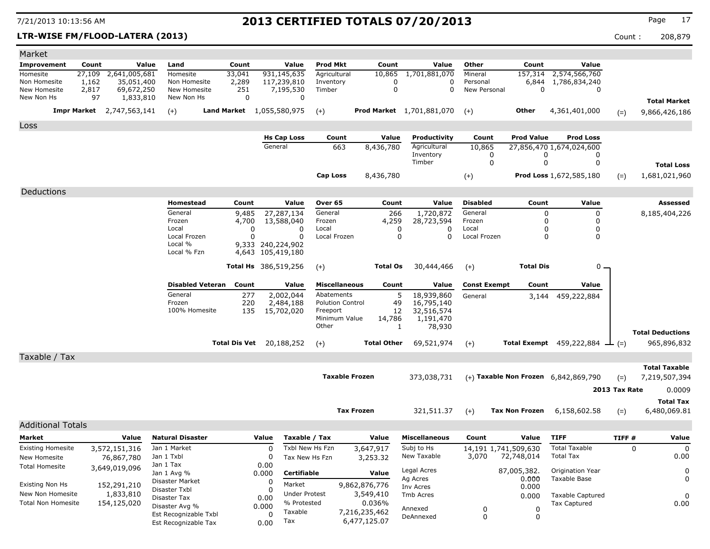**LTR-WISE FM/FLOOD-LATERA (2013)** Count : 208,879

| Market                       |                |                                  |                                |                      |                               |                                     |                            |                           |                          |                       |                                          |               |                         |
|------------------------------|----------------|----------------------------------|--------------------------------|----------------------|-------------------------------|-------------------------------------|----------------------------|---------------------------|--------------------------|-----------------------|------------------------------------------|---------------|-------------------------|
| Improvement                  | Count          | Value                            | Land                           | Count                | Value                         | <b>Prod Mkt</b>                     | Count                      | Value                     | Other                    | Count                 | Value                                    |               |                         |
| Homesite                     | 27,109         | 2,641,005,681                    | Homesite                       | 33,041               | 931,145,635                   | Agricultural                        | 10,865                     | 1,701,881,070             | Mineral                  | 157,314               | 2,574,566,760                            |               |                         |
| Non Homesite<br>New Homesite | 1,162<br>2,817 | 35,051,400<br>69,672,250         | Non Homesite<br>New Homesite   | 2,289<br>251         | 117,239,810<br>7,195,530      | Inventory<br>Timber                 | $\mathbf 0$<br>$\mathbf 0$ | $\Omega$<br>$\Omega$      | Personal<br>New Personal | 6,844<br>$\mathbf 0$  | 1,786,834,240<br>0                       |               |                         |
| New Non Hs                   | 97             | 1,833,810                        | New Non Hs                     | $\mathbf 0$          | 0                             |                                     |                            |                           |                          |                       |                                          |               | <b>Total Market</b>     |
|                              |                | <b>Impr Market</b> 2,747,563,141 | $(+)$                          | Land Market          | 1,055,580,975                 | $(+)$                               |                            | Prod Market 1,701,881,070 | $(+)$                    | Other                 | 4,361,401,000                            | $(=)$         | 9,866,426,186           |
| Loss                         |                |                                  |                                |                      |                               |                                     |                            |                           |                          |                       |                                          |               |                         |
|                              |                |                                  |                                |                      | <b>Hs Cap Loss</b>            | Count                               | Value                      | Productivity              | Count                    | <b>Prod Value</b>     | <b>Prod Loss</b>                         |               |                         |
|                              |                |                                  |                                |                      | General                       | 663                                 | 8,436,780                  | Agricultural              | 10,865                   |                       | 27,856,470 1,674,024,600                 |               |                         |
|                              |                |                                  |                                |                      |                               |                                     |                            | Inventory                 | 0                        | 0                     | 0                                        |               |                         |
|                              |                |                                  |                                |                      |                               |                                     |                            | Timber                    | $\mathbf 0$              | $\mathbf 0$           | 0                                        |               | <b>Total Loss</b>       |
|                              |                |                                  |                                |                      |                               | <b>Cap Loss</b>                     | 8,436,780                  |                           | $(+)$                    |                       | <b>Prod Loss 1,672,585,180</b>           | $(=)$         | 1,681,021,960           |
| Deductions                   |                |                                  |                                |                      |                               |                                     |                            |                           |                          |                       |                                          |               |                         |
|                              |                |                                  | Homestead                      | Count                | Value                         | Over 65                             | Count                      | Value                     | <b>Disabled</b>          | Count                 | Value                                    |               | Assessed                |
|                              |                |                                  | General                        | 9,485                | 27,287,134                    | General                             | 266                        | 1,720,872                 | General                  | 0                     | 0                                        |               | 8,185,404,226           |
|                              |                |                                  | Frozen                         | 4,700                | 13,588,040                    | Frozen                              | 4,259                      | 28,723,594                | Frozen                   | 0                     | 0                                        |               |                         |
|                              |                |                                  | Local                          | 0                    | <sup>0</sup>                  | Local                               | 0                          | 0                         | Local                    | O                     | 0                                        |               |                         |
|                              |                |                                  | Local Frozen<br>Local %        | 0                    | $\Omega$<br>9,333 240,224,902 | Local Frozen                        | $\mathbf 0$                | $\Omega$                  | Local Frozen             | 0                     | 0                                        |               |                         |
|                              |                |                                  | Local % Fzn                    |                      | 4,643 105,419,180             |                                     |                            |                           |                          |                       |                                          |               |                         |
|                              |                |                                  |                                |                      | <b>Total Hs</b> 386,519,256   | $(+)$                               | <b>Total Os</b>            | 30,444,466                | $(+)$                    | <b>Total Dis</b>      | $0 -$                                    |               |                         |
|                              |                |                                  |                                |                      |                               |                                     |                            |                           |                          |                       |                                          |               |                         |
|                              |                |                                  | <b>Disabled Veteran</b>        | Count                | Value                         | <b>Miscellaneous</b>                | Count                      | Value                     | <b>Const Exempt</b>      | Count                 | Value                                    |               |                         |
|                              |                |                                  | General                        | 277                  | 2,002,044                     | Abatements                          |                            | 5<br>18,939,860           | General                  |                       | 3,144 459,222,884                        |               |                         |
|                              |                |                                  | Frozen<br>100% Homesite        | 220<br>135           | 2,484,188<br>15,702,020       | <b>Polution Control</b><br>Freeport | 49<br>12                   | 16,795,140<br>32,516,574  |                          |                       |                                          |               |                         |
|                              |                |                                  |                                |                      |                               | Minimum Value                       | 14,786                     | 1,191,470                 |                          |                       |                                          |               |                         |
|                              |                |                                  |                                |                      |                               | Other                               | 1                          | 78,930                    |                          |                       |                                          |               |                         |
|                              |                |                                  |                                |                      |                               |                                     |                            |                           |                          |                       |                                          |               | <b>Total Deductions</b> |
|                              |                |                                  |                                | <b>Total Dis Vet</b> | 20,188,252                    | $(+)$                               | <b>Total Other</b>         | 69,521,974                | $(+)$                    |                       | <b>Total Exempt</b> 459,222,884          | $ (=)$        | 965,896,832             |
| Taxable / Tax                |                |                                  |                                |                      |                               |                                     |                            |                           |                          |                       |                                          |               |                         |
|                              |                |                                  |                                |                      |                               |                                     |                            |                           |                          |                       |                                          |               | <b>Total Taxable</b>    |
|                              |                |                                  |                                |                      |                               |                                     | <b>Taxable Frozen</b>      | 373,038,731               |                          |                       | $(+)$ Taxable Non Frozen $6,842,869,790$ | $(=)$         | 7,219,507,394           |
|                              |                |                                  |                                |                      |                               |                                     |                            |                           |                          |                       |                                          | 2013 Tax Rate | 0.0009                  |
|                              |                |                                  |                                |                      |                               |                                     |                            |                           |                          |                       |                                          |               | <b>Total Tax</b>        |
|                              |                |                                  |                                |                      |                               |                                     | <b>Tax Frozen</b>          | 321,511.37                | $(+)$                    | <b>Tax Non Frozen</b> | 6,158,602.58                             | $(=)$         | 6,480,069.81            |
| <b>Additional Totals</b>     |                |                                  |                                |                      |                               |                                     |                            |                           |                          |                       |                                          |               |                         |
| Market                       |                | Value                            | <b>Natural Disaster</b>        |                      | Value<br>Taxable / Tax        |                                     | Value                      | <b>Miscellaneous</b>      | Count                    | Value                 | <b>TIFF</b>                              | TIFF#         | Value                   |
| <b>Existing Homesite</b>     |                | 3,572,151,316                    | Jan 1 Market                   |                      | 0                             | Txbl New Hs Fzn                     | 3,647,917                  | Subj to Hs                | 14,191 1,741,509,630     |                       | <b>Total Taxable</b>                     |               | 0<br>0                  |
| New Homesite                 |                | 76,867,780                       | Jan 1 Txbl                     |                      | 0<br>Tax New Hs Fzn           |                                     | 3,253.32                   | New Taxable               | 3,070                    | 72,748,014            | <b>Total Tax</b>                         |               | 0.00                    |
| <b>Total Homesite</b>        |                | 3,649,019,096                    | Jan 1 Tax                      |                      | 0.00                          |                                     |                            | Legal Acres               |                          | 87,005,382.           | Origination Year                         |               | 0                       |
|                              |                |                                  | Jan 1 Avg %<br>Disaster Market |                      | Certifiable<br>0.000<br>0     |                                     | Value                      | Ag Acres                  |                          | 0.000                 | Taxable Base                             |               | $\Omega$                |
| Existing Non Hs              |                | 152,291,210                      | Disaster Txbl                  |                      | Market<br>0                   |                                     | 9,862,876,776              | Inv Acres                 |                          | 0.000                 |                                          |               |                         |
| New Non Homesite             |                | 1,833,810                        | Disaster Tax                   |                      | <b>Under Protest</b><br>0.00  |                                     | 3,549,410                  | Tmb Acres                 |                          | 0.000                 | <b>Taxable Captured</b>                  |               | 0                       |
| <b>Total Non Homesite</b>    |                | 154,125,020                      | Disaster Avg %                 |                      | % Protested<br>0.000          |                                     | 0.036%                     | Annexed                   | 0                        | 0                     | <b>Tax Captured</b>                      |               | 0.00                    |
|                              |                |                                  | Est Recognizable Txbl          |                      | Taxable<br>0                  |                                     | 7,216,235,462              | DeAnnexed                 | 0                        | 0                     |                                          |               |                         |
|                              |                |                                  | Est Recognizable Tax           |                      | Tax<br>0.00                   |                                     | 6,477,125.07               |                           |                          |                       |                                          |               |                         |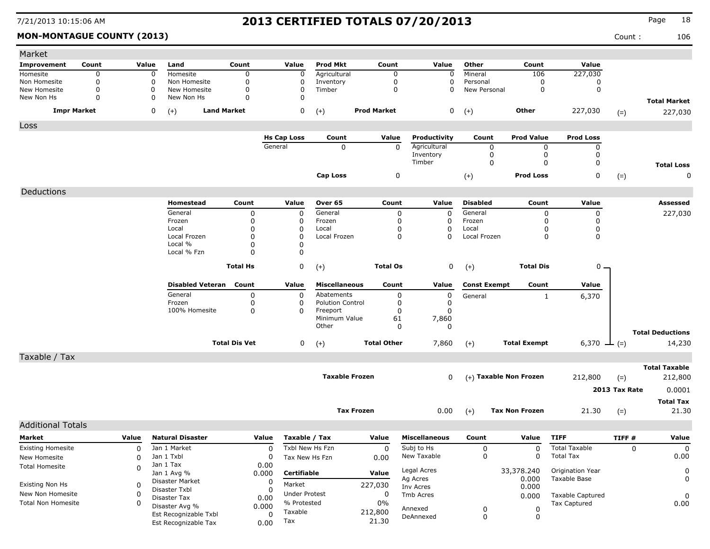### **MON-MONTAGUE COUNTY (2013)** Count : 106

| Market                    |                    |       |                                |                      |                              |                         |                    |                      |                     |                          |                         |               |                         |
|---------------------------|--------------------|-------|--------------------------------|----------------------|------------------------------|-------------------------|--------------------|----------------------|---------------------|--------------------------|-------------------------|---------------|-------------------------|
| Improvement               | Count              | Value | Land                           | Count                | Value                        | Prod Mkt                | Count              | Value                | Other               | Count                    | Value                   |               |                         |
| Homesite                  | 0                  |       | Homesite<br>0                  | 0                    | 0                            | Agricultural            | 0                  | $\overline{0}$       | Mineral             | 106                      | 227,030                 |               |                         |
| Non Homesite              | 0                  |       | $\Omega$<br>Non Homesite       | 0                    | 0                            | Inventory               | 0                  | $\mathbf 0$          | Personal            | $\mathbf 0$              | 0                       |               |                         |
| New Homesite              | 0                  |       | 0<br>New Homesite              | $\mathbf 0$          | 0                            | Timber                  | 0                  | 0                    | New Personal        | $\mathbf 0$              | 0                       |               |                         |
| New Non Hs                | 0                  |       | New Non Hs<br>0                | $\Omega$             | 0                            |                         |                    |                      |                     |                          |                         |               | <b>Total Market</b>     |
|                           | <b>Impr Market</b> |       | 0<br>$(+)$                     | <b>Land Market</b>   | 0                            | $(+)$                   | <b>Prod Market</b> | $\mathbf 0$          | $(+)$               | Other                    | 227,030                 | $(=)$         | 227,030                 |
| Loss                      |                    |       |                                |                      |                              |                         |                    |                      |                     |                          |                         |               |                         |
|                           |                    |       |                                |                      | <b>Hs Cap Loss</b>           | Count                   | Value              | Productivity         | Count               | <b>Prod Value</b>        | <b>Prod Loss</b>        |               |                         |
|                           |                    |       |                                |                      | General                      | 0                       | $\mathbf 0$        | Agricultural         |                     | 0<br>0                   | 0                       |               |                         |
|                           |                    |       |                                |                      |                              |                         |                    | Inventory            |                     | 0<br>0                   | 0                       |               |                         |
|                           |                    |       |                                |                      |                              |                         |                    | Timber               | 0                   | 0                        | 0                       |               | <b>Total Loss</b>       |
|                           |                    |       |                                |                      |                              | Cap Loss                | 0                  |                      | $(+)$               | <b>Prod Loss</b>         | 0                       | $(=)$         | 0                       |
| Deductions                |                    |       |                                |                      |                              |                         |                    |                      |                     |                          |                         |               |                         |
|                           |                    |       | Homestead                      | Count                | Value                        | Over 65                 | Count              | Value                | <b>Disabled</b>     | Count                    | Value                   |               | <b>Assessed</b>         |
|                           |                    |       | General                        | 0                    | 0                            | General                 | 0                  | 0                    | General             | 0                        | 0                       |               | 227,030                 |
|                           |                    |       | Frozen                         | 0                    | 0                            | Frozen                  | 0                  | 0                    | Frozen              | $\Omega$                 | 0                       |               |                         |
|                           |                    |       | Local                          | 0                    | 0                            | Local                   | 0                  | 0                    | Local               | 0                        | 0                       |               |                         |
|                           |                    |       | Local Frozen<br>Local %        | 0<br>0               | $\Omega$<br>$\Omega$         | Local Frozen            | 0                  | 0                    | Local Frozen        | 0                        | 0                       |               |                         |
|                           |                    |       | Local % Fzn                    | 0                    | 0                            |                         |                    |                      |                     |                          |                         |               |                         |
|                           |                    |       |                                | <b>Total Hs</b>      | 0                            | $(+)$                   | <b>Total Os</b>    | 0                    | $(+)$               | <b>Total Dis</b>         | $0 -$                   |               |                         |
|                           |                    |       | <b>Disabled Veteran</b>        | Count                | Value                        | <b>Miscellaneous</b>    | Count              | Value                | <b>Const Exempt</b> | Count                    | Value                   |               |                         |
|                           |                    |       |                                |                      |                              | Abatements              |                    |                      |                     |                          |                         |               |                         |
|                           |                    |       | General<br>Frozen              | 0<br>0               | $\mathbf 0$<br>0             | <b>Polution Control</b> | 0<br>0             | 0<br>0               | General             | $\mathbf{1}$             | 6,370                   |               |                         |
|                           |                    |       | 100% Homesite                  | 0                    | 0                            | Freeport                | 0                  | 0                    |                     |                          |                         |               |                         |
|                           |                    |       |                                |                      |                              | Minimum Value           | 61                 | 7,860                |                     |                          |                         |               |                         |
|                           |                    |       |                                |                      |                              | Other                   | $\Omega$           | 0                    |                     |                          |                         |               | <b>Total Deductions</b> |
|                           |                    |       |                                | <b>Total Dis Vet</b> | 0                            | $(+)$                   | <b>Total Other</b> | 7,860                | $(+)$               | <b>Total Exempt</b>      | 6,370 $\perp$ (=)       |               | 14,230                  |
| Taxable / Tax             |                    |       |                                |                      |                              |                         |                    |                      |                     |                          |                         |               |                         |
|                           |                    |       |                                |                      |                              |                         |                    |                      |                     |                          |                         |               | <b>Total Taxable</b>    |
|                           |                    |       |                                |                      |                              | <b>Taxable Frozen</b>   |                    | 0                    |                     | $(+)$ Taxable Non Frozen | 212,800                 | $(=)$         | 212,800                 |
|                           |                    |       |                                |                      |                              |                         |                    |                      |                     |                          |                         | 2013 Tax Rate | 0.0001                  |
|                           |                    |       |                                |                      |                              |                         |                    |                      |                     |                          |                         |               |                         |
|                           |                    |       |                                |                      |                              | <b>Tax Frozen</b>       |                    |                      |                     |                          |                         |               | <b>Total Tax</b>        |
|                           |                    |       |                                |                      |                              |                         |                    | 0.00                 | $(+)$               | <b>Tax Non Frozen</b>    | 21.30                   | $(=)$         | 21.30                   |
| <b>Additional Totals</b>  |                    |       |                                |                      |                              |                         |                    |                      |                     |                          |                         |               |                         |
| Market                    |                    | Value | <b>Natural Disaster</b>        |                      | Taxable / Tax<br>Value       |                         | Value              | <b>Miscellaneous</b> | Count               | Value                    | <b>TIFF</b>             | TIFF#         | Value                   |
| <b>Existing Homesite</b>  |                    | 0     | Jan 1 Market                   |                      | Txbl New Hs Fzn<br>0         |                         | 0                  | Subj to Hs           | 0                   | 0                        | <b>Total Taxable</b>    | 0             | 0                       |
| New Homesite              |                    | O     | Jan 1 Txbl                     |                      | 0<br>Tax New Hs Fzn          |                         | 0.00               | New Taxable          | 0                   | 0                        | <b>Total Tax</b>        |               | 0.00                    |
| <b>Total Homesite</b>     |                    | 0     | Jan 1 Tax                      |                      | 0.00                         |                         |                    | Legal Acres          |                     | 33,378.240               | Origination Year        |               | 0                       |
|                           |                    |       | Jan 1 Avg %<br>Disaster Market |                      | Certifiable<br>0.000<br>0    |                         | Value              | Ag Acres             |                     | 0.000                    | Taxable Base            |               | 0                       |
| <b>Existing Non Hs</b>    |                    | U     | Disaster Txbl                  |                      | Market<br>-0                 |                         | 227,030            | Inv Acres            |                     | 0.000                    |                         |               |                         |
| New Non Homesite          |                    |       | Disaster Tax                   |                      | <b>Under Protest</b><br>0.00 |                         | 0                  | Tmb Acres            |                     | 0.000                    | <b>Taxable Captured</b> |               | 0                       |
| <b>Total Non Homesite</b> |                    | 0     | Disaster Avg %                 |                      | % Protested<br>0.000         |                         | 0%                 | Annexed              | 0                   | 0                        | <b>Tax Captured</b>     |               | 0.00                    |
|                           |                    |       | Est Recognizable Txbl          |                      | Taxable<br>-0                |                         | 212,800            | DeAnnexed            | 0                   | 0                        |                         |               |                         |
|                           |                    |       | Est Recognizable Tax           |                      | Tax<br>0.00                  |                         | 21.30              |                      |                     |                          |                         |               |                         |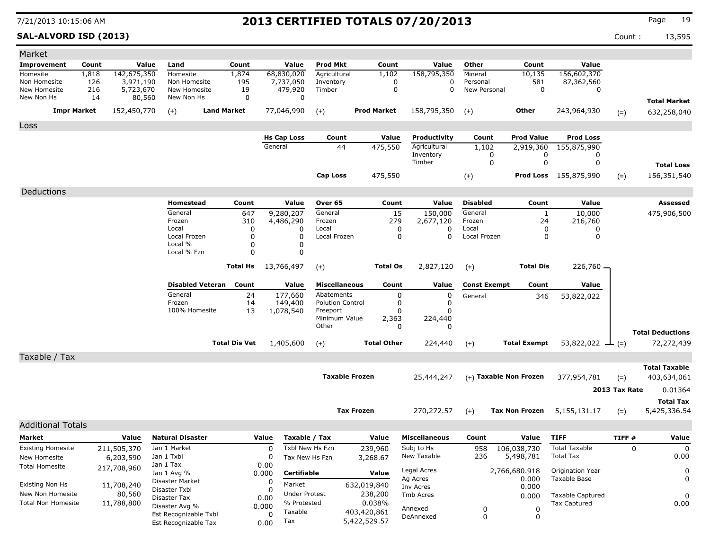### **SAL-ALVORD ISD (2013)** Count : 13,595

| Market                                                 |                           |                                                 |                                                        |                                   |                                                   |                                                               |                             |                                              |                                     |                              |                                          |               |                                     |
|--------------------------------------------------------|---------------------------|-------------------------------------------------|--------------------------------------------------------|-----------------------------------|---------------------------------------------------|---------------------------------------------------------------|-----------------------------|----------------------------------------------|-------------------------------------|------------------------------|------------------------------------------|---------------|-------------------------------------|
| Improvement                                            | Count                     | Value                                           | Land                                                   | Count                             | Value                                             | <b>Prod Mkt</b>                                               | Count                       | Value                                        | Other                               | Count                        | Value                                    |               |                                     |
| Homesite<br>Non Homesite<br>New Homesite<br>New Non Hs | 1,818<br>126<br>216<br>14 | 142,675,350<br>3,971,190<br>5,723,670<br>80,560 | Homesite<br>Non Homesite<br>New Homesite<br>New Non Hs | 1,874<br>195<br>19<br>$\mathbf 0$ | 68,830,020<br>7,737,050<br>479,920<br>$\mathbf 0$ | Agricultural<br>Inventory<br>Timber                           | 1,102<br>0<br>$\mathbf 0$   | 158,795,350<br>0<br>0                        | Mineral<br>Personal<br>New Personal | 10,135<br>581<br>$\mathbf 0$ | 156,602,370<br>87,362,560<br>$\mathbf 0$ |               | <b>Total Market</b>                 |
|                                                        | <b>Impr Market</b>        | 152,450,770                                     | $(+)$                                                  | <b>Land Market</b>                | 77,046,990                                        | $(+)$                                                         | <b>Prod Market</b>          | 158,795,350                                  | $(+)$                               | Other                        | 243,964,930                              | $(=)$         | 632,258,040                         |
| Loss                                                   |                           |                                                 |                                                        |                                   |                                                   |                                                               |                             |                                              |                                     |                              |                                          |               |                                     |
|                                                        |                           |                                                 |                                                        |                                   | <b>Hs Cap Loss</b>                                | Count                                                         | Value                       | Productivity                                 | Count                               | <b>Prod Value</b>            | <b>Prod Loss</b>                         |               |                                     |
|                                                        |                           |                                                 |                                                        |                                   | General                                           | 44                                                            | 475,550                     | Agricultural                                 | 1,102                               | 2,919,360                    | 155,875,990                              |               |                                     |
|                                                        |                           |                                                 |                                                        |                                   |                                                   |                                                               |                             | Inventory                                    | 0                                   | 0                            | 0                                        |               |                                     |
|                                                        |                           |                                                 |                                                        |                                   |                                                   |                                                               |                             | Timber                                       | $\mathbf 0$                         | 0                            | 0                                        |               | <b>Total Loss</b>                   |
|                                                        |                           |                                                 |                                                        |                                   |                                                   | <b>Cap Loss</b>                                               | 475,550                     |                                              | $(+)$                               |                              | <b>Prod Loss</b> 155,875,990             | $(=)$         | 156,351,540                         |
| Deductions                                             |                           |                                                 |                                                        |                                   |                                                   |                                                               |                             |                                              |                                     |                              |                                          |               |                                     |
|                                                        |                           |                                                 | Homestead                                              | Count                             | Value                                             | Over 65                                                       | Count                       | Value                                        | <b>Disabled</b>                     | Count                        | Value                                    |               | Assessed                            |
|                                                        |                           |                                                 | General                                                | 647                               | 9,280,207                                         | General                                                       | 15                          | 150,000                                      | General                             | $\mathbf{1}$                 | 10,000                                   |               | 475,906,500                         |
|                                                        |                           |                                                 | Frozen                                                 | 310                               | 4,486,290                                         | Frozen                                                        | 279                         | 2,677,120                                    | Frozen                              | 24                           | 216,760                                  |               |                                     |
|                                                        |                           |                                                 | Local<br>Local Frozen                                  | 0<br>0                            | 0<br><sup>0</sup>                                 | Local<br>Local Frozen                                         |                             | 0<br>0<br>$\mathbf 0$<br>$\Omega$            | Local<br>Local Frozen               | 0<br>0                       | 0<br>0                                   |               |                                     |
|                                                        |                           |                                                 | Local %                                                | 0                                 |                                                   |                                                               |                             |                                              |                                     |                              |                                          |               |                                     |
|                                                        |                           |                                                 | Local % Fzn                                            | 0                                 | $\Omega$                                          |                                                               |                             |                                              |                                     |                              |                                          |               |                                     |
|                                                        |                           |                                                 |                                                        | Total Hs                          | 13,766,497                                        | $(+)$                                                         | <b>Total Os</b>             | 2,827,120                                    | $(+)$                               | <b>Total Dis</b>             | 226,760 -                                |               |                                     |
|                                                        |                           |                                                 |                                                        | Disabled Veteran Count            | Value                                             | <b>Miscellaneous</b>                                          | Count                       | Value                                        | <b>Const Exempt</b>                 | Count                        | Value                                    |               |                                     |
|                                                        |                           |                                                 | General                                                | 24                                | 177,660                                           | Abatements                                                    |                             | 0<br>0                                       | General                             | 346                          | 53,822,022                               |               |                                     |
|                                                        |                           |                                                 | Frozen<br>100% Homesite                                | 14<br>13                          | 149,400<br>1,078,540                              | <b>Polution Control</b><br>Freeport<br>Minimum Value<br>Other | 2,363                       | 0<br>0<br>$\Omega$<br>0<br>224,440<br>0<br>0 |                                     |                              |                                          |               |                                     |
|                                                        |                           |                                                 |                                                        |                                   |                                                   |                                                               |                             |                                              |                                     |                              |                                          |               | <b>Total Deductions</b>             |
|                                                        |                           |                                                 |                                                        | <b>Total Dis Vet</b>              | 1,405,600                                         | $(+)$                                                         | <b>Total Other</b>          | 224,440                                      | $(+)$                               | <b>Total Exempt</b>          | 53,822,022 $\perp$ (=)                   |               | 72,272,439                          |
| Taxable / Tax                                          |                           |                                                 |                                                        |                                   |                                                   |                                                               |                             |                                              |                                     |                              |                                          |               |                                     |
|                                                        |                           |                                                 |                                                        |                                   |                                                   | <b>Taxable Frozen</b>                                         |                             | 25,444,247                                   |                                     | $(+)$ Taxable Non Frozen     | 377,954,781                              | $(=)$         | <b>Total Taxable</b><br>403,634,061 |
|                                                        |                           |                                                 |                                                        |                                   |                                                   |                                                               |                             |                                              |                                     |                              |                                          | 2013 Tax Rate | 0.01364                             |
|                                                        |                           |                                                 |                                                        |                                   |                                                   |                                                               |                             |                                              |                                     |                              |                                          |               | <b>Total Tax</b>                    |
|                                                        |                           |                                                 |                                                        |                                   |                                                   |                                                               | <b>Tax Frozen</b>           | 270,272.57                                   | $(+)$                               | <b>Tax Non Frozen</b>        | 5,155,131.17                             | $(=)$         | 5,425,336.54                        |
| <b>Additional Totals</b>                               |                           |                                                 |                                                        |                                   |                                                   |                                                               |                             |                                              |                                     |                              |                                          |               |                                     |
| Market                                                 |                           | Value                                           | <b>Natural Disaster</b>                                |                                   | Taxable / Tax<br>Value                            |                                                               | Value                       | <b>Miscellaneous</b>                         | Count                               | Value                        | <b>TIFF</b>                              | TIFF#         | Value                               |
| <b>Existing Homesite</b>                               |                           | 211,505,370                                     | Jan 1 Market                                           |                                   | Txbl New Hs Fzn<br>0                              |                                                               | 239,960                     | Subj to Hs                                   | 958                                 | 106,038,730                  | <b>Total Taxable</b>                     | 0             | 0                                   |
| New Homesite                                           |                           | 6,203,590                                       | Jan 1 Txbl                                             |                                   | 0<br>Tax New Hs Fzn                               |                                                               | 3,268.67                    | New Taxable                                  | 236                                 | 5,498,781                    | <b>Total Tax</b>                         |               | 0.00                                |
| <b>Total Homesite</b>                                  |                           | 217,708,960                                     | Jan 1 Tax<br>Jan 1 Avg %                               |                                   | 0.00<br>Certifiable                               |                                                               | Value                       | Legal Acres                                  |                                     | 2,766,680.918                | Origination Year                         |               | 0                                   |
|                                                        |                           |                                                 | Disaster Market                                        |                                   | 0.000<br>0                                        |                                                               |                             | Ag Acres                                     |                                     | 0.000                        | Taxable Base                             |               | 0                                   |
| Existing Non Hs                                        |                           | 11,708,240                                      | Disaster Txbl                                          |                                   | Market<br>0                                       |                                                               | 632,019,840                 | Inv Acres                                    |                                     | 0.000                        |                                          |               |                                     |
| New Non Homesite                                       |                           | 80,560                                          | Disaster Tax                                           |                                   | <b>Under Protest</b><br>0.00                      |                                                               | 238,200                     | Tmb Acres                                    |                                     | 0.000                        | Taxable Captured                         |               | 0                                   |
| <b>Total Non Homesite</b>                              |                           | 11,788,800                                      | Disaster Avg %                                         |                                   | % Protested<br>0.000<br>Taxable                   |                                                               | 0.038%                      | Annexed                                      | 0                                   | 0                            | Tax Captured                             |               | 0.00                                |
|                                                        |                           |                                                 | Est Recognizable Txbl<br>Est Recognizable Tax          |                                   | 0<br>Tax<br>0.00                                  |                                                               | 403,420,861<br>5,422,529.57 | DeAnnexed                                    | 0                                   | 0                            |                                          |               |                                     |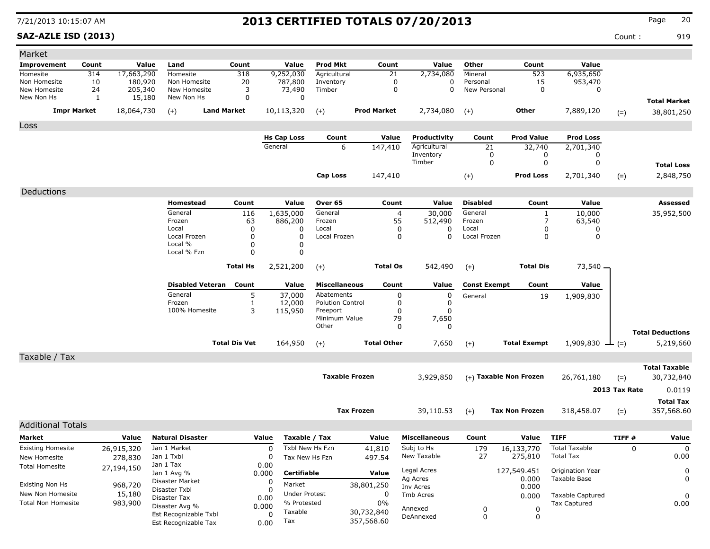## **SAZ-AZLE ISD (2013)** Count : 919

| Market                       |                    |                    |                              |                      |                                 |                           |                          |                         |                          |                          |                     |               |                         |
|------------------------------|--------------------|--------------------|------------------------------|----------------------|---------------------------------|---------------------------|--------------------------|-------------------------|--------------------------|--------------------------|---------------------|---------------|-------------------------|
| Improvement                  | Count              | Value              | Land                         | Count                | Value                           | <b>Prod Mkt</b>           | Count                    | Value                   | Other                    | Count                    | Value               |               |                         |
| Homesite                     | 314                | 17,663,290         | Homesite                     | 318                  | 9,252,030                       | Agricultural              | 21                       | 2,734,080               | Mineral                  | 523                      | 6,935,650           |               |                         |
| Non Homesite<br>New Homesite | 10<br>24           | 180,920<br>205,340 | Non Homesite<br>New Homesite | 20<br>3              | 787,800<br>73,490               | Inventory<br>Timber       | 0<br>0                   | $\Omega$<br>0           | Personal<br>New Personal | 15<br>$\mathbf 0$        | 953,470<br>0        |               |                         |
| New Non Hs                   | 1                  | 15,180             | New Non Hs                   | 0                    | 0                               |                           |                          |                         |                          |                          |                     |               | <b>Total Market</b>     |
|                              | <b>Impr Market</b> | 18,064,730         | $(+)$                        | <b>Land Market</b>   | 10,113,320                      | $(+)$                     | <b>Prod Market</b>       | 2,734,080               | $(+)$                    | Other                    | 7,889,120           | $(=)$         | 38,801,250              |
| Loss                         |                    |                    |                              |                      |                                 |                           |                          |                         |                          |                          |                     |               |                         |
|                              |                    |                    |                              |                      | <b>Hs Cap Loss</b>              | Count                     | Value                    | Productivity            | Count                    | <b>Prod Value</b>        | <b>Prod Loss</b>    |               |                         |
|                              |                    |                    |                              |                      | General                         | 6                         | 147,410                  | Agricultural            | 21                       | 32,740                   | 2,701,340           |               |                         |
|                              |                    |                    |                              |                      |                                 |                           |                          | Inventory               | 0                        | 0                        | 0                   |               |                         |
|                              |                    |                    |                              |                      |                                 |                           |                          | Timber                  | $\mathbf 0$              | 0                        | 0                   |               | <b>Total Loss</b>       |
|                              |                    |                    |                              |                      |                                 | Cap Loss                  | 147,410                  |                         | $(+)$                    | <b>Prod Loss</b>         | 2,701,340           | $(=)$         | 2,848,750               |
| Deductions                   |                    |                    |                              |                      |                                 |                           |                          |                         |                          |                          |                     |               |                         |
|                              |                    |                    | Homestead                    | Count                | Value                           | Over 65                   | Count                    | Value                   | <b>Disabled</b>          | Count                    | Value               |               | <b>Assessed</b>         |
|                              |                    |                    | General                      | 116                  | 1,635,000                       | General                   |                          | 4<br>30,000             | General                  | $\mathbf{1}$             | 10,000              |               | 35,952,500              |
|                              |                    |                    | Frozen                       | 63                   | 886,200                         | Frozen                    | 55                       | 512,490                 | Frozen                   | 7                        | 63,540              |               |                         |
|                              |                    |                    | Local<br>Local Frozen        | 0<br>0               | 0<br>0                          | Local<br>Local Frozen     |                          | 0<br>0<br>0<br>$\Omega$ | Local<br>Local Frozen    | 0<br>0                   | 0<br>0              |               |                         |
|                              |                    |                    | Local %                      | $\Omega$             | 0                               |                           |                          |                         |                          |                          |                     |               |                         |
|                              |                    |                    | Local % Fzn                  | 0                    | 0                               |                           |                          |                         |                          |                          |                     |               |                         |
|                              |                    |                    |                              | <b>Total Hs</b>      | 2,521,200                       | $(+)$                     | <b>Total Os</b>          | 542,490                 | $(+)$                    | <b>Total Dis</b>         | 73,540 -            |               |                         |
|                              |                    |                    | <b>Disabled Veteran</b>      | Count                | Value                           | <b>Miscellaneous</b>      | Count                    | Value                   | <b>Const Exempt</b>      | Count                    | Value               |               |                         |
|                              |                    |                    | General                      | 5                    | 37,000                          | Abatements                |                          | $\pmb{0}$<br>0          | General                  | 19                       | 1,909,830           |               |                         |
|                              |                    |                    | Frozen                       |                      | 12,000                          | <b>Polution Control</b>   |                          | 0<br>0                  |                          |                          |                     |               |                         |
|                              |                    |                    | 100% Homesite                | 3                    | 115,950                         | Freeport<br>Minimum Value |                          | 0<br>0                  |                          |                          |                     |               |                         |
|                              |                    |                    |                              |                      |                                 | Other                     | 79                       | 7,650<br>0<br>0         |                          |                          |                     |               |                         |
|                              |                    |                    |                              |                      |                                 |                           |                          |                         |                          |                          |                     |               | <b>Total Deductions</b> |
|                              |                    |                    |                              | <b>Total Dis Vet</b> | 164,950                         | $(+)$                     | <b>Total Other</b>       | 7,650                   | $(+)$                    | <b>Total Exempt</b>      | 1,909,830           | $-(-)$        | 5,219,660               |
| Taxable / Tax                |                    |                    |                              |                      |                                 |                           |                          |                         |                          |                          |                     |               |                         |
|                              |                    |                    |                              |                      |                                 |                           |                          |                         |                          |                          |                     |               | <b>Total Taxable</b>    |
|                              |                    |                    |                              |                      |                                 | <b>Taxable Frozen</b>     |                          | 3,929,850               |                          | $(+)$ Taxable Non Frozen | 26,761,180          | $(=)$         | 30,732,840              |
|                              |                    |                    |                              |                      |                                 |                           |                          |                         |                          |                          |                     | 2013 Tax Rate | 0.0119                  |
|                              |                    |                    |                              |                      |                                 |                           |                          |                         |                          |                          |                     |               | <b>Total Tax</b>        |
|                              |                    |                    |                              |                      |                                 |                           | <b>Tax Frozen</b>        | 39,110.53               | $(+)$                    | <b>Tax Non Frozen</b>    | 318,458.07          | $(=)$         | 357,568.60              |
| <b>Additional Totals</b>     |                    |                    |                              |                      |                                 |                           |                          |                         |                          |                          |                     |               |                         |
| Market                       |                    | Value              | <b>Natural Disaster</b>      |                      | Value<br>Taxable / Tax          |                           | Value                    | <b>Miscellaneous</b>    | Count                    | Value                    | <b>TIFF</b>         | TIFF#         | Value                   |
| <b>Existing Homesite</b>     |                    | 26,915,320         | Jan 1 Market                 |                      | 0<br>Txbl New Hs Fzn            |                           | 41,810                   | Subj to Hs              | 179                      | 16,133,770               | Total Taxable       | 0             | 0                       |
| New Homesite                 |                    | 278,830            | Jan 1 Txbl                   |                      | 0<br>Tax New Hs Fzn             |                           | 497.54                   | New Taxable             | 27                       | 275,810                  | <b>Total Tax</b>    |               | 0.00                    |
| <b>Total Homesite</b>        |                    | 27,194,150         | Jan 1 Tax<br>Jan 1 Avg %     |                      | 0.00<br>Certifiable<br>0.000    |                           | Value                    | Legal Acres             |                          | 127,549.451              | Origination Year    |               | 0                       |
|                              |                    |                    | Disaster Market              |                      | 0                               |                           |                          | Ag Acres                |                          | 0.000                    | Taxable Base        |               | 0                       |
| Existing Non Hs              |                    | 968,720            | Disaster Txbl                |                      | Market<br>0                     |                           | 38,801,250               | Inv Acres               |                          | 0.000                    |                     |               |                         |
| New Non Homesite             |                    | 15,180             | Disaster Tax                 |                      | <b>Under Protest</b><br>0.00    |                           | 0                        | Tmb Acres               |                          | 0.000                    | Taxable Captured    |               | 0                       |
| Total Non Homesite           |                    | 983,900            | Disaster Avg %               |                      | % Protested<br>0.000<br>Taxable |                           | 0%                       | Annexed                 | 0                        | 0                        | <b>Tax Captured</b> |               | 0.00                    |
|                              |                    |                    | Est Recognizable Txbl        |                      | 0<br>Tax                        |                           | 30,732,840<br>357,568.60 | DeAnnexed               | 0                        | 0                        |                     |               |                         |
|                              |                    |                    | Est Recognizable Tax         |                      | 0.00                            |                           |                          |                         |                          |                          |                     |               |                         |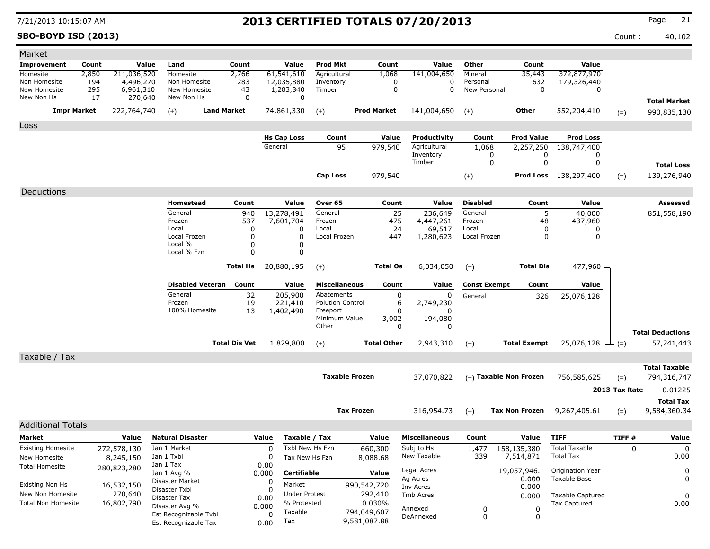### **SBO-BOYD ISD (2013)** Count : 40,102

| Count<br>Value<br>Count<br>Value<br><b>Prod Mkt</b><br>Count<br>Value<br>Other<br>Count<br>Value<br>Land<br>Homesite<br>372,877,970<br>211,036,520<br>61,541,610<br>Agricultural<br>141,004,650<br>Mineral<br>2,850<br>2,766<br>1,068<br>35,443<br>4,496,270<br>632<br>194<br>Non Homesite<br>283<br>12,035,880<br>0<br>Personal<br>179,326,440<br>Inventory<br>0<br>$\mathbf 0$<br>$\mathbf 0$<br>295<br>6,961,310<br>New Homesite<br>43<br>1,283,840<br>0<br>New Personal<br>0<br>Timber<br>0<br>17<br>270,640<br>New Non Hs<br>0<br><b>Total Market</b><br><b>Impr Market</b><br><b>Land Market</b><br><b>Prod Market</b><br>Other<br>222,764,740<br>74,861,330<br>$(+)$<br>141,004,650<br>552,204,410<br>$(+)$<br>$(+)$<br>$(=)$<br>990,835,130<br>Loss<br><b>Hs Cap Loss</b><br>Count<br>Value<br>Productivity<br>Count<br><b>Prod Value</b><br><b>Prod Loss</b><br>95<br>General<br>979,540<br>Agricultural<br>2,257,250<br>138,747,400<br>1,068<br>0<br>0<br>Inventory<br>0<br>$\mathbf 0$<br>0<br>Timber<br>0<br><b>Total Loss</b><br>139,276,940<br>Cap Loss<br>979,540<br>Prod Loss<br>138,297,400<br>$(+)$<br>$(=)$<br>Homestead<br>Count<br>Value<br>Over 65<br>Count<br>Value<br><b>Disabled</b><br>Count<br>Value<br>Assessed<br>5<br>13,278,491<br>25<br>General<br>940<br>General<br>236,649<br>General<br>40,000<br>851,558,190<br>537<br>7,601,704<br>475<br>4,447,261<br>48<br>Frozen<br>Frozen<br>Frozen<br>437,960<br>24<br>Local<br>0<br>Local<br>69,517<br>Local<br>0<br>0<br>0<br>Local Frozen<br>0<br>447<br>Local Frozen<br>0<br>0<br>Local Frozen<br>1,280,623<br>0<br>Local %<br>0<br>0<br>Local % Fzn<br>0<br>0<br>Total Hs<br><b>Total Os</b><br><b>Total Dis</b><br>20,880,195<br>6,034,050<br>477,960 -<br>$(+)$<br>$(+)$<br><b>Disabled Veteran</b><br>Count<br>Value<br><b>Miscellaneous</b><br>Count<br>Value<br>Count<br>Value<br><b>Const Exempt</b><br>32<br>0<br>General<br>205,900<br>Abatements<br>$\mathbf 0$<br>General<br>326<br>25,076,128<br>6<br>Frozen<br>19<br>Polution Control<br>221,410<br>2,749,230<br>13<br>0<br>100% Homesite<br>1,402,490<br>0<br>Freeport<br>Minimum Value<br>3,002<br>194,080<br>Other<br>0<br>0<br><b>Total Deductions</b><br><b>Total Dis Vet</b><br><b>Total Other</b><br>1,829,800<br>$(+)$<br>2,943,310<br><b>Total Exempt</b><br>25,076,128<br>57,241,443<br>$(+)$<br>$ (=)$<br><b>Total Taxable</b><br><b>Taxable Frozen</b><br>37,070,822<br>$(+)$ Taxable Non Frozen<br>756,585,625<br>794,316,747<br>$(=)$<br>0.01225<br>2013 Tax Rate<br><b>Total Tax</b><br><b>Tax Frozen</b><br>316,954.73<br><b>Tax Non Frozen</b><br>9,584,360.34<br>$(+)$<br>9,267,405.61<br>$(=)$<br><b>Additional Totals</b><br>Value<br><b>Natural Disaster</b><br>Value<br>Taxable / Tax<br>Value<br><b>Miscellaneous</b><br>Value<br><b>TIFF</b><br>Value<br>Count<br>TIFF#<br>272,578,130<br>Txbl New Hs Fzn<br>660,300<br>Subj to Hs<br>158,135,380<br><b>Total Taxable</b><br>0<br>Jan 1 Market<br>0<br>1,477<br>0<br>0.00<br>New Taxable<br>339<br>7,514,871<br><b>Total Tax</b><br>Jan 1 Txbl<br>0<br>Tax New Hs Fzn<br>8,088.68<br>8,245,150<br>0.00<br>Jan 1 Tax<br>280,823,280<br>Legal Acres<br>19,057,946.<br>Origination Year<br>0<br>Certifiable<br>Value<br>Jan 1 Avg %<br>0.000<br>0<br>Ag Acres<br>Taxable Base<br>0.000<br>Disaster Market<br>0<br>16,532,150<br>Market<br>990,542,720<br>0.000<br>Inv Acres<br>Disaster Txbl<br>0<br>270,640<br>New Non Homesite<br><b>Under Protest</b><br>292,410<br>Tmb Acres<br>0.000<br><b>Taxable Captured</b><br>0 | Market                                                 |  |              |      |  |  |  |  |
|-------------------------------------------------------------------------------------------------------------------------------------------------------------------------------------------------------------------------------------------------------------------------------------------------------------------------------------------------------------------------------------------------------------------------------------------------------------------------------------------------------------------------------------------------------------------------------------------------------------------------------------------------------------------------------------------------------------------------------------------------------------------------------------------------------------------------------------------------------------------------------------------------------------------------------------------------------------------------------------------------------------------------------------------------------------------------------------------------------------------------------------------------------------------------------------------------------------------------------------------------------------------------------------------------------------------------------------------------------------------------------------------------------------------------------------------------------------------------------------------------------------------------------------------------------------------------------------------------------------------------------------------------------------------------------------------------------------------------------------------------------------------------------------------------------------------------------------------------------------------------------------------------------------------------------------------------------------------------------------------------------------------------------------------------------------------------------------------------------------------------------------------------------------------------------------------------------------------------------------------------------------------------------------------------------------------------------------------------------------------------------------------------------------------------------------------------------------------------------------------------------------------------------------------------------------------------------------------------------------------------------------------------------------------------------------------------------------------------------------------------------------------------------------------------------------------------------------------------------------------------------------------------------------------------------------------------------------------------------------------------------------------------------------------------------------------------------------------------------------------------------------------------------------------------------------------------------------------------------------------------------------------------------------------------------------------------------------------------------------------------------------------------------------------------------------------------------------------------------------------------------------------------------------------|--------------------------------------------------------|--|--------------|------|--|--|--|--|
|                                                                                                                                                                                                                                                                                                                                                                                                                                                                                                                                                                                                                                                                                                                                                                                                                                                                                                                                                                                                                                                                                                                                                                                                                                                                                                                                                                                                                                                                                                                                                                                                                                                                                                                                                                                                                                                                                                                                                                                                                                                                                                                                                                                                                                                                                                                                                                                                                                                                                                                                                                                                                                                                                                                                                                                                                                                                                                                                                                                                                                                                                                                                                                                                                                                                                                                                                                                                                                                                                                                                           | Improvement                                            |  |              |      |  |  |  |  |
|                                                                                                                                                                                                                                                                                                                                                                                                                                                                                                                                                                                                                                                                                                                                                                                                                                                                                                                                                                                                                                                                                                                                                                                                                                                                                                                                                                                                                                                                                                                                                                                                                                                                                                                                                                                                                                                                                                                                                                                                                                                                                                                                                                                                                                                                                                                                                                                                                                                                                                                                                                                                                                                                                                                                                                                                                                                                                                                                                                                                                                                                                                                                                                                                                                                                                                                                                                                                                                                                                                                                           | Homesite<br>Non Homesite<br>New Homesite<br>New Non Hs |  |              |      |  |  |  |  |
|                                                                                                                                                                                                                                                                                                                                                                                                                                                                                                                                                                                                                                                                                                                                                                                                                                                                                                                                                                                                                                                                                                                                                                                                                                                                                                                                                                                                                                                                                                                                                                                                                                                                                                                                                                                                                                                                                                                                                                                                                                                                                                                                                                                                                                                                                                                                                                                                                                                                                                                                                                                                                                                                                                                                                                                                                                                                                                                                                                                                                                                                                                                                                                                                                                                                                                                                                                                                                                                                                                                                           |                                                        |  |              |      |  |  |  |  |
|                                                                                                                                                                                                                                                                                                                                                                                                                                                                                                                                                                                                                                                                                                                                                                                                                                                                                                                                                                                                                                                                                                                                                                                                                                                                                                                                                                                                                                                                                                                                                                                                                                                                                                                                                                                                                                                                                                                                                                                                                                                                                                                                                                                                                                                                                                                                                                                                                                                                                                                                                                                                                                                                                                                                                                                                                                                                                                                                                                                                                                                                                                                                                                                                                                                                                                                                                                                                                                                                                                                                           |                                                        |  |              |      |  |  |  |  |
|                                                                                                                                                                                                                                                                                                                                                                                                                                                                                                                                                                                                                                                                                                                                                                                                                                                                                                                                                                                                                                                                                                                                                                                                                                                                                                                                                                                                                                                                                                                                                                                                                                                                                                                                                                                                                                                                                                                                                                                                                                                                                                                                                                                                                                                                                                                                                                                                                                                                                                                                                                                                                                                                                                                                                                                                                                                                                                                                                                                                                                                                                                                                                                                                                                                                                                                                                                                                                                                                                                                                           |                                                        |  |              |      |  |  |  |  |
|                                                                                                                                                                                                                                                                                                                                                                                                                                                                                                                                                                                                                                                                                                                                                                                                                                                                                                                                                                                                                                                                                                                                                                                                                                                                                                                                                                                                                                                                                                                                                                                                                                                                                                                                                                                                                                                                                                                                                                                                                                                                                                                                                                                                                                                                                                                                                                                                                                                                                                                                                                                                                                                                                                                                                                                                                                                                                                                                                                                                                                                                                                                                                                                                                                                                                                                                                                                                                                                                                                                                           |                                                        |  |              |      |  |  |  |  |
|                                                                                                                                                                                                                                                                                                                                                                                                                                                                                                                                                                                                                                                                                                                                                                                                                                                                                                                                                                                                                                                                                                                                                                                                                                                                                                                                                                                                                                                                                                                                                                                                                                                                                                                                                                                                                                                                                                                                                                                                                                                                                                                                                                                                                                                                                                                                                                                                                                                                                                                                                                                                                                                                                                                                                                                                                                                                                                                                                                                                                                                                                                                                                                                                                                                                                                                                                                                                                                                                                                                                           |                                                        |  |              |      |  |  |  |  |
|                                                                                                                                                                                                                                                                                                                                                                                                                                                                                                                                                                                                                                                                                                                                                                                                                                                                                                                                                                                                                                                                                                                                                                                                                                                                                                                                                                                                                                                                                                                                                                                                                                                                                                                                                                                                                                                                                                                                                                                                                                                                                                                                                                                                                                                                                                                                                                                                                                                                                                                                                                                                                                                                                                                                                                                                                                                                                                                                                                                                                                                                                                                                                                                                                                                                                                                                                                                                                                                                                                                                           |                                                        |  |              |      |  |  |  |  |
|                                                                                                                                                                                                                                                                                                                                                                                                                                                                                                                                                                                                                                                                                                                                                                                                                                                                                                                                                                                                                                                                                                                                                                                                                                                                                                                                                                                                                                                                                                                                                                                                                                                                                                                                                                                                                                                                                                                                                                                                                                                                                                                                                                                                                                                                                                                                                                                                                                                                                                                                                                                                                                                                                                                                                                                                                                                                                                                                                                                                                                                                                                                                                                                                                                                                                                                                                                                                                                                                                                                                           |                                                        |  |              |      |  |  |  |  |
|                                                                                                                                                                                                                                                                                                                                                                                                                                                                                                                                                                                                                                                                                                                                                                                                                                                                                                                                                                                                                                                                                                                                                                                                                                                                                                                                                                                                                                                                                                                                                                                                                                                                                                                                                                                                                                                                                                                                                                                                                                                                                                                                                                                                                                                                                                                                                                                                                                                                                                                                                                                                                                                                                                                                                                                                                                                                                                                                                                                                                                                                                                                                                                                                                                                                                                                                                                                                                                                                                                                                           | Deductions                                             |  |              |      |  |  |  |  |
|                                                                                                                                                                                                                                                                                                                                                                                                                                                                                                                                                                                                                                                                                                                                                                                                                                                                                                                                                                                                                                                                                                                                                                                                                                                                                                                                                                                                                                                                                                                                                                                                                                                                                                                                                                                                                                                                                                                                                                                                                                                                                                                                                                                                                                                                                                                                                                                                                                                                                                                                                                                                                                                                                                                                                                                                                                                                                                                                                                                                                                                                                                                                                                                                                                                                                                                                                                                                                                                                                                                                           |                                                        |  |              |      |  |  |  |  |
|                                                                                                                                                                                                                                                                                                                                                                                                                                                                                                                                                                                                                                                                                                                                                                                                                                                                                                                                                                                                                                                                                                                                                                                                                                                                                                                                                                                                                                                                                                                                                                                                                                                                                                                                                                                                                                                                                                                                                                                                                                                                                                                                                                                                                                                                                                                                                                                                                                                                                                                                                                                                                                                                                                                                                                                                                                                                                                                                                                                                                                                                                                                                                                                                                                                                                                                                                                                                                                                                                                                                           |                                                        |  |              |      |  |  |  |  |
|                                                                                                                                                                                                                                                                                                                                                                                                                                                                                                                                                                                                                                                                                                                                                                                                                                                                                                                                                                                                                                                                                                                                                                                                                                                                                                                                                                                                                                                                                                                                                                                                                                                                                                                                                                                                                                                                                                                                                                                                                                                                                                                                                                                                                                                                                                                                                                                                                                                                                                                                                                                                                                                                                                                                                                                                                                                                                                                                                                                                                                                                                                                                                                                                                                                                                                                                                                                                                                                                                                                                           |                                                        |  |              |      |  |  |  |  |
|                                                                                                                                                                                                                                                                                                                                                                                                                                                                                                                                                                                                                                                                                                                                                                                                                                                                                                                                                                                                                                                                                                                                                                                                                                                                                                                                                                                                                                                                                                                                                                                                                                                                                                                                                                                                                                                                                                                                                                                                                                                                                                                                                                                                                                                                                                                                                                                                                                                                                                                                                                                                                                                                                                                                                                                                                                                                                                                                                                                                                                                                                                                                                                                                                                                                                                                                                                                                                                                                                                                                           |                                                        |  |              |      |  |  |  |  |
|                                                                                                                                                                                                                                                                                                                                                                                                                                                                                                                                                                                                                                                                                                                                                                                                                                                                                                                                                                                                                                                                                                                                                                                                                                                                                                                                                                                                                                                                                                                                                                                                                                                                                                                                                                                                                                                                                                                                                                                                                                                                                                                                                                                                                                                                                                                                                                                                                                                                                                                                                                                                                                                                                                                                                                                                                                                                                                                                                                                                                                                                                                                                                                                                                                                                                                                                                                                                                                                                                                                                           |                                                        |  |              |      |  |  |  |  |
|                                                                                                                                                                                                                                                                                                                                                                                                                                                                                                                                                                                                                                                                                                                                                                                                                                                                                                                                                                                                                                                                                                                                                                                                                                                                                                                                                                                                                                                                                                                                                                                                                                                                                                                                                                                                                                                                                                                                                                                                                                                                                                                                                                                                                                                                                                                                                                                                                                                                                                                                                                                                                                                                                                                                                                                                                                                                                                                                                                                                                                                                                                                                                                                                                                                                                                                                                                                                                                                                                                                                           |                                                        |  |              |      |  |  |  |  |
|                                                                                                                                                                                                                                                                                                                                                                                                                                                                                                                                                                                                                                                                                                                                                                                                                                                                                                                                                                                                                                                                                                                                                                                                                                                                                                                                                                                                                                                                                                                                                                                                                                                                                                                                                                                                                                                                                                                                                                                                                                                                                                                                                                                                                                                                                                                                                                                                                                                                                                                                                                                                                                                                                                                                                                                                                                                                                                                                                                                                                                                                                                                                                                                                                                                                                                                                                                                                                                                                                                                                           |                                                        |  |              |      |  |  |  |  |
|                                                                                                                                                                                                                                                                                                                                                                                                                                                                                                                                                                                                                                                                                                                                                                                                                                                                                                                                                                                                                                                                                                                                                                                                                                                                                                                                                                                                                                                                                                                                                                                                                                                                                                                                                                                                                                                                                                                                                                                                                                                                                                                                                                                                                                                                                                                                                                                                                                                                                                                                                                                                                                                                                                                                                                                                                                                                                                                                                                                                                                                                                                                                                                                                                                                                                                                                                                                                                                                                                                                                           |                                                        |  |              |      |  |  |  |  |
|                                                                                                                                                                                                                                                                                                                                                                                                                                                                                                                                                                                                                                                                                                                                                                                                                                                                                                                                                                                                                                                                                                                                                                                                                                                                                                                                                                                                                                                                                                                                                                                                                                                                                                                                                                                                                                                                                                                                                                                                                                                                                                                                                                                                                                                                                                                                                                                                                                                                                                                                                                                                                                                                                                                                                                                                                                                                                                                                                                                                                                                                                                                                                                                                                                                                                                                                                                                                                                                                                                                                           |                                                        |  |              |      |  |  |  |  |
|                                                                                                                                                                                                                                                                                                                                                                                                                                                                                                                                                                                                                                                                                                                                                                                                                                                                                                                                                                                                                                                                                                                                                                                                                                                                                                                                                                                                                                                                                                                                                                                                                                                                                                                                                                                                                                                                                                                                                                                                                                                                                                                                                                                                                                                                                                                                                                                                                                                                                                                                                                                                                                                                                                                                                                                                                                                                                                                                                                                                                                                                                                                                                                                                                                                                                                                                                                                                                                                                                                                                           |                                                        |  |              |      |  |  |  |  |
|                                                                                                                                                                                                                                                                                                                                                                                                                                                                                                                                                                                                                                                                                                                                                                                                                                                                                                                                                                                                                                                                                                                                                                                                                                                                                                                                                                                                                                                                                                                                                                                                                                                                                                                                                                                                                                                                                                                                                                                                                                                                                                                                                                                                                                                                                                                                                                                                                                                                                                                                                                                                                                                                                                                                                                                                                                                                                                                                                                                                                                                                                                                                                                                                                                                                                                                                                                                                                                                                                                                                           |                                                        |  |              |      |  |  |  |  |
|                                                                                                                                                                                                                                                                                                                                                                                                                                                                                                                                                                                                                                                                                                                                                                                                                                                                                                                                                                                                                                                                                                                                                                                                                                                                                                                                                                                                                                                                                                                                                                                                                                                                                                                                                                                                                                                                                                                                                                                                                                                                                                                                                                                                                                                                                                                                                                                                                                                                                                                                                                                                                                                                                                                                                                                                                                                                                                                                                                                                                                                                                                                                                                                                                                                                                                                                                                                                                                                                                                                                           |                                                        |  |              |      |  |  |  |  |
|                                                                                                                                                                                                                                                                                                                                                                                                                                                                                                                                                                                                                                                                                                                                                                                                                                                                                                                                                                                                                                                                                                                                                                                                                                                                                                                                                                                                                                                                                                                                                                                                                                                                                                                                                                                                                                                                                                                                                                                                                                                                                                                                                                                                                                                                                                                                                                                                                                                                                                                                                                                                                                                                                                                                                                                                                                                                                                                                                                                                                                                                                                                                                                                                                                                                                                                                                                                                                                                                                                                                           |                                                        |  |              |      |  |  |  |  |
|                                                                                                                                                                                                                                                                                                                                                                                                                                                                                                                                                                                                                                                                                                                                                                                                                                                                                                                                                                                                                                                                                                                                                                                                                                                                                                                                                                                                                                                                                                                                                                                                                                                                                                                                                                                                                                                                                                                                                                                                                                                                                                                                                                                                                                                                                                                                                                                                                                                                                                                                                                                                                                                                                                                                                                                                                                                                                                                                                                                                                                                                                                                                                                                                                                                                                                                                                                                                                                                                                                                                           |                                                        |  |              |      |  |  |  |  |
|                                                                                                                                                                                                                                                                                                                                                                                                                                                                                                                                                                                                                                                                                                                                                                                                                                                                                                                                                                                                                                                                                                                                                                                                                                                                                                                                                                                                                                                                                                                                                                                                                                                                                                                                                                                                                                                                                                                                                                                                                                                                                                                                                                                                                                                                                                                                                                                                                                                                                                                                                                                                                                                                                                                                                                                                                                                                                                                                                                                                                                                                                                                                                                                                                                                                                                                                                                                                                                                                                                                                           | Taxable / Tax                                          |  |              |      |  |  |  |  |
|                                                                                                                                                                                                                                                                                                                                                                                                                                                                                                                                                                                                                                                                                                                                                                                                                                                                                                                                                                                                                                                                                                                                                                                                                                                                                                                                                                                                                                                                                                                                                                                                                                                                                                                                                                                                                                                                                                                                                                                                                                                                                                                                                                                                                                                                                                                                                                                                                                                                                                                                                                                                                                                                                                                                                                                                                                                                                                                                                                                                                                                                                                                                                                                                                                                                                                                                                                                                                                                                                                                                           |                                                        |  |              |      |  |  |  |  |
|                                                                                                                                                                                                                                                                                                                                                                                                                                                                                                                                                                                                                                                                                                                                                                                                                                                                                                                                                                                                                                                                                                                                                                                                                                                                                                                                                                                                                                                                                                                                                                                                                                                                                                                                                                                                                                                                                                                                                                                                                                                                                                                                                                                                                                                                                                                                                                                                                                                                                                                                                                                                                                                                                                                                                                                                                                                                                                                                                                                                                                                                                                                                                                                                                                                                                                                                                                                                                                                                                                                                           |                                                        |  |              |      |  |  |  |  |
|                                                                                                                                                                                                                                                                                                                                                                                                                                                                                                                                                                                                                                                                                                                                                                                                                                                                                                                                                                                                                                                                                                                                                                                                                                                                                                                                                                                                                                                                                                                                                                                                                                                                                                                                                                                                                                                                                                                                                                                                                                                                                                                                                                                                                                                                                                                                                                                                                                                                                                                                                                                                                                                                                                                                                                                                                                                                                                                                                                                                                                                                                                                                                                                                                                                                                                                                                                                                                                                                                                                                           |                                                        |  |              |      |  |  |  |  |
|                                                                                                                                                                                                                                                                                                                                                                                                                                                                                                                                                                                                                                                                                                                                                                                                                                                                                                                                                                                                                                                                                                                                                                                                                                                                                                                                                                                                                                                                                                                                                                                                                                                                                                                                                                                                                                                                                                                                                                                                                                                                                                                                                                                                                                                                                                                                                                                                                                                                                                                                                                                                                                                                                                                                                                                                                                                                                                                                                                                                                                                                                                                                                                                                                                                                                                                                                                                                                                                                                                                                           |                                                        |  |              |      |  |  |  |  |
|                                                                                                                                                                                                                                                                                                                                                                                                                                                                                                                                                                                                                                                                                                                                                                                                                                                                                                                                                                                                                                                                                                                                                                                                                                                                                                                                                                                                                                                                                                                                                                                                                                                                                                                                                                                                                                                                                                                                                                                                                                                                                                                                                                                                                                                                                                                                                                                                                                                                                                                                                                                                                                                                                                                                                                                                                                                                                                                                                                                                                                                                                                                                                                                                                                                                                                                                                                                                                                                                                                                                           |                                                        |  |              |      |  |  |  |  |
|                                                                                                                                                                                                                                                                                                                                                                                                                                                                                                                                                                                                                                                                                                                                                                                                                                                                                                                                                                                                                                                                                                                                                                                                                                                                                                                                                                                                                                                                                                                                                                                                                                                                                                                                                                                                                                                                                                                                                                                                                                                                                                                                                                                                                                                                                                                                                                                                                                                                                                                                                                                                                                                                                                                                                                                                                                                                                                                                                                                                                                                                                                                                                                                                                                                                                                                                                                                                                                                                                                                                           |                                                        |  |              |      |  |  |  |  |
|                                                                                                                                                                                                                                                                                                                                                                                                                                                                                                                                                                                                                                                                                                                                                                                                                                                                                                                                                                                                                                                                                                                                                                                                                                                                                                                                                                                                                                                                                                                                                                                                                                                                                                                                                                                                                                                                                                                                                                                                                                                                                                                                                                                                                                                                                                                                                                                                                                                                                                                                                                                                                                                                                                                                                                                                                                                                                                                                                                                                                                                                                                                                                                                                                                                                                                                                                                                                                                                                                                                                           | Market                                                 |  |              |      |  |  |  |  |
|                                                                                                                                                                                                                                                                                                                                                                                                                                                                                                                                                                                                                                                                                                                                                                                                                                                                                                                                                                                                                                                                                                                                                                                                                                                                                                                                                                                                                                                                                                                                                                                                                                                                                                                                                                                                                                                                                                                                                                                                                                                                                                                                                                                                                                                                                                                                                                                                                                                                                                                                                                                                                                                                                                                                                                                                                                                                                                                                                                                                                                                                                                                                                                                                                                                                                                                                                                                                                                                                                                                                           | <b>Existing Homesite</b>                               |  |              |      |  |  |  |  |
|                                                                                                                                                                                                                                                                                                                                                                                                                                                                                                                                                                                                                                                                                                                                                                                                                                                                                                                                                                                                                                                                                                                                                                                                                                                                                                                                                                                                                                                                                                                                                                                                                                                                                                                                                                                                                                                                                                                                                                                                                                                                                                                                                                                                                                                                                                                                                                                                                                                                                                                                                                                                                                                                                                                                                                                                                                                                                                                                                                                                                                                                                                                                                                                                                                                                                                                                                                                                                                                                                                                                           | New Homesite                                           |  |              |      |  |  |  |  |
|                                                                                                                                                                                                                                                                                                                                                                                                                                                                                                                                                                                                                                                                                                                                                                                                                                                                                                                                                                                                                                                                                                                                                                                                                                                                                                                                                                                                                                                                                                                                                                                                                                                                                                                                                                                                                                                                                                                                                                                                                                                                                                                                                                                                                                                                                                                                                                                                                                                                                                                                                                                                                                                                                                                                                                                                                                                                                                                                                                                                                                                                                                                                                                                                                                                                                                                                                                                                                                                                                                                                           | <b>Total Homesite</b>                                  |  |              |      |  |  |  |  |
|                                                                                                                                                                                                                                                                                                                                                                                                                                                                                                                                                                                                                                                                                                                                                                                                                                                                                                                                                                                                                                                                                                                                                                                                                                                                                                                                                                                                                                                                                                                                                                                                                                                                                                                                                                                                                                                                                                                                                                                                                                                                                                                                                                                                                                                                                                                                                                                                                                                                                                                                                                                                                                                                                                                                                                                                                                                                                                                                                                                                                                                                                                                                                                                                                                                                                                                                                                                                                                                                                                                                           |                                                        |  |              |      |  |  |  |  |
|                                                                                                                                                                                                                                                                                                                                                                                                                                                                                                                                                                                                                                                                                                                                                                                                                                                                                                                                                                                                                                                                                                                                                                                                                                                                                                                                                                                                                                                                                                                                                                                                                                                                                                                                                                                                                                                                                                                                                                                                                                                                                                                                                                                                                                                                                                                                                                                                                                                                                                                                                                                                                                                                                                                                                                                                                                                                                                                                                                                                                                                                                                                                                                                                                                                                                                                                                                                                                                                                                                                                           | Existing Non Hs                                        |  |              |      |  |  |  |  |
|                                                                                                                                                                                                                                                                                                                                                                                                                                                                                                                                                                                                                                                                                                                                                                                                                                                                                                                                                                                                                                                                                                                                                                                                                                                                                                                                                                                                                                                                                                                                                                                                                                                                                                                                                                                                                                                                                                                                                                                                                                                                                                                                                                                                                                                                                                                                                                                                                                                                                                                                                                                                                                                                                                                                                                                                                                                                                                                                                                                                                                                                                                                                                                                                                                                                                                                                                                                                                                                                                                                                           |                                                        |  | Disaster Tax | 0.00 |  |  |  |  |
| 16,802,790<br>% Protested<br>0.030%<br><b>Total Non Homesite</b><br>0.00<br><b>Tax Captured</b><br>Disaster Avg %<br>0.000<br>Annexed<br>0<br>0                                                                                                                                                                                                                                                                                                                                                                                                                                                                                                                                                                                                                                                                                                                                                                                                                                                                                                                                                                                                                                                                                                                                                                                                                                                                                                                                                                                                                                                                                                                                                                                                                                                                                                                                                                                                                                                                                                                                                                                                                                                                                                                                                                                                                                                                                                                                                                                                                                                                                                                                                                                                                                                                                                                                                                                                                                                                                                                                                                                                                                                                                                                                                                                                                                                                                                                                                                                           |                                                        |  |              |      |  |  |  |  |
| Taxable<br>794,049,607<br>Est Recognizable Txbl<br>$\Omega$<br>0<br>DeAnnexed<br>0<br>Tax<br>9,581,087.88<br>Est Recognizable Tax<br>0.00                                                                                                                                                                                                                                                                                                                                                                                                                                                                                                                                                                                                                                                                                                                                                                                                                                                                                                                                                                                                                                                                                                                                                                                                                                                                                                                                                                                                                                                                                                                                                                                                                                                                                                                                                                                                                                                                                                                                                                                                                                                                                                                                                                                                                                                                                                                                                                                                                                                                                                                                                                                                                                                                                                                                                                                                                                                                                                                                                                                                                                                                                                                                                                                                                                                                                                                                                                                                 |                                                        |  |              |      |  |  |  |  |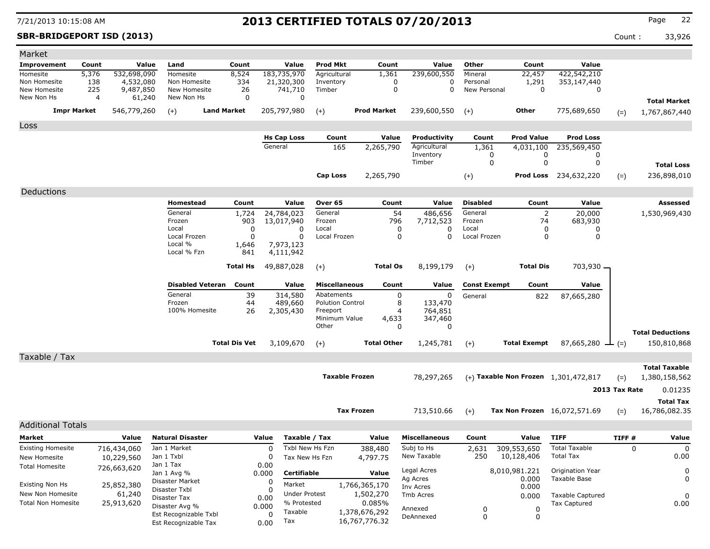### **SBR-BRIDGEPORT ISD (2013)** Count : 33,926

| Market                                                 |                                       |                                                 |                                                        |                         |                                        |                                             |                                                                             |                                |                           |                                                      |                                     |                                        |                                 |               |                         |
|--------------------------------------------------------|---------------------------------------|-------------------------------------------------|--------------------------------------------------------|-------------------------|----------------------------------------|---------------------------------------------|-----------------------------------------------------------------------------|--------------------------------|---------------------------|------------------------------------------------------|-------------------------------------|----------------------------------------|---------------------------------|---------------|-------------------------|
| Improvement                                            | Count                                 | Value                                           | Land                                                   |                         | Count                                  | Value                                       | <b>Prod Mkt</b>                                                             | Count                          |                           | Value                                                | Other                               | Count                                  | Value                           |               |                         |
| Homesite<br>Non Homesite<br>New Homesite<br>New Non Hs | 5,376<br>138<br>225<br>$\overline{4}$ | 532,698,090<br>4,532,080<br>9,487,850<br>61,240 | Homesite<br>Non Homesite<br>New Homesite<br>New Non Hs |                         | 8,524<br>334<br>26<br>0                | 183,735,970<br>21,320,300<br>741,710<br>0   | Agricultural<br>Inventory<br>Timber                                         | 1,361                          | 0<br>0                    | 239,600,550<br>0<br>$\mathbf 0$                      | Mineral<br>Personal<br>New Personal | 22,457<br>1,291<br>0                   | 422,542,210<br>353,147,440<br>0 |               | <b>Total Market</b>     |
|                                                        | <b>Impr Market</b>                    | 546,779,260                                     | $(+)$                                                  | <b>Land Market</b>      |                                        | 205,797,980                                 | $(+)$                                                                       | <b>Prod Market</b>             |                           | 239,600,550                                          | $(+)$                               | Other                                  | 775,689,650                     | $(=)$         | 1,767,867,440           |
| Loss                                                   |                                       |                                                 |                                                        |                         |                                        |                                             |                                                                             |                                |                           |                                                      |                                     |                                        |                                 |               |                         |
|                                                        |                                       |                                                 |                                                        |                         |                                        | <b>Hs Cap Loss</b>                          | Count                                                                       |                                | Value                     | Productivity                                         | Count                               | <b>Prod Value</b>                      | <b>Prod Loss</b>                |               |                         |
|                                                        |                                       |                                                 |                                                        |                         |                                        | General                                     | 165                                                                         | 2,265,790                      |                           | Agricultural<br>Inventory<br>Timber                  | 1,361                               | 4,031,100<br>0<br>0<br>0<br>0          | 235,569,450<br>0<br>0           |               | <b>Total Loss</b>       |
|                                                        |                                       |                                                 |                                                        |                         |                                        |                                             | Cap Loss                                                                    | 2,265,790                      |                           |                                                      | $(+)$                               | Prod Loss                              | 234,632,220                     | $(=)$         | 236,898,010             |
| Deductions                                             |                                       |                                                 |                                                        |                         |                                        |                                             |                                                                             |                                |                           |                                                      |                                     |                                        |                                 |               |                         |
|                                                        |                                       |                                                 | Homestead                                              |                         | Count                                  | Value                                       | Over 65                                                                     |                                | Count                     | Value                                                | <b>Disabled</b>                     | Count                                  | Value                           |               | Assessed                |
|                                                        |                                       |                                                 | General                                                |                         | 1,724                                  | 24,784,023                                  | General                                                                     |                                | 54                        | 486,656                                              | General                             | $\overline{2}$                         | 20,000                          |               | 1,530,969,430           |
|                                                        |                                       |                                                 | Frozen<br>Local                                        |                         | 903<br>0                               | 13,017,940<br>0                             | Frozen<br>Local                                                             |                                | 796<br>0                  | 7,712,523<br>0                                       | Frozen<br>Local                     | 74<br>0                                | 683,930<br>0                    |               |                         |
|                                                        |                                       |                                                 | Local Frozen                                           |                         | n                                      | 0                                           | Local Frozen                                                                |                                | 0                         | $\mathbf 0$                                          | Local Frozen                        | 0                                      | 0                               |               |                         |
|                                                        |                                       |                                                 | Local %<br>Local % Fzn                                 |                         | 1,646<br>841                           | 7,973,123<br>4,111,942                      |                                                                             |                                |                           |                                                      |                                     |                                        |                                 |               |                         |
|                                                        |                                       |                                                 |                                                        |                         | <b>Total Hs</b>                        | 49,887,028                                  | $(+)$                                                                       | <b>Total Os</b>                |                           | 8,199,179                                            | $(+)$                               | <b>Total Dis</b>                       | 703,930 -                       |               |                         |
|                                                        |                                       |                                                 |                                                        | <b>Disabled Veteran</b> | Count                                  | Value                                       | <b>Miscellaneous</b>                                                        |                                | Count                     | Value                                                | <b>Const Exempt</b>                 | Count                                  | Value                           |               |                         |
|                                                        |                                       |                                                 | General<br>Frozen<br>100% Homesite                     |                         | 39<br>44<br>26<br><b>Total Dis Vet</b> | 314,580<br>489,660<br>2,305,430             | Abatements<br><b>Polution Control</b><br>Freeport<br>Minimum Value<br>Other | <b>Total Other</b>             | 0<br>8<br>4<br>4,633<br>0 | 0<br>133,470<br>764,851<br>347,460<br>0<br>1,245,781 | General                             | 822<br><b>Total Exempt</b>             | 87,665,280                      |               | <b>Total Deductions</b> |
| Taxable / Tax                                          |                                       |                                                 |                                                        |                         |                                        | 3,109,670                                   | $(+)$                                                                       |                                |                           |                                                      | $(+)$                               |                                        | 87,665,280 $\rightarrow$ (=)    |               | 150,810,868             |
|                                                        |                                       |                                                 |                                                        |                         |                                        |                                             |                                                                             |                                |                           |                                                      |                                     |                                        |                                 |               | <b>Total Taxable</b>    |
|                                                        |                                       |                                                 |                                                        |                         |                                        |                                             |                                                                             | <b>Taxable Frozen</b>          |                           | 78,297,265                                           |                                     | $(+)$ Taxable Non Frozen 1,301,472,817 |                                 | $(=)$         | 1,380,158,562           |
|                                                        |                                       |                                                 |                                                        |                         |                                        |                                             |                                                                             |                                |                           |                                                      |                                     |                                        |                                 | 2013 Tax Rate | 0.01235                 |
|                                                        |                                       |                                                 |                                                        |                         |                                        |                                             |                                                                             |                                |                           |                                                      |                                     |                                        |                                 |               | <b>Total Tax</b>        |
|                                                        |                                       |                                                 |                                                        |                         |                                        |                                             |                                                                             | <b>Tax Frozen</b>              |                           | 713,510.66                                           | $(+)$                               | <b>Tax Non Frozen</b> 16,072,571.69    |                                 | $(=)$         | 16,786,082.35           |
| <b>Additional Totals</b>                               |                                       |                                                 |                                                        |                         |                                        |                                             |                                                                             |                                |                           |                                                      |                                     |                                        |                                 |               |                         |
| Market                                                 |                                       | Value                                           | <b>Natural Disaster</b>                                |                         |                                        | Value                                       | Taxable / Tax                                                               | Value                          |                           | <b>Miscellaneous</b>                                 | Count                               | Value                                  | <b>TIFF</b>                     | TIFF#         | Value                   |
| <b>Existing Homesite</b>                               |                                       | 716,434,060                                     | Jan 1 Market                                           |                         |                                        | 0                                           | Txbl New Hs Fzn                                                             | 388,480                        |                           | Subj to Hs                                           | 2,631                               | 309,553,650                            | <b>Total Taxable</b>            |               | 0<br>0                  |
| New Homesite                                           |                                       | 10,229,560                                      | Jan 1 Txbl                                             |                         |                                        | 0                                           | Tax New Hs Fzn                                                              | 4,797.75                       |                           | New Taxable                                          | 250                                 | 10,128,406                             | <b>Total Tax</b>                |               | 0.00                    |
| <b>Total Homesite</b>                                  |                                       | 726,663,620                                     | Jan 1 Tax<br>Jan 1 Avg %                               |                         |                                        | 0.00<br>Certifiable<br>0.000                |                                                                             | Value                          |                           | Legal Acres                                          |                                     | 8,010,981.221                          | Origination Year                |               | 0                       |
|                                                        |                                       |                                                 | Disaster Market                                        |                         |                                        | 0                                           |                                                                             |                                |                           | Ag Acres                                             |                                     | 0.000                                  | Taxable Base                    |               | 0                       |
| Existing Non Hs                                        |                                       | 25,852,380                                      | Disaster Txbl                                          |                         |                                        | Market<br>0                                 |                                                                             | 1,766,365,170                  |                           | Inv Acres                                            |                                     | 0.000                                  |                                 |               |                         |
| New Non Homesite                                       |                                       | 61,240                                          | Disaster Tax                                           |                         |                                        | <b>Under Protest</b><br>0.00<br>% Protested |                                                                             | 1,502,270                      |                           | Tmb Acres                                            |                                     | 0.000                                  | <b>Taxable Captured</b>         |               | 0                       |
| <b>Total Non Homesite</b>                              |                                       | 25,913,620                                      | Disaster Avg %                                         |                         |                                        | 0.000<br>Taxable                            |                                                                             | 0.085%                         |                           | Annexed                                              | 0                                   | 0                                      | <b>Tax Captured</b>             |               | 0.00                    |
|                                                        |                                       |                                                 | Est Recognizable Txbl<br>Est Recognizable Tax          |                         |                                        | 0<br>Tax<br>0.00                            |                                                                             | 1,378,676,292<br>16,767,776.32 |                           | DeAnnexed                                            | 0                                   | 0                                      |                                 |               |                         |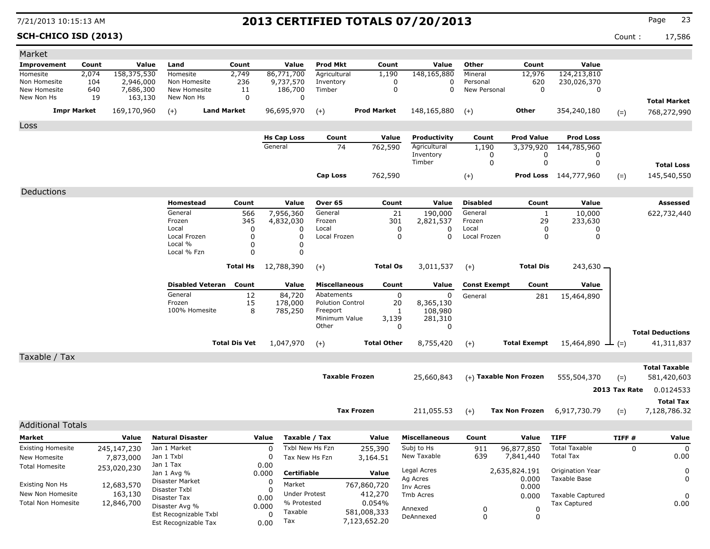### **SCH-CHICO ISD (2013)** Count : 17,586

| Market                                                           |                           |                                                  |                                                                      |                                          |                                                                                     |                                                                             |                                                 |                                    |                                                     |                                            |                               |                                          |               |                                     |
|------------------------------------------------------------------|---------------------------|--------------------------------------------------|----------------------------------------------------------------------|------------------------------------------|-------------------------------------------------------------------------------------|-----------------------------------------------------------------------------|-------------------------------------------------|------------------------------------|-----------------------------------------------------|--------------------------------------------|-------------------------------|------------------------------------------|---------------|-------------------------------------|
| Improvement                                                      | Count                     | Value                                            | Land                                                                 | Count                                    | Value                                                                               | <b>Prod Mkt</b>                                                             | Count                                           |                                    | Value                                               | Other                                      | Count                         | Value                                    |               |                                     |
| Homesite<br>Non Homesite<br>New Homesite<br>New Non Hs           | 2,074<br>104<br>640<br>19 | 158,375,530<br>2,946,000<br>7,686,300<br>163,130 | Homesite<br>Non Homesite<br>New Homesite<br>New Non Hs               | 2,749<br>236<br>11<br>0                  | 86,771,700<br>9,737,570<br>186,700<br>0                                             | Agricultural<br>Inventory<br>Timber                                         | 1,190                                           | 0<br>$\mathbf 0$                   | 148,165,880<br>0<br>0                               | Mineral<br>Personal<br>New Personal        | 12,976<br>620<br>$\mathbf 0$  | 124,213,810<br>230,026,370<br>0          |               | <b>Total Market</b>                 |
| <b>Impr Market</b>                                               |                           | 169,170,960                                      | $(+)$                                                                | <b>Land Market</b>                       | 96,695,970                                                                          | $(+)$                                                                       | <b>Prod Market</b>                              |                                    | 148,165,880                                         | $(+)$                                      | Other                         | 354,240,180                              | $(=)$         | 768,272,990                         |
| Loss                                                             |                           |                                                  |                                                                      |                                          |                                                                                     |                                                                             |                                                 |                                    |                                                     |                                            |                               |                                          |               |                                     |
|                                                                  |                           |                                                  |                                                                      |                                          | <b>Hs Cap Loss</b>                                                                  | Count                                                                       |                                                 | Value                              | Productivity                                        | Count                                      | <b>Prod Value</b>             | <b>Prod Loss</b>                         |               |                                     |
|                                                                  |                           |                                                  |                                                                      |                                          | General                                                                             | 74                                                                          | 762,590                                         |                                    | Agricultural<br>Inventory<br>Timber                 | 1,190                                      | 3,379,920<br>0<br>0<br>0<br>0 | 144,785,960<br>0<br>0                    |               | <b>Total Loss</b>                   |
|                                                                  |                           |                                                  |                                                                      |                                          |                                                                                     | Cap Loss                                                                    | 762,590                                         |                                    |                                                     | $(+)$                                      | <b>Prod Loss</b>              | 144,777,960                              | $(=)$         | 145,540,550                         |
| Deductions                                                       |                           |                                                  |                                                                      |                                          |                                                                                     |                                                                             |                                                 |                                    |                                                     |                                            |                               |                                          |               |                                     |
|                                                                  |                           |                                                  | Homestead                                                            | Count                                    | Value                                                                               | Over 65                                                                     |                                                 | Count                              | Value                                               | <b>Disabled</b>                            | Count                         | Value                                    |               | Assessed                            |
|                                                                  |                           |                                                  | General<br>Frozen<br>Local<br>Local Frozen<br>Local %<br>Local % Fzn | 566<br>345<br>0<br>0<br>0<br>$\mathbf 0$ | 7,956,360<br>4,832,030<br>0<br>0<br>0<br>0                                          | General<br>Frozen<br>Local<br>Local Frozen                                  |                                                 | 21<br>301<br>0<br>0                | 190,000<br>2,821,537<br>0<br>$\mathbf{0}$           | General<br>Frozen<br>Local<br>Local Frozen | $\mathbf{1}$<br>29<br>0<br>0  | 10,000<br>233,630<br>0<br>0              |               | 622,732,440                         |
|                                                                  |                           |                                                  |                                                                      | Total Hs                                 | 12,788,390                                                                          | $(+)$                                                                       | <b>Total Os</b>                                 |                                    | 3,011,537                                           | $(+)$                                      | <b>Total Dis</b>              | 243,630 -                                |               |                                     |
|                                                                  |                           |                                                  | <b>Disabled Veteran Count</b>                                        |                                          | Value                                                                               | <b>Miscellaneous</b>                                                        |                                                 | Count                              | Value                                               | <b>Const Exempt</b>                        | Count                         | Value                                    |               |                                     |
|                                                                  |                           |                                                  | General<br>Frozen<br>100% Homesite                                   | 12<br>15<br>8                            | 84,720<br>178,000<br>785,250                                                        | Abatements<br><b>Polution Control</b><br>Freeport<br>Minimum Value<br>Other |                                                 | $\pmb{0}$<br>20<br>1<br>3,139<br>0 | $\mathbf 0$<br>8,365,130<br>108,980<br>281,310<br>0 | General                                    | 281                           | 15,464,890                               |               | <b>Total Deductions</b>             |
|                                                                  |                           |                                                  |                                                                      | <b>Total Dis Vet</b>                     | 1,047,970                                                                           | $(+)$                                                                       | <b>Total Other</b>                              |                                    | 8,755,420                                           | $(+)$                                      | <b>Total Exempt</b>           | 15,464,890 $\perp$ (=)                   |               | 41,311,837                          |
| Taxable / Tax                                                    |                           |                                                  |                                                                      |                                          |                                                                                     |                                                                             |                                                 |                                    |                                                     |                                            |                               |                                          |               |                                     |
|                                                                  |                           |                                                  |                                                                      |                                          |                                                                                     | <b>Taxable Frozen</b>                                                       |                                                 |                                    | 25,660,843                                          |                                            | $(+)$ Taxable Non Frozen      | 555,504,370                              | $(=)$         | <b>Total Taxable</b><br>581,420,603 |
|                                                                  |                           |                                                  |                                                                      |                                          |                                                                                     |                                                                             |                                                 |                                    |                                                     |                                            |                               |                                          | 2013 Tax Rate | 0.0124533                           |
|                                                                  |                           |                                                  |                                                                      |                                          |                                                                                     |                                                                             | <b>Tax Frozen</b>                               |                                    | 211,055.53                                          | $(+)$                                      | <b>Tax Non Frozen</b>         | 6,917,730.79                             | $(=)$         | <b>Total Tax</b><br>7,128,786.32    |
| <b>Additional Totals</b>                                         |                           |                                                  |                                                                      |                                          |                                                                                     |                                                                             |                                                 |                                    |                                                     |                                            |                               |                                          |               |                                     |
| Market                                                           |                           | Value                                            | <b>Natural Disaster</b>                                              |                                          | Taxable / Tax<br>Value                                                              |                                                                             | Value                                           |                                    | <b>Miscellaneous</b>                                | Count                                      | Value                         | <b>TIFF</b>                              | TIFF#         | Value                               |
| <b>Existing Homesite</b><br>New Homesite                         |                           | 245,147,230<br>7,873,000                         | Jan 1 Market<br>Jan 1 Txbl                                           |                                          | Txbl New Hs Fzn<br>0<br>0<br>Tax New Hs Fzn                                         |                                                                             | 255,390<br>3,164.51                             |                                    | Subj to Hs<br>New Taxable                           | 911<br>639                                 | 96,877,850<br>7,841,440       | <b>Total Taxable</b><br><b>Total Tax</b> | 0             | 0<br>0.00                           |
| <b>Total Homesite</b>                                            |                           | 253,020,230                                      | Jan 1 Tax<br>Jan 1 Avg %                                             |                                          | 0.00<br>0.000<br>Certifiable                                                        |                                                                             | Value                                           |                                    | Legal Acres<br>Ag Acres                             |                                            | 2,635,824.191<br>0.000        | Origination Year<br>Taxable Base         |               | 0<br>0                              |
| Existing Non Hs<br>New Non Homesite<br><b>Total Non Homesite</b> |                           | 12,683,570<br>163,130<br>12,846,700              | Disaster Market<br>Disaster Txbl<br>Disaster Tax<br>Disaster Avg %   |                                          | 0<br>Market<br>0<br><b>Under Protest</b><br>0.00<br>% Protested<br>0.000<br>Taxable |                                                                             | 767,860,720<br>412,270<br>0.054%<br>581,008,333 |                                    | Inv Acres<br>Tmb Acres<br>Annexed                   | 0                                          | 0.000<br>0.000<br>0           | Taxable Captured<br>Tax Captured         |               | 0<br>0.00                           |
|                                                                  |                           |                                                  | Est Recognizable Txbl<br>Est Recognizable Tax                        |                                          | 0<br>Tax<br>0.00                                                                    |                                                                             | 7,123,652.20                                    |                                    | DeAnnexed                                           | 0                                          | 0                             |                                          |               |                                     |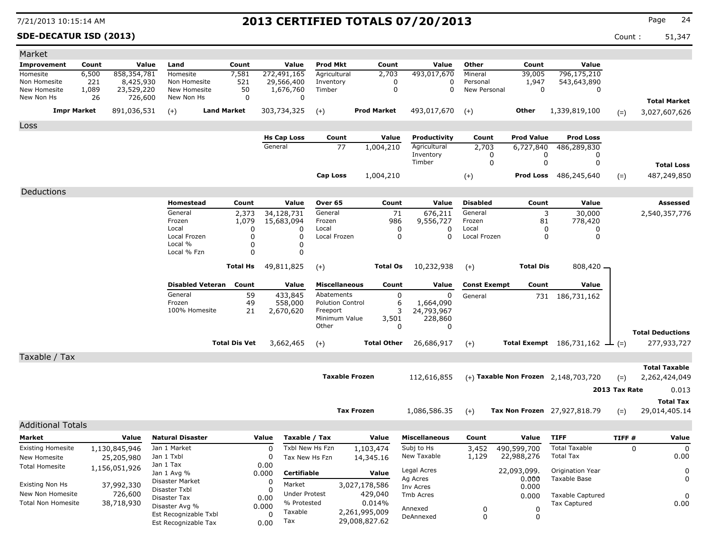### **SDE-DECATUR ISD (2013)** Count : 51,347

| Market                       |                    |                         |                                               |                      |                              |                         |                                |                      |                          |                      |                                                |               |                         |
|------------------------------|--------------------|-------------------------|-----------------------------------------------|----------------------|------------------------------|-------------------------|--------------------------------|----------------------|--------------------------|----------------------|------------------------------------------------|---------------|-------------------------|
| Improvement                  | Count              | Value                   | Land                                          | Count                | Value                        | Prod Mkt                | Count                          | Value                | Other                    | Count                | Value                                          |               |                         |
| Homesite                     | 6,500              | 858,354,781             | Homesite                                      | 7,581                | 272,491,165                  | Agricultural            | 2,703                          | 493,017,670          | Mineral                  | 39,005               | 796,175,210                                    |               |                         |
| Non Homesite<br>New Homesite | 221<br>1,089       | 8,425,930<br>23,529,220 | Non Homesite<br>New Homesite                  | 521<br>50            | 29,566,400<br>1,676,760      | Inventory<br>Timber     | 0<br>0                         | 0<br>$\Omega$        | Personal<br>New Personal | 1,947<br>$\mathbf 0$ | 543,643,890<br>0                               |               |                         |
| New Non Hs                   | 26                 | 726,600                 | New Non Hs                                    | 0                    | 0                            |                         |                                |                      |                          |                      |                                                |               | <b>Total Market</b>     |
|                              | <b>Impr Market</b> | 891,036,531             | $(+)$                                         | <b>Land Market</b>   | 303,734,325                  | $(+)$                   | <b>Prod Market</b>             | 493,017,670          | $(+)$                    | Other                | 1,339,819,100                                  | $(=)$         | 3,027,607,626           |
| Loss                         |                    |                         |                                               |                      |                              |                         |                                |                      |                          |                      |                                                |               |                         |
|                              |                    |                         |                                               |                      | <b>Hs Cap Loss</b>           | Count                   | Value                          | Productivity         | Count                    | Prod Value           | <b>Prod Loss</b>                               |               |                         |
|                              |                    |                         |                                               |                      | General                      | 77                      | 1,004,210                      | Agricultural         | 2,703                    | 6,727,840            | 486,289,830                                    |               |                         |
|                              |                    |                         |                                               |                      |                              |                         |                                | Inventory            | 0<br>$\mathbf 0$         | 0                    | 0                                              |               |                         |
|                              |                    |                         |                                               |                      |                              |                         |                                | Timber               |                          | 0                    | 0                                              |               | <b>Total Loss</b>       |
|                              |                    |                         |                                               |                      |                              | Cap Loss                | 1,004,210                      |                      | $(+)$                    |                      | Prod Loss 486,245,640                          | $(=)$         | 487,249,850             |
| Deductions                   |                    |                         |                                               |                      |                              |                         |                                |                      |                          |                      |                                                |               |                         |
|                              |                    |                         | Homestead                                     | Count                | Value                        | Over 65                 | Count                          | Value                | <b>Disabled</b>          | Count                | Value                                          |               | Assessed                |
|                              |                    |                         | General                                       | 2,373                | 34,128,731                   | General                 | 71                             | 676,211              | General                  | 3                    | 30,000                                         |               | 2,540,357,776           |
|                              |                    |                         | Frozen                                        | 1,079                | 15,683,094                   | Frozen                  | 986                            | 9,556,727            | Frozen                   | 81                   | 778,420                                        |               |                         |
|                              |                    |                         | Local<br>Local Frozen                         | 0<br>$\mathbf 0$     | 0<br>0                       | Local<br>Local Frozen   | 0<br>0                         | 0<br>0               | Local<br>Local Frozen    | 0<br>0               | 0<br>0                                         |               |                         |
|                              |                    |                         | Local %                                       | 0                    | 0                            |                         |                                |                      |                          |                      |                                                |               |                         |
|                              |                    |                         | Local % Fzn                                   | 0                    | 0                            |                         |                                |                      |                          |                      |                                                |               |                         |
|                              |                    |                         |                                               | Total Hs             | 49,811,825                   | $(+)$                   | <b>Total Os</b>                | 10,232,938           | $(+)$                    | <b>Total Dis</b>     | $808,420 -$                                    |               |                         |
|                              |                    |                         | <b>Disabled Veteran</b>                       | Count                | Value                        | <b>Miscellaneous</b>    | Count                          | Value                | <b>Const Exempt</b>      | Count                | Value                                          |               |                         |
|                              |                    |                         | General                                       | 59                   | 433,845                      | Abatements              | 0                              | 0                    | General                  |                      | 731 186,731,162                                |               |                         |
|                              |                    |                         | Frozen                                        | 49                   | 558,000                      | <b>Polution Control</b> | 6                              | 1,664,090            |                          |                      |                                                |               |                         |
|                              |                    |                         | 100% Homesite                                 | 21                   | 2,670,620                    | Freeport                | 3                              | 24,793,967           |                          |                      |                                                |               |                         |
|                              |                    |                         |                                               |                      |                              | Minimum Value<br>Other  | 3,501<br>0                     | 228,860<br>0         |                          |                      |                                                |               |                         |
|                              |                    |                         |                                               |                      |                              |                         |                                |                      |                          |                      |                                                |               | <b>Total Deductions</b> |
|                              |                    |                         |                                               | <b>Total Dis Vet</b> | 3,662,465                    | $(+)$                   | <b>Total Other</b>             | 26,686,917           | $(+)$                    |                      | <b>Total Exempt</b> $186,731,162$ <b>4</b> (=) |               | 277,933,727             |
| Taxable / Tax                |                    |                         |                                               |                      |                              |                         |                                |                      |                          |                      |                                                |               |                         |
|                              |                    |                         |                                               |                      |                              |                         |                                |                      |                          |                      |                                                |               | <b>Total Taxable</b>    |
|                              |                    |                         |                                               |                      |                              | <b>Taxable Frozen</b>   |                                | 112,616,855          |                          |                      | $(+)$ Taxable Non Frozen 2,148,703,720         | $(=)$         | 2,262,424,049           |
|                              |                    |                         |                                               |                      |                              |                         |                                |                      |                          |                      |                                                | 2013 Tax Rate | 0.013                   |
|                              |                    |                         |                                               |                      |                              |                         |                                |                      |                          |                      |                                                |               | <b>Total Tax</b>        |
|                              |                    |                         |                                               |                      |                              |                         | <b>Tax Frozen</b>              | 1,086,586.35         | $(+)$                    |                      | Tax Non Frozen 27,927,818.79                   | $(=)$         | 29,014,405.14           |
| <b>Additional Totals</b>     |                    |                         |                                               |                      |                              |                         |                                |                      |                          |                      |                                                |               |                         |
| Market                       |                    | Value                   | <b>Natural Disaster</b>                       |                      | Value<br>Taxable / Tax       |                         | Value                          | <b>Miscellaneous</b> | Count                    | Value                | <b>TIFF</b>                                    | TIFF#         | Value                   |
| <b>Existing Homesite</b>     |                    | 1,130,845,946           | Jan 1 Market                                  |                      | 0<br>Txbl New Hs Fzn         |                         | 1,103,474                      | Subj to Hs           | 3,452                    | 490,599,700          | Total Taxable                                  |               | 0<br>0                  |
| New Homesite                 |                    | 25,205,980              | Jan 1 Txbl                                    |                      | 0<br>Tax New Hs Fzn          |                         | 14,345.16                      | New Taxable          | 1,129                    | 22,988,276           | <b>Total Tax</b>                               |               | 0.00                    |
| <b>Total Homesite</b>        |                    | 1,156,051,926           | Jan 1 Tax                                     |                      | 0.00                         |                         |                                | Legal Acres          |                          | 22,093,099.          | Origination Year                               |               | 0                       |
|                              |                    |                         | Jan 1 Avg %<br>Disaster Market                |                      | Certifiable<br>0.000<br>0    |                         | Value                          | Ag Acres             |                          | 0.000                | Taxable Base                                   |               | 0                       |
| Existing Non Hs              |                    | 37,992,330              | Disaster Txbl                                 |                      | Market<br>- 0                |                         | 3,027,178,586                  | Inv Acres            |                          | 0.000                |                                                |               |                         |
| New Non Homesite             |                    | 726,600                 | Disaster Tax                                  |                      | <b>Under Protest</b><br>0.00 |                         | 429,040                        | Tmb Acres            |                          | 0.000                | <b>Taxable Captured</b>                        |               | 0                       |
| <b>Total Non Homesite</b>    |                    | 38,718,930              | Disaster Avg %                                |                      | % Protested<br>0.000         |                         | 0.014%                         | Annexed              | 0                        | 0                    | <b>Tax Captured</b>                            |               | 0.00                    |
|                              |                    |                         | Est Recognizable Txbl<br>Est Recognizable Tax |                      | Taxable<br>0<br>Tax<br>0.00  |                         | 2,261,995,009<br>29,008,827.62 | DeAnnexed            | 0                        | 0                    |                                                |               |                         |

Tax 0.00

Est Recognizable Tax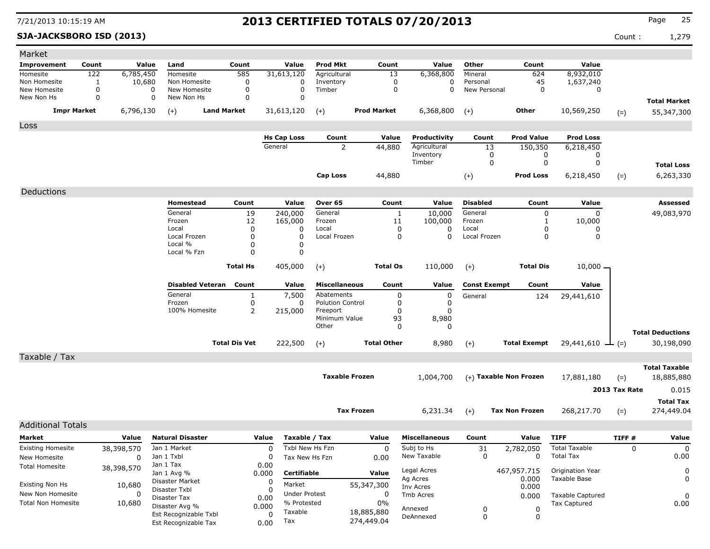### **SJA-JACKSBORO ISD (2013)** Count : 1,279

| Market                              |                    |                     |                                                |                      |                              |                           |                    |                                         |                     |                           |                                  |               |                                    |
|-------------------------------------|--------------------|---------------------|------------------------------------------------|----------------------|------------------------------|---------------------------|--------------------|-----------------------------------------|---------------------|---------------------------|----------------------------------|---------------|------------------------------------|
| Improvement                         | Count              | Value               | Land                                           | Count                | Value                        | <b>Prod Mkt</b>           | Count              | Value                                   | Other               | Count                     | Value                            |               |                                    |
| Homesite<br>Non Homesite            | 122<br>1           | 6,785,450<br>10,680 | Homesite<br>Non Homesite                       | 585<br>0             | 31,613,120<br>0              | Agricultural<br>Inventory | 13<br>0            | 6,368,800<br>0                          | Mineral<br>Personal | 624<br>45                 | 8,932,010<br>1,637,240           |               |                                    |
| New Homesite<br>New Non Hs          | 0<br>0             |                     | 0<br>New Homesite<br>$\mathbf 0$<br>New Non Hs | 0<br>0               | 0<br>0                       | Timber                    | 0                  | 0                                       | New Personal        | 0                         | 0                                |               |                                    |
|                                     | <b>Impr Market</b> | 6,796,130           | $(+)$                                          | <b>Land Market</b>   | 31,613,120                   | $(+)$                     | <b>Prod Market</b> | 6,368,800                               | $(+)$               | Other                     | 10,569,250                       | $(=)$         | <b>Total Market</b><br>55,347,300  |
| Loss                                |                    |                     |                                                |                      |                              |                           |                    |                                         |                     |                           |                                  |               |                                    |
|                                     |                    |                     |                                                |                      | <b>Hs Cap Loss</b>           | Count                     | Value              | Productivity                            | Count               | <b>Prod Value</b>         | <b>Prod Loss</b>                 |               |                                    |
|                                     |                    |                     |                                                |                      | General                      | 2                         | 44,880             | Agricultural                            | $\overline{13}$     | 150,350                   | 6,218,450                        |               |                                    |
|                                     |                    |                     |                                                |                      |                              |                           |                    | Inventory                               | $\boldsymbol{0}$    | 0                         | 0                                |               |                                    |
|                                     |                    |                     |                                                |                      |                              |                           |                    | Timber                                  | $\mathbf 0$         | $\pmb{0}$                 | 0                                |               | <b>Total Loss</b>                  |
|                                     |                    |                     |                                                |                      |                              | Cap Loss                  | 44,880             |                                         | $(+)$               | <b>Prod Loss</b>          | 6,218,450                        | $(=)$         | 6,263,330                          |
| Deductions                          |                    |                     |                                                |                      |                              |                           |                    |                                         |                     |                           |                                  |               |                                    |
|                                     |                    |                     | Homestead                                      | Count                | Value                        | Over 65                   | Count              | Value                                   | <b>Disabled</b>     | Count                     | Value                            |               | <b>Assessed</b>                    |
|                                     |                    |                     | General<br>Frozen                              | 19<br>12             | 240,000<br>165,000           | General<br>Frozen         |                    | $\mathbf{1}$<br>10,000<br>11<br>100,000 | General<br>Frozen   | $\pmb{0}$<br>$\mathbf{1}$ | $\mathbf 0$<br>10,000            |               | 49,083,970                         |
|                                     |                    |                     | Local                                          | 0                    | 0                            | Local                     |                    | 0<br>0                                  | Local               | 0                         | 0                                |               |                                    |
|                                     |                    |                     | Local Frozen                                   | 0                    | 0                            | Local Frozen              |                    | 0<br>$\Omega$                           | Local Frozen        | 0                         | 0                                |               |                                    |
|                                     |                    |                     | Local %<br>Local % Fzn                         | 0<br>0               | 0<br>0                       |                           |                    |                                         |                     |                           |                                  |               |                                    |
|                                     |                    |                     |                                                | <b>Total Hs</b>      | 405,000                      | $(+)$                     | <b>Total Os</b>    | 110,000                                 | $(+)$               | <b>Total Dis</b>          | $10,000 -$                       |               |                                    |
|                                     |                    |                     | <b>Disabled Veteran</b>                        | Count                | Value                        | <b>Miscellaneous</b>      | Count              | Value                                   | <b>Const Exempt</b> | Count                     | Value                            |               |                                    |
|                                     |                    |                     | General                                        | 1                    | 7,500                        | Abatements                |                    | 0<br>$\pmb{0}$                          | General             | 124                       | 29,441,610                       |               |                                    |
|                                     |                    |                     | Frozen                                         | 0                    | 0                            | <b>Polution Control</b>   |                    | 0<br>0                                  |                     |                           |                                  |               |                                    |
|                                     |                    |                     | 100% Homesite                                  | 2                    | 215,000                      | Freeport<br>Minimum Value |                    | 0<br>0<br>93<br>8,980                   |                     |                           |                                  |               |                                    |
|                                     |                    |                     |                                                |                      |                              | Other                     |                    | 0<br>0                                  |                     |                           |                                  |               |                                    |
|                                     |                    |                     |                                                | <b>Total Dis Vet</b> |                              |                           | <b>Total Other</b> |                                         |                     | <b>Total Exempt</b>       |                                  |               | <b>Total Deductions</b>            |
|                                     |                    |                     |                                                |                      | 222,500                      | $(+)$                     |                    | 8,980                                   | $(+)$               |                           | $29,441,610 \perp (=)$           |               | 30,198,090                         |
| Taxable / Tax                       |                    |                     |                                                |                      |                              |                           |                    |                                         |                     |                           |                                  |               |                                    |
|                                     |                    |                     |                                                |                      |                              | <b>Taxable Frozen</b>     |                    | 1,004,700                               |                     | $(+)$ Taxable Non Frozen  | 17,881,180                       | $(=)$         | <b>Total Taxable</b><br>18,885,880 |
|                                     |                    |                     |                                                |                      |                              |                           |                    |                                         |                     |                           |                                  |               |                                    |
|                                     |                    |                     |                                                |                      |                              |                           |                    |                                         |                     |                           |                                  | 2013 Tax Rate | 0.015                              |
|                                     |                    |                     |                                                |                      |                              |                           | <b>Tax Frozen</b>  | 6,231.34                                | $(+)$               | <b>Tax Non Frozen</b>     | 268,217.70                       | $(=)$         | <b>Total Tax</b><br>274,449.04     |
| <b>Additional Totals</b>            |                    |                     |                                                |                      |                              |                           |                    |                                         |                     |                           |                                  |               |                                    |
| Market                              |                    | Value               | <b>Natural Disaster</b>                        |                      | Value<br>Taxable / Tax       |                           | Value              | <b>Miscellaneous</b>                    | Count               | Value                     | <b>TIFF</b>                      | TIFF#         | Value                              |
| <b>Existing Homesite</b>            |                    | 38,398,570          | Jan 1 Market                                   |                      | 0                            | Txbl New Hs Fzn           | 0                  | Subj to Hs                              | 31                  | 2,782,050                 | <b>Total Taxable</b>             | 0             | 0                                  |
| New Homesite                        |                    | 0                   | Jan 1 Txbl                                     |                      | 0<br>Tax New Hs Fzn          |                           | 0.00               | New Taxable                             | 0                   | 0                         | <b>Total Tax</b>                 |               | 0.00                               |
| <b>Total Homesite</b>               |                    | 38,398,570          | Jan 1 Tax<br>Jan 1 Avg %                       |                      | 0.00<br>Certifiable<br>0.000 |                           | Value              | Legal Acres                             |                     | 467,957.715               | Origination Year                 |               | 0                                  |
|                                     |                    |                     | Disaster Market                                |                      | 0<br>Market                  |                           |                    | Ag Acres                                |                     | 0.000                     | Taxable Base                     |               | 0                                  |
| Existing Non Hs<br>New Non Homesite |                    | 10,680<br>0         | Disaster Txbl                                  |                      | 0<br><b>Under Protest</b>    |                           | 55,347,300<br>0    | Inv Acres                               |                     | 0.000                     |                                  |               |                                    |
| <b>Total Non Homesite</b>           |                    | 10,680              | Disaster Tax                                   |                      | 0.00<br>% Protested          |                           | 0%                 | Tmb Acres                               |                     | 0.000                     | Taxable Captured<br>Tax Captured |               | 0<br>0.00                          |
|                                     |                    |                     | Disaster Avg %<br>Est Recognizable Txbl        |                      | 0.000<br>Taxable<br>0        |                           | 18,885,880         | Annexed                                 | 0                   | 0                         |                                  |               |                                    |
|                                     |                    |                     | Est Recognizable Tax                           |                      | Tax<br>0.00                  |                           | 274,449.04         | DeAnnexed                               | 0                   | 0                         |                                  |               |                                    |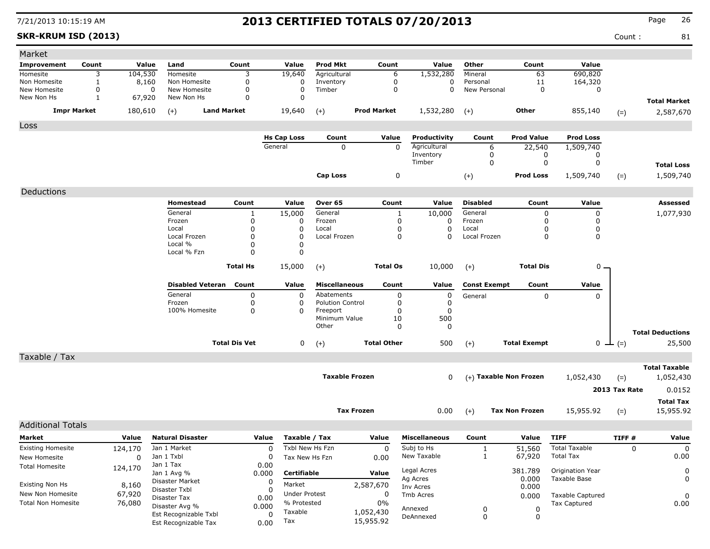### **SKR-KRUM ISD (2013)** Count : 81

| Market<br><b>Improvement</b><br>Count<br>Value<br><b>Prod Mkt</b><br>Other<br>Count<br>Value<br>Count<br>Value<br>Land<br>Count<br>Value<br>Homesite<br>Agricultural<br>1,532,280<br>Mineral<br>63<br>690,820<br>3<br>104,530<br>3<br>19,640<br>6<br>Homesite<br>0<br>11<br>Non Homesite<br>$\mathbf{1}$<br>8,160<br>Non Homesite<br>0<br>Inventory<br>Personal<br>164,320<br>0<br>0<br>0<br>0<br>New Homesite<br>0<br>0<br>New Homesite<br>0<br>0<br>Timber<br>0<br>New Personal<br>0<br>New Non Hs<br>1<br>67,920<br>New Non Hs<br>0<br>0<br><b>Total Market</b><br><b>Land Market</b><br><b>Prod Market</b><br><b>Impr Market</b><br>19,640<br>1,532,280<br><b>Other</b><br>180,610<br>$(+)$<br>$(+)$<br>855,140<br>$(+)$<br>$(=)$<br>Loss<br><b>Prod Value</b><br><b>Prod Loss</b><br><b>Hs Cap Loss</b><br>Count<br>Value<br>Productivity<br>Count<br>General<br>$\mathbf 0$<br>$\Omega$<br>6<br>22,540<br>1,509,740<br>Agricultural<br>0<br>0<br>Inventory<br>0<br>Timber<br>$\mathbf 0$<br>0<br>0<br><b>Cap Loss</b><br>0<br><b>Prod Loss</b><br>1,509,740<br>$(+)$<br>$(=)$<br>Deductions<br>Homestead<br>Count<br>Value<br>Over 65<br>Count<br>Value<br><b>Disabled</b><br>Count<br>Value<br>$\pmb{0}$<br>0<br>15,000<br>General<br>10,000<br>General<br>General<br>1<br>1<br>0<br>Frozen<br>0<br>Frozen<br>0<br>Frozen<br>0<br>0<br>0<br>0<br>0<br>Local<br>0<br>0<br>Local<br>0<br>Local<br>0<br>Local Frozen<br>$\Omega$<br>0<br>Local Frozen<br>0<br>0<br>Local Frozen<br>0<br>0<br>Local %<br>0<br>0 | 2,587,670<br><b>Total Loss</b><br>1,509,740<br>Assessed<br>1,077,930 |
|--------------------------------------------------------------------------------------------------------------------------------------------------------------------------------------------------------------------------------------------------------------------------------------------------------------------------------------------------------------------------------------------------------------------------------------------------------------------------------------------------------------------------------------------------------------------------------------------------------------------------------------------------------------------------------------------------------------------------------------------------------------------------------------------------------------------------------------------------------------------------------------------------------------------------------------------------------------------------------------------------------------------------------------------------------------------------------------------------------------------------------------------------------------------------------------------------------------------------------------------------------------------------------------------------------------------------------------------------------------------------------------------------------------------------------------------------------------------------------------------------------------------|----------------------------------------------------------------------|
|                                                                                                                                                                                                                                                                                                                                                                                                                                                                                                                                                                                                                                                                                                                                                                                                                                                                                                                                                                                                                                                                                                                                                                                                                                                                                                                                                                                                                                                                                                                    |                                                                      |
|                                                                                                                                                                                                                                                                                                                                                                                                                                                                                                                                                                                                                                                                                                                                                                                                                                                                                                                                                                                                                                                                                                                                                                                                                                                                                                                                                                                                                                                                                                                    |                                                                      |
|                                                                                                                                                                                                                                                                                                                                                                                                                                                                                                                                                                                                                                                                                                                                                                                                                                                                                                                                                                                                                                                                                                                                                                                                                                                                                                                                                                                                                                                                                                                    |                                                                      |
|                                                                                                                                                                                                                                                                                                                                                                                                                                                                                                                                                                                                                                                                                                                                                                                                                                                                                                                                                                                                                                                                                                                                                                                                                                                                                                                                                                                                                                                                                                                    |                                                                      |
|                                                                                                                                                                                                                                                                                                                                                                                                                                                                                                                                                                                                                                                                                                                                                                                                                                                                                                                                                                                                                                                                                                                                                                                                                                                                                                                                                                                                                                                                                                                    |                                                                      |
|                                                                                                                                                                                                                                                                                                                                                                                                                                                                                                                                                                                                                                                                                                                                                                                                                                                                                                                                                                                                                                                                                                                                                                                                                                                                                                                                                                                                                                                                                                                    |                                                                      |
|                                                                                                                                                                                                                                                                                                                                                                                                                                                                                                                                                                                                                                                                                                                                                                                                                                                                                                                                                                                                                                                                                                                                                                                                                                                                                                                                                                                                                                                                                                                    |                                                                      |
|                                                                                                                                                                                                                                                                                                                                                                                                                                                                                                                                                                                                                                                                                                                                                                                                                                                                                                                                                                                                                                                                                                                                                                                                                                                                                                                                                                                                                                                                                                                    |                                                                      |
|                                                                                                                                                                                                                                                                                                                                                                                                                                                                                                                                                                                                                                                                                                                                                                                                                                                                                                                                                                                                                                                                                                                                                                                                                                                                                                                                                                                                                                                                                                                    |                                                                      |
|                                                                                                                                                                                                                                                                                                                                                                                                                                                                                                                                                                                                                                                                                                                                                                                                                                                                                                                                                                                                                                                                                                                                                                                                                                                                                                                                                                                                                                                                                                                    |                                                                      |
|                                                                                                                                                                                                                                                                                                                                                                                                                                                                                                                                                                                                                                                                                                                                                                                                                                                                                                                                                                                                                                                                                                                                                                                                                                                                                                                                                                                                                                                                                                                    |                                                                      |
|                                                                                                                                                                                                                                                                                                                                                                                                                                                                                                                                                                                                                                                                                                                                                                                                                                                                                                                                                                                                                                                                                                                                                                                                                                                                                                                                                                                                                                                                                                                    |                                                                      |
|                                                                                                                                                                                                                                                                                                                                                                                                                                                                                                                                                                                                                                                                                                                                                                                                                                                                                                                                                                                                                                                                                                                                                                                                                                                                                                                                                                                                                                                                                                                    |                                                                      |
| 0<br>0<br>Local % Fzn                                                                                                                                                                                                                                                                                                                                                                                                                                                                                                                                                                                                                                                                                                                                                                                                                                                                                                                                                                                                                                                                                                                                                                                                                                                                                                                                                                                                                                                                                              |                                                                      |
| <b>Total Hs</b><br><b>Total Os</b><br><b>Total Dis</b><br>15,000<br>10,000<br>$(+)$<br>0 –<br>$(+)$                                                                                                                                                                                                                                                                                                                                                                                                                                                                                                                                                                                                                                                                                                                                                                                                                                                                                                                                                                                                                                                                                                                                                                                                                                                                                                                                                                                                                |                                                                      |
| <b>Disabled Veteran</b><br>Count<br>Value<br><b>Miscellaneous</b><br>Count<br>Value<br><b>Const Exempt</b><br>Count<br>Value                                                                                                                                                                                                                                                                                                                                                                                                                                                                                                                                                                                                                                                                                                                                                                                                                                                                                                                                                                                                                                                                                                                                                                                                                                                                                                                                                                                       |                                                                      |
| 0<br>0<br>0<br>0<br>General<br>Abatements<br>General<br>$\mathbf 0$<br>0                                                                                                                                                                                                                                                                                                                                                                                                                                                                                                                                                                                                                                                                                                                                                                                                                                                                                                                                                                                                                                                                                                                                                                                                                                                                                                                                                                                                                                           |                                                                      |
| 0<br>Frozen<br>0<br><b>Polution Control</b><br>0<br>0<br>100% Homesite<br>0<br>0<br>0<br>0<br>Freeport<br>Minimum Value<br>10<br>500<br>Other<br>0<br>0                                                                                                                                                                                                                                                                                                                                                                                                                                                                                                                                                                                                                                                                                                                                                                                                                                                                                                                                                                                                                                                                                                                                                                                                                                                                                                                                                            |                                                                      |
| <b>Total Deductions</b>                                                                                                                                                                                                                                                                                                                                                                                                                                                                                                                                                                                                                                                                                                                                                                                                                                                                                                                                                                                                                                                                                                                                                                                                                                                                                                                                                                                                                                                                                            |                                                                      |
| <b>Total Dis Vet</b><br><b>Total Other</b><br>0<br>500<br><b>Total Exempt</b><br>0 $\perp$ (=)<br>$(+)$<br>$(+)$                                                                                                                                                                                                                                                                                                                                                                                                                                                                                                                                                                                                                                                                                                                                                                                                                                                                                                                                                                                                                                                                                                                                                                                                                                                                                                                                                                                                   | 25,500                                                               |
| Taxable / Tax                                                                                                                                                                                                                                                                                                                                                                                                                                                                                                                                                                                                                                                                                                                                                                                                                                                                                                                                                                                                                                                                                                                                                                                                                                                                                                                                                                                                                                                                                                      |                                                                      |
| <b>Total Taxable</b><br><b>Taxable Frozen</b><br>0<br>$(+)$ Taxable Non Frozen<br>1,052,430<br>$(=)$                                                                                                                                                                                                                                                                                                                                                                                                                                                                                                                                                                                                                                                                                                                                                                                                                                                                                                                                                                                                                                                                                                                                                                                                                                                                                                                                                                                                               | 1,052,430                                                            |
| 2013 Tax Rate                                                                                                                                                                                                                                                                                                                                                                                                                                                                                                                                                                                                                                                                                                                                                                                                                                                                                                                                                                                                                                                                                                                                                                                                                                                                                                                                                                                                                                                                                                      | 0.0152                                                               |
|                                                                                                                                                                                                                                                                                                                                                                                                                                                                                                                                                                                                                                                                                                                                                                                                                                                                                                                                                                                                                                                                                                                                                                                                                                                                                                                                                                                                                                                                                                                    | <b>Total Tax</b>                                                     |
| <b>Tax Frozen</b><br>0.00<br><b>Tax Non Frozen</b><br>$(+)$<br>15,955.92<br>$(=)$                                                                                                                                                                                                                                                                                                                                                                                                                                                                                                                                                                                                                                                                                                                                                                                                                                                                                                                                                                                                                                                                                                                                                                                                                                                                                                                                                                                                                                  | 15,955.92                                                            |
| <b>Additional Totals</b>                                                                                                                                                                                                                                                                                                                                                                                                                                                                                                                                                                                                                                                                                                                                                                                                                                                                                                                                                                                                                                                                                                                                                                                                                                                                                                                                                                                                                                                                                           |                                                                      |
| Market<br>Value<br><b>Natural Disaster</b><br>Taxable / Tax<br>Value<br><b>Miscellaneous</b><br>Value<br><b>TIFF</b><br>Value<br>Count<br>TIFF#                                                                                                                                                                                                                                                                                                                                                                                                                                                                                                                                                                                                                                                                                                                                                                                                                                                                                                                                                                                                                                                                                                                                                                                                                                                                                                                                                                    | Value                                                                |
| 124,170<br>Subj to Hs<br><b>Total Taxable</b><br>0<br><b>Existing Homesite</b><br>Jan 1 Market<br>0<br>Txbl New Hs Fzn<br>0<br>51,560<br>$\mathbf{1}$<br>New Taxable<br><b>Total Tax</b><br>1<br>67,920<br>Jan 1 Txbl<br>New Homesite<br>0<br>Tax New Hs Fzn                                                                                                                                                                                                                                                                                                                                                                                                                                                                                                                                                                                                                                                                                                                                                                                                                                                                                                                                                                                                                                                                                                                                                                                                                                                       | 0<br>0.00                                                            |
| 0.00<br>0<br>Jan 1 Tax<br>0.00<br><b>Total Homesite</b>                                                                                                                                                                                                                                                                                                                                                                                                                                                                                                                                                                                                                                                                                                                                                                                                                                                                                                                                                                                                                                                                                                                                                                                                                                                                                                                                                                                                                                                            |                                                                      |
| 124,170<br>Legal Acres<br>381.789<br>Origination Year<br>Jan 1 Avg %<br>Value<br>0.000<br>Certifiable<br>0.000<br>Taxable Base<br>Ag Acres                                                                                                                                                                                                                                                                                                                                                                                                                                                                                                                                                                                                                                                                                                                                                                                                                                                                                                                                                                                                                                                                                                                                                                                                                                                                                                                                                                         | 0<br>0                                                               |
| Disaster Market<br>0<br>8,160<br>Market<br><b>Existing Non Hs</b><br>2,587,670<br>Inv Acres<br>0.000                                                                                                                                                                                                                                                                                                                                                                                                                                                                                                                                                                                                                                                                                                                                                                                                                                                                                                                                                                                                                                                                                                                                                                                                                                                                                                                                                                                                               |                                                                      |
| Disaster Txbl<br>0<br>67,920<br><b>Under Protest</b><br>New Non Homesite<br>0<br>Tmb Acres<br>0.000<br><b>Taxable Captured</b>                                                                                                                                                                                                                                                                                                                                                                                                                                                                                                                                                                                                                                                                                                                                                                                                                                                                                                                                                                                                                                                                                                                                                                                                                                                                                                                                                                                     | 0                                                                    |
| Disaster Tax<br>0.00<br>76,080<br>% Protested<br><b>Total Non Homesite</b><br>0%<br><b>Tax Captured</b><br>Disaster Avg %<br>0.000                                                                                                                                                                                                                                                                                                                                                                                                                                                                                                                                                                                                                                                                                                                                                                                                                                                                                                                                                                                                                                                                                                                                                                                                                                                                                                                                                                                 | 0.00                                                                 |
| 0<br>Annexed<br>0<br>Taxable<br>1,052,430<br>Est Recognizable Txbl<br>0<br>0<br>DeAnnexed<br>0<br>Tax<br>15,955.92<br>Est Recognizable Tax<br>0.00                                                                                                                                                                                                                                                                                                                                                                                                                                                                                                                                                                                                                                                                                                                                                                                                                                                                                                                                                                                                                                                                                                                                                                                                                                                                                                                                                                 |                                                                      |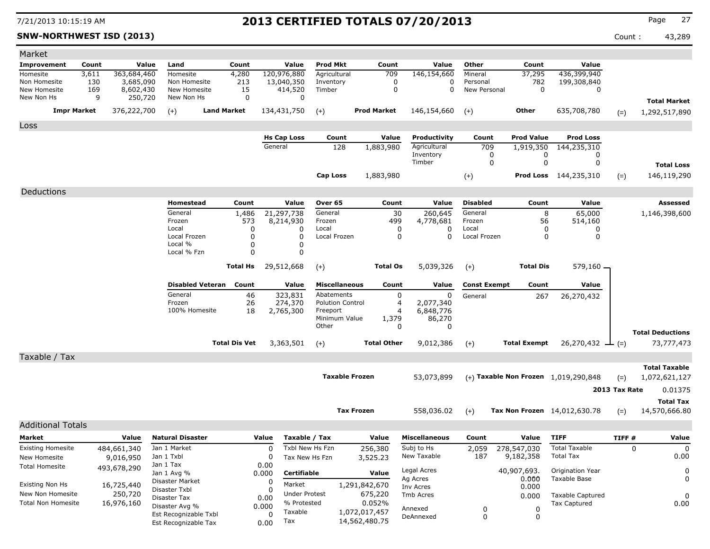### **SNW-NORTHWEST ISD (2013)** Count : 43,289

| Market                     |                    |                      |                                  |                      |                              |                         |                    |                            |                       |                     |                                        |               |                                      |
|----------------------------|--------------------|----------------------|----------------------------------|----------------------|------------------------------|-------------------------|--------------------|----------------------------|-----------------------|---------------------|----------------------------------------|---------------|--------------------------------------|
| Improvement                | Count              | Value                | Land                             | Count                | Value                        | <b>Prod Mkt</b>         | Count              | Value                      | Other                 | Count               | Value                                  |               |                                      |
| Homesite                   | 3,611              | 363,684,460          | Homesite                         | 4,280                | 120,976,880                  | Agricultural            | 709                | 146,154,660                | Mineral               | 37,295              | 436,399,940                            |               |                                      |
| Non Homesite               | 130                | 3,685,090            | Non Homesite                     | 213                  | 13,040,350                   | Inventory               | 0                  | 0                          | Personal              | 782                 | 199,308,840                            |               |                                      |
| New Homesite<br>New Non Hs | 169<br>9           | 8,602,430<br>250,720 | New Homesite<br>New Non Hs       | 15<br>0              | 414,520<br>0                 | Timber                  | 0                  | $\mathbf 0$                | New Personal          | $\mathbf 0$         | 0                                      |               |                                      |
|                            | <b>Impr Market</b> | 376,222,700          | $(+)$                            | <b>Land Market</b>   | 134,431,750                  | $(+)$                   | <b>Prod Market</b> | 146,154,660                | $(+)$                 | Other               | 635,708,780                            | $(=)$         | <b>Total Market</b><br>1,292,517,890 |
| Loss                       |                    |                      |                                  |                      |                              |                         |                    |                            |                       |                     |                                        |               |                                      |
|                            |                    |                      |                                  |                      | <b>Hs Cap Loss</b>           | Count                   | Value              | Productivity               | Count                 | <b>Prod Value</b>   | <b>Prod Loss</b>                       |               |                                      |
|                            |                    |                      |                                  |                      | General                      | 128                     | 1,883,980          | Agricultural               | 709                   | 1,919,350           | 144,235,310                            |               |                                      |
|                            |                    |                      |                                  |                      |                              |                         |                    | Inventory                  | 0                     | 0                   | 0                                      |               |                                      |
|                            |                    |                      |                                  |                      |                              |                         |                    | Timber                     | 0                     | 0                   | 0                                      |               | <b>Total Loss</b>                    |
|                            |                    |                      |                                  |                      |                              | Cap Loss                | 1,883,980          |                            | $(+)$                 |                     | <b>Prod Loss</b> 144,235,310           | $(=)$         | 146,119,290                          |
|                            |                    |                      |                                  |                      |                              |                         |                    |                            |                       |                     |                                        |               |                                      |
| Deductions                 |                    |                      |                                  |                      |                              |                         |                    |                            |                       |                     |                                        |               |                                      |
|                            |                    |                      | Homestead                        | Count                | Value                        | Over 65                 | Count              | Value                      | <b>Disabled</b>       | Count               | Value                                  |               | Assessed                             |
|                            |                    |                      | General                          | 1,486                | 21,297,738                   | General                 | 30                 | 260,645                    | General               | 8                   | 65,000                                 |               | 1,146,398,600                        |
|                            |                    |                      | Frozen                           | 573                  | 8,214,930                    | Frozen                  | 499                | 4,778,681                  | Frozen                | 56                  | 514,160                                |               |                                      |
|                            |                    |                      | Local<br>Local Frozen            | 0<br>$\mathbf 0$     | 0<br>0                       | Local<br>Local Frozen   |                    | 0<br>0<br>$\mathbf 0$<br>0 | Local<br>Local Frozen | 0<br>0              | 0<br>0                                 |               |                                      |
|                            |                    |                      | Local %                          | 0                    | 0                            |                         |                    |                            |                       |                     |                                        |               |                                      |
|                            |                    |                      | Local % Fzn                      | 0                    | 0                            |                         |                    |                            |                       |                     |                                        |               |                                      |
|                            |                    |                      |                                  | Total Hs             | 29,512,668                   | $(+)$                   | <b>Total Os</b>    | 5,039,326                  | $(+)$                 | <b>Total Dis</b>    | $579,160 -$                            |               |                                      |
|                            |                    |                      | <b>Disabled Veteran</b>          | Count                | Value                        | <b>Miscellaneous</b>    | Count              | Value                      | <b>Const Exempt</b>   | Count               | Value                                  |               |                                      |
|                            |                    |                      | General                          | 46                   | 323,831                      | Abatements              |                    | 0<br>$\mathbf 0$           | General               |                     |                                        |               |                                      |
|                            |                    |                      | Frozen                           | 26                   | 274,370                      | <b>Polution Control</b> | 4                  | 2,077,340                  |                       | 267                 | 26,270,432                             |               |                                      |
|                            |                    |                      | 100% Homesite                    | 18                   | 2,765,300                    | Freeport                | $\overline{4}$     | 6,848,776                  |                       |                     |                                        |               |                                      |
|                            |                    |                      |                                  |                      |                              | Minimum Value           | 1,379              | 86,270                     |                       |                     |                                        |               |                                      |
|                            |                    |                      |                                  |                      |                              | Other                   |                    | 0<br>0                     |                       |                     |                                        |               | <b>Total Deductions</b>              |
|                            |                    |                      |                                  | <b>Total Dis Vet</b> | 3,363,501                    | $(+)$                   | <b>Total Other</b> | 9,012,386                  | $(+)$                 | <b>Total Exempt</b> | 26,270,432 $\perp$ (=)                 |               | 73,777,473                           |
|                            |                    |                      |                                  |                      |                              |                         |                    |                            |                       |                     |                                        |               |                                      |
| Taxable / Tax              |                    |                      |                                  |                      |                              |                         |                    |                            |                       |                     |                                        |               | <b>Total Taxable</b>                 |
|                            |                    |                      |                                  |                      |                              | <b>Taxable Frozen</b>   |                    | 53,073,899                 |                       |                     | $(+)$ Taxable Non Frozen 1,019,290,848 | $(=)$         | 1,072,621,127                        |
|                            |                    |                      |                                  |                      |                              |                         |                    |                            |                       |                     |                                        |               |                                      |
|                            |                    |                      |                                  |                      |                              |                         |                    |                            |                       |                     |                                        | 2013 Tax Rate | 0.01375                              |
|                            |                    |                      |                                  |                      |                              |                         |                    |                            |                       |                     |                                        |               | <b>Total Tax</b>                     |
|                            |                    |                      |                                  |                      |                              |                         | <b>Tax Frozen</b>  | 558,036.02                 | $(+)$                 |                     | <b>Tax Non Frozen</b> 14,012,630.78    | $(=)$         | 14,570,666.80                        |
| <b>Additional Totals</b>   |                    |                      |                                  |                      |                              |                         |                    |                            |                       |                     |                                        |               |                                      |
| Market                     |                    | Value                | <b>Natural Disaster</b>          |                      | Taxable / Tax<br>Value       |                         | Value              | <b>Miscellaneous</b>       | Count                 | Value               | <b>TIFF</b>                            | TIFF#         | Value                                |
| <b>Existing Homesite</b>   |                    | 484,661,340          | Jan 1 Market                     |                      | 0                            | Txbl New Hs Fzn         | 256,380            | Subj to Hs                 | 2,059                 | 278,547,030         | Total Taxable                          |               | 0<br>0                               |
| New Homesite               |                    | 9,016,950            | Jan 1 Txbl                       |                      | 0<br>Tax New Hs Fzn          |                         | 3,525.23           | New Taxable                | 187                   | 9,182,358           | <b>Total Tax</b>                       |               | 0.00                                 |
| <b>Total Homesite</b>      |                    | 493,678,290          | Jan 1 Tax                        |                      | 0.00                         |                         |                    | Legal Acres                |                       | 40,907,693.         | Origination Year                       |               | 0                                    |
|                            |                    |                      | Jan 1 Avg %                      |                      | Certifiable<br>0.000         |                         | Value              | Ag Acres                   |                       | 0.000               | Taxable Base                           |               | 0                                    |
| <b>Existing Non Hs</b>     |                    | 16,725,440           | Disaster Market<br>Disaster Txbl |                      | 0<br>Market<br>0             |                         | 1,291,842,670      | Inv Acres                  |                       | 0.000               |                                        |               |                                      |
| New Non Homesite           |                    | 250,720              | Disaster Tax                     |                      | <b>Under Protest</b><br>0.00 |                         | 675,220            | Tmb Acres                  |                       | 0.000               | <b>Taxable Captured</b>                |               |                                      |
| <b>Total Non Homesite</b>  |                    | 16,976,160           | Disaster Avg %                   |                      | % Protested<br>0.000         |                         | 0.052%             | Annexed                    | 0                     | 0                   | <b>Tax Captured</b>                    |               | 0.00                                 |
|                            |                    |                      | Est Recognizable Txbl            |                      | Taxable<br>-0                |                         | 1,072,017,457      | DeAnnexed                  | 0                     | 0                   |                                        |               |                                      |
|                            |                    |                      | Est Recognizable Tax             |                      | Tax<br>0.00                  |                         | 14,562,480.75      |                            |                       |                     |                                        |               |                                      |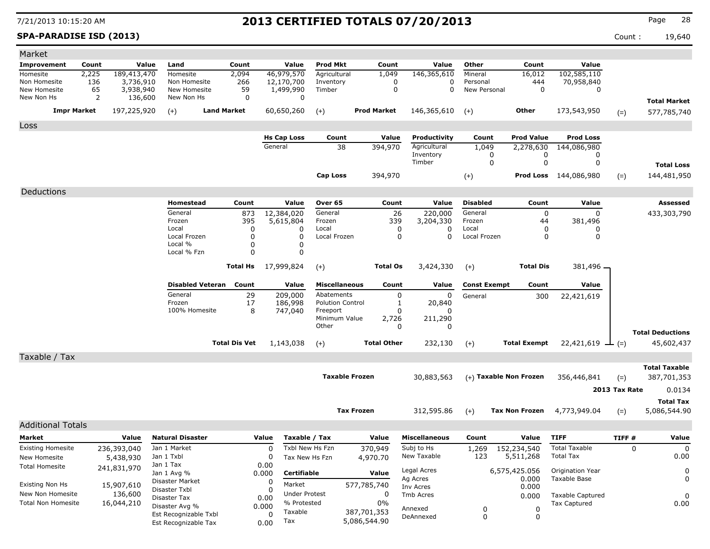### **SPA-PARADISE ISD (2013)** Count : 19,640

| Market                                     |                |                        |                                         |                      |                                     |                           |                    |                      |                          |                       |                                         |               |                         |
|--------------------------------------------|----------------|------------------------|-----------------------------------------|----------------------|-------------------------------------|---------------------------|--------------------|----------------------|--------------------------|-----------------------|-----------------------------------------|---------------|-------------------------|
| Improvement                                | Count          | Value                  | Land                                    | Count                | Value                               | <b>Prod Mkt</b>           | Count              | Value                | Other                    | Count                 | Value                                   |               |                         |
| Homesite                                   | 2,225          | 189,413,470            | Homesite                                | 2,094                | 46,979,570                          | Agricultural              | 1,049              | 146,365,610          | Mineral                  | 16,012                | 102,585,110                             |               |                         |
| Non Homesite<br>New Homesite               | 136<br>65      | 3,736,910<br>3,938,940 | Non Homesite<br>New Homesite            | 266<br>59            | 12,170,700<br>1,499,990             | Inventory<br>Timber       | 0<br>0             | 0<br>0               | Personal<br>New Personal | 444<br>$\mathbf 0$    | 70,958,840<br>0                         |               |                         |
| New Non Hs                                 | $\overline{2}$ | 136,600                | New Non Hs                              | 0                    | 0                                   |                           |                    |                      |                          |                       |                                         |               | <b>Total Market</b>     |
| <b>Impr Market</b>                         |                | 197,225,920            | $(+)$                                   | <b>Land Market</b>   | 60,650,260                          | $(+)$                     | <b>Prod Market</b> | 146,365,610          | $(+)$                    | Other                 | 173,543,950                             | $(=)$         | 577,785,740             |
| Loss                                       |                |                        |                                         |                      |                                     |                           |                    |                      |                          |                       |                                         |               |                         |
|                                            |                |                        |                                         |                      | <b>Hs Cap Loss</b>                  | Count                     | Value              | Productivity         | Count                    | <b>Prod Value</b>     | <b>Prod Loss</b>                        |               |                         |
|                                            |                |                        |                                         |                      | General                             | 38                        | 394,970            | Agricultural         | 1,049                    | 2,278,630             | 144,086,980                             |               |                         |
|                                            |                |                        |                                         |                      |                                     |                           |                    | Inventory            | 0                        | 0                     | 0                                       |               |                         |
|                                            |                |                        |                                         |                      |                                     |                           |                    | Timber               | 0                        | 0                     | 0                                       |               | <b>Total Loss</b>       |
|                                            |                |                        |                                         |                      |                                     | Cap Loss                  | 394,970            |                      | $(+)$                    |                       | Prod Loss 144,086,980                   | $(=)$         | 144,481,950             |
| Deductions                                 |                |                        |                                         |                      |                                     |                           |                    |                      |                          |                       |                                         |               |                         |
|                                            |                |                        | Homestead                               | Count                | Value                               | Over 65                   | Count              | Value                | <b>Disabled</b>          | Count                 | Value                                   |               | Assessed                |
|                                            |                |                        | General                                 | 873                  | 12,384,020                          | General                   | 26                 | 220,000              | General                  | 0                     | $\mathbf 0$                             |               | 433,303,790             |
|                                            |                |                        | Frozen                                  | 395<br>$\Omega$      | 5,615,804                           | Frozen<br>Local           | 339<br>$\Omega$    | 3,204,330<br>0       | Frozen<br>Local          | 44                    | 381,496                                 |               |                         |
|                                            |                |                        | Local<br>Local Frozen                   | 0                    | 0<br>$\Omega$                       | Local Frozen              | 0                  | 0                    | Local Frozen             | 0<br>0                | 0<br>0                                  |               |                         |
|                                            |                |                        | Local %                                 | 0                    | 0                                   |                           |                    |                      |                          |                       |                                         |               |                         |
|                                            |                |                        | Local % Fzn                             | 0                    | 0                                   |                           |                    |                      |                          |                       |                                         |               |                         |
|                                            |                |                        |                                         | Total Hs             | 17,999,824                          | $(+)$                     | <b>Total Os</b>    | 3,424,330            | $(+)$                    | <b>Total Dis</b>      | 381,496 -                               |               |                         |
|                                            |                |                        | <b>Disabled Veteran</b>                 | Count                | Value                               | <b>Miscellaneous</b>      | Count              | Value                | <b>Const Exempt</b>      | Count                 | Value                                   |               |                         |
|                                            |                |                        | General                                 | 29                   | 209,000                             | Abatements                | 0                  | 0                    | General                  | 300                   | 22,421,619                              |               |                         |
|                                            |                |                        | Frozen                                  | 17                   | 186,998                             | <b>Polution Control</b>   | 1                  | 20,840               |                          |                       |                                         |               |                         |
|                                            |                |                        | 100% Homesite                           | 8                    | 747,040                             | Freeport<br>Minimum Value | $\Omega$<br>2,726  | $\Omega$<br>211,290  |                          |                       |                                         |               |                         |
|                                            |                |                        |                                         |                      |                                     | Other                     | $\Omega$           | $\Omega$             |                          |                       |                                         |               |                         |
|                                            |                |                        |                                         |                      |                                     |                           |                    |                      |                          |                       |                                         |               | <b>Total Deductions</b> |
|                                            |                |                        |                                         | <b>Total Dis Vet</b> | 1,143,038                           | $(+)$                     | <b>Total Other</b> | 232,130              | $(+)$                    | <b>Total Exempt</b>   | 22,421,619 $\perp$ (=)                  |               | 45,602,437              |
| Taxable / Tax                              |                |                        |                                         |                      |                                     |                           |                    |                      |                          |                       |                                         |               |                         |
|                                            |                |                        |                                         |                      |                                     |                           |                    |                      |                          |                       |                                         |               | <b>Total Taxable</b>    |
|                                            |                |                        |                                         |                      |                                     | <b>Taxable Frozen</b>     |                    | 30,883,563           | $(+)$ Taxable Non Frozen |                       | 356,446,841                             | $(=)$         | 387,701,353             |
|                                            |                |                        |                                         |                      |                                     |                           |                    |                      |                          |                       |                                         | 2013 Tax Rate | 0.0134                  |
|                                            |                |                        |                                         |                      |                                     |                           |                    |                      |                          |                       |                                         |               | <b>Total Tax</b>        |
|                                            |                |                        |                                         |                      |                                     |                           | <b>Tax Frozen</b>  | 312,595.86           | $(+)$                    | <b>Tax Non Frozen</b> | 4,773,949,04                            | $(=)$         | 5,086,544.90            |
| <b>Additional Totals</b>                   |                |                        |                                         |                      |                                     |                           |                    |                      |                          |                       |                                         |               |                         |
| Market                                     |                | Value                  | <b>Natural Disaster</b>                 |                      | Value<br>Taxable / Tax              |                           | Value              | <b>Miscellaneous</b> | Count                    | Value                 | <b>TIFF</b>                             | TIFF#         | Value                   |
| <b>Existing Homesite</b>                   |                | 236,393,040            | Jan 1 Market                            |                      | 0<br>Txbl New Hs Fzn                |                           | 370,949            | Subj to Hs           | 1,269                    | 152,234,540           | Total Taxable                           | 0             | 0                       |
| New Homesite                               |                | 5,438,930              | Jan 1 Txbl                              |                      | 0<br>Tax New Hs Fzn                 |                           | 4,970.70           | New Taxable          | 123                      | 5,511,268             | <b>Total Tax</b>                        |               | 0.00                    |
| <b>Total Homesite</b>                      |                | 241,831,970            | Jan 1 Tax<br>Jan 1 Avg %                |                      | 0.00<br>Certifiable<br>0.000        |                           | Value              | Legal Acres          |                          | 6,575,425.056         | Origination Year                        |               | 0                       |
|                                            |                |                        | Disaster Market                         |                      | 0                                   |                           |                    | Ag Acres             |                          | 0.000                 | Taxable Base                            |               | 0                       |
| <b>Existing Non Hs</b><br>New Non Homesite |                | 15,907,610<br>136,600  | Disaster Txbl                           |                      | Market<br>0<br><b>Under Protest</b> |                           | 577,785,740<br>0   | Inv Acres            |                          | 0.000                 |                                         |               |                         |
| <b>Total Non Homesite</b>                  |                | 16,044,210             | Disaster Tax                            |                      | 0.00<br>% Protested                 |                           | 0%                 | Tmb Acres            |                          | 0.000                 | Taxable Captured<br><b>Tax Captured</b> |               | 0<br>0.00               |
|                                            |                |                        | Disaster Avg %<br>Est Recognizable Txbl |                      | 0.000<br>Taxable<br>0               |                           | 387,701,353        | Annexed              | 0                        | $\mathbf 0$           |                                         |               |                         |
|                                            |                |                        | Est Recognizable Tax                    |                      | Tax<br>0.00                         |                           | 5,086,544.90       | DeAnnexed            | 0                        | 0                     |                                         |               |                         |

Tax 0.00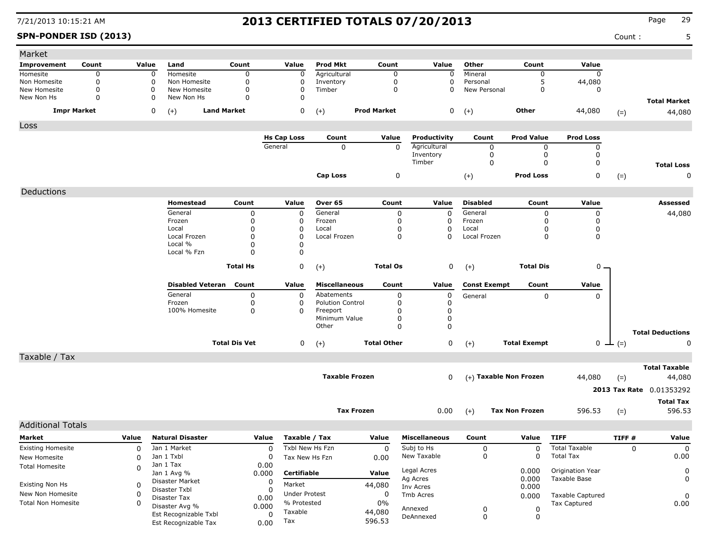### **SPN-PONDER ISD (2013)** Count : 5

| Market                    |                    |          |                         |                      |                           |                         |                    |                       |                     |                          |                      |               |                          |
|---------------------------|--------------------|----------|-------------------------|----------------------|---------------------------|-------------------------|--------------------|-----------------------|---------------------|--------------------------|----------------------|---------------|--------------------------|
| Improvement               | Count              | Value    | Land                    | Count                | Value                     | <b>Prod Mkt</b>         | Count              | Value                 | Other               | Count                    | Value                |               |                          |
| Homesite                  | 0                  |          | Homesite<br>$\Omega$    | 0                    | 0                         | Agricultural            | 0                  | 0                     | Mineral             | 0                        | $\mathbf 0$          |               |                          |
| Non Homesite              | $\mathbf 0$        |          | Non Homesite<br>0       | 0                    | 0                         | Inventory               | 0                  | 0                     | Personal            | 5                        | 44,080               |               |                          |
| New Homesite              | $\mathbf 0$        |          | 0<br>New Homesite       | $\mathbf 0$          | 0                         | Timber                  | 0                  | $\Omega$              | New Personal        | 0                        | 0                    |               |                          |
| New Non Hs                | $\mathbf 0$        |          | New Non Hs<br>0         | $\Omega$             | 0                         |                         |                    |                       |                     |                          |                      |               | <b>Total Market</b>      |
|                           | <b>Impr Market</b> |          | 0<br>$(+)$              | <b>Land Market</b>   | 0                         | $(+)$                   | <b>Prod Market</b> | 0                     | $(+)$               | Other                    | 44,080               | $(=)$         | 44,080                   |
| Loss                      |                    |          |                         |                      |                           |                         |                    |                       |                     |                          |                      |               |                          |
|                           |                    |          |                         |                      | <b>Hs Cap Loss</b>        | Count                   | Value              | Productivity          | Count               | <b>Prod Value</b>        | <b>Prod Loss</b>     |               |                          |
|                           |                    |          |                         |                      | General                   | 0                       | $\Omega$           | Agricultural          | 0                   | 0                        | 0                    |               |                          |
|                           |                    |          |                         |                      |                           |                         |                    | Inventory             | $\pmb{0}$           | 0                        | 0                    |               |                          |
|                           |                    |          |                         |                      |                           |                         |                    | Timber                | $\mathbf 0$         | $\Omega$                 | $\Omega$             |               | <b>Total Loss</b>        |
|                           |                    |          |                         |                      |                           | <b>Cap Loss</b>         | 0                  |                       | $(+)$               | <b>Prod Loss</b>         | 0                    | $(=)$         | 0                        |
|                           |                    |          |                         |                      |                           |                         |                    |                       |                     |                          |                      |               |                          |
| Deductions                |                    |          |                         |                      |                           |                         |                    |                       | <b>Disabled</b>     |                          | Value                |               |                          |
|                           |                    |          | Homestead               | Count                | Value                     | Over 65                 | Count              | Value                 |                     | Count                    |                      |               | Assessed                 |
|                           |                    |          | General                 | 0                    | 0                         | General                 | 0                  | 0                     | General             | $\mathbf 0$              | 0                    |               | 44,080                   |
|                           |                    |          | Frozen<br>Local         | 0<br>0               | 0<br>0                    | Frozen<br>Local         | 0<br>0             | 0<br>0                | Frozen<br>Local     | 0<br>0                   | 0<br>0               |               |                          |
|                           |                    |          | Local Frozen            | 0                    | 0                         | Local Frozen            | 0                  | 0                     | Local Frozen        | $\mathbf 0$              | 0                    |               |                          |
|                           |                    |          | Local %                 | 0                    | 0                         |                         |                    |                       |                     |                          |                      |               |                          |
|                           |                    |          | Local % Fzn             | 0                    | 0                         |                         |                    |                       |                     |                          |                      |               |                          |
|                           |                    |          |                         | <b>Total Hs</b>      | 0                         | $(+)$                   | <b>Total Os</b>    | 0                     | $(+)$               | <b>Total Dis</b>         | $0 -$                |               |                          |
|                           |                    |          | <b>Disabled Veteran</b> | Count                | Value                     | <b>Miscellaneous</b>    | Count              | Value                 | <b>Const Exempt</b> | Count                    | Value                |               |                          |
|                           |                    |          | General                 | 0                    | $\mathbf 0$               | Abatements              | 0                  | 0                     | General             | $\mathbf 0$              | 0                    |               |                          |
|                           |                    |          | Frozen                  | 0                    | 0                         | <b>Polution Control</b> | 0                  | 0                     |                     |                          |                      |               |                          |
|                           |                    |          | 100% Homesite           | 0                    | 0                         | Freeport                | 0                  | 0                     |                     |                          |                      |               |                          |
|                           |                    |          |                         |                      |                           | Minimum Value           | 0                  | 0                     |                     |                          |                      |               |                          |
|                           |                    |          |                         |                      |                           | Other                   | 0                  | 0                     |                     |                          |                      |               | <b>Total Deductions</b>  |
|                           |                    |          |                         | <b>Total Dis Vet</b> | 0                         | $(+)$                   | <b>Total Other</b> | 0                     | $(+)$               | <b>Total Exempt</b>      |                      | 0 $\perp$ (=) | 0                        |
|                           |                    |          |                         |                      |                           |                         |                    |                       |                     |                          |                      |               |                          |
| Taxable / Tax             |                    |          |                         |                      |                           |                         |                    |                       |                     |                          |                      |               | <b>Total Taxable</b>     |
|                           |                    |          |                         |                      |                           | <b>Taxable Frozen</b>   |                    | 0                     |                     | $(+)$ Taxable Non Frozen | 44,080               | $(=)$         | 44,080                   |
|                           |                    |          |                         |                      |                           |                         |                    |                       |                     |                          |                      |               |                          |
|                           |                    |          |                         |                      |                           |                         |                    |                       |                     |                          |                      |               | 2013 Tax Rate 0.01353292 |
|                           |                    |          |                         |                      |                           |                         |                    |                       |                     |                          |                      |               | <b>Total Tax</b>         |
|                           |                    |          |                         |                      |                           | <b>Tax Frozen</b>       |                    | 0.00                  | $(+)$               | <b>Tax Non Frozen</b>    | 596.53               | $(=)$         | 596.53                   |
| <b>Additional Totals</b>  |                    |          |                         |                      |                           |                         |                    |                       |                     |                          |                      |               |                          |
| Market                    |                    | Value    | <b>Natural Disaster</b> | Value                | Taxable / Tax             |                         | Value              | <b>Miscellaneous</b>  | Count               | Value                    | <b>TIFF</b>          | TIFF#         | Value                    |
| <b>Existing Homesite</b>  |                    | 0        | Jan 1 Market            |                      | Txbl New Hs Fzn<br>0      |                         | 0                  | Subj to Hs            | 0                   | 0                        | <b>Total Taxable</b> | 0             | 0                        |
| New Homesite              |                    | $\Omega$ | Jan 1 Txbl              |                      | 0<br>Tax New Hs Fzn       |                         | 0.00               | New Taxable           | 0                   | 0                        | <b>Total Tax</b>     |               | 0.00                     |
| <b>Total Homesite</b>     |                    | $\Omega$ | Jan 1 Tax               |                      | 0.00                      |                         |                    |                       |                     |                          |                      |               |                          |
|                           |                    |          | Jan 1 Avg %             | 0.000                | Certifiable               |                         | Value              | Legal Acres           |                     | 0.000                    | Origination Year     |               | 0                        |
| <b>Existing Non Hs</b>    |                    | O        | Disaster Market         |                      | 0<br>Market               |                         | 44,080             | Ag Acres<br>Inv Acres |                     | 0.000<br>0.000           | Taxable Base         |               | 0                        |
| New Non Homesite          |                    | Ω        | Disaster Txbl           |                      | 0<br><b>Under Protest</b> |                         | 0                  | Tmb Acres             |                     |                          | Taxable Captured     |               | 0                        |
| <b>Total Non Homesite</b> |                    | 0        | Disaster Tax            |                      | 0.00<br>% Protested       |                         | 0%                 |                       |                     | 0.000                    | Tax Captured         |               | 0.00                     |
|                           |                    |          | Disaster Avg %          | 0.000                | Taxable                   |                         | 44,080             | Annexed               | 0                   | 0                        |                      |               |                          |
|                           |                    |          | Est Recognizable Txbl   |                      | 0<br>Tax                  |                         | 596.53             | DeAnnexed             | 0                   | 0                        |                      |               |                          |
|                           |                    |          | Est Recognizable Tax    |                      | 0.00                      |                         |                    |                       |                     |                          |                      |               |                          |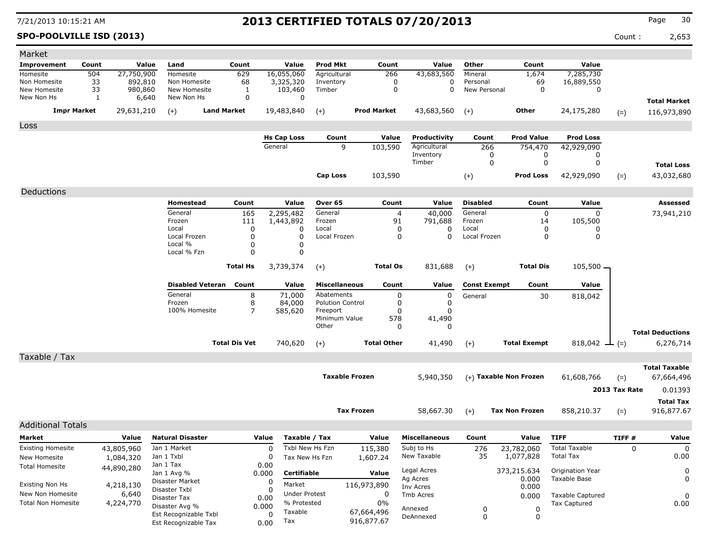### **SPO-POOLVILLE ISD (2013)** Count : 2,653

| Market                       |                    |                    |                              |                         |                      |                               |                         |                       |                              |                          |                          |                         |               |                                    |
|------------------------------|--------------------|--------------------|------------------------------|-------------------------|----------------------|-------------------------------|-------------------------|-----------------------|------------------------------|--------------------------|--------------------------|-------------------------|---------------|------------------------------------|
| <b>Improvement</b>           | Count              | Value              | Land                         |                         | Count                | Value                         | <b>Prod Mkt</b>         | Count                 | Value                        | Other                    | Count                    | Value                   |               |                                    |
| Homesite                     | 504                | 27,750,900         | Homesite                     |                         | 629                  | 16,055,060                    | Agricultural            | 266                   | 43,683,560                   | Mineral                  | 1,674                    | 7,285,730               |               |                                    |
| Non Homesite<br>New Homesite | 33<br>33           | 892,810<br>980,860 | Non Homesite<br>New Homesite |                         | 68<br>$\mathbf{1}$   | 3,325,320<br>103,460          | Inventory<br>Timber     | 0<br>0                | 0<br>0                       | Personal<br>New Personal | 69<br>$\mathbf 0$        | 16,889,550<br>0         |               |                                    |
| New Non Hs                   | $\mathbf{1}$       | 6,640              | New Non Hs                   |                         | $\mathbf 0$          | $\mathbf 0$                   |                         |                       |                              |                          |                          |                         |               |                                    |
|                              | <b>Impr Market</b> | 29,631,210         | $(+)$                        |                         | <b>Land Market</b>   | 19,483,840                    | $(+)$                   | <b>Prod Market</b>    | 43,683,560                   | $(+)$                    | Other                    | 24,175,280              | $(=)$         | <b>Total Market</b><br>116,973,890 |
| Loss                         |                    |                    |                              |                         |                      |                               |                         |                       |                              |                          |                          |                         |               |                                    |
|                              |                    |                    |                              |                         |                      |                               |                         |                       |                              |                          | <b>Prod Value</b>        | <b>Prod Loss</b>        |               |                                    |
|                              |                    |                    |                              |                         |                      | <b>Hs Cap Loss</b><br>General | Count<br>9              | Value<br>103,590      | Productivity<br>Agricultural | Count<br>266             | 754,470                  | 42,929,090              |               |                                    |
|                              |                    |                    |                              |                         |                      |                               |                         |                       | Inventory                    |                          | 0<br>0                   | 0                       |               |                                    |
|                              |                    |                    |                              |                         |                      |                               |                         |                       | Timber                       |                          | 0<br>0                   | 0                       |               | <b>Total Loss</b>                  |
|                              |                    |                    |                              |                         |                      |                               | <b>Cap Loss</b>         | 103,590               |                              | $(+)$                    | <b>Prod Loss</b>         | 42,929,090              | $(=)$         | 43,032,680                         |
| Deductions                   |                    |                    |                              |                         |                      |                               |                         |                       |                              |                          |                          |                         |               |                                    |
|                              |                    |                    | Homestead                    |                         | Count                | Value                         | Over 65                 | Count                 | Value                        | <b>Disabled</b>          | Count                    | Value                   |               | Assessed                           |
|                              |                    |                    | General                      |                         | 165                  | 2,295,482                     | General                 |                       | 40,000<br>4                  | General                  | 0                        | $\Omega$                |               | 73,941,210                         |
|                              |                    |                    | Frozen                       |                         | 111                  | 1,443,892                     | Frozen                  | 91                    | 791,688                      | Frozen                   | 14                       | 105,500                 |               |                                    |
|                              |                    |                    | Local<br>Local Frozen        |                         | 0<br>0               | 0<br>0                        | Local<br>Local Frozen   |                       | 0<br>0<br>0<br>$\Omega$      | Local<br>Local Frozen    | 0<br>0                   | O<br>0                  |               |                                    |
|                              |                    |                    | Local %                      |                         | 0                    | 0                             |                         |                       |                              |                          |                          |                         |               |                                    |
|                              |                    |                    | Local % Fzn                  |                         | $\mathbf{0}$         | $\mathbf 0$                   |                         |                       |                              |                          |                          |                         |               |                                    |
|                              |                    |                    |                              |                         | <b>Total Hs</b>      | 3,739,374                     | $(+)$                   | <b>Total Os</b>       | 831,688                      | $(+)$                    | <b>Total Dis</b>         | $105,500 -$             |               |                                    |
|                              |                    |                    |                              | <b>Disabled Veteran</b> | Count                | Value                         | <b>Miscellaneous</b>    | Count                 | Value                        | <b>Const Exempt</b>      | Count                    | Value                   |               |                                    |
|                              |                    |                    | General                      |                         | 8                    | 71,000                        | Abatements              |                       | 0<br>0                       | General                  | 30                       | 818,042                 |               |                                    |
|                              |                    |                    | Frozen                       |                         | 8                    | 84,000                        | <b>Polution Control</b> |                       | 0<br>0                       |                          |                          |                         |               |                                    |
|                              |                    |                    |                              | 100% Homesite           | $\overline{7}$       | 585,620                       | Freeport                |                       | 0<br>0                       |                          |                          |                         |               |                                    |
|                              |                    |                    |                              |                         |                      |                               | Minimum Value<br>Other  | 578                   | 41,490<br>$\Omega$           |                          |                          |                         |               |                                    |
|                              |                    |                    |                              |                         |                      |                               |                         |                       | 0                            |                          |                          |                         |               | <b>Total Deductions</b>            |
|                              |                    |                    |                              |                         | <b>Total Dis Vet</b> | 740,620                       | $(+)$                   | <b>Total Other</b>    | 41,490                       | $(+)$                    | <b>Total Exempt</b>      | 818,042                 | $ (=)$        | 6,276,714                          |
| Taxable / Tax                |                    |                    |                              |                         |                      |                               |                         |                       |                              |                          |                          |                         |               |                                    |
|                              |                    |                    |                              |                         |                      |                               |                         |                       |                              |                          |                          |                         |               | <b>Total Taxable</b>               |
|                              |                    |                    |                              |                         |                      |                               |                         | <b>Taxable Frozen</b> | 5,940,350                    |                          | $(+)$ Taxable Non Frozen | 61,608,766              | $(=)$         | 67,664,496                         |
|                              |                    |                    |                              |                         |                      |                               |                         |                       |                              |                          |                          |                         | 2013 Tax Rate | 0.01393                            |
|                              |                    |                    |                              |                         |                      |                               |                         |                       |                              |                          |                          |                         |               | <b>Total Tax</b>                   |
|                              |                    |                    |                              |                         |                      |                               |                         | <b>Tax Frozen</b>     | 58,667.30                    | $(+)$                    | <b>Tax Non Frozen</b>    | 858,210.37              | $(=)$         | 916,877.67                         |
| <b>Additional Totals</b>     |                    |                    |                              |                         |                      |                               |                         |                       |                              |                          |                          |                         |               |                                    |
| Market                       |                    | Value              | <b>Natural Disaster</b>      |                         |                      | Value<br>Taxable / Tax        |                         | Value                 | <b>Miscellaneous</b>         | Count                    | Value                    | <b>TIFF</b>             | TIFF#         | Value                              |
| <b>Existing Homesite</b>     |                    | 43,805,960         | Jan 1 Market                 |                         |                      | 0                             | Txbl New Hs Fzn         | 115,380               | Subj to Hs                   | 276                      | 23,782,060               | <b>Total Taxable</b>    | $\cup$        | $\mathbf 0$                        |
| New Homesite                 |                    | 1,084,320          | Jan 1 Txbl                   |                         |                      | 0                             | Tax New Hs Fzn          | 1,607.24              | New Taxable                  | 35                       | 1,077,828                | <b>Total Tax</b>        |               | 0.00                               |
| <b>Total Homesite</b>        |                    | 44,890,280         | Jan 1 Tax<br>Jan 1 Avg %     |                         |                      | 0.00<br>Certifiable<br>0.000  |                         | Value                 | Legal Acres                  |                          | 373,215.634              | Origination Year        |               | 0                                  |
|                              |                    |                    | Disaster Market              |                         |                      | 0                             |                         |                       | Ag Acres                     |                          | 0.000                    | Taxable Base            |               | 0                                  |
| <b>Existing Non Hs</b>       |                    | 4,218,130          | Disaster Txbl                |                         |                      | Market<br>0                   |                         | 116,973,890           | Inv Acres                    |                          | 0.000                    |                         |               |                                    |
| New Non Homesite             |                    | 6,640              | Disaster Tax                 |                         |                      | <b>Under Protest</b><br>0.00  |                         | 0                     | Tmb Acres                    |                          | 0.000                    | <b>Taxable Captured</b> |               | 0                                  |
| <b>Total Non Homesite</b>    |                    | 4,224,770          | Disaster Avg %               |                         |                      | % Protested<br>0.000          |                         | $0\%$                 | Annexed                      | 0                        | 0                        | <b>Tax Captured</b>     |               | 0.00                               |
|                              |                    |                    | Est Recognizable Txbl        |                         |                      | Taxable<br>0                  |                         | 67,664,496            | DeAnnexed                    | 0                        | 0                        |                         |               |                                    |
|                              |                    |                    | Est Recognizable Tax         |                         |                      | Tax<br>0.00                   |                         | 916,877.67            |                              |                          |                          |                         |               |                                    |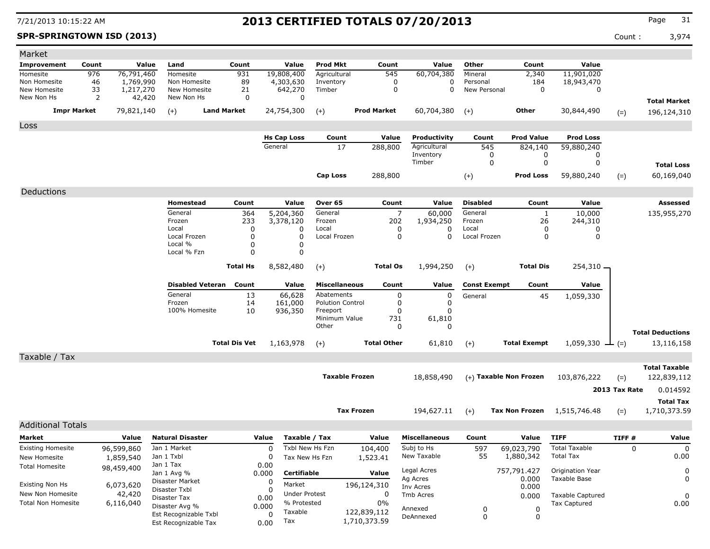### **SPR-SPRINGTOWN ISD (2013)** Count : 3,974

| Market                       |                    |                        |                                |                      |                              |                           |                    |                          |                          |                          |                         |               |                                    |
|------------------------------|--------------------|------------------------|--------------------------------|----------------------|------------------------------|---------------------------|--------------------|--------------------------|--------------------------|--------------------------|-------------------------|---------------|------------------------------------|
| Improvement                  | Count              | Value                  | Land                           | Count                | Value                        | <b>Prod Mkt</b>           | Count              | Value                    | Other                    | Count                    | Value                   |               |                                    |
| Homesite                     | 976                | 76,791,460             | Homesite                       | 931                  | 19,808,400                   | Agricultural              | 545                | 60,704,380               | Mineral                  | 2,340                    | 11,901,020              |               |                                    |
| Non Homesite<br>New Homesite | 46<br>33           | 1,769,990<br>1,217,270 | Non Homesite<br>New Homesite   | 89<br>21             | 4,303,630<br>642,270         | Inventory<br>Timber       | 0<br>$\mathbf 0$   | 0<br>$\Omega$            | Personal<br>New Personal | 184<br>$\mathbf 0$       | 18,943,470<br>0         |               |                                    |
| New Non Hs                   | 2                  | 42,420                 | New Non Hs                     | 0                    | 0                            |                           |                    |                          |                          |                          |                         |               |                                    |
|                              | <b>Impr Market</b> | 79,821,140             | $(+)$                          | <b>Land Market</b>   | 24,754,300                   | $(+)$                     | <b>Prod Market</b> | 60,704,380               | $(+)$                    | Other                    | 30,844,490              | $(=)$         | <b>Total Market</b><br>196,124,310 |
| Loss                         |                    |                        |                                |                      |                              |                           |                    |                          |                          |                          |                         |               |                                    |
|                              |                    |                        |                                |                      | <b>Hs Cap Loss</b>           | Count                     | Value              | Productivity             | Count                    | <b>Prod Value</b>        | <b>Prod Loss</b>        |               |                                    |
|                              |                    |                        |                                |                      | General                      | 17                        | 288,800            | Agricultural             | 545                      | 824,140                  | 59,880,240              |               |                                    |
|                              |                    |                        |                                |                      |                              |                           |                    | Inventory                | 0                        | 0                        | 0                       |               |                                    |
|                              |                    |                        |                                |                      |                              |                           |                    | Timber                   | $\mathbf 0$              | 0                        | 0                       |               | <b>Total Loss</b>                  |
|                              |                    |                        |                                |                      |                              | Cap Loss                  | 288,800            |                          | $(+)$                    | <b>Prod Loss</b>         | 59,880,240              | $(=)$         | 60,169,040                         |
| Deductions                   |                    |                        |                                |                      |                              |                           |                    |                          |                          |                          |                         |               |                                    |
|                              |                    |                        | Homestead                      | Count                | Value                        | Over 65                   | Count              | Value                    | <b>Disabled</b>          | Count                    | Value                   |               | Assessed                           |
|                              |                    |                        | General                        | 364                  | 5,204,360                    | General                   |                    | $\overline{7}$<br>60,000 | General                  | $\mathbf{1}$             | 10,000                  |               | 135,955,270                        |
|                              |                    |                        | Frozen                         | 233                  | 3,378,120                    | Frozen                    | 202                | 1,934,250                | Frozen                   | 26                       | 244,310                 |               |                                    |
|                              |                    |                        | Local<br>Local Frozen          | 0<br>0               | 0<br>0                       | Local<br>Local Frozen     |                    | 0<br>0<br>0<br>0         | Local<br>Local Frozen    | 0<br>0                   | 0<br>$\mathbf 0$        |               |                                    |
|                              |                    |                        | Local %                        | $\Omega$             | 0                            |                           |                    |                          |                          |                          |                         |               |                                    |
|                              |                    |                        | Local % Fzn                    | 0                    | 0                            |                           |                    |                          |                          |                          |                         |               |                                    |
|                              |                    |                        |                                | <b>Total Hs</b>      | 8,582,480                    | $(+)$                     | <b>Total Os</b>    | 1,994,250                | $(+)$                    | <b>Total Dis</b>         | $254,310 -$             |               |                                    |
|                              |                    |                        | <b>Disabled Veteran</b>        | Count                | Value                        | <b>Miscellaneous</b>      | Count              | Value                    | <b>Const Exempt</b>      | Count                    | Value                   |               |                                    |
|                              |                    |                        | General                        | 13                   | 66,628                       | Abatements                |                    | 0<br>0                   | General                  | 45                       | 1,059,330               |               |                                    |
|                              |                    |                        | Frozen                         | 14                   | 161,000                      | <b>Polution Control</b>   |                    | 0<br>0                   |                          |                          |                         |               |                                    |
|                              |                    |                        | 100% Homesite                  | 10                   | 936,350                      | Freeport<br>Minimum Value | 731                | 0<br>0<br>61,810         |                          |                          |                         |               |                                    |
|                              |                    |                        |                                |                      |                              | Other                     |                    | 0<br>0                   |                          |                          |                         |               |                                    |
|                              |                    |                        |                                |                      |                              |                           |                    |                          |                          |                          |                         |               | <b>Total Deductions</b>            |
|                              |                    |                        |                                | <b>Total Dis Vet</b> | 1,163,978                    | $(+)$                     | <b>Total Other</b> | 61,810                   | $(+)$                    | <b>Total Exempt</b>      | 1,059,330 $\perp$ (=)   |               | 13,116,158                         |
| Taxable / Tax                |                    |                        |                                |                      |                              |                           |                    |                          |                          |                          |                         |               |                                    |
|                              |                    |                        |                                |                      |                              |                           |                    |                          |                          |                          |                         |               | <b>Total Taxable</b>               |
|                              |                    |                        |                                |                      |                              | <b>Taxable Frozen</b>     |                    | 18,858,490               |                          | $(+)$ Taxable Non Frozen | 103,876,222             | $(=)$         | 122,839,112                        |
|                              |                    |                        |                                |                      |                              |                           |                    |                          |                          |                          |                         | 2013 Tax Rate | 0.014592                           |
|                              |                    |                        |                                |                      |                              |                           |                    |                          |                          |                          |                         |               | <b>Total Tax</b>                   |
|                              |                    |                        |                                |                      |                              |                           | <b>Tax Frozen</b>  | 194,627.11               | $(+)$                    | <b>Tax Non Frozen</b>    | 1,515,746.48            | $(=)$         | 1,710,373.59                       |
| <b>Additional Totals</b>     |                    |                        |                                |                      |                              |                           |                    |                          |                          |                          |                         |               |                                    |
| Market                       |                    | Value                  | <b>Natural Disaster</b>        |                      | Value<br>Taxable / Tax       |                           | Value              | <b>Miscellaneous</b>     | Count                    | Value                    | <b>TIFF</b>             | TIFF#         | Value                              |
| <b>Existing Homesite</b>     |                    | 96,599,860             | Jan 1 Market                   |                      | 0<br>Txbl New Hs Fzn         |                           | 104,400            | Subj to Hs               | 597                      | 69,023,790               | Total Taxable           | 0             | 0                                  |
| New Homesite                 |                    | 1,859,540              | Jan 1 Txbl                     |                      | 0<br>Tax New Hs Fzn          |                           | 1,523.41           | New Taxable              | 55                       | 1,880,342                | <b>Total Tax</b>        |               | 0.00                               |
| <b>Total Homesite</b>        |                    | 98,459,400             | Jan 1 Tax<br>Jan 1 Avg %       |                      | 0.00<br>Certifiable<br>0.000 |                           | Value              | Legal Acres              |                          | 757,791.427              | Origination Year        |               | 0                                  |
| <b>Existing Non Hs</b>       |                    | 6,073,620              | Disaster Market                |                      | 0<br>Market                  |                           | 196,124,310        | Ag Acres                 |                          | 0.000                    | Taxable Base            |               | $\Omega$                           |
| New Non Homesite             |                    | 42,420                 | Disaster Txbl                  |                      | 0<br><b>Under Protest</b>    |                           | 0                  | Inv Acres<br>Tmb Acres   |                          | 0.000<br>0.000           | <b>Taxable Captured</b> |               |                                    |
| Total Non Homesite           |                    | 6,116,040              | Disaster Tax<br>Disaster Avg % |                      | 0.00<br>% Protested<br>0.000 |                           | 0%                 |                          |                          |                          | Tax Captured            |               | 0.00                               |
|                              |                    |                        | Est Recognizable Txbl          |                      | Taxable<br>$\Omega$          |                           | 122,839,112        | Annexed<br>DeAnnexed     | 0<br>0                   | 0<br>0                   |                         |               |                                    |
|                              |                    |                        | Est Recognizable Tax           |                      | Tax<br>0.00                  |                           | 1,710,373.59       |                          |                          |                          |                         |               |                                    |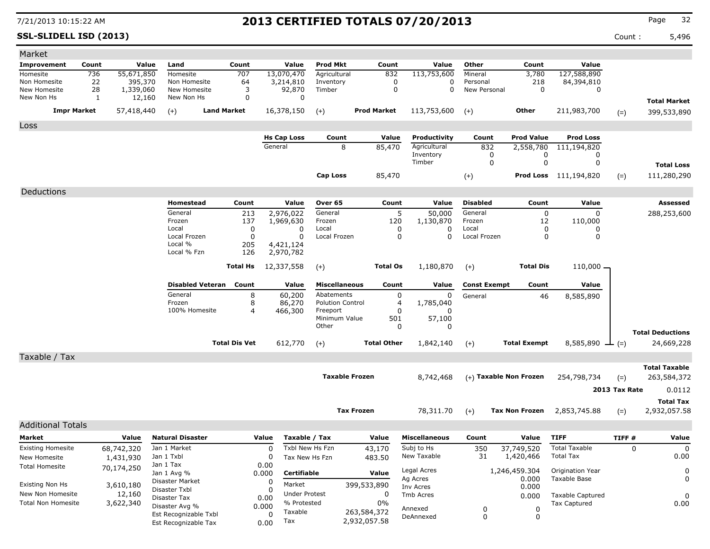### **SSL-SLIDELL ISD (2013)** Count : 5,496

| Market                       |                    |                      |                                |                      |                              |                           |                    |                        |                          |                          |                       |               |                                    |
|------------------------------|--------------------|----------------------|--------------------------------|----------------------|------------------------------|---------------------------|--------------------|------------------------|--------------------------|--------------------------|-----------------------|---------------|------------------------------------|
| Improvement                  | Count              | Value                | Land                           | Count                | Value                        | Prod Mkt                  | Count              | Value                  | Other                    | Count                    | Value                 |               |                                    |
| Homesite                     | 736                | 55,671,850           | Homesite                       | 707                  | 13,070,470                   | Agricultural              | 832                | 113,753,600            | Mineral                  | 3,780                    | 127,588,890           |               |                                    |
| Non Homesite<br>New Homesite | 22<br>28           | 395,370<br>1,339,060 | Non Homesite<br>New Homesite   | 64<br>3              | 3,214,810<br>92,870          | Inventory<br>Timber       | 0<br>0             | $\Omega$<br>$\Omega$   | Personal<br>New Personal | 218<br>$\mathbf 0$       | 84,394,810<br>0       |               |                                    |
| New Non Hs                   | $\mathbf{1}$       | 12,160               | New Non Hs                     | 0                    | 0                            |                           |                    |                        |                          |                          |                       |               |                                    |
|                              | <b>Impr Market</b> | 57,418,440           | $(+)$                          | <b>Land Market</b>   | 16,378,150                   | $(+)$                     | <b>Prod Market</b> | 113,753,600            | $(+)$                    | Other                    | 211,983,700           | $(=)$         | <b>Total Market</b><br>399,533,890 |
| Loss                         |                    |                      |                                |                      |                              |                           |                    |                        |                          |                          |                       |               |                                    |
|                              |                    |                      |                                |                      | <b>Hs Cap Loss</b>           | Count                     | Value              | Productivity           | Count                    | <b>Prod Value</b>        | <b>Prod Loss</b>      |               |                                    |
|                              |                    |                      |                                |                      | General                      | 8                         | 85,470             | Agricultural           | 832                      | 2,558,780                | 111,194,820           |               |                                    |
|                              |                    |                      |                                |                      |                              |                           |                    | Inventory              | 0                        | 0                        | 0                     |               |                                    |
|                              |                    |                      |                                |                      |                              |                           |                    | Timber                 | 0                        | 0                        | 0                     |               | <b>Total Loss</b>                  |
|                              |                    |                      |                                |                      |                              | Cap Loss                  | 85,470             |                        | $(+)$                    |                          | Prod Loss 111,194,820 | $(=)$         | 111,280,290                        |
| Deductions                   |                    |                      |                                |                      |                              |                           |                    |                        |                          |                          |                       |               |                                    |
|                              |                    |                      | Homestead                      | Count                | Value                        | Over 65                   | Count              | Value                  | <b>Disabled</b>          | Count                    | Value                 |               | Assessed                           |
|                              |                    |                      | General                        | 213                  | 2,976,022                    | General                   |                    | 5<br>50,000            | General                  | 0                        | $\mathbf 0$           |               | 288,253,600                        |
|                              |                    |                      | Frozen                         | 137                  | 1,969,630                    | Frozen                    | 120                | 1,130,870              | Frozen                   | 12                       | 110,000               |               |                                    |
|                              |                    |                      | Local<br>Local Frozen          | 0<br>0               | 0<br>$\Omega$                | Local<br>Local Frozen     | 0<br>$\mathbf 0$   | 0<br>0                 | Local<br>Local Frozen    | 0<br>0                   | 0<br>0                |               |                                    |
|                              |                    |                      | Local %                        | 205                  | 4,421,124                    |                           |                    |                        |                          |                          |                       |               |                                    |
|                              |                    |                      | Local % Fzn                    | 126                  | 2,970,782                    |                           |                    |                        |                          |                          |                       |               |                                    |
|                              |                    |                      |                                | <b>Total Hs</b>      | 12,337,558                   | $(+)$                     | <b>Total Os</b>    | 1,180,870              | $(+)$                    | <b>Total Dis</b>         | $110,000 -$           |               |                                    |
|                              |                    |                      | <b>Disabled Veteran</b>        | Count                | Value                        | <b>Miscellaneous</b>      | Count              | Value                  | <b>Const Exempt</b>      | Count                    | Value                 |               |                                    |
|                              |                    |                      | General                        | 8                    | 60,200                       | Abatements                | 0                  | 0                      | General                  | 46                       | 8,585,890             |               |                                    |
|                              |                    |                      | Frozen                         | 8                    | 86,270                       | <b>Polution Control</b>   | $\overline{4}$     | 1,785,040              |                          |                          |                       |               |                                    |
|                              |                    |                      | 100% Homesite                  | 4                    | 466,300                      | Freeport<br>Minimum Value | 0<br>501           | $\Omega$<br>57,100     |                          |                          |                       |               |                                    |
|                              |                    |                      |                                |                      |                              | Other                     | $\Omega$           | $\Omega$               |                          |                          |                       |               |                                    |
|                              |                    |                      |                                |                      |                              |                           |                    |                        |                          |                          |                       |               | <b>Total Deductions</b>            |
|                              |                    |                      |                                | <b>Total Dis Vet</b> | 612,770                      | $(+)$                     | <b>Total Other</b> | 1,842,140              | $(+)$                    | <b>Total Exempt</b>      | 8,585,890             | $ (=)$        | 24,669,228                         |
| Taxable / Tax                |                    |                      |                                |                      |                              |                           |                    |                        |                          |                          |                       |               |                                    |
|                              |                    |                      |                                |                      |                              |                           |                    |                        |                          |                          |                       |               | <b>Total Taxable</b>               |
|                              |                    |                      |                                |                      |                              | <b>Taxable Frozen</b>     |                    | 8,742,468              |                          | $(+)$ Taxable Non Frozen | 254,798,734           | $(=)$         | 263,584,372                        |
|                              |                    |                      |                                |                      |                              |                           |                    |                        |                          |                          |                       | 2013 Tax Rate | 0.0112                             |
|                              |                    |                      |                                |                      |                              |                           |                    |                        |                          |                          |                       |               | <b>Total Tax</b>                   |
|                              |                    |                      |                                |                      |                              |                           | <b>Tax Frozen</b>  | 78,311.70              | $(+)$                    | <b>Tax Non Frozen</b>    | 2,853,745.88          | $(=)$         | 2,932,057.58                       |
| <b>Additional Totals</b>     |                    |                      |                                |                      |                              |                           |                    |                        |                          |                          |                       |               |                                    |
| Market                       |                    | Value                | <b>Natural Disaster</b>        |                      | Taxable / Tax<br>Value       |                           | Value              | <b>Miscellaneous</b>   | Count                    | Value                    | <b>TIFF</b>           | TIFF#         | Value                              |
| <b>Existing Homesite</b>     |                    | 68,742,320           | Jan 1 Market                   |                      | 0<br>Txbl New Hs Fzn         |                           | 43,170             | Subj to Hs             | 350                      | 37,749,520               | Total Taxable         | 0             | 0                                  |
| New Homesite                 |                    | 1,431,930            | Jan 1 Txbl                     |                      | 0<br>Tax New Hs Fzn          |                           | 483.50             | New Taxable            | 31                       | 1,420,466                | <b>Total Tax</b>      |               | 0.00                               |
| <b>Total Homesite</b>        |                    | 70,174,250           | Jan 1 Tax<br>Jan 1 Avg %       |                      | 0.00<br>0.000<br>Certifiable |                           | Value              | Legal Acres            |                          | 1,246,459.304            | Origination Year      |               | 0                                  |
| Existing Non Hs              |                    | 3,610,180            | Disaster Market                |                      | 0<br>Market                  |                           | 399,533,890        | Ag Acres               |                          | 0.000                    | Taxable Base          |               | $\mathbf 0$                        |
| New Non Homesite             |                    | 12,160               | Disaster Txbl                  |                      | 0<br><b>Under Protest</b>    |                           | 0                  | Inv Acres<br>Tmb Acres |                          | 0.000<br>0.000           | Taxable Captured      |               | 0                                  |
| <b>Total Non Homesite</b>    |                    | 3,622,340            | Disaster Tax<br>Disaster Avg % |                      | 0.00<br>% Protested<br>0.000 |                           | 0%                 |                        |                          |                          | <b>Tax Captured</b>   |               | 0.00                               |
|                              |                    |                      | Est Recognizable Txbl          |                      | Taxable<br>0                 |                           | 263,584,372        | Annexed<br>DeAnnexed   | 0<br>0                   | 0                        |                       |               |                                    |
|                              |                    |                      | Est Recognizable Tax           |                      | Tax<br>0.00                  |                           | 2,932,057.58       |                        |                          | 0                        |                       |               |                                    |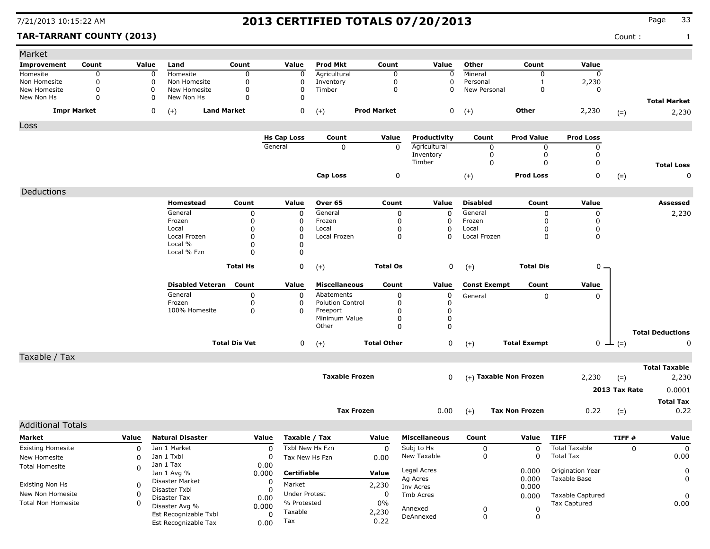**TAR-TARRANT COUNTY (2013)** Count : 1

| Market                    |                    |             |                               |                      |                      |                         |                    |                         |                     |                          |                                  |               |                         |
|---------------------------|--------------------|-------------|-------------------------------|----------------------|----------------------|-------------------------|--------------------|-------------------------|---------------------|--------------------------|----------------------------------|---------------|-------------------------|
| Improvement               | Count              | Value       | Land                          | Count                | Value                | Prod Mkt                | Count              | Value                   | Other               | Count                    | Value                            |               |                         |
| Homesite                  | $\mathbf 0$        | $\mathbf 0$ | Homesite                      | 0                    | 0                    | Agricultural            | 0                  | $\overline{0}$          | Mineral             | $\mathbf 0$              | $\overline{0}$                   |               |                         |
| Non Homesite              | 0                  | $\Omega$    | Non Homesite                  | 0                    | 0                    | Inventory               | 0                  | $\Omega$                | Personal            | 1                        | 2,230                            |               |                         |
| New Homesite              | 0                  | $\mathbf 0$ | New Homesite                  | 0                    | 0                    | Timber                  | 0                  | 0                       | New Personal        | 0                        | 0                                |               |                         |
| New Non Hs                | $\mathbf 0$        | 0           | New Non Hs                    | 0                    | 0                    |                         |                    |                         |                     |                          |                                  |               | <b>Total Market</b>     |
|                           | <b>Impr Market</b> | 0           | $(+)$                         | <b>Land Market</b>   | 0                    | $(+)$                   | <b>Prod Market</b> | 0                       | $(+)$               | <b>Other</b>             | 2,230                            | $(=)$         | 2,230                   |
| Loss                      |                    |             |                               |                      |                      |                         |                    |                         |                     |                          |                                  |               |                         |
|                           |                    |             |                               |                      | <b>Hs Cap Loss</b>   | Count                   | Value              | Productivity            | Count               | <b>Prod Value</b>        | <b>Prod Loss</b>                 |               |                         |
|                           |                    |             |                               |                      | General              | 0                       | $\mathbf 0$        | Agricultural            | 0                   | 0                        | 0                                |               |                         |
|                           |                    |             |                               |                      |                      |                         |                    | Inventory               | 0                   | 0                        | 0                                |               |                         |
|                           |                    |             |                               |                      |                      |                         |                    | Timber                  | 0                   | 0                        | 0                                |               | <b>Total Loss</b>       |
|                           |                    |             |                               |                      |                      | <b>Cap Loss</b>         | 0                  |                         | $(+)$               | <b>Prod Loss</b>         | 0                                | $(=)$         | 0                       |
| Deductions                |                    |             |                               |                      |                      |                         |                    |                         |                     |                          |                                  |               |                         |
|                           |                    |             | Homestead                     | Count                | Value                | Over 65                 | Count              | Value                   | <b>Disabled</b>     | Count                    | Value                            |               | Assessed                |
|                           |                    |             | General                       | 0                    | 0                    | General                 | $\mathbf 0$        | $\mathbf 0$             | General             | 0                        | 0                                |               | 2,230                   |
|                           |                    |             | Frozen                        | 0                    | 0                    | Frozen                  | 0                  | 0                       | Frozen              | 0                        | 0                                |               |                         |
|                           |                    |             | Local                         | 0                    | 0                    | Local                   | 0                  | $\mathbf 0$             | Local               | 0                        | 0                                |               |                         |
|                           |                    |             | Local Frozen<br>Local %       | 0<br>0               | 0<br>$\mathbf 0$     | Local Frozen            | 0                  | 0                       | Local Frozen        | 0                        | 0                                |               |                         |
|                           |                    |             | Local % Fzn                   | 0                    | 0                    |                         |                    |                         |                     |                          |                                  |               |                         |
|                           |                    |             |                               |                      |                      |                         |                    |                         |                     |                          |                                  |               |                         |
|                           |                    |             |                               | <b>Total Hs</b>      | 0                    | $(+)$                   | <b>Total Os</b>    | 0                       | $(+)$               | <b>Total Dis</b>         | $0 -$                            |               |                         |
|                           |                    |             | Disabled Veteran Count        |                      | Value                | <b>Miscellaneous</b>    | Count              | Value                   | <b>Const Exempt</b> | Count                    | Value                            |               |                         |
|                           |                    |             | General                       | 0                    | 0                    | Abatements              | 0                  | $\pmb{0}$               | General             | 0                        | 0                                |               |                         |
|                           |                    |             | Frozen                        | 0                    | 0                    | <b>Polution Control</b> | 0                  | $\boldsymbol{0}$        |                     |                          |                                  |               |                         |
|                           |                    |             | 100% Homesite                 | 0                    | 0                    | Freeport                | 0                  | $\mathbf 0$             |                     |                          |                                  |               |                         |
|                           |                    |             |                               |                      |                      | Minimum Value<br>Other  | 0<br>0             | $\mathbf 0$<br>0        |                     |                          |                                  |               |                         |
|                           |                    |             |                               |                      |                      |                         |                    |                         |                     |                          |                                  |               | <b>Total Deductions</b> |
|                           |                    |             |                               | <b>Total Dis Vet</b> | 0                    | $(+)$                   | <b>Total Other</b> | 0                       | $(+)$               | <b>Total Exempt</b>      |                                  | $0 \perp (=)$ | 0                       |
| Taxable / Tax             |                    |             |                               |                      |                      |                         |                    |                         |                     |                          |                                  |               |                         |
|                           |                    |             |                               |                      |                      |                         |                    |                         |                     |                          |                                  |               | <b>Total Taxable</b>    |
|                           |                    |             |                               |                      |                      | <b>Taxable Frozen</b>   |                    | 0                       |                     | $(+)$ Taxable Non Frozen | 2,230                            | $(=)$         | 2,230                   |
|                           |                    |             |                               |                      |                      |                         |                    |                         |                     |                          |                                  | 2013 Tax Rate | 0.0001                  |
|                           |                    |             |                               |                      |                      |                         |                    |                         |                     |                          |                                  |               | <b>Total Tax</b>        |
|                           |                    |             |                               |                      |                      | <b>Tax Frozen</b>       |                    | 0.00                    | $(+)$               | <b>Tax Non Frozen</b>    | 0.22                             | $(=)$         | 0.22                    |
| <b>Additional Totals</b>  |                    |             |                               |                      |                      |                         |                    |                         |                     |                          |                                  |               |                         |
| Market                    |                    | Value       | <b>Natural Disaster</b>       | Value                | Taxable / Tax        |                         | Value              | <b>Miscellaneous</b>    | Count               | Value                    | <b>TIFF</b>                      | TIFF#         | Value                   |
| <b>Existing Homesite</b>  |                    | 0           | Jan 1 Market                  | 0                    | Txbl New Hs Fzn      |                         | 0                  | Subj to Hs              | 0                   | 0                        | Total Taxable                    | $\mathbf 0$   | 0                       |
| New Homesite              |                    | 0           | Jan 1 Txbl                    | 0                    | Tax New Hs Fzn       |                         | 0.00               | New Taxable             | 0                   | 0                        | <b>Total Tax</b>                 |               | 0.00                    |
| <b>Total Homesite</b>     |                    | $\Omega$    | Jan 1 Tax                     | 0.00                 |                      |                         |                    |                         |                     |                          |                                  |               |                         |
|                           |                    |             | Jan 1 Avg %                   | 0.000                | Certifiable          |                         | Value              | Legal Acres<br>Ag Acres |                     | 0.000<br>0.000           | Origination Year<br>Taxable Base |               | 0<br>0                  |
| Existing Non Hs           |                    | 0           | Disaster Market               | 0                    | Market               |                         | 2,230              | Inv Acres               |                     | 0.000                    |                                  |               |                         |
| New Non Homesite          |                    | 0           | Disaster Txbl<br>Disaster Tax | 0                    | <b>Under Protest</b> |                         | $\mathbf 0$        | Tmb Acres               |                     | 0.000                    | Taxable Captured                 |               | 0                       |
| <b>Total Non Homesite</b> |                    | 0           | Disaster Avg %                | 0.00<br>0.000        | % Protested          |                         | 0%                 |                         |                     |                          | Tax Captured                     |               | 0.00                    |
|                           |                    |             | Est Recognizable Txbl         | 0                    | Taxable              |                         | 2,230              | Annexed<br>DeAnnexed    | 0<br>0              | 0<br>0                   |                                  |               |                         |
|                           |                    |             | Est Recognizable Tax          | 0.00                 | Tax                  |                         | 0.22               |                         |                     |                          |                                  |               |                         |

Tax 0.00

Est Recognizable Tax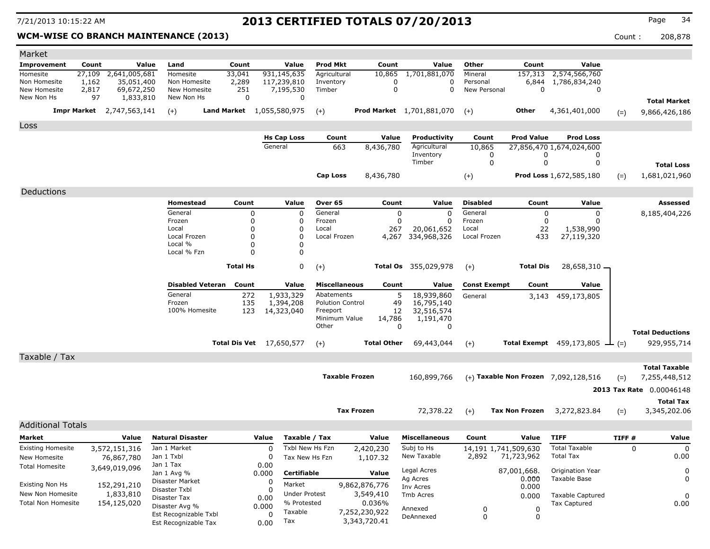### **WCM-WISE CO BRANCH MAINTENANCE (2013)** Count : 208,878

| Market                       |                |                                  |                          |                              |                                 |               |                      |                         |                   |                    |                                  |                          |   |                       |                                             |             |                                       |
|------------------------------|----------------|----------------------------------|--------------------------|------------------------------|---------------------------------|---------------|----------------------|-------------------------|-------------------|--------------------|----------------------------------|--------------------------|---|-----------------------|---------------------------------------------|-------------|---------------------------------------|
| Improvement                  | Count          | Value                            | Land                     |                              | Count                           |               | Value                | <b>Prod Mkt</b>         |                   | Count              | Value                            | Other                    |   | Count                 | Value                                       |             |                                       |
| Homesite                     | 27,109         | 2,641,005,681                    | Homesite                 |                              | 33,041                          | 931,145,635   |                      | Agricultural            |                   | 10,865             | 1,701,881,070                    | Mineral                  |   | 157,313               | 2,574,566,760                               |             |                                       |
| Non Homesite<br>New Homesite | 1,162<br>2,817 | 35,051,400<br>69,672,250         |                          | Non Homesite<br>New Homesite | 2,289<br>251                    | 117,239,810   | 7,195,530            | Inventory<br>Timber     |                   | 0<br>0             | $\Omega$<br>$\Omega$             | Personal<br>New Personal |   | 6,844<br>$\mathbf 0$  | 1,786,834,240<br>0                          |             |                                       |
| New Non Hs                   | 97             | 1,833,810                        |                          | New Non Hs                   | 0                               |               | 0                    |                         |                   |                    |                                  |                          |   |                       |                                             |             |                                       |
|                              |                | <b>Impr Market</b> 2,747,563,141 | $(+)$                    |                              | Land Market 1,055,580,975       |               |                      | $(+)$                   |                   |                    | <b>Prod Market</b> 1,701,881,070 | $(+)$                    |   | Other                 | 4,361,401,000                               | $(=)$       | <b>Total Market</b><br>9,866,426,186  |
| Loss                         |                |                                  |                          |                              |                                 |               |                      |                         |                   |                    |                                  |                          |   |                       |                                             |             |                                       |
|                              |                |                                  |                          |                              |                                 |               | <b>Hs Cap Loss</b>   | Count                   |                   | Value              | Productivity                     | Count                    |   | <b>Prod Value</b>     | <b>Prod Loss</b>                            |             |                                       |
|                              |                |                                  |                          |                              |                                 | General       |                      | 663                     |                   | 8,436,780          | Agricultural                     | 10,865                   |   |                       | 27,856,470 1,674,024,600                    |             |                                       |
|                              |                |                                  |                          |                              |                                 |               |                      |                         |                   |                    | Inventory                        |                          | 0 | 0                     | 0                                           |             |                                       |
|                              |                |                                  |                          |                              |                                 |               |                      |                         |                   |                    | Timber                           |                          | 0 | $\Omega$              | 0                                           |             | <b>Total Loss</b>                     |
|                              |                |                                  |                          |                              |                                 |               |                      | <b>Cap Loss</b>         |                   | 8,436,780          |                                  | $^{(+)}$                 |   |                       | <b>Prod Loss 1,672,585,180</b>              | $(=)$       | 1,681,021,960                         |
| Deductions                   |                |                                  |                          |                              |                                 |               |                      |                         |                   |                    |                                  |                          |   |                       |                                             |             |                                       |
|                              |                |                                  |                          | Homestead                    | Count                           |               | Value                | Over 65                 |                   | Count              | Value                            | <b>Disabled</b>          |   | Count                 | Value                                       |             | Assessed                              |
|                              |                |                                  | General                  |                              | 0                               |               | 0                    | General                 |                   | 0                  | 0                                | General                  |   | 0                     | 0                                           |             | 8,185,404,226                         |
|                              |                |                                  | Frozen                   |                              | 0                               |               | 0                    | Frozen                  |                   | 0                  | 0                                | Frozen                   |   | 0                     | O                                           |             |                                       |
|                              |                |                                  | Local                    | Local Frozen                 | 0<br>$\mathbf 0$                |               | 0<br>0               | Local<br>Local Frozen   |                   | 267                | 20,061,652<br>334,968,326        | Local<br>Local Frozen    |   | 22<br>433             | 1,538,990                                   |             |                                       |
|                              |                |                                  | Local %                  |                              | 0                               |               | 0                    |                         |                   | 4,267              |                                  |                          |   |                       | 27,119,320                                  |             |                                       |
|                              |                |                                  |                          | Local % Fzn                  | $\Omega$                        |               | 0                    |                         |                   |                    |                                  |                          |   |                       |                                             |             |                                       |
|                              |                |                                  |                          |                              | <b>Total Hs</b>                 |               | 0                    | $(+)$                   |                   |                    | Total Os 355,029,978             | $(+)$                    |   | <b>Total Dis</b>      | 28,658,310 -                                |             |                                       |
|                              |                |                                  |                          | <b>Disabled Veteran</b>      | Count                           |               | Value                | <b>Miscellaneous</b>    |                   | Count              | Value                            | <b>Const Exempt</b>      |   | Count                 | Value                                       |             |                                       |
|                              |                |                                  | General                  |                              | 272                             |               | 1,933,329            | Abatements              |                   |                    | 18,939,860                       | General                  |   |                       | 3,143 459,173,805                           |             |                                       |
|                              |                |                                  | Frozen                   |                              | 135                             |               | 1,394,208            | <b>Polution Control</b> |                   | 49                 | 16,795,140                       |                          |   |                       |                                             |             |                                       |
|                              |                |                                  |                          | 100% Homesite                | 123                             | 14,323,040    |                      | Freeport                |                   | 12                 | 32,516,574                       |                          |   |                       |                                             |             |                                       |
|                              |                |                                  |                          |                              |                                 |               |                      | Minimum Value           |                   | 14,786             | 1,191,470                        |                          |   |                       |                                             |             |                                       |
|                              |                |                                  |                          |                              |                                 |               |                      | Other                   |                   | $\mathbf{0}$       | 0                                |                          |   |                       |                                             |             | <b>Total Deductions</b>               |
|                              |                |                                  |                          |                              | <b>Total Dis Vet</b> 17,650,577 |               |                      | $(+)$                   |                   | <b>Total Other</b> | 69,443,044                       | $(+)$                    |   |                       | <b>Total Exempt</b> 459,173,805 $\perp$ (=) |             | 929,955,714                           |
|                              |                |                                  |                          |                              |                                 |               |                      |                         |                   |                    |                                  |                          |   |                       |                                             |             |                                       |
| Taxable / Tax                |                |                                  |                          |                              |                                 |               |                      |                         |                   |                    |                                  |                          |   |                       |                                             |             |                                       |
|                              |                |                                  |                          |                              |                                 |               |                      | <b>Taxable Frozen</b>   |                   |                    | 160,899,766                      |                          |   |                       | $(+)$ Taxable Non Frozen 7,092,128,516      | $(=)$       | <b>Total Taxable</b><br>7,255,448,512 |
|                              |                |                                  |                          |                              |                                 |               |                      |                         |                   |                    |                                  |                          |   |                       |                                             |             |                                       |
|                              |                |                                  |                          |                              |                                 |               |                      |                         |                   |                    |                                  |                          |   |                       |                                             |             | 2013 Tax Rate 0.00046148              |
|                              |                |                                  |                          |                              |                                 |               |                      |                         |                   |                    |                                  |                          |   |                       |                                             |             | <b>Total Tax</b>                      |
|                              |                |                                  |                          |                              |                                 |               |                      |                         | <b>Tax Frozen</b> |                    | 72,378.22                        | $(+)$                    |   | <b>Tax Non Frozen</b> | 3,272,823.84                                | $(=)$       | 3,345,202.06                          |
| <b>Additional Totals</b>     |                |                                  |                          |                              |                                 |               |                      |                         |                   |                    |                                  |                          |   |                       |                                             |             |                                       |
| Market                       |                | Value                            | <b>Natural Disaster</b>  |                              |                                 | Value         | Taxable / Tax        |                         |                   | Value              | <b>Miscellaneous</b>             | Count                    |   | Value                 | <b>TIFF</b>                                 | TIFF#       | Value                                 |
| <b>Existing Homesite</b>     |                | 3,572,151,316                    | Jan 1 Market             |                              |                                 | 0             | Txbl New Hs Fzn      |                         |                   | 2,420,230          | Subj to Hs                       |                          |   | 14,191 1,741,509,630  | <b>Total Taxable</b>                        | $\mathbf 0$ | 0                                     |
| New Homesite                 |                | 76,867,780                       | Jan 1 Txbl               |                              |                                 | 0             | Tax New Hs Fzn       |                         |                   | 1,107.32           | New Taxable                      | 2,892                    |   | 71,723,962            | <b>Total Tax</b>                            |             | 0.00                                  |
| <b>Total Homesite</b>        |                | 3,649,019,096                    | Jan 1 Tax<br>Jan 1 Avg % |                              |                                 | 0.00<br>0.000 | Certifiable          |                         |                   | Value              | Legal Acres                      |                          |   | 87,001,668.           | Origination Year                            |             | 0                                     |
|                              |                |                                  | Disaster Market          |                              |                                 | 0             |                      |                         |                   |                    | Ag Acres                         |                          |   | 0.000                 | Taxable Base                                |             | $\Omega$                              |
| Existing Non Hs              |                | 152,291,210                      | Disaster Txbl            |                              |                                 | 0             | Market               |                         |                   | 9,862,876,776      | Inv Acres                        |                          |   | 0.000                 |                                             |             |                                       |
| New Non Homesite             |                | 1,833,810                        | Disaster Tax             |                              |                                 | 0.00          | <b>Under Protest</b> |                         |                   | 3,549,410          | Tmb Acres                        |                          |   | 0.000                 | <b>Taxable Captured</b>                     |             | 0                                     |
| <b>Total Non Homesite</b>    |                | 154,125,020                      | Disaster Avg %           |                              |                                 | 0.000         | % Protested          |                         |                   | 0.036%             | Annexed                          | 0                        |   | 0                     | <b>Tax Captured</b>                         |             | 0.00                                  |
|                              |                |                                  |                          | Est Recognizable Txbl        |                                 | 0             | Taxable              |                         |                   | 7,252,230,922      | DeAnnexed                        | 0                        |   | 0                     |                                             |             |                                       |

3,343,720.41

Tax 0.00

Est Recognizable Tax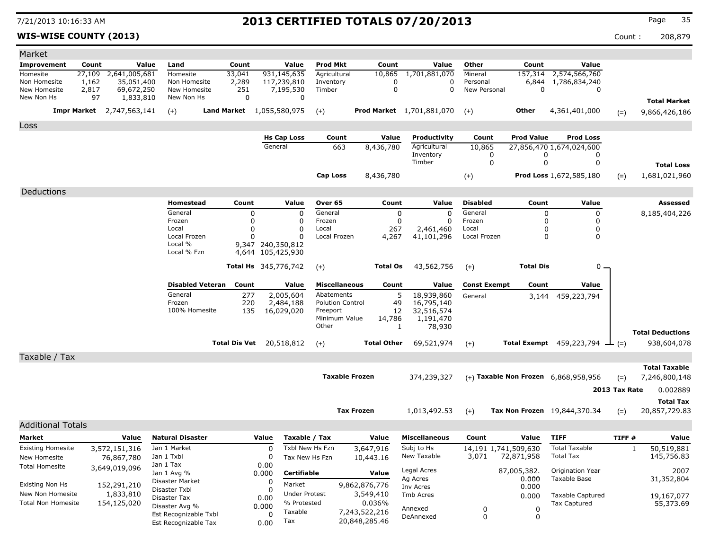### **WIS-WISE COUNTY (2013)** Count : 208,879

| Market                       |                |                                  |                                  |                           |                                 |                         |                       |                           |                          |                      |                                          |               |                         |
|------------------------------|----------------|----------------------------------|----------------------------------|---------------------------|---------------------------------|-------------------------|-----------------------|---------------------------|--------------------------|----------------------|------------------------------------------|---------------|-------------------------|
| <b>Improvement</b>           | Count          | Value                            | Land                             | Count                     | Value                           | <b>Prod Mkt</b>         | Count                 | Value                     | Other                    | Count                | Value                                    |               |                         |
| Homesite                     | 27,109         | 2,641,005,681                    | Homesite                         | 33,041                    | 931,145,635                     | Agricultural            | 10,865                | 1,701,881,070             | Mineral                  | 157,314              | 2,574,566,760                            |               |                         |
| Non Homesite<br>New Homesite | 1,162<br>2,817 | 35,051,400<br>69,672,250         | Non Homesite<br>New Homesite     | 2,289<br>251              | 117,239,810<br>7,195,530        | Inventory<br>Timber     | 0<br>0                | 0<br>0                    | Personal<br>New Personal | 6,844<br>$\mathbf 0$ | 1,786,834,240<br>0                       |               |                         |
| New Non Hs                   | 97             | 1,833,810                        | New Non Hs                       | $\mathbf 0$               | 0                               |                         |                       |                           |                          |                      |                                          |               | <b>Total Market</b>     |
|                              |                | <b>Impr Market</b> 2,747,563,141 | $(+)$                            | Land Market 1,055,580,975 |                                 | $(+)$                   |                       | Prod Market 1,701,881,070 | $(+)$                    | Other                | 4,361,401,000                            | $(=)$         | 9,866,426,186           |
| Loss                         |                |                                  |                                  |                           |                                 |                         |                       |                           |                          |                      |                                          |               |                         |
|                              |                |                                  |                                  |                           | <b>Hs Cap Loss</b>              | Count                   | Value                 | Productivity              | Count                    | <b>Prod Value</b>    | <b>Prod Loss</b>                         |               |                         |
|                              |                |                                  |                                  |                           | General                         | 663                     | 8,436,780             | Agricultural              | 10,865                   |                      | 27,856,470 1,674,024,600                 |               |                         |
|                              |                |                                  |                                  |                           |                                 |                         |                       | Inventory                 | 0                        | 0                    | 0                                        |               |                         |
|                              |                |                                  |                                  |                           |                                 |                         |                       | Timber                    | 0                        | 0                    | 0                                        |               | <b>Total Loss</b>       |
|                              |                |                                  |                                  |                           |                                 | <b>Cap Loss</b>         | 8,436,780             |                           | $(+)$                    |                      | <b>Prod Loss 1,672,585,180</b>           | $(=)$         | 1,681,021,960           |
| Deductions                   |                |                                  |                                  |                           |                                 |                         |                       |                           |                          |                      |                                          |               |                         |
|                              |                |                                  | Homestead                        | Count                     | Value                           | Over 65                 | Count                 | Value                     | <b>Disabled</b>          | Count                | Value                                    |               | Assessed                |
|                              |                |                                  | General                          | 0                         | 0                               | General                 | 0                     | 0                         | General                  | 0                    | 0                                        |               | 8,185,404,226           |
|                              |                |                                  | Frozen                           | 0                         | 0                               | Frozen                  | 0                     | 0                         | Frozen                   | 0                    | 0                                        |               |                         |
|                              |                |                                  | Local<br>Local Frozen            | 0<br>ŋ                    | 0<br>0                          | Local<br>Local Frozen   | 267<br>4,267          | 2,461,460<br>41,101,296   | Local<br>Local Frozen    | $\Omega$<br>0        | 0<br>0                                   |               |                         |
|                              |                |                                  | Local %                          |                           | 9,347 240,350,812               |                         |                       |                           |                          |                      |                                          |               |                         |
|                              |                |                                  | Local % Fzn                      |                           | 4,644 105,425,930               |                         |                       |                           |                          |                      |                                          |               |                         |
|                              |                |                                  |                                  |                           | Total Hs 345,776,742            | $(+)$                   | Total Os              | 43,562,756                | $(+)$                    | <b>Total Dis</b>     | 0 -                                      |               |                         |
|                              |                |                                  | <b>Disabled Veteran</b>          | Count                     | Value                           | <b>Miscellaneous</b>    | Count                 | Value                     | <b>Const Exempt</b>      | Count                | Value                                    |               |                         |
|                              |                |                                  | General                          | 277                       | 2,005,604                       | Abatements              | 5                     | 18,939,860                | General                  |                      | 3,144 459,223,794                        |               |                         |
|                              |                |                                  | Frozen                           | 220                       | 2,484,188                       | <b>Polution Control</b> | 49                    | 16,795,140                |                          |                      |                                          |               |                         |
|                              |                |                                  | 100% Homesite                    | 135                       | 16,029,020                      | Freeport                | 12                    | 32,516,574                |                          |                      |                                          |               |                         |
|                              |                |                                  |                                  |                           |                                 | Minimum Value<br>Other  | 14,786<br>1           | 1,191,470<br>78,930       |                          |                      |                                          |               |                         |
|                              |                |                                  |                                  |                           |                                 |                         |                       |                           |                          |                      |                                          |               | <b>Total Deductions</b> |
|                              |                |                                  |                                  |                           | <b>Total Dis Vet</b> 20,518,812 | $(+)$                   | <b>Total Other</b>    | 69,521,974                | $(+)$                    |                      | <b>Total Exempt</b> 459,223,794          | $ (=)$        | 938,604,078             |
| Taxable / Tax                |                |                                  |                                  |                           |                                 |                         |                       |                           |                          |                      |                                          |               |                         |
|                              |                |                                  |                                  |                           |                                 |                         |                       |                           |                          |                      |                                          |               | <b>Total Taxable</b>    |
|                              |                |                                  |                                  |                           |                                 |                         | <b>Taxable Frozen</b> | 374,239,327               |                          |                      | $(+)$ Taxable Non Frozen $6,868,958,956$ | $(=)$         | 7,246,800,148           |
|                              |                |                                  |                                  |                           |                                 |                         |                       |                           |                          |                      |                                          | 2013 Tax Rate | 0.002889                |
|                              |                |                                  |                                  |                           |                                 |                         |                       |                           |                          |                      |                                          |               | <b>Total Tax</b>        |
|                              |                |                                  |                                  |                           |                                 |                         | <b>Tax Frozen</b>     | 1,013,492.53              | $(+)$                    |                      | <b>Tax Non Frozen</b> 19,844,370.34      | $(=)$         | 20,857,729.83           |
| <b>Additional Totals</b>     |                |                                  |                                  |                           |                                 |                         |                       |                           |                          |                      |                                          |               |                         |
| Market                       |                | Value                            | <b>Natural Disaster</b>          |                           | Taxable / Tax<br>Value          |                         | Value                 | <b>Miscellaneous</b>      | Count                    | Value                | <b>TIFF</b>                              | TIFF#         | Value                   |
| <b>Existing Homesite</b>     |                | 3,572,151,316                    | Jan 1 Market                     |                           | 0                               | Txbl New Hs Fzn         | 3,647,916             | Subj to Hs                | 14,191 1,741,509,630     |                      | <b>Total Taxable</b>                     |               | 50,519,881<br>1         |
| New Homesite                 |                | 76,867,780                       | Jan 1 Txbl                       |                           | 0                               | Tax New Hs Fzn          | 10,443.16             | New Taxable               | 3,071                    | 72,871,958           | <b>Total Tax</b>                         |               | 145,756.83              |
| <b>Total Homesite</b>        |                | 3,649,019,096                    | Jan 1 Tax                        |                           | 0.00                            |                         |                       | Legal Acres               |                          | 87,005,382.          |                                          |               |                         |
|                              |                |                                  | Jan 1 Avg %                      |                           | Certifiable<br>0.000            |                         | Value                 | Ag Acres                  |                          | 0.000                | Origination Year<br>Taxable Base         |               | 2007<br>31,352,804      |
| <b>Existing Non Hs</b>       |                | 152,291,210                      | Disaster Market<br>Disaster Txbl |                           | Market<br>0                     |                         | 9,862,876,776         | Inv Acres                 |                          | 0.000                |                                          |               |                         |
| New Non Homesite             |                | 1,833,810                        | Disaster Tax                     |                           | <b>Under Protest</b><br>0.00    |                         | 3,549,410             | Tmb Acres                 |                          | 0.000                | <b>Taxable Captured</b>                  |               | 19,167,077              |
| <b>Total Non Homesite</b>    |                | 154,125,020                      | Disaster Avg %                   |                           | % Protested<br>0.000            |                         | 0.036%                | Annexed                   | 0                        | 0                    | <b>Tax Captured</b>                      |               | 55,373.69               |
|                              |                |                                  | Est Recognizable Txbl            |                           | Taxable                         |                         | 7,243,522,216         | DeAnnexed                 | 0                        | 0                    |                                          |               |                         |
|                              |                |                                  | Est Recognizable Tax             |                           | Tax<br>0.00                     |                         | 20,848,285.46         |                           |                          |                      |                                          |               |                         |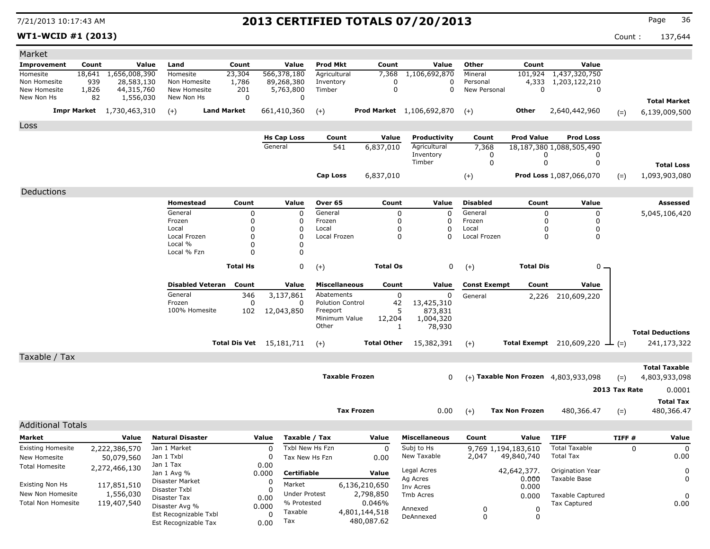### **WT1-WCID #1 (2013)** Count : 137,644

| Market                                                 |                              |                                                        |                                                        |                         |                             |                                        |                        |                                                        |                             |                                                             |                                     |                                          |                                          |               |                                    |
|--------------------------------------------------------|------------------------------|--------------------------------------------------------|--------------------------------------------------------|-------------------------|-----------------------------|----------------------------------------|------------------------|--------------------------------------------------------|-----------------------------|-------------------------------------------------------------|-------------------------------------|------------------------------------------|------------------------------------------|---------------|------------------------------------|
| Improvement                                            | Count                        | Value                                                  | Land                                                   |                         | Count                       | Value                                  |                        | Prod Mkt                                               | Count                       | Value                                                       | Other                               | Count                                    | Value                                    |               |                                    |
| Homesite<br>Non Homesite<br>New Homesite<br>New Non Hs | 18,641<br>939<br>1,826<br>82 | 1,656,008,390<br>28,583,130<br>44,315,760<br>1,556,030 | Homesite<br>Non Homesite<br>New Homesite<br>New Non Hs |                         | 23,304<br>1,786<br>201<br>0 | 566,378,180<br>89,268,380<br>5,763,800 | Timber<br>0            | Agricultural<br>Inventory                              | 7,368<br>0<br>$\mathbf 0$   | 1,106,692,870<br>0<br>0                                     | Mineral<br>Personal<br>New Personal | 101,924<br>4,333<br>0                    | 1,437,320,750<br>1,203,122,210<br>0      |               | <b>Total Market</b>                |
|                                                        |                              | <b>Impr Market</b> 1,730,463,310                       | $(+)$                                                  | <b>Land Market</b>      |                             | 661,410,360                            | $(+)$                  |                                                        |                             | Prod Market 1,106,692,870                                   | $(+)$                               | <b>Other</b>                             | 2,640,442,960                            | $(=)$         | 6,139,009,500                      |
| Loss                                                   |                              |                                                        |                                                        |                         |                             |                                        |                        |                                                        |                             |                                                             |                                     |                                          |                                          |               |                                    |
|                                                        |                              |                                                        |                                                        |                         |                             | <b>Hs Cap Loss</b>                     |                        | Count                                                  | Value                       | Productivity                                                | Count                               | <b>Prod Value</b>                        | <b>Prod Loss</b>                         |               |                                    |
|                                                        |                              |                                                        |                                                        |                         |                             | General                                |                        | 541                                                    | 6,837,010                   | Agricultural<br>Inventory<br>Timber                         | 7,368                               | 0<br>0<br>$\mathbf 0$<br>0               | 18,187,380 1,088,505,490<br>0<br>0       |               |                                    |
|                                                        |                              |                                                        |                                                        |                         |                             |                                        |                        | <b>Cap Loss</b>                                        | 6,837,010                   |                                                             | $(+)$                               |                                          | <b>Prod Loss 1,087,066,070</b>           | $(=)$         | <b>Total Loss</b><br>1,093,903,080 |
|                                                        |                              |                                                        |                                                        |                         |                             |                                        |                        |                                                        |                             |                                                             |                                     |                                          |                                          |               |                                    |
| Deductions                                             |                              |                                                        | Homestead                                              |                         | Count                       | Value                                  | Over 65                |                                                        | Count                       | Value                                                       | <b>Disabled</b>                     | Count                                    | Value                                    |               | Assessed                           |
|                                                        |                              |                                                        | General                                                |                         | 0                           |                                        | 0<br>General           |                                                        | $\mathbf 0$                 | 0                                                           | General                             | 0                                        | 0                                        |               | 5,045,106,420                      |
|                                                        |                              |                                                        | Frozen                                                 |                         | 0                           |                                        | 0<br>Frozen            |                                                        | 0                           | 0                                                           | Frozen                              | 0                                        | 0                                        |               |                                    |
|                                                        |                              |                                                        | Local                                                  |                         | 0                           |                                        | $\Omega$<br>Local      |                                                        | 0                           | 0                                                           | Local                               | 0                                        | 0                                        |               |                                    |
|                                                        |                              |                                                        | Local Frozen<br>Local %                                |                         | 0<br>0                      |                                        | 0<br>0                 | Local Frozen                                           | 0                           | 0                                                           | Local Frozen                        | 0                                        | 0                                        |               |                                    |
|                                                        |                              |                                                        | Local % Fzn                                            |                         | 0                           |                                        | 0                      |                                                        |                             |                                                             |                                     |                                          |                                          |               |                                    |
|                                                        |                              |                                                        |                                                        |                         | <b>Total Hs</b>             |                                        | 0<br>$(+)$             |                                                        | <b>Total Os</b>             | 0                                                           | $(+)$                               | <b>Total Dis</b>                         | 0 -                                      |               |                                    |
|                                                        |                              |                                                        |                                                        | <b>Disabled Veteran</b> | Count                       | Value                                  |                        | <b>Miscellaneous</b>                                   | Count                       | Value                                                       | <b>Const Exempt</b>                 | Count                                    | Value                                    |               |                                    |
|                                                        |                              |                                                        | General<br>Frozen<br>100% Homesite                     |                         | 346<br>0<br>102             | 3,137,861<br>12,043,850                | 0<br>Freeport<br>Other | Abatements<br><b>Polution Control</b><br>Minimum Value | 0<br>42<br>5<br>12,204<br>1 | $\mathbf 0$<br>13,425,310<br>873,831<br>1,004,320<br>78,930 | General                             | 2,226                                    | 210,609,220                              |               | <b>Total Deductions</b>            |
|                                                        |                              |                                                        |                                                        |                         |                             | <b>Total Dis Vet</b> 15,181,711        | $(+)$                  |                                                        | <b>Total Other</b>          | 15,382,391                                                  | $(+)$                               |                                          | <b>Total Exempt</b> 210,609,220          | $ ($ $=$ $)$  | 241,173,322                        |
| Taxable / Tax                                          |                              |                                                        |                                                        |                         |                             |                                        |                        |                                                        |                             |                                                             |                                     |                                          |                                          |               |                                    |
|                                                        |                              |                                                        |                                                        |                         |                             |                                        |                        |                                                        |                             |                                                             |                                     |                                          |                                          |               | <b>Total Taxable</b>               |
|                                                        |                              |                                                        |                                                        |                         |                             |                                        |                        | <b>Taxable Frozen</b>                                  |                             | 0                                                           |                                     | $(+)$ Taxable Non Frozen $4,803,933,098$ |                                          | $(=)$         | 4,803,933,098                      |
|                                                        |                              |                                                        |                                                        |                         |                             |                                        |                        |                                                        |                             |                                                             |                                     |                                          |                                          | 2013 Tax Rate | 0.0001                             |
|                                                        |                              |                                                        |                                                        |                         |                             |                                        |                        |                                                        |                             |                                                             |                                     |                                          |                                          |               | <b>Total Tax</b>                   |
|                                                        |                              |                                                        |                                                        |                         |                             |                                        |                        | <b>Tax Frozen</b>                                      |                             | 0.00                                                        | $(+)$                               | <b>Tax Non Frozen</b>                    | 480,366.47                               | $(=)$         | 480,366.47                         |
| <b>Additional Totals</b>                               |                              |                                                        |                                                        |                         |                             |                                        |                        |                                                        |                             |                                                             |                                     |                                          |                                          |               |                                    |
| Market                                                 |                              | Value                                                  | <b>Natural Disaster</b>                                |                         |                             | Value                                  | Taxable / Tax          |                                                        | Value                       | <b>Miscellaneous</b>                                        | Count                               | Value                                    | <b>TIFF</b>                              | TIFF#         | Value                              |
| <b>Existing Homesite</b>                               |                              | 2,222,386,570                                          | Jan 1 Market                                           |                         |                             | 0                                      | Txbl New Hs Fzn        |                                                        | 0                           | Subj to Hs<br>New Taxable                                   |                                     | 9,769 1,194,183,610                      | <b>Total Taxable</b><br><b>Total Tax</b> | 0             | 0<br>0.00                          |
| New Homesite                                           |                              | 50,079,560                                             | Jan 1 Txbl<br>Jan 1 Tax                                |                         |                             | 0<br>0.00                              | Tax New Hs Fzn         |                                                        | 0.00                        |                                                             | 2,047                               | 49,840,740                               |                                          |               |                                    |
| <b>Total Homesite</b>                                  |                              | 2,272,466,130                                          | Jan 1 Avg %                                            |                         |                             | 0.000                                  | Certifiable            |                                                        | Value                       | Legal Acres<br>Ag Acres                                     |                                     | 42,642,377.<br>0.000                     | Origination Year<br>Taxable Base         |               | 0<br>$\Omega$                      |
| Existing Non Hs                                        |                              | 117,851,510                                            | Disaster Market                                        |                         |                             | 0<br>Market                            |                        |                                                        | 6,136,210,650               | Inv Acres                                                   |                                     | 0.000                                    |                                          |               |                                    |
| New Non Homesite                                       |                              | 1,556,030                                              | Disaster Txbl<br>Disaster Tax                          |                         |                             | 0                                      | <b>Under Protest</b>   |                                                        | 2,798,850                   | Tmb Acres                                                   |                                     | 0.000                                    | <b>Taxable Captured</b>                  |               | 0                                  |
| <b>Total Non Homesite</b>                              |                              | 119,407,540                                            | Disaster Avg %                                         |                         |                             | 0.00<br>0.000                          | % Protested            |                                                        | 0.046%                      |                                                             |                                     |                                          | <b>Tax Captured</b>                      |               | 0.00                               |
|                                                        |                              |                                                        | Est Recognizable Txbl                                  |                         |                             | Taxable<br>0                           |                        |                                                        | 4,801,144,518<br>100.0255   | Annexed<br>DeAnnexed                                        | 0<br>0                              | 0<br>0                                   |                                          |               |                                    |

480,087.62

Tax

0.00

Est Recognizable Tax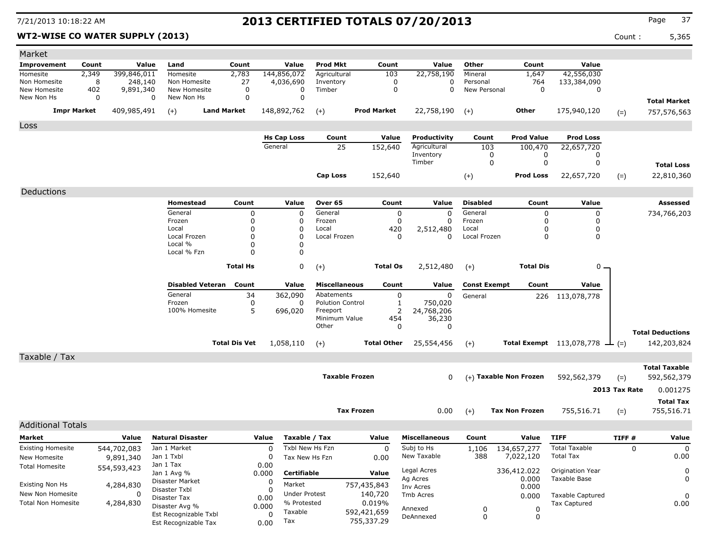### **WT2-WISE CO WATER SUPPLY (2013)** Count : 5,365

| Market                       |                    |             |                                  |                      |                              |                         |                    |                         |                       |                            |                                 |               |                                    |
|------------------------------|--------------------|-------------|----------------------------------|----------------------|------------------------------|-------------------------|--------------------|-------------------------|-----------------------|----------------------------|---------------------------------|---------------|------------------------------------|
| Improvement                  | Count              | Value       | Land                             | Count                | Value                        | Prod Mkt                | Count              | Value                   | Other                 | Count                      | Value                           |               |                                    |
| Homesite                     | 2,349              | 399,846,011 | Homesite                         | 2,783                | 144,856,072                  | Agricultural            | 103                | 22,758,190              | Mineral               | 1,647                      | 42,556,030                      |               |                                    |
| Non Homesite<br>New Homesite | 8                  | 248,140     | Non Homesite<br>New Homesite     | 27                   | 4,036,690                    | Inventory               | $\mathbf 0$<br>0   | 0<br>0                  | Personal              | 764<br>$\mathbf 0$         | 133,384,090<br>$\mathbf 0$      |               |                                    |
| New Non Hs                   | 402<br>0           | 9,891,340   | 0<br>New Non Hs                  | 0<br>0               | 0<br>$\Omega$                | Timber                  |                    |                         | New Personal          |                            |                                 |               |                                    |
|                              | <b>Impr Market</b> | 409,985,491 | $(+)$                            | <b>Land Market</b>   | 148,892,762                  | $(+)$                   | <b>Prod Market</b> | 22,758,190              | $(+)$                 | Other                      | 175,940,120                     | $(=)$         | <b>Total Market</b><br>757,576,563 |
| Loss                         |                    |             |                                  |                      |                              |                         |                    |                         |                       |                            |                                 |               |                                    |
|                              |                    |             |                                  |                      | <b>Hs Cap Loss</b>           | Count                   | Value              | Productivity            | Count                 | <b>Prod Value</b>          | <b>Prod Loss</b>                |               |                                    |
|                              |                    |             |                                  |                      | General                      | 25                      | 152,640            | Agricultural            | 103                   | 100,470                    | 22,657,720                      |               |                                    |
|                              |                    |             |                                  |                      |                              |                         |                    | Inventory               |                       | 0<br>0                     | 0                               |               |                                    |
|                              |                    |             |                                  |                      |                              |                         |                    | Timber                  |                       | $\mathbf 0$<br>$\mathbf 0$ | $\mathbf 0$                     |               | <b>Total Loss</b>                  |
|                              |                    |             |                                  |                      |                              | Cap Loss                | 152,640            |                         | $(+)$                 | <b>Prod Loss</b>           | 22,657,720                      | $(=)$         | 22,810,360                         |
| Deductions                   |                    |             |                                  |                      |                              |                         |                    |                         |                       |                            |                                 |               |                                    |
|                              |                    |             | Homestead                        | Count                | Value                        | Over 65                 | Count              | Value                   | <b>Disabled</b>       | Count                      | Value                           |               | Assessed                           |
|                              |                    |             | General                          | 0                    | 0                            | General                 |                    | 0<br>0                  | General               | 0                          | 0                               |               | 734,766,203                        |
|                              |                    |             | Frozen                           | $\mathbf 0$          | 0                            | Frozen                  |                    | 0<br>0                  | Frozen                | 0                          | 0                               |               |                                    |
|                              |                    |             | Local<br>Local Frozen            | 0<br>$\Omega$        | 0<br>0                       | Local<br>Local Frozen   | 420                | 2,512,480<br>0<br>0     | Local<br>Local Frozen | 0<br>0                     | 0<br>0                          |               |                                    |
|                              |                    |             | Local %                          | 0                    | 0                            |                         |                    |                         |                       |                            |                                 |               |                                    |
|                              |                    |             | Local % Fzn                      | O                    | 0                            |                         |                    |                         |                       |                            |                                 |               |                                    |
|                              |                    |             |                                  | <b>Total Hs</b>      | 0                            | $(+)$                   | <b>Total Os</b>    | 2,512,480               | $(+)$                 | <b>Total Dis</b>           | $0 -$                           |               |                                    |
|                              |                    |             | <b>Disabled Veteran</b>          | Count                | Value                        | <b>Miscellaneous</b>    | Count              | Value                   | <b>Const Exempt</b>   | Count                      | Value                           |               |                                    |
|                              |                    |             | General                          | 34                   | 362,090                      | Abatements              |                    | 0<br>$\mathbf 0$        | General               | 226                        | 113,078,778                     |               |                                    |
|                              |                    |             | Frozen                           | 0                    | 0                            | <b>Polution Control</b> |                    | 1<br>750,020            |                       |                            |                                 |               |                                    |
|                              |                    |             | 100% Homesite                    | 5                    | 696,020                      | Freeport                |                    | 2<br>24,768,206         |                       |                            |                                 |               |                                    |
|                              |                    |             |                                  |                      |                              | Minimum Value<br>Other  | 454                | 36,230<br>$\Omega$<br>0 |                       |                            |                                 |               |                                    |
|                              |                    |             |                                  |                      |                              |                         |                    |                         |                       |                            |                                 |               | <b>Total Deductions</b>            |
|                              |                    |             |                                  | <b>Total Dis Vet</b> | 1,058,110                    | $(+)$                   | <b>Total Other</b> | 25,554,456              | $(+)$                 |                            | <b>Total Exempt</b> 113,078,778 | $ (=)$        | 142,203,824                        |
| Taxable / Tax                |                    |             |                                  |                      |                              |                         |                    |                         |                       |                            |                                 |               |                                    |
|                              |                    |             |                                  |                      |                              |                         |                    |                         |                       |                            |                                 |               | <b>Total Taxable</b>               |
|                              |                    |             |                                  |                      |                              | <b>Taxable Frozen</b>   |                    | 0                       |                       | $(+)$ Taxable Non Frozen   | 592,562,379                     | $(=)$         | 592,562,379                        |
|                              |                    |             |                                  |                      |                              |                         |                    |                         |                       |                            |                                 | 2013 Tax Rate | 0.001275                           |
|                              |                    |             |                                  |                      |                              |                         |                    |                         |                       |                            |                                 |               | <b>Total Tax</b>                   |
|                              |                    |             |                                  |                      |                              |                         | <b>Tax Frozen</b>  | 0.00                    | $(+)$                 | <b>Tax Non Frozen</b>      | 755,516.71                      | $(=)$         | 755,516.71                         |
| <b>Additional Totals</b>     |                    |             |                                  |                      |                              |                         |                    |                         |                       |                            |                                 |               |                                    |
| Market                       |                    | Value       | <b>Natural Disaster</b>          |                      | Taxable / Tax<br>Value       |                         | Value              | <b>Miscellaneous</b>    | Count                 | Value                      | <b>TIFF</b>                     | TIFF#         | Value                              |
| <b>Existing Homesite</b>     |                    | 544,702,083 | Jan 1 Market                     |                      | Txbl New Hs Fzn<br>0         |                         | $\mathbf 0$        | Subj to Hs              | 1,106                 | 134,657,277                | <b>Total Taxable</b>            | 0             | 0                                  |
| New Homesite                 |                    | 9,891,340   | Jan 1 Txbl                       |                      | 0<br>Tax New Hs Fzn          |                         | 0.00               | New Taxable             | 388                   | 7,022,120                  | <b>Total Tax</b>                |               | 0.00                               |
| <b>Total Homesite</b>        |                    | 554,593,423 | Jan 1 Tax                        |                      | 0.00                         |                         |                    | Legal Acres             |                       | 336,412.022                | Origination Year                |               | 0                                  |
|                              |                    |             | Jan 1 Avg %                      |                      | Certifiable<br>0.000         |                         | Value              | Ag Acres                |                       | 0.000                      | Taxable Base                    |               | 0                                  |
| Existing Non Hs              |                    | 4,284,830   | Disaster Market<br>Disaster Txbl |                      | 0<br>Market<br>0             |                         | 757,435,843        | Inv Acres               |                       | 0.000                      |                                 |               |                                    |
| New Non Homesite             |                    | 0           | Disaster Tax                     |                      | <b>Under Protest</b><br>0.00 |                         | 140,720            | Tmb Acres               |                       | 0.000                      | <b>Taxable Captured</b>         |               | 0                                  |
| <b>Total Non Homesite</b>    |                    | 4,284,830   | Disaster Avg %                   |                      | % Protested<br>0.000         |                         | 0.019%             | Annexed                 | 0                     | 0                          | Tax Captured                    |               | 0.00                               |
|                              |                    |             | Est Recognizable Txbl            |                      | Taxable<br>0                 |                         | 592,421,659        | DeAnnexed               | 0                     | 0                          |                                 |               |                                    |
|                              |                    |             | Est Recognizable Tax             |                      | Tax<br>0.00                  |                         | 755,337.29         |                         |                       |                            |                                 |               |                                    |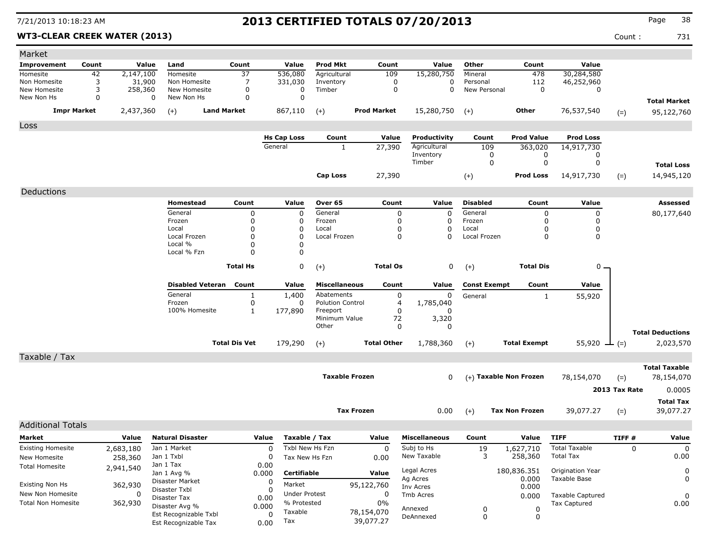### WT3-CLEAR CREEK WATER (2013) **Count : 731**

| Market                       |                    |                   |                                  |                      |                      |                           |                    |                         |                          |                          |                         |               |                                   |
|------------------------------|--------------------|-------------------|----------------------------------|----------------------|----------------------|---------------------------|--------------------|-------------------------|--------------------------|--------------------------|-------------------------|---------------|-----------------------------------|
| Improvement                  | Count              | Value             | Land                             | Count                | Value                | <b>Prod Mkt</b>           | Count              | Value                   | Other                    | Count                    | Value                   |               |                                   |
| Homesite                     | 42                 | 2,147,100         | Homesite                         | 37                   | 536,080              | Agricultural              | 109                | 15,280,750              | Mineral                  | 478                      | 30,284,580              |               |                                   |
| Non Homesite<br>New Homesite | 3<br>3             | 31,900<br>258,360 | Non Homesite<br>New Homesite     | 7<br>$\pmb{0}$       | 331,030<br>0         | Inventory<br>Timber       | 0<br>$\mathbf 0$   | $\mathbf 0$<br>$\Omega$ | Personal<br>New Personal | 112<br>$\mathbf 0$       | 46,252,960<br>0         |               |                                   |
| New Non Hs                   | 0                  |                   | $\mathbf 0$<br>New Non Hs        | 0                    | 0                    |                           |                    |                         |                          |                          |                         |               |                                   |
|                              | <b>Impr Market</b> | 2,437,360         | <b>Land Market</b><br>$(+)$      |                      | 867,110              | $(+)$                     | <b>Prod Market</b> | 15,280,750              | $(+)$                    | Other                    | 76,537,540              | $(=)$         | <b>Total Market</b><br>95,122,760 |
| Loss                         |                    |                   |                                  |                      |                      |                           |                    |                         |                          |                          |                         |               |                                   |
|                              |                    |                   |                                  |                      | <b>Hs Cap Loss</b>   | Count                     | Value              | Productivity            | Count                    | <b>Prod Value</b>        | <b>Prod Loss</b>        |               |                                   |
|                              |                    |                   |                                  |                      | General              | 1                         | 27,390             | Agricultural            | 109                      | 363,020                  | 14,917,730              |               |                                   |
|                              |                    |                   |                                  |                      |                      |                           |                    | Inventory               | 0                        | 0                        | 0                       |               |                                   |
|                              |                    |                   |                                  |                      |                      |                           |                    | Timber                  | 0                        | 0                        | 0                       |               | <b>Total Loss</b>                 |
|                              |                    |                   |                                  |                      |                      | <b>Cap Loss</b>           | 27,390             |                         | $(+)$                    | <b>Prod Loss</b>         | 14,917,730              | $(=)$         | 14,945,120                        |
| Deductions                   |                    |                   |                                  |                      |                      |                           |                    |                         |                          |                          |                         |               |                                   |
|                              |                    |                   | Homestead                        | Count                | Value                | Over 65                   | Count              | Value                   | <b>Disabled</b>          | Count                    | Value                   |               | Assessed                          |
|                              |                    |                   | General                          | 0                    | 0                    | General                   |                    | 0<br>0                  | General                  | 0                        | 0                       |               | 80,177,640                        |
|                              |                    |                   | Frozen                           | 0                    | 0                    | Frozen                    |                    | 0<br>0                  | Frozen                   | 0                        | 0                       |               |                                   |
|                              |                    |                   | Local                            | 0                    | 0                    | Local                     | $\Omega$           | 0                       | Local                    | 0                        | 0                       |               |                                   |
|                              |                    |                   | Local Frozen<br>Local %          | 0<br>0               | $\Omega$<br>0        | Local Frozen              |                    | 0<br>$\Omega$           | Local Frozen             | 0                        | 0                       |               |                                   |
|                              |                    |                   | Local % Fzn                      | 0                    | $\mathbf 0$          |                           |                    |                         |                          |                          |                         |               |                                   |
|                              |                    |                   |                                  |                      |                      |                           |                    |                         |                          |                          |                         |               |                                   |
|                              |                    |                   |                                  | <b>Total Hs</b>      | 0                    | $(+)$                     | <b>Total Os</b>    | 0                       | $(+)$                    | <b>Total Dis</b>         | 0 -                     |               |                                   |
|                              |                    |                   | <b>Disabled Veteran</b>          | Count                | Value                | <b>Miscellaneous</b>      | Count              | Value                   | <b>Const Exempt</b>      | Count                    | Value                   |               |                                   |
|                              |                    |                   | General                          | 1                    | 1,400                | Abatements                |                    | 0<br>0                  | General                  | $\mathbf{1}$             | 55,920                  |               |                                   |
|                              |                    |                   | Frozen                           | 0                    | 0                    | <b>Polution Control</b>   | $\overline{4}$     | 1,785,040               |                          |                          |                         |               |                                   |
|                              |                    |                   | 100% Homesite                    | $\mathbf{1}$         | 177,890              | Freeport<br>Minimum Value | $\Omega$<br>72     | n<br>3,320              |                          |                          |                         |               |                                   |
|                              |                    |                   |                                  |                      |                      | Other                     | $\Omega$           | $\Omega$                |                          |                          |                         |               |                                   |
|                              |                    |                   |                                  |                      |                      |                           |                    |                         |                          |                          |                         |               | <b>Total Deductions</b>           |
|                              |                    |                   |                                  | <b>Total Dis Vet</b> | 179,290              | $(+)$                     | <b>Total Other</b> | 1,788,360               | $(+)$                    | <b>Total Exempt</b>      | 55,920 $\perp$ (=)      |               | 2,023,570                         |
| Taxable / Tax                |                    |                   |                                  |                      |                      |                           |                    |                         |                          |                          |                         |               |                                   |
|                              |                    |                   |                                  |                      |                      |                           |                    |                         |                          |                          |                         |               | <b>Total Taxable</b>              |
|                              |                    |                   |                                  |                      |                      | <b>Taxable Frozen</b>     |                    | 0                       |                          | $(+)$ Taxable Non Frozen | 78,154,070              | $(=)$         | 78,154,070                        |
|                              |                    |                   |                                  |                      |                      |                           |                    |                         |                          |                          |                         | 2013 Tax Rate | 0.0005                            |
|                              |                    |                   |                                  |                      |                      |                           |                    |                         |                          |                          |                         |               | <b>Total Tax</b>                  |
|                              |                    |                   |                                  |                      |                      |                           | <b>Tax Frozen</b>  | 0.00                    | $(+)$                    | <b>Tax Non Frozen</b>    | 39,077.27               | $(=)$         | 39,077.27                         |
| <b>Additional Totals</b>     |                    |                   |                                  |                      |                      |                           |                    |                         |                          |                          |                         |               |                                   |
| Market                       |                    | Value             | <b>Natural Disaster</b>          | Value                | Taxable / Tax        |                           | Value              | <b>Miscellaneous</b>    | Count                    | Value                    | <b>TIFF</b>             | TIFF#         | Value                             |
| <b>Existing Homesite</b>     |                    | 2,683,180         | Jan 1 Market                     | 0                    | Txbl New Hs Fzn      |                           | $\mathbf 0$        | Subj to Hs              | 19                       | 1,627,710                | <b>Total Taxable</b>    | 0             | $\mathbf 0$                       |
| New Homesite                 |                    | 258,360           | Jan 1 Txbl                       | 0                    | Tax New Hs Fzn       |                           | 0.00               | New Taxable             | 3                        | 258,360                  | <b>Total Tax</b>        |               | 0.00                              |
| <b>Total Homesite</b>        |                    | 2,941,540         | Jan 1 Tax                        | 0.00                 |                      |                           |                    | Legal Acres             |                          | 180,836.351              | Origination Year        |               | 0                                 |
|                              |                    |                   | Jan 1 Avg %                      | 0.000                | Certifiable          |                           | Value              | Ag Acres                |                          | 0.000                    | Taxable Base            |               | 0                                 |
| Existing Non Hs              |                    | 362,930           | Disaster Market<br>Disaster Txbl | 0<br>0               | Market               |                           | 95,122,760         | Inv Acres               |                          | 0.000                    |                         |               |                                   |
| New Non Homesite             |                    | 0                 | Disaster Tax                     | 0.00                 | <b>Under Protest</b> |                           | 0                  | Tmb Acres               |                          | 0.000                    | <b>Taxable Captured</b> |               | 0                                 |
| <b>Total Non Homesite</b>    |                    | 362,930           | Disaster Avg %                   | 0.000                | % Protested          |                           | 0%                 | Annexed                 | 0                        | 0                        | <b>Tax Captured</b>     |               | 0.00                              |
|                              |                    |                   | Est Recognizable Txbl            | 0                    | Taxable              |                           | 78,154,070         | DeAnnexed               | 0                        | 0                        |                         |               |                                   |
|                              |                    |                   | Est Recognizable Tax             | 0.00                 | Tax                  |                           | 39,077.27          |                         |                          |                          |                         |               |                                   |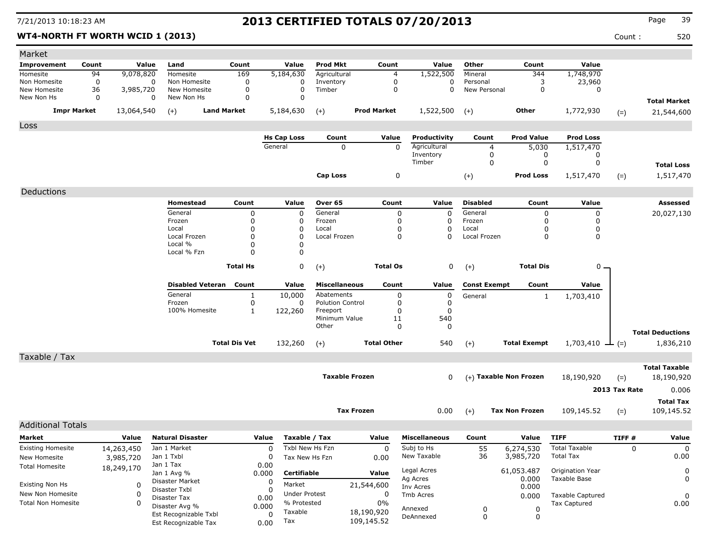### **WT4-NORTH FT WORTH WCID 1 (2013)** Count : 520

| Market                     |                    |            |                                   |                      |                               |                         |                       |                          |                   |                              |                         |               |                                   |
|----------------------------|--------------------|------------|-----------------------------------|----------------------|-------------------------------|-------------------------|-----------------------|--------------------------|-------------------|------------------------------|-------------------------|---------------|-----------------------------------|
| Improvement                | Count              | Value      | Land                              | Count                | Value                         | <b>Prod Mkt</b>         | Count                 | Value                    | Other             | Count                        | Value                   |               |                                   |
| Homesite                   | 94                 | 9,078,820  | Homesite                          | 169                  | 5,184,630                     | Agricultural            | 4                     | 1,522,500                | Mineral           | 344                          | 1,748,970               |               |                                   |
| Non Homesite               | 0                  |            | $\mathbf 0$<br>Non Homesite       | 0                    | 0                             | Inventory               | 0                     |                          | 0<br>Personal     | 3                            | 23,960                  |               |                                   |
| New Homesite<br>New Non Hs | 36<br>0            | 3,985,720  | New Homesite<br>New Non Hs<br>0   | 0<br>0               | 0<br>0                        | Timber                  | $\mathbf 0$           |                          | 0<br>New Personal | $\pmb{0}$                    | $\mathbf 0$             |               |                                   |
|                            | <b>Impr Market</b> | 13,064,540 | $(+)$                             | <b>Land Market</b>   | 5,184,630                     | $(+)$                   | <b>Prod Market</b>    | 1,522,500                | $(+)$             | Other                        | 1,772,930               | $(=)$         | <b>Total Market</b><br>21,544,600 |
| Loss                       |                    |            |                                   |                      |                               |                         |                       |                          |                   |                              |                         |               |                                   |
|                            |                    |            |                                   |                      |                               |                         | Value                 | Productivity             | Count             | <b>Prod Value</b>            | <b>Prod Loss</b>        |               |                                   |
|                            |                    |            |                                   |                      | <b>Hs Cap Loss</b><br>General | Count<br>0              |                       | Agricultural<br>$\Omega$ |                   | 4<br>5,030                   | 1,517,470               |               |                                   |
|                            |                    |            |                                   |                      |                               |                         |                       | Inventory                |                   | 0<br>0                       | 0                       |               |                                   |
|                            |                    |            |                                   |                      |                               |                         |                       | Timber                   |                   | 0<br>0                       | $\mathbf 0$             |               | <b>Total Loss</b>                 |
|                            |                    |            |                                   |                      |                               | Cap Loss                |                       | 0                        | $(+)$             | <b>Prod Loss</b>             | 1,517,470               | $(=)$         | 1,517,470                         |
|                            |                    |            |                                   |                      |                               |                         |                       |                          |                   |                              |                         |               |                                   |
| Deductions                 |                    |            |                                   |                      |                               |                         |                       |                          |                   |                              |                         |               |                                   |
|                            |                    |            | Homestead                         | Count                | Value                         | Over 65                 | Count                 | Value                    | <b>Disabled</b>   | Count                        | Value                   |               | Assessed                          |
|                            |                    |            | General<br>Frozen                 | 0<br>0               | 0<br>0                        | General<br>Frozen       |                       | 0<br>0<br>0<br>0         | General<br>Frozen | 0<br>0                       | $\mathbf 0$<br>0        |               | 20,027,130                        |
|                            |                    |            | Local                             | 0                    | 0                             | Local                   |                       | 0<br>0                   | Local             | $\Omega$                     | 0                       |               |                                   |
|                            |                    |            | Local Frozen                      | 0                    | 0                             | Local Frozen            |                       | 0<br>0                   | Local Frozen      | $\mathbf 0$                  | $\mathbf 0$             |               |                                   |
|                            |                    |            | Local %                           | 0                    | 0                             |                         |                       |                          |                   |                              |                         |               |                                   |
|                            |                    |            | Local % Fzn                       | 0                    | 0                             |                         |                       |                          |                   |                              |                         |               |                                   |
|                            |                    |            |                                   | <b>Total Hs</b>      | $\mathsf 0$                   | $(+)$                   | <b>Total Os</b>       | 0                        | $(+)$             | <b>Total Dis</b>             | $0 -$                   |               |                                   |
|                            |                    |            | <b>Disabled Veteran</b>           | Count                | Value                         | <b>Miscellaneous</b>    | Count                 | Value                    |                   | <b>Const Exempt</b><br>Count | Value                   |               |                                   |
|                            |                    |            | General                           | $\mathbf{1}$         | 10,000                        | Abatements              |                       | 0<br>0                   | General           | $\mathbf{1}$                 | 1,703,410               |               |                                   |
|                            |                    |            | Frozen                            | 0                    | 0                             | <b>Polution Control</b> |                       | 0<br>0                   |                   |                              |                         |               |                                   |
|                            |                    |            | 100% Homesite                     | $\mathbf{1}$         | 122,260                       | Freeport                |                       | 0<br>0                   |                   |                              |                         |               |                                   |
|                            |                    |            |                                   |                      |                               | Minimum Value<br>Other  |                       | 11<br>540<br>0<br>0      |                   |                              |                         |               |                                   |
|                            |                    |            |                                   |                      |                               |                         |                       |                          |                   |                              |                         |               | <b>Total Deductions</b>           |
|                            |                    |            |                                   | <b>Total Dis Vet</b> | 132,260                       | $(+)$                   | <b>Total Other</b>    | 540                      | $(+)$             | <b>Total Exempt</b>          | 1,703,410 $\perp$ (=)   |               | 1,836,210                         |
| Taxable / Tax              |                    |            |                                   |                      |                               |                         |                       |                          |                   |                              |                         |               |                                   |
|                            |                    |            |                                   |                      |                               |                         |                       |                          |                   |                              |                         |               | <b>Total Taxable</b>              |
|                            |                    |            |                                   |                      |                               |                         | <b>Taxable Frozen</b> | 0                        |                   | $(+)$ Taxable Non Frozen     | 18,190,920              | $(=)$         | 18,190,920                        |
|                            |                    |            |                                   |                      |                               |                         |                       |                          |                   |                              |                         | 2013 Tax Rate | 0.006                             |
|                            |                    |            |                                   |                      |                               |                         |                       |                          |                   |                              |                         |               | <b>Total Tax</b>                  |
|                            |                    |            |                                   |                      |                               |                         | <b>Tax Frozen</b>     | 0.00                     | $(+)$             | <b>Tax Non Frozen</b>        | 109,145.52              | $(=)$         | 109,145.52                        |
| <b>Additional Totals</b>   |                    |            |                                   |                      |                               |                         |                       |                          |                   |                              |                         |               |                                   |
| Market                     |                    | Value      | <b>Natural Disaster</b>           | Value                | Taxable / Tax                 |                         | Value                 | <b>Miscellaneous</b>     | Count             | Value                        | <b>TIFF</b>             | TIFF#         | Value                             |
| <b>Existing Homesite</b>   |                    | 14,263,450 | Jan 1 Market                      |                      | 0<br>Txbl New Hs Fzn          |                         | 0                     | Subj to Hs               | 55                | 6,274,530                    | Total Taxable           | 0             | 0                                 |
| New Homesite               |                    | 3,985,720  | Jan 1 Txbl                        |                      | 0<br>Tax New Hs Fzn           |                         | 0.00                  | New Taxable              | 36                | 3,985,720                    | <b>Total Tax</b>        |               | 0.00                              |
| <b>Total Homesite</b>      |                    | 18,249,170 | Jan 1 Tax                         | 0.00                 |                               |                         |                       | Legal Acres              |                   | 61,053.487                   | Origination Year        |               | 0                                 |
|                            |                    |            | Jan 1 Avg $\%$<br>Disaster Market | 0.000                | Certifiable<br>0              |                         | Value                 | Ag Acres                 |                   | 0.000                        | Taxable Base            |               | 0                                 |
| Existing Non Hs            |                    | 0          | Disaster Txbl                     |                      | Market<br>0                   |                         | 21,544,600            | Inv Acres                |                   | 0.000                        |                         |               |                                   |
| New Non Homesite           |                    | 0          | Disaster Tax                      | 0.00                 | <b>Under Protest</b>          |                         | 0                     | Tmb Acres                |                   | 0.000                        | <b>Taxable Captured</b> |               | 0                                 |
| <b>Total Non Homesite</b>  |                    | 0          | Disaster Avg %                    | 0.000                | % Protested                   |                         | 0%                    | Annexed                  | 0                 | 0                            | Tax Captured            |               | 0.00                              |
|                            |                    |            | Est Recognizable Txbl             |                      | Taxable<br>0                  |                         | 18,190,920            | DeAnnexed                | 0                 | 0                            |                         |               |                                   |
|                            |                    |            | Est Recognizable Tax              | 0.00                 | Tax                           |                         | 109,145.52            |                          |                   |                              |                         |               |                                   |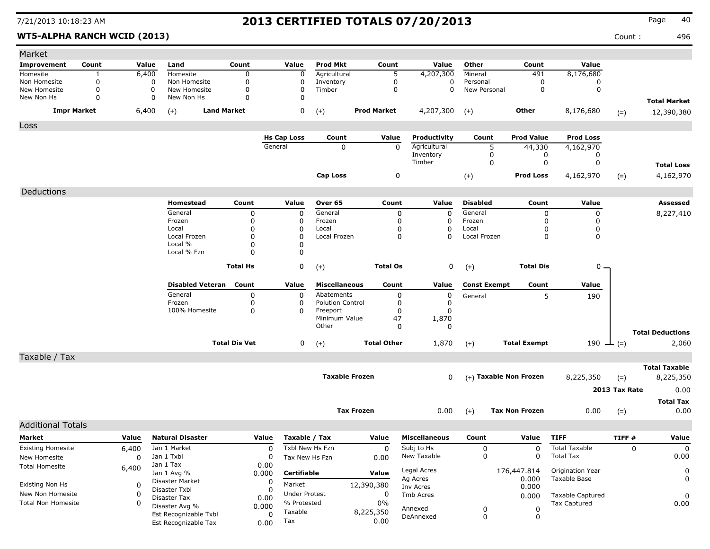### WT5-ALPHA RANCH WCID (2013) **Count :** 496

| Value<br>Improvement<br>Count<br>Value<br>Land<br>Count<br>Value<br><b>Prod Mkt</b><br>Count<br>Value<br>Other<br>Count<br>Homesite<br>Agricultural<br>Mineral<br>6,400<br>5<br>4,207,300<br>491<br>8,176,680<br>Homesite<br>0<br>0<br>1<br>0<br>0<br>Personal<br>0<br>Non Homesite<br>0<br>Non Homesite<br>0<br>0<br>Inventory<br>$\Omega$<br>0<br>0<br>0<br>New Personal<br>0<br>0<br>New Homesite<br>0<br>New Homesite<br>0<br>$\Omega$<br>Timber<br>$\Omega$<br>New Non Hs<br>0<br>0<br>New Non Hs<br>0<br>$\Omega$<br><b>Total Market</b><br><b>Land Market</b><br>0<br><b>Impr Market</b><br>6,400<br><b>Prod Market</b><br>4,207,300<br>Other<br>8,176,680<br>$(+)$<br>$(+)$<br>$(+)$<br>$(=)$<br>Loss<br><b>Prod Value</b><br><b>Prod Loss</b><br><b>Hs Cap Loss</b><br>Count<br>Value<br>Productivity<br>Count<br>General<br>$\mathbf 0$<br>Agricultural<br>5<br>$\Omega$<br>44,330<br>4,162,970<br>0<br>0<br>Inventory<br>0<br>0<br>0<br>Timber<br>0<br>Cap Loss<br>0<br><b>Prod Loss</b><br>4,162,970<br>$(+)$<br>$(=)$<br>Deductions | Market |  |  |  |  |  |                      |
|--------------------------------------------------------------------------------------------------------------------------------------------------------------------------------------------------------------------------------------------------------------------------------------------------------------------------------------------------------------------------------------------------------------------------------------------------------------------------------------------------------------------------------------------------------------------------------------------------------------------------------------------------------------------------------------------------------------------------------------------------------------------------------------------------------------------------------------------------------------------------------------------------------------------------------------------------------------------------------------------------------------------------------------------------|--------|--|--|--|--|--|----------------------|
|                                                                                                                                                                                                                                                                                                                                                                                                                                                                                                                                                                                                                                                                                                                                                                                                                                                                                                                                                                                                                                                  |        |  |  |  |  |  |                      |
|                                                                                                                                                                                                                                                                                                                                                                                                                                                                                                                                                                                                                                                                                                                                                                                                                                                                                                                                                                                                                                                  |        |  |  |  |  |  |                      |
|                                                                                                                                                                                                                                                                                                                                                                                                                                                                                                                                                                                                                                                                                                                                                                                                                                                                                                                                                                                                                                                  |        |  |  |  |  |  |                      |
|                                                                                                                                                                                                                                                                                                                                                                                                                                                                                                                                                                                                                                                                                                                                                                                                                                                                                                                                                                                                                                                  |        |  |  |  |  |  |                      |
|                                                                                                                                                                                                                                                                                                                                                                                                                                                                                                                                                                                                                                                                                                                                                                                                                                                                                                                                                                                                                                                  |        |  |  |  |  |  | 12,390,380           |
|                                                                                                                                                                                                                                                                                                                                                                                                                                                                                                                                                                                                                                                                                                                                                                                                                                                                                                                                                                                                                                                  |        |  |  |  |  |  |                      |
|                                                                                                                                                                                                                                                                                                                                                                                                                                                                                                                                                                                                                                                                                                                                                                                                                                                                                                                                                                                                                                                  |        |  |  |  |  |  |                      |
|                                                                                                                                                                                                                                                                                                                                                                                                                                                                                                                                                                                                                                                                                                                                                                                                                                                                                                                                                                                                                                                  |        |  |  |  |  |  |                      |
|                                                                                                                                                                                                                                                                                                                                                                                                                                                                                                                                                                                                                                                                                                                                                                                                                                                                                                                                                                                                                                                  |        |  |  |  |  |  |                      |
|                                                                                                                                                                                                                                                                                                                                                                                                                                                                                                                                                                                                                                                                                                                                                                                                                                                                                                                                                                                                                                                  |        |  |  |  |  |  | <b>Total Loss</b>    |
|                                                                                                                                                                                                                                                                                                                                                                                                                                                                                                                                                                                                                                                                                                                                                                                                                                                                                                                                                                                                                                                  |        |  |  |  |  |  | 4,162,970            |
|                                                                                                                                                                                                                                                                                                                                                                                                                                                                                                                                                                                                                                                                                                                                                                                                                                                                                                                                                                                                                                                  |        |  |  |  |  |  |                      |
| <b>Disabled</b><br>Value<br>Homestead<br>Count<br>Value<br>Over 65<br>Count<br>Value<br>Count                                                                                                                                                                                                                                                                                                                                                                                                                                                                                                                                                                                                                                                                                                                                                                                                                                                                                                                                                    |        |  |  |  |  |  | <b>Assessed</b>      |
| 0<br>0<br>$\pmb{0}$<br>0<br>0<br>General<br>General<br>0<br>General                                                                                                                                                                                                                                                                                                                                                                                                                                                                                                                                                                                                                                                                                                                                                                                                                                                                                                                                                                              |        |  |  |  |  |  | 8,227,410            |
| 0<br>Frozen<br>0<br>Frozen<br>0<br>Frozen<br>0<br>0<br>0                                                                                                                                                                                                                                                                                                                                                                                                                                                                                                                                                                                                                                                                                                                                                                                                                                                                                                                                                                                         |        |  |  |  |  |  |                      |
| $\mathbf 0$<br>0<br>Local<br>0<br>Local<br>Local<br>0<br>0<br>0                                                                                                                                                                                                                                                                                                                                                                                                                                                                                                                                                                                                                                                                                                                                                                                                                                                                                                                                                                                  |        |  |  |  |  |  |                      |
| 0<br>$\mathbf 0$<br>$\Omega$<br>0<br>Local Frozen<br>0<br>Local Frozen<br>Local Frozen<br>0<br>Local %<br>$\Omega$<br>0                                                                                                                                                                                                                                                                                                                                                                                                                                                                                                                                                                                                                                                                                                                                                                                                                                                                                                                          |        |  |  |  |  |  |                      |
| Local % Fzn<br>0<br>0                                                                                                                                                                                                                                                                                                                                                                                                                                                                                                                                                                                                                                                                                                                                                                                                                                                                                                                                                                                                                            |        |  |  |  |  |  |                      |
| <b>Total Hs</b><br>0<br><b>Total Os</b><br>0<br><b>Total Dis</b><br>$(+)$<br>0 –<br>$(+)$                                                                                                                                                                                                                                                                                                                                                                                                                                                                                                                                                                                                                                                                                                                                                                                                                                                                                                                                                        |        |  |  |  |  |  |                      |
| <b>Disabled Veteran</b><br>Count<br>Value<br><b>Miscellaneous</b><br>Count<br>Value<br><b>Const Exempt</b><br>Count<br>Value                                                                                                                                                                                                                                                                                                                                                                                                                                                                                                                                                                                                                                                                                                                                                                                                                                                                                                                     |        |  |  |  |  |  |                      |
| 0<br>0<br>General<br>0<br>Abatements<br>0<br>General                                                                                                                                                                                                                                                                                                                                                                                                                                                                                                                                                                                                                                                                                                                                                                                                                                                                                                                                                                                             |        |  |  |  |  |  |                      |
| 5<br>190<br><b>Polution Control</b><br>0<br>0<br>Frozen<br>0<br>0                                                                                                                                                                                                                                                                                                                                                                                                                                                                                                                                                                                                                                                                                                                                                                                                                                                                                                                                                                                |        |  |  |  |  |  |                      |
| $\mathbf 0$<br>0<br>0<br>100% Homesite<br>0<br>Freeport                                                                                                                                                                                                                                                                                                                                                                                                                                                                                                                                                                                                                                                                                                                                                                                                                                                                                                                                                                                          |        |  |  |  |  |  |                      |
| Minimum Value<br>47<br>1,870<br>Other<br>0                                                                                                                                                                                                                                                                                                                                                                                                                                                                                                                                                                                                                                                                                                                                                                                                                                                                                                                                                                                                       |        |  |  |  |  |  |                      |
| 0<br><b>Total Deductions</b>                                                                                                                                                                                                                                                                                                                                                                                                                                                                                                                                                                                                                                                                                                                                                                                                                                                                                                                                                                                                                     |        |  |  |  |  |  |                      |
| <b>Total Dis Vet</b><br><b>Total Other</b><br><b>Total Exempt</b><br>0<br>1,870<br>190<br>$(+)$<br>$(+)$<br>$-(-)$                                                                                                                                                                                                                                                                                                                                                                                                                                                                                                                                                                                                                                                                                                                                                                                                                                                                                                                               |        |  |  |  |  |  | 2,060                |
| Taxable / Tax                                                                                                                                                                                                                                                                                                                                                                                                                                                                                                                                                                                                                                                                                                                                                                                                                                                                                                                                                                                                                                    |        |  |  |  |  |  |                      |
|                                                                                                                                                                                                                                                                                                                                                                                                                                                                                                                                                                                                                                                                                                                                                                                                                                                                                                                                                                                                                                                  |        |  |  |  |  |  | <b>Total Taxable</b> |
| <b>Taxable Frozen</b><br>0<br>$(+)$ Taxable Non Frozen<br>8,225,350<br>$(=)$                                                                                                                                                                                                                                                                                                                                                                                                                                                                                                                                                                                                                                                                                                                                                                                                                                                                                                                                                                     |        |  |  |  |  |  | 8,225,350            |
| 2013 Tax Rate                                                                                                                                                                                                                                                                                                                                                                                                                                                                                                                                                                                                                                                                                                                                                                                                                                                                                                                                                                                                                                    |        |  |  |  |  |  | 0.00                 |
|                                                                                                                                                                                                                                                                                                                                                                                                                                                                                                                                                                                                                                                                                                                                                                                                                                                                                                                                                                                                                                                  |        |  |  |  |  |  | <b>Total Tax</b>     |
| <b>Tax Frozen</b><br>0.00<br><b>Tax Non Frozen</b><br>0.00<br>$(+)$<br>$(=)$                                                                                                                                                                                                                                                                                                                                                                                                                                                                                                                                                                                                                                                                                                                                                                                                                                                                                                                                                                     |        |  |  |  |  |  | 0.00                 |
| <b>Additional Totals</b>                                                                                                                                                                                                                                                                                                                                                                                                                                                                                                                                                                                                                                                                                                                                                                                                                                                                                                                                                                                                                         |        |  |  |  |  |  |                      |
| <b>Miscellaneous</b><br>Market<br>Value<br><b>Natural Disaster</b><br>Value<br>Taxable / Tax<br>Value<br>Value<br><b>TIFF</b><br>Count<br>TIFF#                                                                                                                                                                                                                                                                                                                                                                                                                                                                                                                                                                                                                                                                                                                                                                                                                                                                                                  |        |  |  |  |  |  | Value                |
| <b>Existing Homesite</b><br>6,400<br>Jan 1 Market<br>0<br>Txbl New Hs Fzn<br>0<br>Subj to Hs<br>0<br>0<br><b>Total Taxable</b><br>0                                                                                                                                                                                                                                                                                                                                                                                                                                                                                                                                                                                                                                                                                                                                                                                                                                                                                                              |        |  |  |  |  |  | 0                    |
| New Taxable<br>0<br><b>Total Tax</b><br>0<br>Jan 1 Txbl<br>0<br>$\mathbf 0$<br>Tax New Hs Fzn<br>New Homesite<br>0.00<br>Jan 1 Tax<br>0.00                                                                                                                                                                                                                                                                                                                                                                                                                                                                                                                                                                                                                                                                                                                                                                                                                                                                                                       |        |  |  |  |  |  | 0.00                 |
| <b>Total Homesite</b><br>6,400<br>Legal Acres<br>176,447.814<br>Origination Year<br>Jan 1 Avg %<br>Certifiable<br>Value<br>0.000                                                                                                                                                                                                                                                                                                                                                                                                                                                                                                                                                                                                                                                                                                                                                                                                                                                                                                                 |        |  |  |  |  |  | 0                    |
| 0.000<br>Taxable Base<br>Ag Acres<br>Disaster Market<br>0                                                                                                                                                                                                                                                                                                                                                                                                                                                                                                                                                                                                                                                                                                                                                                                                                                                                                                                                                                                        |        |  |  |  |  |  | $\mathbf 0$          |
| 0<br>Market<br>12,390,380<br><b>Existing Non Hs</b><br>0.000<br>Inv Acres<br>Disaster Txbl<br>0<br>$\Omega$                                                                                                                                                                                                                                                                                                                                                                                                                                                                                                                                                                                                                                                                                                                                                                                                                                                                                                                                      |        |  |  |  |  |  |                      |
| <b>Under Protest</b><br>New Non Homesite<br>0<br>Tmb Acres<br>0.000<br><b>Taxable Captured</b><br>Disaster Tax<br>0.00<br>0<br>% Protested<br><b>Total Non Homesite</b><br>0%                                                                                                                                                                                                                                                                                                                                                                                                                                                                                                                                                                                                                                                                                                                                                                                                                                                                    |        |  |  |  |  |  | 0                    |
| Tax Captured<br>Disaster Avg %<br>0.000<br>0<br>Annexed<br>0<br>Taxable<br>8,225,350                                                                                                                                                                                                                                                                                                                                                                                                                                                                                                                                                                                                                                                                                                                                                                                                                                                                                                                                                             |        |  |  |  |  |  | 0.00                 |
| Est Recognizable Txbl<br>0<br>0<br>DeAnnexed<br>0<br>Tax<br>0.00<br>0.00<br>Est Recognizable Tax                                                                                                                                                                                                                                                                                                                                                                                                                                                                                                                                                                                                                                                                                                                                                                                                                                                                                                                                                 |        |  |  |  |  |  |                      |